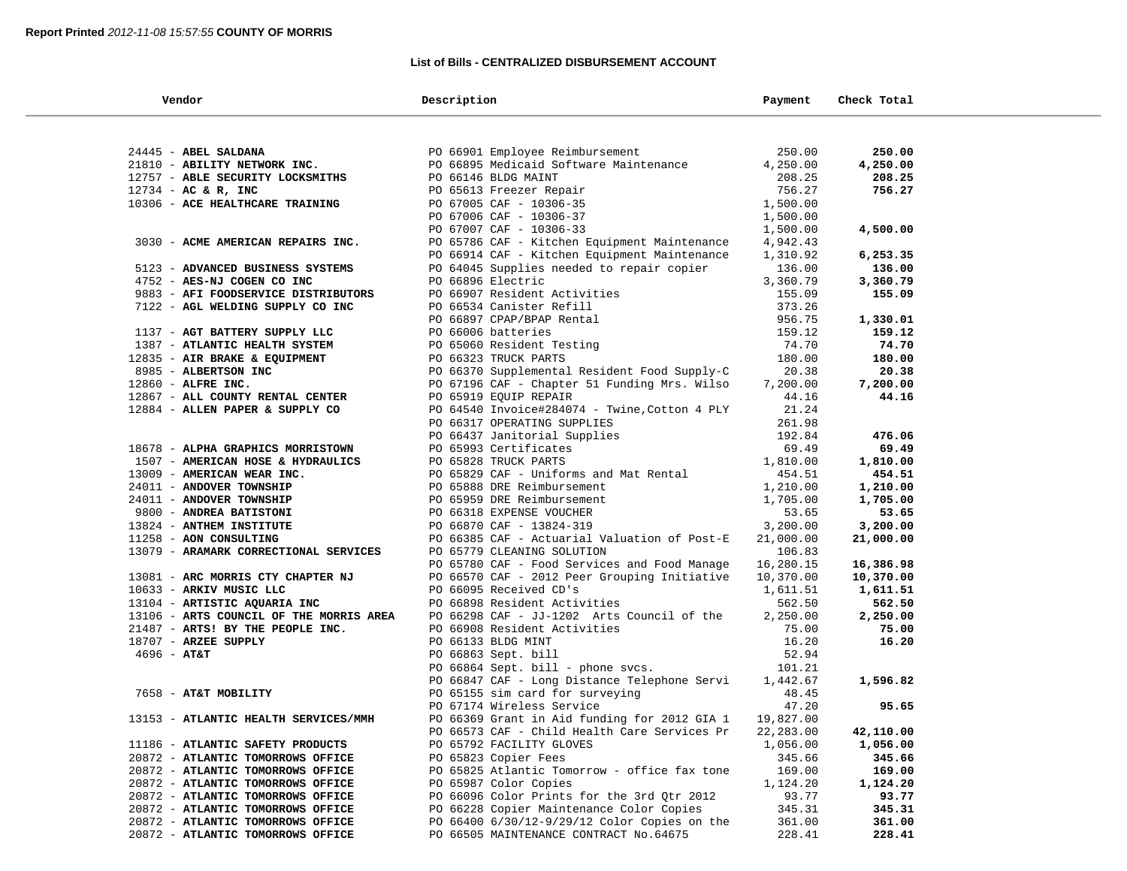## **List of Bills - CENTRALIZED DISBURSEMENT ACCOUNT**

| Vendor                                                                 | Description                                                                              | Payment             | Check Total      |  |
|------------------------------------------------------------------------|------------------------------------------------------------------------------------------|---------------------|------------------|--|
|                                                                        |                                                                                          |                     |                  |  |
| 24445 - ABEL SALDANA                                                   | PO 66901 Employee Reimbursement                                                          | 250.00              | 250.00           |  |
| 21810 - ABILITY NETWORK INC.                                           | PO 66895 Medicaid Software Maintenance                                                   | 4,250.00            | 4,250.00         |  |
| 12757 - ABLE SECURITY LOCKSMITHS                                       | PO 66146 BLDG MAINT                                                                      | 208.25              | 208.25           |  |
| $12734$ - AC & R, INC                                                  | PO 65613 Freezer Repair                                                                  | 756.27              | 756.27           |  |
| 10306 - ACE HEALTHCARE TRAINING                                        | PO 67005 CAF - 10306-35                                                                  | 1,500.00            |                  |  |
|                                                                        | PO 67006 CAF - 10306-37                                                                  | 1,500.00            |                  |  |
|                                                                        | PO 67007 CAF - 10306-33                                                                  | 1,500.00            | 4,500.00         |  |
| 3030 - ACME AMERICAN REPAIRS INC.                                      | PO 65786 CAF - Kitchen Equipment Maintenance                                             | 4,942.43            |                  |  |
|                                                                        | PO 66914 CAF - Kitchen Equipment Maintenance                                             | 1,310.92            | 6,253.35         |  |
| 5123 - ADVANCED BUSINESS SYSTEMS                                       | PO 64045 Supplies needed to repair copier                                                | 136.00              | 136.00           |  |
| 4752 - AES-NJ COGEN CO INC                                             | PO 66896 Electric                                                                        | 3,360.79            | 3,360.79         |  |
| 9883 - AFI FOODSERVICE DISTRIBUTORS                                    | PO 66907 Resident Activities                                                             | 155.09              | 155.09           |  |
| 7122 - AGL WELDING SUPPLY CO INC                                       | PO 66534 Canister Refill                                                                 | 373.26              |                  |  |
|                                                                        | PO 66897 CPAP/BPAP Rental                                                                | 956.75              | 1,330.01         |  |
| 1137 - AGT BATTERY SUPPLY LLC                                          | PO 66006 batteries                                                                       | 159.12              | 159.12           |  |
| 1387 - ATLANTIC HEALTH SYSTEM                                          | PO 65060 Resident Testing                                                                | 74.70               | 74.70            |  |
| 12835 - AIR BRAKE & EQUIPMENT                                          | PO 66323 TRUCK PARTS                                                                     | 180.00              | 180.00           |  |
| 8985 - ALBERTSON INC                                                   | PO 66370 Supplemental Resident Food Supply-C                                             | 20.38               | 20.38            |  |
| 12860 - ALFRE INC.                                                     | PO 67196 CAF - Chapter 51 Funding Mrs. Wilso                                             | 7,200.00            | 7,200.00         |  |
| 12867 - ALL COUNTY RENTAL CENTER                                       | PO 65919 EQUIP REPAIR                                                                    | 44.16               | 44.16            |  |
| 12884 - ALLEN PAPER & SUPPLY CO                                        | PO 64540 Invoice#284074 - Twine, Cotton 4 PLY                                            | 21.24               |                  |  |
|                                                                        | PO 66317 OPERATING SUPPLIES                                                              | 261.98              |                  |  |
|                                                                        | PO 66437 Janitorial Supplies                                                             | 192.84              | 476.06           |  |
| 18678 - ALPHA GRAPHICS MORRISTOWN                                      | PO 65993 Certificates                                                                    | 69.49               | 69.49            |  |
| 1507 - AMERICAN HOSE & HYDRAULICS                                      | PO 65828 TRUCK PARTS                                                                     | 1,810.00            | 1,810.00         |  |
| 13009 - AMERICAN WEAR INC.                                             | PO 65829 CAF - Uniforms and Mat Rental                                                   | 454.51              | 454.51           |  |
| 24011 - ANDOVER TOWNSHIP                                               | PO 65888 DRE Reimbursement                                                               | 1,210.00            | 1,210.00         |  |
| 24011 - ANDOVER TOWNSHIP                                               | PO 65959 DRE Reimbursement                                                               | 1,705.00            | 1,705.00         |  |
| 9800 - ANDREA BATISTONI                                                | PO 66318 EXPENSE VOUCHER                                                                 | 53.65               | 53.65            |  |
| 13824 - ANTHEM INSTITUTE<br>11258 - AON CONSULTING                     | PO 66870 CAF - 13824-319                                                                 | 3,200.00            | 3,200.00         |  |
| 13079 - ARAMARK CORRECTIONAL SERVICES                                  | PO 66385 CAF - Actuarial Valuation of Post-E<br>PO 65779 CLEANING SOLUTION               | 21,000.00<br>106.83 | 21,000.00        |  |
|                                                                        | PO 65780 CAF - Food Services and Food Manage                                             | 16,280.15           | 16,386.98        |  |
| 13081 - ARC MORRIS CTY CHAPTER NJ                                      | PO 66570 CAF - 2012 Peer Grouping Initiative                                             | 10,370.00           | 10,370.00        |  |
| 10633 - ARKIV MUSIC LLC                                                | PO 66095 Received CD's                                                                   | 1,611.51            | 1,611.51         |  |
| 13104 - ARTISTIC AQUARIA INC                                           | PO 66898 Resident Activities                                                             | 562.50              | 562.50           |  |
| 13106 - ARTS COUNCIL OF THE MORRIS AREA                                | PO 66298 CAF - JJ-1202 Arts Council of the                                               | 2,250.00            | 2,250.00         |  |
| 21487 - ARTS! BY THE PEOPLE INC.                                       | PO 66908 Resident Activities                                                             | 75.00               | 75.00            |  |
| 18707 - ARZEE SUPPLY                                                   | PO 66133 BLDG MINT                                                                       | 16.20               | 16.20            |  |
| $4696 - AT&T$                                                          | PO 66863 Sept. bill                                                                      | 52.94               |                  |  |
|                                                                        | PO 66864 Sept. bill - phone svcs.                                                        | 101.21              |                  |  |
|                                                                        | PO 66847 CAF - Long Distance Telephone Servi                                             | 1,442.67            | 1,596.82         |  |
| 7658 - AT&T MOBILITY                                                   | PO 65155 sim card for surveying                                                          | 48.45               |                  |  |
|                                                                        | PO 67174 Wireless Service                                                                | 47.20               | 95.65            |  |
| 13153 - ATLANTIC HEALTH SERVICES/MMH                                   | PO 66369 Grant in Aid funding for 2012 GIA 1                                             | 19,827.00           |                  |  |
|                                                                        | PO 66573 CAF - Child Health Care Services Pr                                             | 22,283.00           | 42,110.00        |  |
| 11186 - ATLANTIC SAFETY PRODUCTS                                       | PO 65792 FACILITY GLOVES                                                                 | 1,056.00            | 1,056.00         |  |
| 20872 - ATLANTIC TOMORROWS OFFICE                                      | PO 65823 Copier Fees                                                                     | 345.66              | 345.66           |  |
| 20872 - ATLANTIC TOMORROWS OFFICE                                      | PO 65825 Atlantic Tomorrow - office fax tone                                             | 169.00              | 169.00           |  |
| 20872 - ATLANTIC TOMORROWS OFFICE                                      | PO 65987 Color Copies                                                                    | 1,124.20            | 1,124.20         |  |
| 20872 - ATLANTIC TOMORROWS OFFICE                                      | PO 66096 Color Prints for the 3rd Qtr 2012                                               | 93.77               | 93.77            |  |
| 20872 - ATLANTIC TOMORROWS OFFICE                                      | PO 66228 Copier Maintenance Color Copies<br>PO 66400 6/30/12-9/29/12 Color Copies on the | 345.31              | 345.31           |  |
| 20872 - ATLANTIC TOMORROWS OFFICE<br>20872 - ATLANTIC TOMORROWS OFFICE | PO 66505 MAINTENANCE CONTRACT No.64675                                                   | 361.00<br>228.41    | 361.00<br>228.41 |  |
|                                                                        |                                                                                          |                     |                  |  |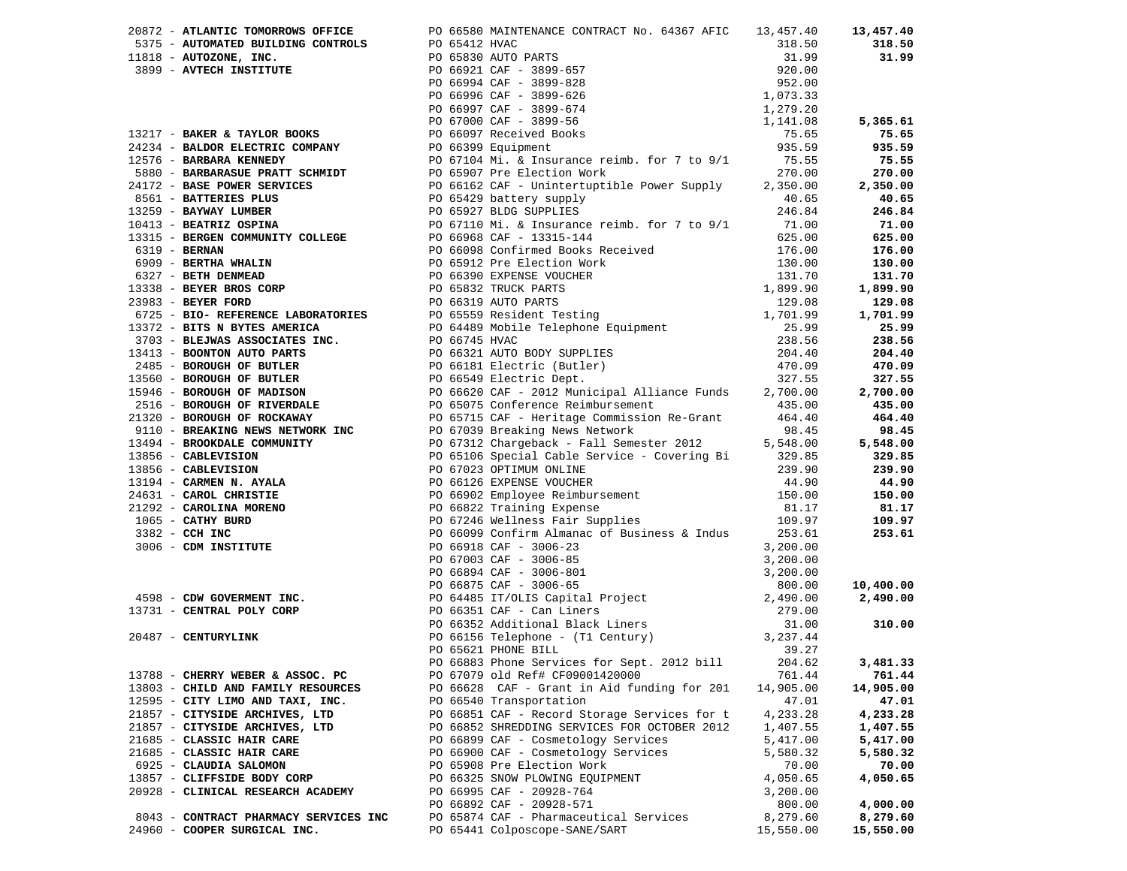|                                       | 20872 - ATLANTIC TOMORROWS OFFICE PO 66580 MAINTENANCE CONTRACT No. 64367 AFIC 13,457.40                                                                                                                                     |           | 13,457.40 |
|---------------------------------------|------------------------------------------------------------------------------------------------------------------------------------------------------------------------------------------------------------------------------|-----------|-----------|
|                                       |                                                                                                                                                                                                                              |           |           |
|                                       |                                                                                                                                                                                                                              |           |           |
|                                       |                                                                                                                                                                                                                              |           |           |
|                                       |                                                                                                                                                                                                                              |           |           |
|                                       |                                                                                                                                                                                                                              |           |           |
|                                       |                                                                                                                                                                                                                              |           |           |
|                                       |                                                                                                                                                                                                                              |           |           |
|                                       |                                                                                                                                                                                                                              |           |           |
|                                       |                                                                                                                                                                                                                              |           |           |
|                                       |                                                                                                                                                                                                                              |           |           |
|                                       |                                                                                                                                                                                                                              |           |           |
|                                       |                                                                                                                                                                                                                              |           |           |
|                                       |                                                                                                                                                                                                                              |           |           |
|                                       |                                                                                                                                                                                                                              |           |           |
|                                       |                                                                                                                                                                                                                              |           |           |
|                                       |                                                                                                                                                                                                                              |           |           |
|                                       |                                                                                                                                                                                                                              |           |           |
|                                       |                                                                                                                                                                                                                              |           |           |
|                                       |                                                                                                                                                                                                                              |           |           |
|                                       |                                                                                                                                                                                                                              |           |           |
|                                       |                                                                                                                                                                                                                              |           |           |
|                                       |                                                                                                                                                                                                                              |           |           |
|                                       |                                                                                                                                                                                                                              |           |           |
|                                       |                                                                                                                                                                                                                              |           |           |
|                                       |                                                                                                                                                                                                                              |           |           |
|                                       |                                                                                                                                                                                                                              |           |           |
|                                       |                                                                                                                                                                                                                              |           |           |
|                                       |                                                                                                                                                                                                                              |           |           |
|                                       |                                                                                                                                                                                                                              |           |           |
|                                       |                                                                                                                                                                                                                              |           |           |
|                                       |                                                                                                                                                                                                                              |           |           |
|                                       |                                                                                                                                                                                                                              |           |           |
|                                       |                                                                                                                                                                                                                              |           |           |
|                                       |                                                                                                                                                                                                                              |           |           |
|                                       |                                                                                                                                                                                                                              |           |           |
|                                       |                                                                                                                                                                                                                              |           |           |
|                                       |                                                                                                                                                                                                                              |           |           |
|                                       |                                                                                                                                                                                                                              |           |           |
|                                       |                                                                                                                                                                                                                              |           |           |
|                                       |                                                                                                                                                                                                                              |           |           |
|                                       |                                                                                                                                                                                                                              |           |           |
|                                       |                                                                                                                                                                                                                              |           |           |
|                                       |                                                                                                                                                                                                                              |           |           |
|                                       | 20217 ARMART FORDER (1992) 1992 - 2022 - 2022 - 2022 - 2022 - 2022 - 2022 - 2022 - 2022 - 2022 - 2022 - 2022 - 2022 - 2022 - 2022 - 2022 - 2022 - 2022 - 2022 - 2022 - 2022 - 2022 - 2022 - 2022 - 2022 - 2022 - 2022 - 2022 |           |           |
|                                       |                                                                                                                                                                                                                              |           |           |
|                                       |                                                                                                                                                                                                                              |           |           |
|                                       |                                                                                                                                                                                                                              |           |           |
|                                       |                                                                                                                                                                                                                              |           |           |
|                                       |                                                                                                                                                                                                                              |           |           |
| 13788 - CHERRY WEBER & ASSOC. PC      | PO 67079 old Ref# CF09001420000                                                                                                                                                                                              | 761.44    | 761.44    |
| 13803 - CHILD AND FAMILY RESOURCES    | PO 66628 CAF - Grant in Aid funding for 201                                                                                                                                                                                  | 14,905.00 | 14,905.00 |
| 12595 - CITY LIMO AND TAXI, INC.      | PO 66540 Transportation                                                                                                                                                                                                      | 47.01     | 47.01     |
| 21857 - CITYSIDE ARCHIVES, LTD        | PO 66851 CAF - Record Storage Services for t                                                                                                                                                                                 | 4,233.28  | 4,233.28  |
| 21857 - CITYSIDE ARCHIVES, LTD        | PO 66852 SHREDDING SERVICES FOR OCTOBER 2012                                                                                                                                                                                 | 1,407.55  | 1,407.55  |
| 21685 - CLASSIC HAIR CARE             | PO 66899 CAF - Cosmetology Services                                                                                                                                                                                          | 5,417.00  | 5,417.00  |
| 21685 - CLASSIC HAIR CARE             | PO 66900 CAF - Cosmetology Services                                                                                                                                                                                          | 5,580.32  | 5,580.32  |
| 6925 - CLAUDIA SALOMON                | PO 65908 Pre Election Work                                                                                                                                                                                                   | 70.00     | 70.00     |
| 13857 - CLIFFSIDE BODY CORP           | PO 66325 SNOW PLOWING EQUIPMENT                                                                                                                                                                                              | 4,050.65  | 4,050.65  |
| 20928 - CLINICAL RESEARCH ACADEMY     | PO 66995 CAF - 20928-764                                                                                                                                                                                                     | 3,200.00  |           |
|                                       | PO 66892 CAF - 20928-571                                                                                                                                                                                                     | 800.00    | 4,000.00  |
| 8043 - CONTRACT PHARMACY SERVICES INC | PO 65874 CAF - Pharmaceutical Services                                                                                                                                                                                       | 8,279.60  | 8,279.60  |
| 24960 - COOPER SURGICAL INC.          | PO 65441 Colposcope-SANE/SART                                                                                                                                                                                                | 15,550.00 | 15,550.00 |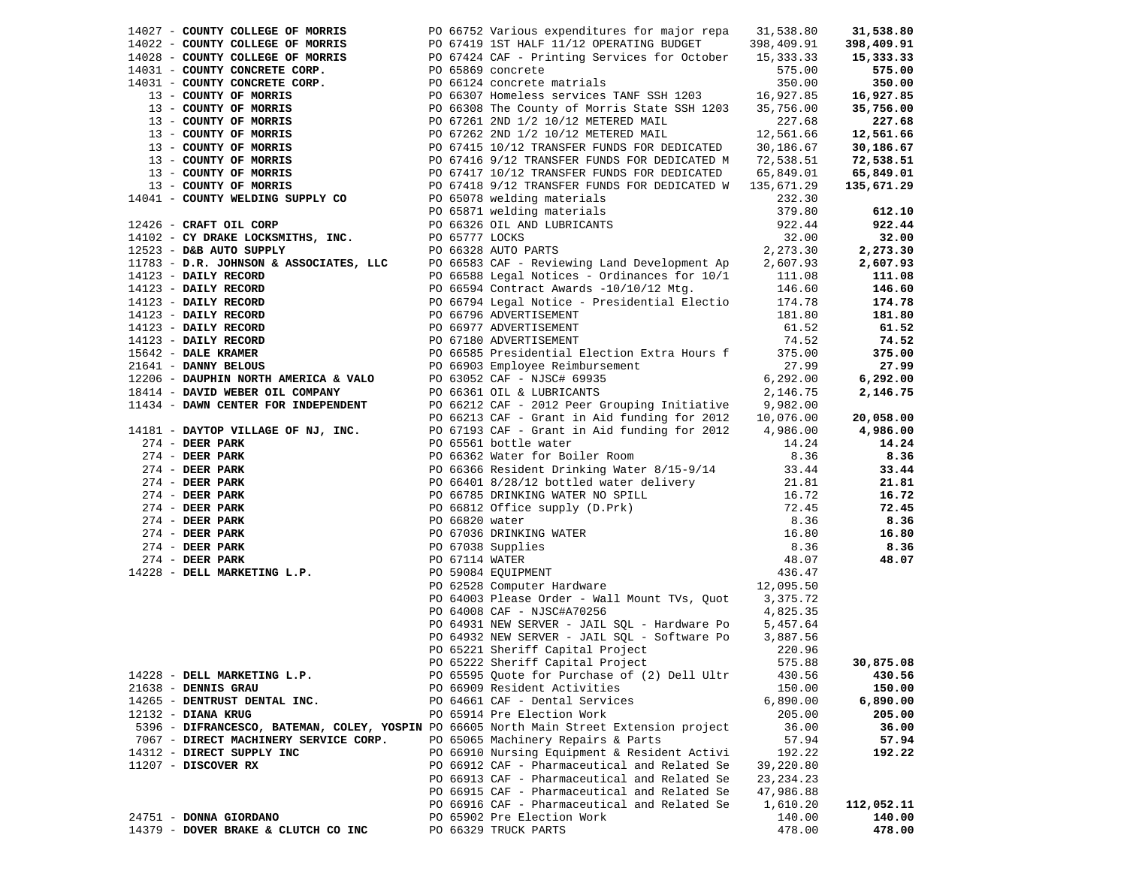| 14027 - COUNTY COLLEGE OF MORRIS                                                                                                                                | PO 66752 Various expenditures for major repa<br>14027 - <b>COUNTY COLLEGE OF MORRIS</b><br>14022 - <b>COUNTY COLLEGE OF MORRIS</b><br>14022 - <b>COUNTY COLLEGE OF MORRIS</b><br>14032 - <b>COUNTY COLLEGE OF MORRIS</b><br>2008 - <b>COUNTY CONCRETE CORP</b><br>14031 - <b>COUNTY CONCRETE CORP.</b><br>14031 - <b>COUN</b> | 31,538.80   | 31,538.80  |
|-----------------------------------------------------------------------------------------------------------------------------------------------------------------|-------------------------------------------------------------------------------------------------------------------------------------------------------------------------------------------------------------------------------------------------------------------------------------------------------------------------------|-------------|------------|
|                                                                                                                                                                 |                                                                                                                                                                                                                                                                                                                               |             | 398,409.91 |
|                                                                                                                                                                 |                                                                                                                                                                                                                                                                                                                               |             | 15,333.33  |
|                                                                                                                                                                 |                                                                                                                                                                                                                                                                                                                               |             | 575.00     |
|                                                                                                                                                                 |                                                                                                                                                                                                                                                                                                                               |             | 350.00     |
|                                                                                                                                                                 |                                                                                                                                                                                                                                                                                                                               |             | 16,927.85  |
|                                                                                                                                                                 |                                                                                                                                                                                                                                                                                                                               |             | 35,756.00  |
|                                                                                                                                                                 |                                                                                                                                                                                                                                                                                                                               |             | 227.68     |
|                                                                                                                                                                 |                                                                                                                                                                                                                                                                                                                               |             | 12,561.66  |
|                                                                                                                                                                 |                                                                                                                                                                                                                                                                                                                               |             | 30,186.67  |
|                                                                                                                                                                 |                                                                                                                                                                                                                                                                                                                               |             | 72,538.51  |
|                                                                                                                                                                 |                                                                                                                                                                                                                                                                                                                               |             | 65,849.01  |
|                                                                                                                                                                 |                                                                                                                                                                                                                                                                                                                               |             | 135,671.29 |
|                                                                                                                                                                 |                                                                                                                                                                                                                                                                                                                               |             |            |
|                                                                                                                                                                 |                                                                                                                                                                                                                                                                                                                               |             | 612.10     |
|                                                                                                                                                                 |                                                                                                                                                                                                                                                                                                                               |             | 922.44     |
| 14226 - CRAFI CLE CORP<br>14102 - CY DRAKE LOCKSMITHS, INC.<br>1783 - D.R. JOHNSON & ASSOCIATES, LLC<br>1783 - D.R. JOHNSON & ASSOCIATES, LLC<br>PO 66583 CAF - |                                                                                                                                                                                                                                                                                                                               |             | 32.00      |
|                                                                                                                                                                 |                                                                                                                                                                                                                                                                                                                               |             | 2,273.30   |
|                                                                                                                                                                 | PO 66583 CAF - Reviewing Land Development Ap 2,607.93                                                                                                                                                                                                                                                                         |             | 2,607.93   |
|                                                                                                                                                                 | PO 66588 Legal Notices - Ordinances for 10/1 111.08<br>PO 66594 Contract Awards -10/10/12 Mtg. 146.60                                                                                                                                                                                                                         |             | 111.08     |
|                                                                                                                                                                 |                                                                                                                                                                                                                                                                                                                               |             | 146.60     |
|                                                                                                                                                                 | PO 66794 Legal Notice - Presidential Electio 174.78                                                                                                                                                                                                                                                                           |             | 174.78     |
|                                                                                                                                                                 |                                                                                                                                                                                                                                                                                                                               | 181.80      | 181.80     |
|                                                                                                                                                                 |                                                                                                                                                                                                                                                                                                                               | 61.52       | 61.52      |
|                                                                                                                                                                 |                                                                                                                                                                                                                                                                                                                               | 74.52       | 74.52      |
|                                                                                                                                                                 | 12523 - DR. JOHNSON & ASSOCIAIBS, 2003<br>14123 - DAILY RECORD<br>14123 - DAILY RECORD<br>14123 - DAILY RECORD<br>14123 - DAILY RECORD<br>14123 - DAILY RECORD<br>14123 - DAILY RECORD<br>14123 - DAILY RECORD<br>14123 - DAILY RECORD<br>14123<br>PO 66585 Presidential Election Extra Hours f 375.00                        |             | 375.00     |
|                                                                                                                                                                 |                                                                                                                                                                                                                                                                                                                               | 27.99       | 27.99      |
|                                                                                                                                                                 |                                                                                                                                                                                                                                                                                                                               | 6, 292.00   | 6,292.00   |
|                                                                                                                                                                 |                                                                                                                                                                                                                                                                                                                               | 2,146.75    | 2,146.75   |
|                                                                                                                                                                 | 11434 - DAWN CENTER FOR INDEPENDENT PO 66212 CAF - 2012 Peer Grouping Initiative 9,982.00                                                                                                                                                                                                                                     |             |            |
|                                                                                                                                                                 | PO 66213 CAF - Grant in Aid funding for 2012 $10,076.00$                                                                                                                                                                                                                                                                      |             | 20,058.00  |
|                                                                                                                                                                 | 14181 - DAYTOP VILLAGE OF NJ, INC. PO 67193 CAF - Grant in Aid funding for 2012 4,986.00                                                                                                                                                                                                                                      |             | 4,986.00   |
|                                                                                                                                                                 |                                                                                                                                                                                                                                                                                                                               |             | 14.24      |
|                                                                                                                                                                 |                                                                                                                                                                                                                                                                                                                               |             | 8.36       |
|                                                                                                                                                                 |                                                                                                                                                                                                                                                                                                                               |             | 33.44      |
|                                                                                                                                                                 | A BER PARK<br>274 - DEER PARK<br>274 - DEER PARK<br>274 - DEER PARK<br>274 - DEER PARK<br>274 - DEER PARK<br>274 - DEER PARK<br>274 - DEER PARK<br>274 - DEER PARK<br>274 - DEER PARK<br>274 - DEER PARK<br>274 - DEER PARK<br>274 - DEER PARK<br>274 -                                                                       |             | 21.81      |
|                                                                                                                                                                 |                                                                                                                                                                                                                                                                                                                               |             | 16.72      |
|                                                                                                                                                                 |                                                                                                                                                                                                                                                                                                                               |             | 72.45      |
|                                                                                                                                                                 |                                                                                                                                                                                                                                                                                                                               |             | 8.36       |
|                                                                                                                                                                 |                                                                                                                                                                                                                                                                                                                               |             | 16.80      |
|                                                                                                                                                                 |                                                                                                                                                                                                                                                                                                                               |             | 8.36       |
|                                                                                                                                                                 |                                                                                                                                                                                                                                                                                                                               |             | 48.07      |
|                                                                                                                                                                 |                                                                                                                                                                                                                                                                                                                               |             |            |
|                                                                                                                                                                 |                                                                                                                                                                                                                                                                                                                               |             |            |
|                                                                                                                                                                 |                                                                                                                                                                                                                                                                                                                               |             |            |
|                                                                                                                                                                 | PO 64008 CAF - NJSC#A70256                                                                                                                                                                                                                                                                                                    | 4,825.35    |            |
|                                                                                                                                                                 | PO 64931 NEW SERVER - JAIL SQL - Hardware Po                                                                                                                                                                                                                                                                                  | 5,457.64    |            |
|                                                                                                                                                                 | PO 64932 NEW SERVER - JAIL SQL - Software Po                                                                                                                                                                                                                                                                                  | 3,887.56    |            |
|                                                                                                                                                                 | PO 65221 Sheriff Capital Project                                                                                                                                                                                                                                                                                              | 220.96      |            |
|                                                                                                                                                                 | PO 65222 Sheriff Capital Project                                                                                                                                                                                                                                                                                              | 575.88      | 30,875.08  |
| 14228 - DELL MARKETING L.P.                                                                                                                                     | PO 65595 Quote for Purchase of (2) Dell Ultr                                                                                                                                                                                                                                                                                  | 430.56      | 430.56     |
| 21638 - DENNIS GRAU                                                                                                                                             | PO 66909 Resident Activities                                                                                                                                                                                                                                                                                                  | 150.00      | 150.00     |
| 14265 - DENTRUST DENTAL INC.                                                                                                                                    | PO 64661 CAF - Dental Services                                                                                                                                                                                                                                                                                                | 6,890.00    | 6,890.00   |
| $12132$ - DIANA KRUG                                                                                                                                            | PO 65914 Pre Election Work                                                                                                                                                                                                                                                                                                    | 205.00      | 205.00     |
|                                                                                                                                                                 | 5396 - DIFRANCESCO, BATEMAN, COLEY, YOSPIN PO 66605 North Main Street Extension project                                                                                                                                                                                                                                       | 36.00       | 36.00      |
| 7067 - DIRECT MACHINERY SERVICE CORP.                                                                                                                           | PO 65065 Machinery Repairs & Parts                                                                                                                                                                                                                                                                                            | 57.94       | 57.94      |
| 14312 - DIRECT SUPPLY INC                                                                                                                                       | PO 66910 Nursing Equipment & Resident Activi                                                                                                                                                                                                                                                                                  | 192.22      | 192.22     |
| 11207 - DISCOVER RX                                                                                                                                             | PO 66912 CAF - Pharmaceutical and Related Se                                                                                                                                                                                                                                                                                  | 39,220.80   |            |
|                                                                                                                                                                 | PO 66913 CAF - Pharmaceutical and Related Se                                                                                                                                                                                                                                                                                  | 23, 234. 23 |            |
|                                                                                                                                                                 | PO 66915 CAF - Pharmaceutical and Related Se<br>PO 66916 CAF - Pharmaceutical and Related Se                                                                                                                                                                                                                                  | 47,986.88   |            |
|                                                                                                                                                                 |                                                                                                                                                                                                                                                                                                                               | 1,610.20    | 112,052.11 |
| 24751 - DONNA GIORDANO                                                                                                                                          | PO 65902 Pre Election Work                                                                                                                                                                                                                                                                                                    | 140.00      | 140.00     |
| 14379 - DOVER BRAKE & CLUTCH CO INC                                                                                                                             | PO 66329 TRUCK PARTS                                                                                                                                                                                                                                                                                                          | 478.00      | 478.00     |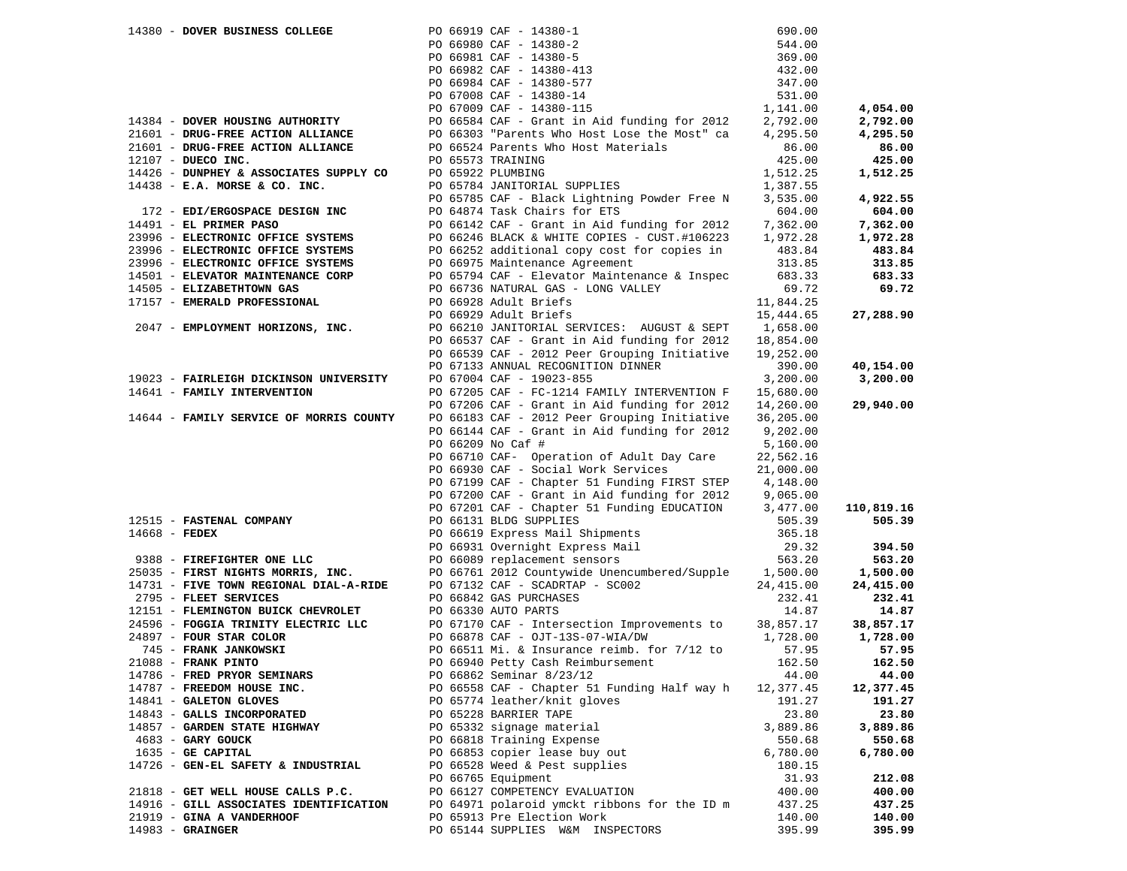| PO 66919 CAF - 14380-1<br>PO 66980 CAF - 14380-2<br>PO 66981 CAF - 14380-5<br>PO 66982 CAF - 14380-413<br>PO 66984 CAF - 14380-577<br>544.00<br>369.00<br>432.00<br>347.00<br>531.00<br>PO 67008 CAF - 14380-14<br>PO 67009 CAF - 14380-115<br>1,141.00<br>14384 - DOVER HOUSING AUTHORITY<br>PO 66584 CAF - Grant in Aid funding for 2012<br>2,792.00<br>PO 66303 "Parents Who Host Lose the Most" ca<br>21601 - DRUG-FREE ACTION ALLIANCE<br>4,295.50<br>21601 - DRUG-FREE ACTION ALLIANCE<br>PO 66524 Parents Who Host Materials<br>86.00<br>425.00<br>12107 - DUECO INC.<br>PO 65573 TRAINING<br>PO 65922 PLUMBING<br>1,512.25<br>14426 - DUNPHEY & ASSOCIATES SUPPLY CO<br>$14438$ - E.A. MORSE & CO. INC.<br>PO 65784 JANITORIAL SUPPLIES<br>1,387.55<br>PO 65785 CAF - Black Lightning Powder Free N<br>3,535.00<br>PO 64874 Task Chairs for ETS<br>604.00<br>172 - EDI/ERGOSPACE DESIGN INC<br>14491 - EL PRIMER PASO<br>PO 66142 CAF - Grant in Aid funding for 2012<br>7,362.00<br>PO 66246 BLACK & WHITE COPIES - CUST.#106223<br>23996 - ELECTRONIC OFFICE SYSTEMS<br>1,972.28<br>23996 - ELECTRONIC OFFICE SYSTEMS<br>PO 66252 additional copy cost for copies in<br>483.84<br>23996 - ELECTRONIC OFFICE SYSTEMS<br>PO 66975 Maintenance Agreement<br>313.85<br>14501 - ELEVATOR MAINTENANCE CORP<br>PO 65794 CAF - Elevator Maintenance & Inspec<br>683.33<br>14505 - ELIZABETHTOWN GAS<br>PO 66736 NATURAL GAS - LONG VALLEY<br>69.72<br>17157 - EMERALD PROFESSIONAL<br>PO 66928 Adult Briefs<br>11,844.25<br>PO 66929 Adult Briefs<br>15,444.65<br>2047 - EMPLOYMENT HORIZONS, INC.<br>PO 66210 JANITORIAL SERVICES: AUGUST & SEPT<br>1,658.00<br>PO 66537 CAF - Grant in Aid funding for 2012<br>18,854.00<br>PO 66539 CAF - 2012 Peer Grouping Initiative<br>19,252.00<br>PO 67133 ANNUAL RECOGNITION DINNER<br>390.00<br>19023 - FAIRLEIGH DICKINSON UNIVERSITY<br>PO 67004 CAF - 19023-855<br>3,200.00<br>14641 - FAMILY INTERVENTION<br>PO 67205 CAF - FC-1214 FAMILY INTERVENTION F<br>15,680.00<br>PO 67206 CAF - Grant in Aid funding for 2012<br>14,260.00<br>14644 - FAMILY SERVICE OF MORRIS COUNTY<br>PO 66183 CAF - 2012 Peer Grouping Initiative<br>36,205.00<br>PO 66144 CAF - Grant in Aid funding for 2012<br>9,202.00<br>PO 66209 No Caf #<br>5,160.00<br>PO 66710 CAF- Operation of Adult Day Care<br>22,562.16<br>PO 66930 CAF - Social Work Services<br>21,000.00<br>PO 67199 CAF - Chapter 51 Funding FIRST STEP<br>4,148.00<br>PO 67200 CAF - Grant in Aid funding for 2012<br>9,065.00<br>PO 67201 CAF - Chapter 51 Funding EDUCATION<br>3,477.00<br>12515 - FASTENAL COMPANY<br>PO 66131 BLDG SUPPLIES<br>505.39<br>14668 - FEDEX<br>PO 66619 Express Mail Shipments<br>365.18<br>PO 66931 Overnight Express Mail<br>29.32<br>9388 - FIREFIGHTER ONE LLC<br>PO 66089 replacement sensors<br>563.20<br>PO 66761 2012 Countywide Unencumbered/Supple<br>1,500.00<br>25035 - FIRST NIGHTS MORRIS, INC.<br>14731 - FIVE TOWN REGIONAL DIAL-A-RIDE<br>PO 67132 CAF - SCADRTAP - SC002<br>24,415.00<br>2795 - FLEET SERVICES<br>PO 66842 GAS PURCHASES<br>232.41<br>12151 - FLEMINGTON BUICK CHEVROLET<br>PO 66330 AUTO PARTS<br>14.87<br>24596 - FOGGIA TRINITY ELECTRIC LLC<br>PO 67170 CAF - Intersection Improvements to<br>38,857.17<br>24897 - FOUR STAR COLOR<br>PO 66878 CAF - OJT-13S-07-WIA/DW<br>1,728.00<br>745 - FRANK JANKOWSKI<br>PO 66511 Mi. & Insurance reimb. for 7/12 to<br>57.95<br>21088 - FRANK PINTO<br>PO 66940 Petty Cash Reimbursement<br>162.50<br>14786 - FRED PRYOR SEMINARS<br>PO 66862 Seminar 8/23/12<br>44.00<br>14787 - FREEDOM HOUSE INC.<br>PO 66558 CAF - Chapter 51 Funding Half way h<br>12,377.45<br>PO 65774 leather/knit gloves<br>14841 - GALETON GLOVES<br>191.27<br>14843 - GALLS INCORPORATED<br>PO 65228 BARRIER TAPE<br>23.80<br>PO 65332 signage material<br>3,889.86<br>14857 - GARDEN STATE HIGHWAY<br>4683 - GARY GOUCK<br>PO 66818 Training Expense<br>550.68<br>1635 - GE CAPITAL<br>PO 66853 copier lease buy out<br>6,780.00<br>14726 - GEN-EL SAFETY & INDUSTRIAL<br>PO 66528 Weed & Pest supplies<br>180.15<br>PO 66765 Equipment<br>31.93<br>21818 - GET WELL HOUSE CALLS P.C.<br>PO 66127 COMPETENCY EVALUATION<br>400.00<br>14916 - GILL ASSOCIATES IDENTIFICATION<br>PO 64971 polaroid ymckt ribbons for the ID m<br>437.25<br>PO 65913 Pre Election Work<br>21919 - GINA A VANDERHOOF<br>140.00 |            | 690.00 |  | 14380 - DOVER BUSINESS COLLEGE |  |
|-----------------------------------------------------------------------------------------------------------------------------------------------------------------------------------------------------------------------------------------------------------------------------------------------------------------------------------------------------------------------------------------------------------------------------------------------------------------------------------------------------------------------------------------------------------------------------------------------------------------------------------------------------------------------------------------------------------------------------------------------------------------------------------------------------------------------------------------------------------------------------------------------------------------------------------------------------------------------------------------------------------------------------------------------------------------------------------------------------------------------------------------------------------------------------------------------------------------------------------------------------------------------------------------------------------------------------------------------------------------------------------------------------------------------------------------------------------------------------------------------------------------------------------------------------------------------------------------------------------------------------------------------------------------------------------------------------------------------------------------------------------------------------------------------------------------------------------------------------------------------------------------------------------------------------------------------------------------------------------------------------------------------------------------------------------------------------------------------------------------------------------------------------------------------------------------------------------------------------------------------------------------------------------------------------------------------------------------------------------------------------------------------------------------------------------------------------------------------------------------------------------------------------------------------------------------------------------------------------------------------------------------------------------------------------------------------------------------------------------------------------------------------------------------------------------------------------------------------------------------------------------------------------------------------------------------------------------------------------------------------------------------------------------------------------------------------------------------------------------------------------------------------------------------------------------------------------------------------------------------------------------------------------------------------------------------------------------------------------------------------------------------------------------------------------------------------------------------------------------------------------------------------------------------------------------------------------------------------------------------------------------------------------------------------------------------------------------------------------------------------------------------------------------------------------------------------------------------------------------------------------------------------------------------------------------------------------------------------------------------------------------------------------------------------------------------------------------------------------------------------------------------------------------------------------------------------------------------------------------------------------------------------------------------------------------------------------------------------------------------------------------------------------|------------|--------|--|--------------------------------|--|
|                                                                                                                                                                                                                                                                                                                                                                                                                                                                                                                                                                                                                                                                                                                                                                                                                                                                                                                                                                                                                                                                                                                                                                                                                                                                                                                                                                                                                                                                                                                                                                                                                                                                                                                                                                                                                                                                                                                                                                                                                                                                                                                                                                                                                                                                                                                                                                                                                                                                                                                                                                                                                                                                                                                                                                                                                                                                                                                                                                                                                                                                                                                                                                                                                                                                                                                                                                                                                                                                                                                                                                                                                                                                                                                                                                                                                                                                                                                                                                                                                                                                                                                                                                                                                                                                                                                                                                                                     |            |        |  |                                |  |
|                                                                                                                                                                                                                                                                                                                                                                                                                                                                                                                                                                                                                                                                                                                                                                                                                                                                                                                                                                                                                                                                                                                                                                                                                                                                                                                                                                                                                                                                                                                                                                                                                                                                                                                                                                                                                                                                                                                                                                                                                                                                                                                                                                                                                                                                                                                                                                                                                                                                                                                                                                                                                                                                                                                                                                                                                                                                                                                                                                                                                                                                                                                                                                                                                                                                                                                                                                                                                                                                                                                                                                                                                                                                                                                                                                                                                                                                                                                                                                                                                                                                                                                                                                                                                                                                                                                                                                                                     |            |        |  |                                |  |
|                                                                                                                                                                                                                                                                                                                                                                                                                                                                                                                                                                                                                                                                                                                                                                                                                                                                                                                                                                                                                                                                                                                                                                                                                                                                                                                                                                                                                                                                                                                                                                                                                                                                                                                                                                                                                                                                                                                                                                                                                                                                                                                                                                                                                                                                                                                                                                                                                                                                                                                                                                                                                                                                                                                                                                                                                                                                                                                                                                                                                                                                                                                                                                                                                                                                                                                                                                                                                                                                                                                                                                                                                                                                                                                                                                                                                                                                                                                                                                                                                                                                                                                                                                                                                                                                                                                                                                                                     |            |        |  |                                |  |
|                                                                                                                                                                                                                                                                                                                                                                                                                                                                                                                                                                                                                                                                                                                                                                                                                                                                                                                                                                                                                                                                                                                                                                                                                                                                                                                                                                                                                                                                                                                                                                                                                                                                                                                                                                                                                                                                                                                                                                                                                                                                                                                                                                                                                                                                                                                                                                                                                                                                                                                                                                                                                                                                                                                                                                                                                                                                                                                                                                                                                                                                                                                                                                                                                                                                                                                                                                                                                                                                                                                                                                                                                                                                                                                                                                                                                                                                                                                                                                                                                                                                                                                                                                                                                                                                                                                                                                                                     |            |        |  |                                |  |
|                                                                                                                                                                                                                                                                                                                                                                                                                                                                                                                                                                                                                                                                                                                                                                                                                                                                                                                                                                                                                                                                                                                                                                                                                                                                                                                                                                                                                                                                                                                                                                                                                                                                                                                                                                                                                                                                                                                                                                                                                                                                                                                                                                                                                                                                                                                                                                                                                                                                                                                                                                                                                                                                                                                                                                                                                                                                                                                                                                                                                                                                                                                                                                                                                                                                                                                                                                                                                                                                                                                                                                                                                                                                                                                                                                                                                                                                                                                                                                                                                                                                                                                                                                                                                                                                                                                                                                                                     |            |        |  |                                |  |
|                                                                                                                                                                                                                                                                                                                                                                                                                                                                                                                                                                                                                                                                                                                                                                                                                                                                                                                                                                                                                                                                                                                                                                                                                                                                                                                                                                                                                                                                                                                                                                                                                                                                                                                                                                                                                                                                                                                                                                                                                                                                                                                                                                                                                                                                                                                                                                                                                                                                                                                                                                                                                                                                                                                                                                                                                                                                                                                                                                                                                                                                                                                                                                                                                                                                                                                                                                                                                                                                                                                                                                                                                                                                                                                                                                                                                                                                                                                                                                                                                                                                                                                                                                                                                                                                                                                                                                                                     | 4,054.00   |        |  |                                |  |
|                                                                                                                                                                                                                                                                                                                                                                                                                                                                                                                                                                                                                                                                                                                                                                                                                                                                                                                                                                                                                                                                                                                                                                                                                                                                                                                                                                                                                                                                                                                                                                                                                                                                                                                                                                                                                                                                                                                                                                                                                                                                                                                                                                                                                                                                                                                                                                                                                                                                                                                                                                                                                                                                                                                                                                                                                                                                                                                                                                                                                                                                                                                                                                                                                                                                                                                                                                                                                                                                                                                                                                                                                                                                                                                                                                                                                                                                                                                                                                                                                                                                                                                                                                                                                                                                                                                                                                                                     | 2,792.00   |        |  |                                |  |
|                                                                                                                                                                                                                                                                                                                                                                                                                                                                                                                                                                                                                                                                                                                                                                                                                                                                                                                                                                                                                                                                                                                                                                                                                                                                                                                                                                                                                                                                                                                                                                                                                                                                                                                                                                                                                                                                                                                                                                                                                                                                                                                                                                                                                                                                                                                                                                                                                                                                                                                                                                                                                                                                                                                                                                                                                                                                                                                                                                                                                                                                                                                                                                                                                                                                                                                                                                                                                                                                                                                                                                                                                                                                                                                                                                                                                                                                                                                                                                                                                                                                                                                                                                                                                                                                                                                                                                                                     | 4,295.50   |        |  |                                |  |
|                                                                                                                                                                                                                                                                                                                                                                                                                                                                                                                                                                                                                                                                                                                                                                                                                                                                                                                                                                                                                                                                                                                                                                                                                                                                                                                                                                                                                                                                                                                                                                                                                                                                                                                                                                                                                                                                                                                                                                                                                                                                                                                                                                                                                                                                                                                                                                                                                                                                                                                                                                                                                                                                                                                                                                                                                                                                                                                                                                                                                                                                                                                                                                                                                                                                                                                                                                                                                                                                                                                                                                                                                                                                                                                                                                                                                                                                                                                                                                                                                                                                                                                                                                                                                                                                                                                                                                                                     | 86.00      |        |  |                                |  |
|                                                                                                                                                                                                                                                                                                                                                                                                                                                                                                                                                                                                                                                                                                                                                                                                                                                                                                                                                                                                                                                                                                                                                                                                                                                                                                                                                                                                                                                                                                                                                                                                                                                                                                                                                                                                                                                                                                                                                                                                                                                                                                                                                                                                                                                                                                                                                                                                                                                                                                                                                                                                                                                                                                                                                                                                                                                                                                                                                                                                                                                                                                                                                                                                                                                                                                                                                                                                                                                                                                                                                                                                                                                                                                                                                                                                                                                                                                                                                                                                                                                                                                                                                                                                                                                                                                                                                                                                     | 425.00     |        |  |                                |  |
|                                                                                                                                                                                                                                                                                                                                                                                                                                                                                                                                                                                                                                                                                                                                                                                                                                                                                                                                                                                                                                                                                                                                                                                                                                                                                                                                                                                                                                                                                                                                                                                                                                                                                                                                                                                                                                                                                                                                                                                                                                                                                                                                                                                                                                                                                                                                                                                                                                                                                                                                                                                                                                                                                                                                                                                                                                                                                                                                                                                                                                                                                                                                                                                                                                                                                                                                                                                                                                                                                                                                                                                                                                                                                                                                                                                                                                                                                                                                                                                                                                                                                                                                                                                                                                                                                                                                                                                                     | 1,512.25   |        |  |                                |  |
|                                                                                                                                                                                                                                                                                                                                                                                                                                                                                                                                                                                                                                                                                                                                                                                                                                                                                                                                                                                                                                                                                                                                                                                                                                                                                                                                                                                                                                                                                                                                                                                                                                                                                                                                                                                                                                                                                                                                                                                                                                                                                                                                                                                                                                                                                                                                                                                                                                                                                                                                                                                                                                                                                                                                                                                                                                                                                                                                                                                                                                                                                                                                                                                                                                                                                                                                                                                                                                                                                                                                                                                                                                                                                                                                                                                                                                                                                                                                                                                                                                                                                                                                                                                                                                                                                                                                                                                                     |            |        |  |                                |  |
|                                                                                                                                                                                                                                                                                                                                                                                                                                                                                                                                                                                                                                                                                                                                                                                                                                                                                                                                                                                                                                                                                                                                                                                                                                                                                                                                                                                                                                                                                                                                                                                                                                                                                                                                                                                                                                                                                                                                                                                                                                                                                                                                                                                                                                                                                                                                                                                                                                                                                                                                                                                                                                                                                                                                                                                                                                                                                                                                                                                                                                                                                                                                                                                                                                                                                                                                                                                                                                                                                                                                                                                                                                                                                                                                                                                                                                                                                                                                                                                                                                                                                                                                                                                                                                                                                                                                                                                                     | 4,922.55   |        |  |                                |  |
|                                                                                                                                                                                                                                                                                                                                                                                                                                                                                                                                                                                                                                                                                                                                                                                                                                                                                                                                                                                                                                                                                                                                                                                                                                                                                                                                                                                                                                                                                                                                                                                                                                                                                                                                                                                                                                                                                                                                                                                                                                                                                                                                                                                                                                                                                                                                                                                                                                                                                                                                                                                                                                                                                                                                                                                                                                                                                                                                                                                                                                                                                                                                                                                                                                                                                                                                                                                                                                                                                                                                                                                                                                                                                                                                                                                                                                                                                                                                                                                                                                                                                                                                                                                                                                                                                                                                                                                                     | 604.00     |        |  |                                |  |
|                                                                                                                                                                                                                                                                                                                                                                                                                                                                                                                                                                                                                                                                                                                                                                                                                                                                                                                                                                                                                                                                                                                                                                                                                                                                                                                                                                                                                                                                                                                                                                                                                                                                                                                                                                                                                                                                                                                                                                                                                                                                                                                                                                                                                                                                                                                                                                                                                                                                                                                                                                                                                                                                                                                                                                                                                                                                                                                                                                                                                                                                                                                                                                                                                                                                                                                                                                                                                                                                                                                                                                                                                                                                                                                                                                                                                                                                                                                                                                                                                                                                                                                                                                                                                                                                                                                                                                                                     |            |        |  |                                |  |
|                                                                                                                                                                                                                                                                                                                                                                                                                                                                                                                                                                                                                                                                                                                                                                                                                                                                                                                                                                                                                                                                                                                                                                                                                                                                                                                                                                                                                                                                                                                                                                                                                                                                                                                                                                                                                                                                                                                                                                                                                                                                                                                                                                                                                                                                                                                                                                                                                                                                                                                                                                                                                                                                                                                                                                                                                                                                                                                                                                                                                                                                                                                                                                                                                                                                                                                                                                                                                                                                                                                                                                                                                                                                                                                                                                                                                                                                                                                                                                                                                                                                                                                                                                                                                                                                                                                                                                                                     | 7,362.00   |        |  |                                |  |
|                                                                                                                                                                                                                                                                                                                                                                                                                                                                                                                                                                                                                                                                                                                                                                                                                                                                                                                                                                                                                                                                                                                                                                                                                                                                                                                                                                                                                                                                                                                                                                                                                                                                                                                                                                                                                                                                                                                                                                                                                                                                                                                                                                                                                                                                                                                                                                                                                                                                                                                                                                                                                                                                                                                                                                                                                                                                                                                                                                                                                                                                                                                                                                                                                                                                                                                                                                                                                                                                                                                                                                                                                                                                                                                                                                                                                                                                                                                                                                                                                                                                                                                                                                                                                                                                                                                                                                                                     | 1,972.28   |        |  |                                |  |
|                                                                                                                                                                                                                                                                                                                                                                                                                                                                                                                                                                                                                                                                                                                                                                                                                                                                                                                                                                                                                                                                                                                                                                                                                                                                                                                                                                                                                                                                                                                                                                                                                                                                                                                                                                                                                                                                                                                                                                                                                                                                                                                                                                                                                                                                                                                                                                                                                                                                                                                                                                                                                                                                                                                                                                                                                                                                                                                                                                                                                                                                                                                                                                                                                                                                                                                                                                                                                                                                                                                                                                                                                                                                                                                                                                                                                                                                                                                                                                                                                                                                                                                                                                                                                                                                                                                                                                                                     | 483.84     |        |  |                                |  |
|                                                                                                                                                                                                                                                                                                                                                                                                                                                                                                                                                                                                                                                                                                                                                                                                                                                                                                                                                                                                                                                                                                                                                                                                                                                                                                                                                                                                                                                                                                                                                                                                                                                                                                                                                                                                                                                                                                                                                                                                                                                                                                                                                                                                                                                                                                                                                                                                                                                                                                                                                                                                                                                                                                                                                                                                                                                                                                                                                                                                                                                                                                                                                                                                                                                                                                                                                                                                                                                                                                                                                                                                                                                                                                                                                                                                                                                                                                                                                                                                                                                                                                                                                                                                                                                                                                                                                                                                     | 313.85     |        |  |                                |  |
|                                                                                                                                                                                                                                                                                                                                                                                                                                                                                                                                                                                                                                                                                                                                                                                                                                                                                                                                                                                                                                                                                                                                                                                                                                                                                                                                                                                                                                                                                                                                                                                                                                                                                                                                                                                                                                                                                                                                                                                                                                                                                                                                                                                                                                                                                                                                                                                                                                                                                                                                                                                                                                                                                                                                                                                                                                                                                                                                                                                                                                                                                                                                                                                                                                                                                                                                                                                                                                                                                                                                                                                                                                                                                                                                                                                                                                                                                                                                                                                                                                                                                                                                                                                                                                                                                                                                                                                                     | 683.33     |        |  |                                |  |
|                                                                                                                                                                                                                                                                                                                                                                                                                                                                                                                                                                                                                                                                                                                                                                                                                                                                                                                                                                                                                                                                                                                                                                                                                                                                                                                                                                                                                                                                                                                                                                                                                                                                                                                                                                                                                                                                                                                                                                                                                                                                                                                                                                                                                                                                                                                                                                                                                                                                                                                                                                                                                                                                                                                                                                                                                                                                                                                                                                                                                                                                                                                                                                                                                                                                                                                                                                                                                                                                                                                                                                                                                                                                                                                                                                                                                                                                                                                                                                                                                                                                                                                                                                                                                                                                                                                                                                                                     | 69.72      |        |  |                                |  |
|                                                                                                                                                                                                                                                                                                                                                                                                                                                                                                                                                                                                                                                                                                                                                                                                                                                                                                                                                                                                                                                                                                                                                                                                                                                                                                                                                                                                                                                                                                                                                                                                                                                                                                                                                                                                                                                                                                                                                                                                                                                                                                                                                                                                                                                                                                                                                                                                                                                                                                                                                                                                                                                                                                                                                                                                                                                                                                                                                                                                                                                                                                                                                                                                                                                                                                                                                                                                                                                                                                                                                                                                                                                                                                                                                                                                                                                                                                                                                                                                                                                                                                                                                                                                                                                                                                                                                                                                     |            |        |  |                                |  |
|                                                                                                                                                                                                                                                                                                                                                                                                                                                                                                                                                                                                                                                                                                                                                                                                                                                                                                                                                                                                                                                                                                                                                                                                                                                                                                                                                                                                                                                                                                                                                                                                                                                                                                                                                                                                                                                                                                                                                                                                                                                                                                                                                                                                                                                                                                                                                                                                                                                                                                                                                                                                                                                                                                                                                                                                                                                                                                                                                                                                                                                                                                                                                                                                                                                                                                                                                                                                                                                                                                                                                                                                                                                                                                                                                                                                                                                                                                                                                                                                                                                                                                                                                                                                                                                                                                                                                                                                     | 27,288.90  |        |  |                                |  |
|                                                                                                                                                                                                                                                                                                                                                                                                                                                                                                                                                                                                                                                                                                                                                                                                                                                                                                                                                                                                                                                                                                                                                                                                                                                                                                                                                                                                                                                                                                                                                                                                                                                                                                                                                                                                                                                                                                                                                                                                                                                                                                                                                                                                                                                                                                                                                                                                                                                                                                                                                                                                                                                                                                                                                                                                                                                                                                                                                                                                                                                                                                                                                                                                                                                                                                                                                                                                                                                                                                                                                                                                                                                                                                                                                                                                                                                                                                                                                                                                                                                                                                                                                                                                                                                                                                                                                                                                     |            |        |  |                                |  |
|                                                                                                                                                                                                                                                                                                                                                                                                                                                                                                                                                                                                                                                                                                                                                                                                                                                                                                                                                                                                                                                                                                                                                                                                                                                                                                                                                                                                                                                                                                                                                                                                                                                                                                                                                                                                                                                                                                                                                                                                                                                                                                                                                                                                                                                                                                                                                                                                                                                                                                                                                                                                                                                                                                                                                                                                                                                                                                                                                                                                                                                                                                                                                                                                                                                                                                                                                                                                                                                                                                                                                                                                                                                                                                                                                                                                                                                                                                                                                                                                                                                                                                                                                                                                                                                                                                                                                                                                     |            |        |  |                                |  |
|                                                                                                                                                                                                                                                                                                                                                                                                                                                                                                                                                                                                                                                                                                                                                                                                                                                                                                                                                                                                                                                                                                                                                                                                                                                                                                                                                                                                                                                                                                                                                                                                                                                                                                                                                                                                                                                                                                                                                                                                                                                                                                                                                                                                                                                                                                                                                                                                                                                                                                                                                                                                                                                                                                                                                                                                                                                                                                                                                                                                                                                                                                                                                                                                                                                                                                                                                                                                                                                                                                                                                                                                                                                                                                                                                                                                                                                                                                                                                                                                                                                                                                                                                                                                                                                                                                                                                                                                     |            |        |  |                                |  |
|                                                                                                                                                                                                                                                                                                                                                                                                                                                                                                                                                                                                                                                                                                                                                                                                                                                                                                                                                                                                                                                                                                                                                                                                                                                                                                                                                                                                                                                                                                                                                                                                                                                                                                                                                                                                                                                                                                                                                                                                                                                                                                                                                                                                                                                                                                                                                                                                                                                                                                                                                                                                                                                                                                                                                                                                                                                                                                                                                                                                                                                                                                                                                                                                                                                                                                                                                                                                                                                                                                                                                                                                                                                                                                                                                                                                                                                                                                                                                                                                                                                                                                                                                                                                                                                                                                                                                                                                     | 40,154.00  |        |  |                                |  |
|                                                                                                                                                                                                                                                                                                                                                                                                                                                                                                                                                                                                                                                                                                                                                                                                                                                                                                                                                                                                                                                                                                                                                                                                                                                                                                                                                                                                                                                                                                                                                                                                                                                                                                                                                                                                                                                                                                                                                                                                                                                                                                                                                                                                                                                                                                                                                                                                                                                                                                                                                                                                                                                                                                                                                                                                                                                                                                                                                                                                                                                                                                                                                                                                                                                                                                                                                                                                                                                                                                                                                                                                                                                                                                                                                                                                                                                                                                                                                                                                                                                                                                                                                                                                                                                                                                                                                                                                     | 3,200.00   |        |  |                                |  |
|                                                                                                                                                                                                                                                                                                                                                                                                                                                                                                                                                                                                                                                                                                                                                                                                                                                                                                                                                                                                                                                                                                                                                                                                                                                                                                                                                                                                                                                                                                                                                                                                                                                                                                                                                                                                                                                                                                                                                                                                                                                                                                                                                                                                                                                                                                                                                                                                                                                                                                                                                                                                                                                                                                                                                                                                                                                                                                                                                                                                                                                                                                                                                                                                                                                                                                                                                                                                                                                                                                                                                                                                                                                                                                                                                                                                                                                                                                                                                                                                                                                                                                                                                                                                                                                                                                                                                                                                     |            |        |  |                                |  |
|                                                                                                                                                                                                                                                                                                                                                                                                                                                                                                                                                                                                                                                                                                                                                                                                                                                                                                                                                                                                                                                                                                                                                                                                                                                                                                                                                                                                                                                                                                                                                                                                                                                                                                                                                                                                                                                                                                                                                                                                                                                                                                                                                                                                                                                                                                                                                                                                                                                                                                                                                                                                                                                                                                                                                                                                                                                                                                                                                                                                                                                                                                                                                                                                                                                                                                                                                                                                                                                                                                                                                                                                                                                                                                                                                                                                                                                                                                                                                                                                                                                                                                                                                                                                                                                                                                                                                                                                     | 29,940.00  |        |  |                                |  |
|                                                                                                                                                                                                                                                                                                                                                                                                                                                                                                                                                                                                                                                                                                                                                                                                                                                                                                                                                                                                                                                                                                                                                                                                                                                                                                                                                                                                                                                                                                                                                                                                                                                                                                                                                                                                                                                                                                                                                                                                                                                                                                                                                                                                                                                                                                                                                                                                                                                                                                                                                                                                                                                                                                                                                                                                                                                                                                                                                                                                                                                                                                                                                                                                                                                                                                                                                                                                                                                                                                                                                                                                                                                                                                                                                                                                                                                                                                                                                                                                                                                                                                                                                                                                                                                                                                                                                                                                     |            |        |  |                                |  |
|                                                                                                                                                                                                                                                                                                                                                                                                                                                                                                                                                                                                                                                                                                                                                                                                                                                                                                                                                                                                                                                                                                                                                                                                                                                                                                                                                                                                                                                                                                                                                                                                                                                                                                                                                                                                                                                                                                                                                                                                                                                                                                                                                                                                                                                                                                                                                                                                                                                                                                                                                                                                                                                                                                                                                                                                                                                                                                                                                                                                                                                                                                                                                                                                                                                                                                                                                                                                                                                                                                                                                                                                                                                                                                                                                                                                                                                                                                                                                                                                                                                                                                                                                                                                                                                                                                                                                                                                     |            |        |  |                                |  |
|                                                                                                                                                                                                                                                                                                                                                                                                                                                                                                                                                                                                                                                                                                                                                                                                                                                                                                                                                                                                                                                                                                                                                                                                                                                                                                                                                                                                                                                                                                                                                                                                                                                                                                                                                                                                                                                                                                                                                                                                                                                                                                                                                                                                                                                                                                                                                                                                                                                                                                                                                                                                                                                                                                                                                                                                                                                                                                                                                                                                                                                                                                                                                                                                                                                                                                                                                                                                                                                                                                                                                                                                                                                                                                                                                                                                                                                                                                                                                                                                                                                                                                                                                                                                                                                                                                                                                                                                     |            |        |  |                                |  |
|                                                                                                                                                                                                                                                                                                                                                                                                                                                                                                                                                                                                                                                                                                                                                                                                                                                                                                                                                                                                                                                                                                                                                                                                                                                                                                                                                                                                                                                                                                                                                                                                                                                                                                                                                                                                                                                                                                                                                                                                                                                                                                                                                                                                                                                                                                                                                                                                                                                                                                                                                                                                                                                                                                                                                                                                                                                                                                                                                                                                                                                                                                                                                                                                                                                                                                                                                                                                                                                                                                                                                                                                                                                                                                                                                                                                                                                                                                                                                                                                                                                                                                                                                                                                                                                                                                                                                                                                     |            |        |  |                                |  |
|                                                                                                                                                                                                                                                                                                                                                                                                                                                                                                                                                                                                                                                                                                                                                                                                                                                                                                                                                                                                                                                                                                                                                                                                                                                                                                                                                                                                                                                                                                                                                                                                                                                                                                                                                                                                                                                                                                                                                                                                                                                                                                                                                                                                                                                                                                                                                                                                                                                                                                                                                                                                                                                                                                                                                                                                                                                                                                                                                                                                                                                                                                                                                                                                                                                                                                                                                                                                                                                                                                                                                                                                                                                                                                                                                                                                                                                                                                                                                                                                                                                                                                                                                                                                                                                                                                                                                                                                     |            |        |  |                                |  |
|                                                                                                                                                                                                                                                                                                                                                                                                                                                                                                                                                                                                                                                                                                                                                                                                                                                                                                                                                                                                                                                                                                                                                                                                                                                                                                                                                                                                                                                                                                                                                                                                                                                                                                                                                                                                                                                                                                                                                                                                                                                                                                                                                                                                                                                                                                                                                                                                                                                                                                                                                                                                                                                                                                                                                                                                                                                                                                                                                                                                                                                                                                                                                                                                                                                                                                                                                                                                                                                                                                                                                                                                                                                                                                                                                                                                                                                                                                                                                                                                                                                                                                                                                                                                                                                                                                                                                                                                     |            |        |  |                                |  |
|                                                                                                                                                                                                                                                                                                                                                                                                                                                                                                                                                                                                                                                                                                                                                                                                                                                                                                                                                                                                                                                                                                                                                                                                                                                                                                                                                                                                                                                                                                                                                                                                                                                                                                                                                                                                                                                                                                                                                                                                                                                                                                                                                                                                                                                                                                                                                                                                                                                                                                                                                                                                                                                                                                                                                                                                                                                                                                                                                                                                                                                                                                                                                                                                                                                                                                                                                                                                                                                                                                                                                                                                                                                                                                                                                                                                                                                                                                                                                                                                                                                                                                                                                                                                                                                                                                                                                                                                     |            |        |  |                                |  |
|                                                                                                                                                                                                                                                                                                                                                                                                                                                                                                                                                                                                                                                                                                                                                                                                                                                                                                                                                                                                                                                                                                                                                                                                                                                                                                                                                                                                                                                                                                                                                                                                                                                                                                                                                                                                                                                                                                                                                                                                                                                                                                                                                                                                                                                                                                                                                                                                                                                                                                                                                                                                                                                                                                                                                                                                                                                                                                                                                                                                                                                                                                                                                                                                                                                                                                                                                                                                                                                                                                                                                                                                                                                                                                                                                                                                                                                                                                                                                                                                                                                                                                                                                                                                                                                                                                                                                                                                     | 110,819.16 |        |  |                                |  |
|                                                                                                                                                                                                                                                                                                                                                                                                                                                                                                                                                                                                                                                                                                                                                                                                                                                                                                                                                                                                                                                                                                                                                                                                                                                                                                                                                                                                                                                                                                                                                                                                                                                                                                                                                                                                                                                                                                                                                                                                                                                                                                                                                                                                                                                                                                                                                                                                                                                                                                                                                                                                                                                                                                                                                                                                                                                                                                                                                                                                                                                                                                                                                                                                                                                                                                                                                                                                                                                                                                                                                                                                                                                                                                                                                                                                                                                                                                                                                                                                                                                                                                                                                                                                                                                                                                                                                                                                     | 505.39     |        |  |                                |  |
|                                                                                                                                                                                                                                                                                                                                                                                                                                                                                                                                                                                                                                                                                                                                                                                                                                                                                                                                                                                                                                                                                                                                                                                                                                                                                                                                                                                                                                                                                                                                                                                                                                                                                                                                                                                                                                                                                                                                                                                                                                                                                                                                                                                                                                                                                                                                                                                                                                                                                                                                                                                                                                                                                                                                                                                                                                                                                                                                                                                                                                                                                                                                                                                                                                                                                                                                                                                                                                                                                                                                                                                                                                                                                                                                                                                                                                                                                                                                                                                                                                                                                                                                                                                                                                                                                                                                                                                                     |            |        |  |                                |  |
|                                                                                                                                                                                                                                                                                                                                                                                                                                                                                                                                                                                                                                                                                                                                                                                                                                                                                                                                                                                                                                                                                                                                                                                                                                                                                                                                                                                                                                                                                                                                                                                                                                                                                                                                                                                                                                                                                                                                                                                                                                                                                                                                                                                                                                                                                                                                                                                                                                                                                                                                                                                                                                                                                                                                                                                                                                                                                                                                                                                                                                                                                                                                                                                                                                                                                                                                                                                                                                                                                                                                                                                                                                                                                                                                                                                                                                                                                                                                                                                                                                                                                                                                                                                                                                                                                                                                                                                                     | 394.50     |        |  |                                |  |
|                                                                                                                                                                                                                                                                                                                                                                                                                                                                                                                                                                                                                                                                                                                                                                                                                                                                                                                                                                                                                                                                                                                                                                                                                                                                                                                                                                                                                                                                                                                                                                                                                                                                                                                                                                                                                                                                                                                                                                                                                                                                                                                                                                                                                                                                                                                                                                                                                                                                                                                                                                                                                                                                                                                                                                                                                                                                                                                                                                                                                                                                                                                                                                                                                                                                                                                                                                                                                                                                                                                                                                                                                                                                                                                                                                                                                                                                                                                                                                                                                                                                                                                                                                                                                                                                                                                                                                                                     | 563.20     |        |  |                                |  |
|                                                                                                                                                                                                                                                                                                                                                                                                                                                                                                                                                                                                                                                                                                                                                                                                                                                                                                                                                                                                                                                                                                                                                                                                                                                                                                                                                                                                                                                                                                                                                                                                                                                                                                                                                                                                                                                                                                                                                                                                                                                                                                                                                                                                                                                                                                                                                                                                                                                                                                                                                                                                                                                                                                                                                                                                                                                                                                                                                                                                                                                                                                                                                                                                                                                                                                                                                                                                                                                                                                                                                                                                                                                                                                                                                                                                                                                                                                                                                                                                                                                                                                                                                                                                                                                                                                                                                                                                     |            |        |  |                                |  |
|                                                                                                                                                                                                                                                                                                                                                                                                                                                                                                                                                                                                                                                                                                                                                                                                                                                                                                                                                                                                                                                                                                                                                                                                                                                                                                                                                                                                                                                                                                                                                                                                                                                                                                                                                                                                                                                                                                                                                                                                                                                                                                                                                                                                                                                                                                                                                                                                                                                                                                                                                                                                                                                                                                                                                                                                                                                                                                                                                                                                                                                                                                                                                                                                                                                                                                                                                                                                                                                                                                                                                                                                                                                                                                                                                                                                                                                                                                                                                                                                                                                                                                                                                                                                                                                                                                                                                                                                     | 1,500.00   |        |  |                                |  |
|                                                                                                                                                                                                                                                                                                                                                                                                                                                                                                                                                                                                                                                                                                                                                                                                                                                                                                                                                                                                                                                                                                                                                                                                                                                                                                                                                                                                                                                                                                                                                                                                                                                                                                                                                                                                                                                                                                                                                                                                                                                                                                                                                                                                                                                                                                                                                                                                                                                                                                                                                                                                                                                                                                                                                                                                                                                                                                                                                                                                                                                                                                                                                                                                                                                                                                                                                                                                                                                                                                                                                                                                                                                                                                                                                                                                                                                                                                                                                                                                                                                                                                                                                                                                                                                                                                                                                                                                     | 24,415.00  |        |  |                                |  |
|                                                                                                                                                                                                                                                                                                                                                                                                                                                                                                                                                                                                                                                                                                                                                                                                                                                                                                                                                                                                                                                                                                                                                                                                                                                                                                                                                                                                                                                                                                                                                                                                                                                                                                                                                                                                                                                                                                                                                                                                                                                                                                                                                                                                                                                                                                                                                                                                                                                                                                                                                                                                                                                                                                                                                                                                                                                                                                                                                                                                                                                                                                                                                                                                                                                                                                                                                                                                                                                                                                                                                                                                                                                                                                                                                                                                                                                                                                                                                                                                                                                                                                                                                                                                                                                                                                                                                                                                     | 232.41     |        |  |                                |  |
|                                                                                                                                                                                                                                                                                                                                                                                                                                                                                                                                                                                                                                                                                                                                                                                                                                                                                                                                                                                                                                                                                                                                                                                                                                                                                                                                                                                                                                                                                                                                                                                                                                                                                                                                                                                                                                                                                                                                                                                                                                                                                                                                                                                                                                                                                                                                                                                                                                                                                                                                                                                                                                                                                                                                                                                                                                                                                                                                                                                                                                                                                                                                                                                                                                                                                                                                                                                                                                                                                                                                                                                                                                                                                                                                                                                                                                                                                                                                                                                                                                                                                                                                                                                                                                                                                                                                                                                                     | 14.87      |        |  |                                |  |
|                                                                                                                                                                                                                                                                                                                                                                                                                                                                                                                                                                                                                                                                                                                                                                                                                                                                                                                                                                                                                                                                                                                                                                                                                                                                                                                                                                                                                                                                                                                                                                                                                                                                                                                                                                                                                                                                                                                                                                                                                                                                                                                                                                                                                                                                                                                                                                                                                                                                                                                                                                                                                                                                                                                                                                                                                                                                                                                                                                                                                                                                                                                                                                                                                                                                                                                                                                                                                                                                                                                                                                                                                                                                                                                                                                                                                                                                                                                                                                                                                                                                                                                                                                                                                                                                                                                                                                                                     | 38,857.17  |        |  |                                |  |
|                                                                                                                                                                                                                                                                                                                                                                                                                                                                                                                                                                                                                                                                                                                                                                                                                                                                                                                                                                                                                                                                                                                                                                                                                                                                                                                                                                                                                                                                                                                                                                                                                                                                                                                                                                                                                                                                                                                                                                                                                                                                                                                                                                                                                                                                                                                                                                                                                                                                                                                                                                                                                                                                                                                                                                                                                                                                                                                                                                                                                                                                                                                                                                                                                                                                                                                                                                                                                                                                                                                                                                                                                                                                                                                                                                                                                                                                                                                                                                                                                                                                                                                                                                                                                                                                                                                                                                                                     | 1,728.00   |        |  |                                |  |
|                                                                                                                                                                                                                                                                                                                                                                                                                                                                                                                                                                                                                                                                                                                                                                                                                                                                                                                                                                                                                                                                                                                                                                                                                                                                                                                                                                                                                                                                                                                                                                                                                                                                                                                                                                                                                                                                                                                                                                                                                                                                                                                                                                                                                                                                                                                                                                                                                                                                                                                                                                                                                                                                                                                                                                                                                                                                                                                                                                                                                                                                                                                                                                                                                                                                                                                                                                                                                                                                                                                                                                                                                                                                                                                                                                                                                                                                                                                                                                                                                                                                                                                                                                                                                                                                                                                                                                                                     | 57.95      |        |  |                                |  |
|                                                                                                                                                                                                                                                                                                                                                                                                                                                                                                                                                                                                                                                                                                                                                                                                                                                                                                                                                                                                                                                                                                                                                                                                                                                                                                                                                                                                                                                                                                                                                                                                                                                                                                                                                                                                                                                                                                                                                                                                                                                                                                                                                                                                                                                                                                                                                                                                                                                                                                                                                                                                                                                                                                                                                                                                                                                                                                                                                                                                                                                                                                                                                                                                                                                                                                                                                                                                                                                                                                                                                                                                                                                                                                                                                                                                                                                                                                                                                                                                                                                                                                                                                                                                                                                                                                                                                                                                     | 162.50     |        |  |                                |  |
|                                                                                                                                                                                                                                                                                                                                                                                                                                                                                                                                                                                                                                                                                                                                                                                                                                                                                                                                                                                                                                                                                                                                                                                                                                                                                                                                                                                                                                                                                                                                                                                                                                                                                                                                                                                                                                                                                                                                                                                                                                                                                                                                                                                                                                                                                                                                                                                                                                                                                                                                                                                                                                                                                                                                                                                                                                                                                                                                                                                                                                                                                                                                                                                                                                                                                                                                                                                                                                                                                                                                                                                                                                                                                                                                                                                                                                                                                                                                                                                                                                                                                                                                                                                                                                                                                                                                                                                                     | 44.00      |        |  |                                |  |
|                                                                                                                                                                                                                                                                                                                                                                                                                                                                                                                                                                                                                                                                                                                                                                                                                                                                                                                                                                                                                                                                                                                                                                                                                                                                                                                                                                                                                                                                                                                                                                                                                                                                                                                                                                                                                                                                                                                                                                                                                                                                                                                                                                                                                                                                                                                                                                                                                                                                                                                                                                                                                                                                                                                                                                                                                                                                                                                                                                                                                                                                                                                                                                                                                                                                                                                                                                                                                                                                                                                                                                                                                                                                                                                                                                                                                                                                                                                                                                                                                                                                                                                                                                                                                                                                                                                                                                                                     | 12,377.45  |        |  |                                |  |
|                                                                                                                                                                                                                                                                                                                                                                                                                                                                                                                                                                                                                                                                                                                                                                                                                                                                                                                                                                                                                                                                                                                                                                                                                                                                                                                                                                                                                                                                                                                                                                                                                                                                                                                                                                                                                                                                                                                                                                                                                                                                                                                                                                                                                                                                                                                                                                                                                                                                                                                                                                                                                                                                                                                                                                                                                                                                                                                                                                                                                                                                                                                                                                                                                                                                                                                                                                                                                                                                                                                                                                                                                                                                                                                                                                                                                                                                                                                                                                                                                                                                                                                                                                                                                                                                                                                                                                                                     | 191.27     |        |  |                                |  |
|                                                                                                                                                                                                                                                                                                                                                                                                                                                                                                                                                                                                                                                                                                                                                                                                                                                                                                                                                                                                                                                                                                                                                                                                                                                                                                                                                                                                                                                                                                                                                                                                                                                                                                                                                                                                                                                                                                                                                                                                                                                                                                                                                                                                                                                                                                                                                                                                                                                                                                                                                                                                                                                                                                                                                                                                                                                                                                                                                                                                                                                                                                                                                                                                                                                                                                                                                                                                                                                                                                                                                                                                                                                                                                                                                                                                                                                                                                                                                                                                                                                                                                                                                                                                                                                                                                                                                                                                     | 23.80      |        |  |                                |  |
|                                                                                                                                                                                                                                                                                                                                                                                                                                                                                                                                                                                                                                                                                                                                                                                                                                                                                                                                                                                                                                                                                                                                                                                                                                                                                                                                                                                                                                                                                                                                                                                                                                                                                                                                                                                                                                                                                                                                                                                                                                                                                                                                                                                                                                                                                                                                                                                                                                                                                                                                                                                                                                                                                                                                                                                                                                                                                                                                                                                                                                                                                                                                                                                                                                                                                                                                                                                                                                                                                                                                                                                                                                                                                                                                                                                                                                                                                                                                                                                                                                                                                                                                                                                                                                                                                                                                                                                                     | 3,889.86   |        |  |                                |  |
|                                                                                                                                                                                                                                                                                                                                                                                                                                                                                                                                                                                                                                                                                                                                                                                                                                                                                                                                                                                                                                                                                                                                                                                                                                                                                                                                                                                                                                                                                                                                                                                                                                                                                                                                                                                                                                                                                                                                                                                                                                                                                                                                                                                                                                                                                                                                                                                                                                                                                                                                                                                                                                                                                                                                                                                                                                                                                                                                                                                                                                                                                                                                                                                                                                                                                                                                                                                                                                                                                                                                                                                                                                                                                                                                                                                                                                                                                                                                                                                                                                                                                                                                                                                                                                                                                                                                                                                                     | 550.68     |        |  |                                |  |
|                                                                                                                                                                                                                                                                                                                                                                                                                                                                                                                                                                                                                                                                                                                                                                                                                                                                                                                                                                                                                                                                                                                                                                                                                                                                                                                                                                                                                                                                                                                                                                                                                                                                                                                                                                                                                                                                                                                                                                                                                                                                                                                                                                                                                                                                                                                                                                                                                                                                                                                                                                                                                                                                                                                                                                                                                                                                                                                                                                                                                                                                                                                                                                                                                                                                                                                                                                                                                                                                                                                                                                                                                                                                                                                                                                                                                                                                                                                                                                                                                                                                                                                                                                                                                                                                                                                                                                                                     | 6,780.00   |        |  |                                |  |
|                                                                                                                                                                                                                                                                                                                                                                                                                                                                                                                                                                                                                                                                                                                                                                                                                                                                                                                                                                                                                                                                                                                                                                                                                                                                                                                                                                                                                                                                                                                                                                                                                                                                                                                                                                                                                                                                                                                                                                                                                                                                                                                                                                                                                                                                                                                                                                                                                                                                                                                                                                                                                                                                                                                                                                                                                                                                                                                                                                                                                                                                                                                                                                                                                                                                                                                                                                                                                                                                                                                                                                                                                                                                                                                                                                                                                                                                                                                                                                                                                                                                                                                                                                                                                                                                                                                                                                                                     |            |        |  |                                |  |
|                                                                                                                                                                                                                                                                                                                                                                                                                                                                                                                                                                                                                                                                                                                                                                                                                                                                                                                                                                                                                                                                                                                                                                                                                                                                                                                                                                                                                                                                                                                                                                                                                                                                                                                                                                                                                                                                                                                                                                                                                                                                                                                                                                                                                                                                                                                                                                                                                                                                                                                                                                                                                                                                                                                                                                                                                                                                                                                                                                                                                                                                                                                                                                                                                                                                                                                                                                                                                                                                                                                                                                                                                                                                                                                                                                                                                                                                                                                                                                                                                                                                                                                                                                                                                                                                                                                                                                                                     | 212.08     |        |  |                                |  |
|                                                                                                                                                                                                                                                                                                                                                                                                                                                                                                                                                                                                                                                                                                                                                                                                                                                                                                                                                                                                                                                                                                                                                                                                                                                                                                                                                                                                                                                                                                                                                                                                                                                                                                                                                                                                                                                                                                                                                                                                                                                                                                                                                                                                                                                                                                                                                                                                                                                                                                                                                                                                                                                                                                                                                                                                                                                                                                                                                                                                                                                                                                                                                                                                                                                                                                                                                                                                                                                                                                                                                                                                                                                                                                                                                                                                                                                                                                                                                                                                                                                                                                                                                                                                                                                                                                                                                                                                     | 400.00     |        |  |                                |  |
|                                                                                                                                                                                                                                                                                                                                                                                                                                                                                                                                                                                                                                                                                                                                                                                                                                                                                                                                                                                                                                                                                                                                                                                                                                                                                                                                                                                                                                                                                                                                                                                                                                                                                                                                                                                                                                                                                                                                                                                                                                                                                                                                                                                                                                                                                                                                                                                                                                                                                                                                                                                                                                                                                                                                                                                                                                                                                                                                                                                                                                                                                                                                                                                                                                                                                                                                                                                                                                                                                                                                                                                                                                                                                                                                                                                                                                                                                                                                                                                                                                                                                                                                                                                                                                                                                                                                                                                                     | 437.25     |        |  |                                |  |
|                                                                                                                                                                                                                                                                                                                                                                                                                                                                                                                                                                                                                                                                                                                                                                                                                                                                                                                                                                                                                                                                                                                                                                                                                                                                                                                                                                                                                                                                                                                                                                                                                                                                                                                                                                                                                                                                                                                                                                                                                                                                                                                                                                                                                                                                                                                                                                                                                                                                                                                                                                                                                                                                                                                                                                                                                                                                                                                                                                                                                                                                                                                                                                                                                                                                                                                                                                                                                                                                                                                                                                                                                                                                                                                                                                                                                                                                                                                                                                                                                                                                                                                                                                                                                                                                                                                                                                                                     | 140.00     |        |  |                                |  |
| $14983$ - GRAINGER<br>PO 65144 SUPPLIES W&M INSPECTORS                                                                                                                                                                                                                                                                                                                                                                                                                                                                                                                                                                                                                                                                                                                                                                                                                                                                                                                                                                                                                                                                                                                                                                                                                                                                                                                                                                                                                                                                                                                                                                                                                                                                                                                                                                                                                                                                                                                                                                                                                                                                                                                                                                                                                                                                                                                                                                                                                                                                                                                                                                                                                                                                                                                                                                                                                                                                                                                                                                                                                                                                                                                                                                                                                                                                                                                                                                                                                                                                                                                                                                                                                                                                                                                                                                                                                                                                                                                                                                                                                                                                                                                                                                                                                                                                                                                                              | 395.99     | 395.99 |  |                                |  |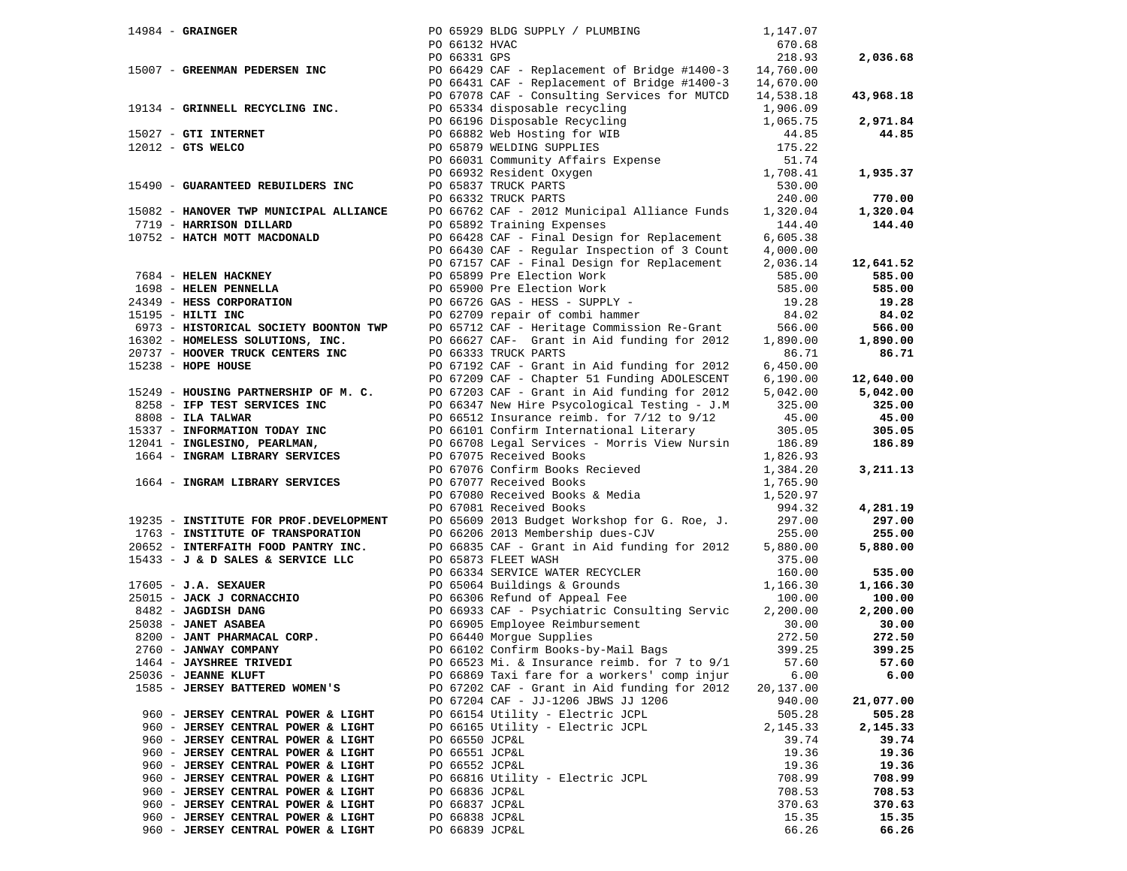| $14984$ - GRAINGER                                                                                                                                                                                                                               |                | PO 65929 BLDG SUPPLY / PLUMBING                                                                                                                                                                                                              | 1,147.07  |                    |
|--------------------------------------------------------------------------------------------------------------------------------------------------------------------------------------------------------------------------------------------------|----------------|----------------------------------------------------------------------------------------------------------------------------------------------------------------------------------------------------------------------------------------------|-----------|--------------------|
|                                                                                                                                                                                                                                                  | PO 66132 HVAC  |                                                                                                                                                                                                                                              | 670.68    |                    |
|                                                                                                                                                                                                                                                  | PO 66331 GPS   |                                                                                                                                                                                                                                              | 218.93    | 2,036.68           |
|                                                                                                                                                                                                                                                  |                | 15007 - GREENMAN PEDERSEN INC PO 66429 CAF - Replacement of Bridge #1400-3 14,760.00                                                                                                                                                         |           |                    |
|                                                                                                                                                                                                                                                  |                | PO 66431 CAF - Replacement of Bridge #1400-3 14,670.00                                                                                                                                                                                       |           |                    |
|                                                                                                                                                                                                                                                  |                | PO 67078 CAF - Consulting Services for MUTCD 14,538.18                                                                                                                                                                                       |           | 43,968.18          |
| 19134 - GRINNELL RECYCLING INC.                                                                                                                                                                                                                  |                | PO 67334 disposable recycling 1,906.09<br>PO 65334 disposable recycling 1,906.09<br>PO 66882 Web Hosting for WIB 44.85<br>PO 66882 Web Hosting for WIB 44.85<br>PO 66832 Web Hosting for WIB 44.85<br>PO 66331 Community Affairs Expense     |           |                    |
|                                                                                                                                                                                                                                                  |                |                                                                                                                                                                                                                                              |           | 2,971.84           |
| $15027$ - GTI INTERNET                                                                                                                                                                                                                           |                |                                                                                                                                                                                                                                              |           | 44.85              |
| $12012$ - GTS WELCO                                                                                                                                                                                                                              |                |                                                                                                                                                                                                                                              |           |                    |
|                                                                                                                                                                                                                                                  |                |                                                                                                                                                                                                                                              |           |                    |
|                                                                                                                                                                                                                                                  |                |                                                                                                                                                                                                                                              |           | 1,935.37           |
| 15490 - GUARANTEED REBUILDERS INC                                                                                                                                                                                                                |                |                                                                                                                                                                                                                                              |           |                    |
|                                                                                                                                                                                                                                                  |                |                                                                                                                                                                                                                                              |           | 770.00             |
| 15082 - HANOVER TWP MUNICIPAL ALLIANCE                                                                                                                                                                                                           |                | PO 66762 CAF - 2012 Municipal Alliance Funds                                                                                                                                                                                                 | 1,320.04  | 1,320.04           |
| 7719 - HARRISON DILLARD                                                                                                                                                                                                                          |                | PO 65892 Training Expenses                                                                                                                                                                                                                   | 144.40    | 144.40             |
| 10752 - HATCH MOTT MACDONALD                                                                                                                                                                                                                     |                | PO 66428 CAF - Final Design for Replacement                                                                                                                                                                                                  | 6,605.38  |                    |
|                                                                                                                                                                                                                                                  |                | PO 66430 CAF - Regular Inspection of 3 Count                                                                                                                                                                                                 | 4,000.00  |                    |
|                                                                                                                                                                                                                                                  |                |                                                                                                                                                                                                                                              |           | 12,641.52          |
|                                                                                                                                                                                                                                                  |                |                                                                                                                                                                                                                                              |           | 585.00             |
|                                                                                                                                                                                                                                                  |                |                                                                                                                                                                                                                                              |           | 585.00             |
|                                                                                                                                                                                                                                                  |                |                                                                                                                                                                                                                                              |           | 19.28              |
|                                                                                                                                                                                                                                                  |                |                                                                                                                                                                                                                                              |           | 84.02              |
|                                                                                                                                                                                                                                                  |                |                                                                                                                                                                                                                                              |           | 566.00             |
|                                                                                                                                                                                                                                                  |                |                                                                                                                                                                                                                                              |           | 1,890.00           |
|                                                                                                                                                                                                                                                  |                |                                                                                                                                                                                                                                              |           | 86.71              |
|                                                                                                                                                                                                                                                  |                |                                                                                                                                                                                                                                              |           |                    |
|                                                                                                                                                                                                                                                  |                |                                                                                                                                                                                                                                              |           | 12,640.00          |
|                                                                                                                                                                                                                                                  |                |                                                                                                                                                                                                                                              |           | 5,042.00           |
|                                                                                                                                                                                                                                                  |                |                                                                                                                                                                                                                                              |           | 325.00             |
|                                                                                                                                                                                                                                                  |                |                                                                                                                                                                                                                                              |           | 45.00              |
|                                                                                                                                                                                                                                                  |                | 15249 - HOUSING PARTNERSHIP OF M. C.<br>8258 - IFP TEST SERVICES INC<br>8268 - IFP TEST SERVICES INC<br>8268 - ILA TALWAR<br>15337 - INFORMATION TODAY INC<br>16537 - INFORMATION TODAY INC<br>1664 - INGRAM LIBRARY SERVICES<br>1664 - INGR |           | 305.05             |
|                                                                                                                                                                                                                                                  |                |                                                                                                                                                                                                                                              |           | 186.89             |
|                                                                                                                                                                                                                                                  |                |                                                                                                                                                                                                                                              |           |                    |
|                                                                                                                                                                                                                                                  |                | PO 67076 Confirm Books Recieved                                                                                                                                                                                                              | 1,384.20  | 3,211.13           |
| 1664 - INGRAM LIBRARY SERVICES                                                                                                                                                                                                                   |                |                                                                                                                                                                                                                                              |           |                    |
|                                                                                                                                                                                                                                                  |                | PO 67077 Received Books<br>PO 67077 Received Books<br>PO 67080 Received Books & Media<br>1,520.97<br>994.32<br>PO 67081 Received Books                                                                                                       |           |                    |
|                                                                                                                                                                                                                                                  |                |                                                                                                                                                                                                                                              | 994.32    | 4,281.19<br>297.00 |
| 19235 - INSTITUTE FOR PROF.DEVELOPMENT<br>1763 - INSTITUTE OF TRANSPORATION                                                                                                                                                                      |                | PO 65609 2013 Budget Workshop for G. Roe, J. 297.00<br>PO 66206 2013 Membership dues-CJV 255.00                                                                                                                                              |           | 255.00             |
| 20652 - INTERFAITH FOOD PANTRY INC.                                                                                                                                                                                                              |                | PO 66835 CAF - Grant in Aid funding for 2012                                                                                                                                                                                                 | 5,880.00  | 5,880.00           |
|                                                                                                                                                                                                                                                  |                |                                                                                                                                                                                                                                              |           |                    |
|                                                                                                                                                                                                                                                  |                |                                                                                                                                                                                                                                              |           | 535.00             |
|                                                                                                                                                                                                                                                  |                |                                                                                                                                                                                                                                              |           | 1,166.30           |
|                                                                                                                                                                                                                                                  |                | 17605 - <b>J.A. SEXAUER</b><br>25015 - <b>J.A. SEXAUER</b><br>25015 - <b>JACK J CORNACCHIO</b><br>25015 - <b>JACK J CORNACCHIO</b><br>25038 - <b>JAGDISH DANG</b><br>25038 - <b>JAGDISH DANG</b><br>25038 - <b>JAMET ASABEA</b>              |           | 100.00             |
| 9482 - JAGDISH DANG<br>25015 - JAGDISH DANG<br>25038 - JANET ASABEA<br>2760 - JANWAY COMPANY<br>2760 - JANWAY COMPANY<br>2760 - JANWAY COMPANY<br>2760 - JANWAY COMPANY<br>2760 - JANWAY COMPANY<br>2760 - JANWAY COMPANY<br>2760 - JANWAY COMPA |                |                                                                                                                                                                                                                                              |           | 2,200.00           |
|                                                                                                                                                                                                                                                  |                |                                                                                                                                                                                                                                              |           | 30.00              |
|                                                                                                                                                                                                                                                  |                |                                                                                                                                                                                                                                              | 272.50    | 272.50             |
|                                                                                                                                                                                                                                                  |                | PO 66102 Confirm Books-by-Mail Bags 399.25                                                                                                                                                                                                   |           | 399.25             |
|                                                                                                                                                                                                                                                  |                | PO 66523 Mi. & Insurance reimb. for 7 to 9/1 57.60                                                                                                                                                                                           |           | 57.60              |
| 25036 - JEANNE KLUFT                                                                                                                                                                                                                             |                | PO 66869 Taxi fare for a workers' comp injur                                                                                                                                                                                                 | 6.00      | 6.00               |
| 1585 - JERSEY BATTERED WOMEN'S                                                                                                                                                                                                                   |                | PO 67202 CAF - Grant in Aid funding for 2012                                                                                                                                                                                                 | 20,137.00 |                    |
|                                                                                                                                                                                                                                                  |                | PO 67204 CAF - JJ-1206 JBWS JJ 1206                                                                                                                                                                                                          | 940.00    | 21,077.00          |
| 960 - JERSEY CENTRAL POWER & LIGHT                                                                                                                                                                                                               |                | PO 66154 Utility - Electric JCPL                                                                                                                                                                                                             | 505.28    | 505.28             |
| 960 - JERSEY CENTRAL POWER & LIGHT                                                                                                                                                                                                               |                | PO 66165 Utility - Electric JCPL                                                                                                                                                                                                             | 2,145.33  | 2,145.33           |
| 960 - JERSEY CENTRAL POWER & LIGHT                                                                                                                                                                                                               | PO 66550 JCP&L |                                                                                                                                                                                                                                              | 39.74     | 39.74              |
| 960 - JERSEY CENTRAL POWER & LIGHT                                                                                                                                                                                                               | PO 66551 JCP&L |                                                                                                                                                                                                                                              | 19.36     | 19.36              |
| 960 - JERSEY CENTRAL POWER & LIGHT                                                                                                                                                                                                               | PO 66552 JCP&L |                                                                                                                                                                                                                                              | 19.36     | 19.36              |
| 960 - JERSEY CENTRAL POWER & LIGHT                                                                                                                                                                                                               |                | PO 66816 Utility - Electric JCPL                                                                                                                                                                                                             | 708.99    | 708.99             |
| 960 - JERSEY CENTRAL POWER & LIGHT                                                                                                                                                                                                               | PO 66836 JCP&L |                                                                                                                                                                                                                                              | 708.53    | 708.53             |
| 960 - JERSEY CENTRAL POWER & LIGHT                                                                                                                                                                                                               | PO 66837 JCP&L |                                                                                                                                                                                                                                              | 370.63    | 370.63             |
| 960 - JERSEY CENTRAL POWER & LIGHT                                                                                                                                                                                                               | PO 66838 JCP&L |                                                                                                                                                                                                                                              | 15.35     | 15.35              |
| 960 - JERSEY CENTRAL POWER & LIGHT                                                                                                                                                                                                               | PO 66839 JCP&L |                                                                                                                                                                                                                                              | 66.26     | 66.26              |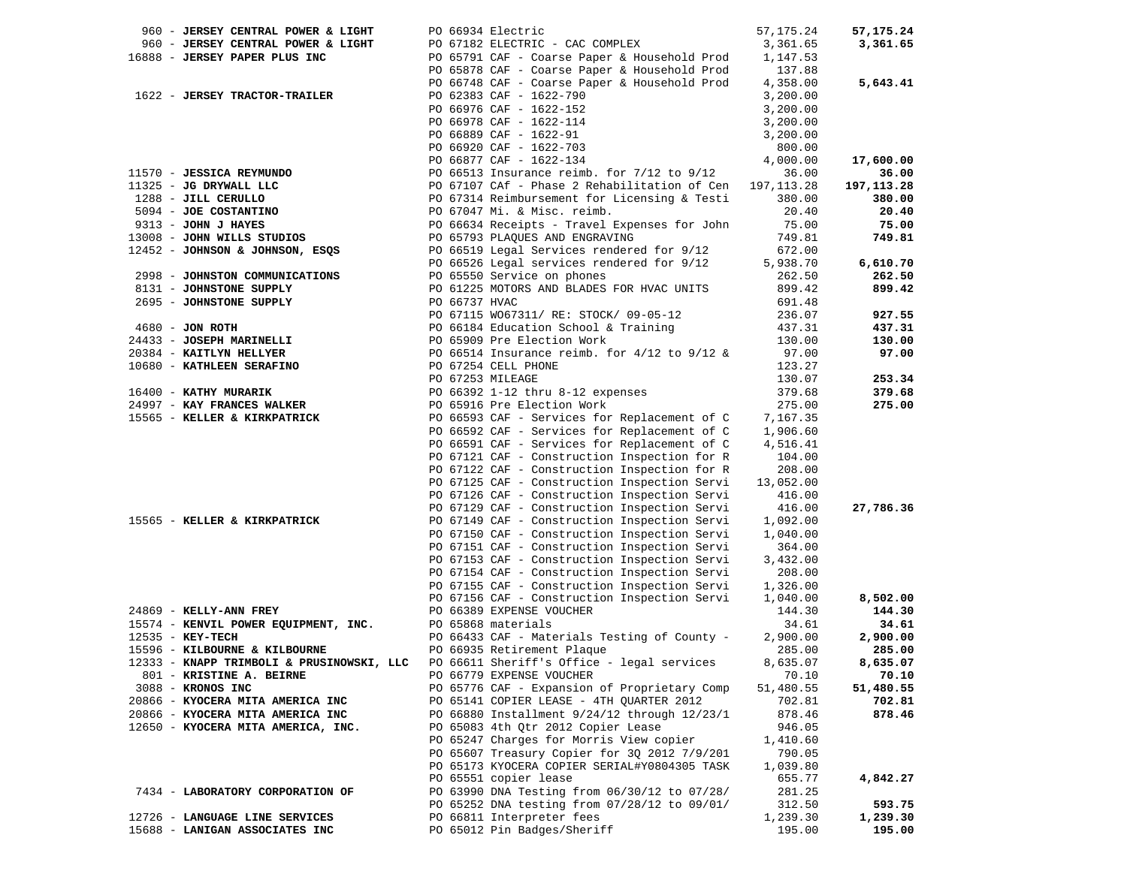|                                | 960 - JERSEY CENTRAL POWER & LIGHT                                                              |               | PO 66934 Electric                                                                                                                                                                                                                                              | 57, 175. 24 | 57,175.24    |
|--------------------------------|-------------------------------------------------------------------------------------------------|---------------|----------------------------------------------------------------------------------------------------------------------------------------------------------------------------------------------------------------------------------------------------------------|-------------|--------------|
|                                | 960 - JERSEY CENTRAL POWER & LIGHT                                                              |               |                                                                                                                                                                                                                                                                |             | 3,361.65     |
|                                |                                                                                                 |               |                                                                                                                                                                                                                                                                |             |              |
| 16888 - JERSEY PAPER PLUS INC  |                                                                                                 |               |                                                                                                                                                                                                                                                                |             |              |
|                                |                                                                                                 |               | PO 65878 CAF - Coarse Paper & Household Prod 137.88                                                                                                                                                                                                            |             |              |
|                                |                                                                                                 |               | PO 66748 CAF - Coarse Paper & Household Prod                                                                                                                                                                                                                   | 4,358.00    | 5,643.41     |
|                                | 1622 - JERSEY TRACTOR-TRAILER                                                                   |               | PO 62383 CAF - 1622-790                                                                                                                                                                                                                                        | 3,200.00    |              |
|                                |                                                                                                 |               | PO 66976 CAF - 1622-152                                                                                                                                                                                                                                        | 3,200.00    |              |
|                                |                                                                                                 |               |                                                                                                                                                                                                                                                                |             |              |
|                                |                                                                                                 |               | PO 66976 CAF - 1622-152<br>PO 66978 CAF - 1622-114<br>PO 66889 CAF - 1622-91<br>PO 66920 CAF - 1622-703<br>ISBN 0788-1622-703                                                                                                                                  | 3,200.00    |              |
|                                |                                                                                                 |               |                                                                                                                                                                                                                                                                | 3,200.00    |              |
|                                |                                                                                                 |               |                                                                                                                                                                                                                                                                | 800.00      |              |
|                                |                                                                                                 |               |                                                                                                                                                                                                                                                                |             | 17,600.00    |
|                                |                                                                                                 |               |                                                                                                                                                                                                                                                                |             | 36.00        |
|                                |                                                                                                 |               |                                                                                                                                                                                                                                                                |             | 197, 113. 28 |
|                                |                                                                                                 |               |                                                                                                                                                                                                                                                                |             |              |
|                                |                                                                                                 |               |                                                                                                                                                                                                                                                                |             | 380.00       |
|                                |                                                                                                 |               |                                                                                                                                                                                                                                                                |             | 20.40        |
|                                |                                                                                                 |               |                                                                                                                                                                                                                                                                |             | 75.00        |
|                                |                                                                                                 |               |                                                                                                                                                                                                                                                                |             | 749.81       |
|                                |                                                                                                 |               |                                                                                                                                                                                                                                                                |             |              |
|                                |                                                                                                 |               |                                                                                                                                                                                                                                                                |             | 6,610.70     |
|                                |                                                                                                 |               |                                                                                                                                                                                                                                                                |             |              |
|                                |                                                                                                 |               | 11570 - <b>JESSICA REYMUNDO</b><br>11325 - <b>JG DRYWALL LLC</b><br>11325 - <b>JG DRYWALL LLC</b><br>1288 - <b>JILL CERULLO</b><br>50 67314 Reimbursement for Licensing & Testi 380.00<br>50 67314 Reimbursement for Licensing & Testi 380.00<br>50 67314 Reim |             | 262.50       |
| 8131 - JOHNSTONE SUPPLY        |                                                                                                 |               | PO 61225 MOTORS AND BLADES FOR HVAC UNITS                                                                                                                                                                                                                      | 899.42      | 899.42       |
| 2695 - JOHNSTONE SUPPLY        |                                                                                                 | PO 66737 HVAC |                                                                                                                                                                                                                                                                | 691.48      |              |
|                                |                                                                                                 |               |                                                                                                                                                                                                                                                                |             | 927.55       |
| $4680 - JON$ ROTH              |                                                                                                 |               |                                                                                                                                                                                                                                                                |             | 437.31       |
| 24433 - JOSEPH MARINELLI       |                                                                                                 |               |                                                                                                                                                                                                                                                                |             | 130.00       |
|                                |                                                                                                 |               |                                                                                                                                                                                                                                                                |             |              |
| 20384 - KAITLYN HELLYER        |                                                                                                 |               |                                                                                                                                                                                                                                                                |             | 97.00        |
|                                | 10680 - KATHLEEN SERAFINO                                                                       |               |                                                                                                                                                                                                                                                                |             |              |
|                                |                                                                                                 |               |                                                                                                                                                                                                                                                                |             | 253.34       |
| 16400 - KATHY MURARIK          |                                                                                                 |               |                                                                                                                                                                                                                                                                |             | 379.68       |
| 24997 - KAY FRANCES WALKER     |                                                                                                 |               | PO 6715 WO67311/ RE: STOCK/ 09-05-12<br>PO 66184 Education School & Training<br>PO 66184 Education School & Training<br>PO 665909 Pre Election Work<br>PO 66514 Insurance reimb. for 4/12 to 9/12 & 97.00<br>PO 67254 CELL PHONE<br>PO 672                     |             | 275.00       |
|                                | 15565 - KELLER & KIRKPATRICK                                                                    |               |                                                                                                                                                                                                                                                                |             |              |
|                                |                                                                                                 |               | PO 66593 CAF - Services for Replacement of C 7,167.35<br>PO 66592 CAF - Services for Replacement of C 1,906.60<br>PO 66592 CAF - Services for Replacement of C                                                                                                 | 1,906.60    |              |
|                                |                                                                                                 |               |                                                                                                                                                                                                                                                                |             |              |
|                                |                                                                                                 |               | PO 66591 CAF - Services for Replacement of C                                                                                                                                                                                                                   | 4,516.41    |              |
|                                |                                                                                                 |               | PO 67121 CAF - Construction Inspection for R                                                                                                                                                                                                                   | 104.00      |              |
|                                |                                                                                                 |               | PO 67122 CAF - Construction Inspection for R                                                                                                                                                                                                                   | 208.00      |              |
|                                |                                                                                                 |               | PO 67125 CAF - Construction Inspection Servi                                                                                                                                                                                                                   | 13,052.00   |              |
|                                |                                                                                                 |               | PO 67126 CAF - Construction Inspection Servi                                                                                                                                                                                                                   | 416.00      |              |
|                                |                                                                                                 |               | PO 67129 CAF - Construction Inspection Servi                                                                                                                                                                                                                   | 416.00      | 27,786.36    |
|                                | 15565 - KELLER & KIRKPATRICK                                                                    |               |                                                                                                                                                                                                                                                                |             |              |
|                                |                                                                                                 |               | PO 67149 CAF - Construction Inspection Servi                                                                                                                                                                                                                   | 1,092.00    |              |
|                                |                                                                                                 |               | PO 67150 CAF - Construction Inspection Servi                                                                                                                                                                                                                   | 1,040.00    |              |
|                                |                                                                                                 |               | PO 67151 CAF - Construction Inspection Servi                                                                                                                                                                                                                   | 364.00      |              |
|                                |                                                                                                 |               | PO 67153 CAF - Construction Inspection Servi                                                                                                                                                                                                                   | 3,432.00    |              |
|                                |                                                                                                 |               | PO 67154 CAF - Construction Inspection Servi                                                                                                                                                                                                                   | 208.00      |              |
|                                |                                                                                                 |               | PO 67155 CAF - Construction Inspection Servi                                                                                                                                                                                                                   | 1,326.00    |              |
|                                |                                                                                                 |               | PO 67156 CAF - Construction Inspection Servi                                                                                                                                                                                                                   | 1,040.00    | 8,502.00     |
| 24869 - KELLY-ANN FREY         |                                                                                                 |               | PO 67156 CAF - Constructi<br>PO 66389 EXPENSE VOUCHER                                                                                                                                                                                                          | 144.30      | 144.30       |
|                                |                                                                                                 |               |                                                                                                                                                                                                                                                                |             |              |
|                                | 15574 - KENVIL POWER EQUIPMENT, INC. PO 65868 materials<br>12535 - KEY-TECH PO 66433 CAF - Mate |               |                                                                                                                                                                                                                                                                | 34.61       | 34.61        |
| $12535 - K$ EY-TECH            |                                                                                                 |               | PO 66433 CAF - Materials Testing of County -                                                                                                                                                                                                                   | 2,900.00    | 2,900.00     |
| 15596 - KILBOURNE & KILBOURNE  |                                                                                                 |               | PO 66935 Retirement Plaque                                                                                                                                                                                                                                     | 285.00      | 285.00       |
|                                |                                                                                                 |               | 12333 - KNAPP TRIMBOLI & PRUSINOWSKI, LLC PO 66611 Sheriff's Office - legal services 8,635.07                                                                                                                                                                  |             | 8,635.07     |
| 801 - KRISTINE A. BEIRNE       |                                                                                                 |               | PO 66779 EXPENSE VOUCHER                                                                                                                                                                                                                                       | 70.10       | 70.10        |
| 3088 - KRONOS INC              |                                                                                                 |               | PO 65776 CAF - Expansion of Proprietary Comp                                                                                                                                                                                                                   | 51,480.55   | 51,480.55    |
|                                |                                                                                                 |               |                                                                                                                                                                                                                                                                |             |              |
|                                | 20866 - KYOCERA MITA AMERICA INC                                                                |               | PO 65141 COPIER LEASE - 4TH QUARTER 2012                                                                                                                                                                                                                       | 702.81      | 702.81       |
|                                | 20866 - KYOCERA MITA AMERICA INC                                                                |               | PO 66880 Installment 9/24/12 through 12/23/1                                                                                                                                                                                                                   | 878.46      | 878.46       |
|                                | 12650 - KYOCERA MITA AMERICA, INC.                                                              |               | PO 65083 4th Qtr 2012 Copier Lease                                                                                                                                                                                                                             | 946.05      |              |
|                                |                                                                                                 |               | PO 65247 Charges for Morris View copier                                                                                                                                                                                                                        | 1,410.60    |              |
|                                |                                                                                                 |               | PO 65607 Treasury Copier for 30 2012 7/9/201                                                                                                                                                                                                                   | 790.05      |              |
|                                |                                                                                                 |               | PO 65173 KYOCERA COPIER SERIAL#Y0804305 TASK                                                                                                                                                                                                                   | 1,039.80    |              |
|                                |                                                                                                 |               | PO 65551 copier lease                                                                                                                                                                                                                                          |             |              |
|                                |                                                                                                 |               |                                                                                                                                                                                                                                                                | 655.77      | 4,842.27     |
|                                | 7434 - LABORATORY CORPORATION OF                                                                |               | PO 63990 DNA Testing from 06/30/12 to 07/28/                                                                                                                                                                                                                   | 281.25      |              |
|                                |                                                                                                 |               | PO 65252 DNA testing from 07/28/12 to 09/01/                                                                                                                                                                                                                   | 312.50      | 593.75       |
| 12726 - LANGUAGE LINE SERVICES |                                                                                                 |               | PO 66811 Interpreter fees                                                                                                                                                                                                                                      | 1,239.30    | 1,239.30     |
| 15688 - LANIGAN ASSOCIATES INC |                                                                                                 |               | PO 65012 Pin Badges/Sheriff                                                                                                                                                                                                                                    | 195.00      | 195.00       |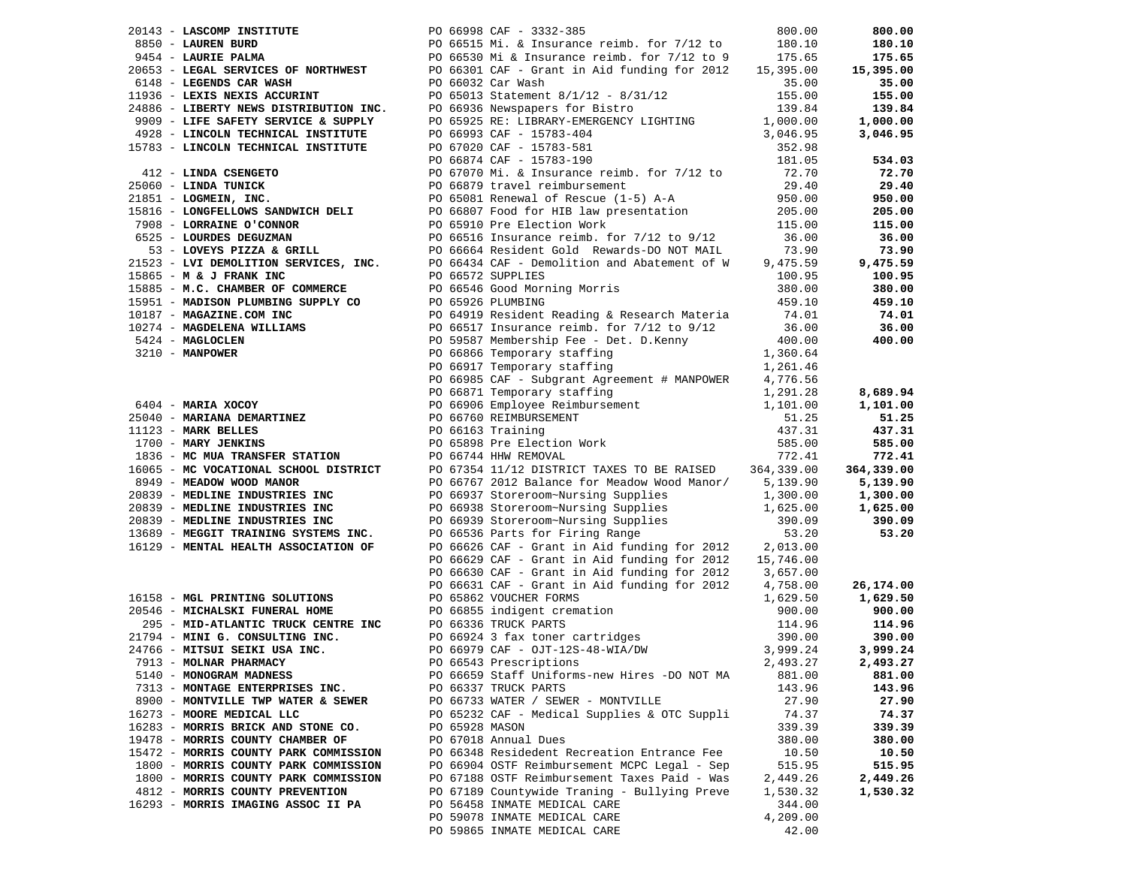| 20143 - LASCOMP INSTITUTE             |                | PO 66998 CAF - 3332-385                                                                                                                                                                                                                    |          | 800.00     |
|---------------------------------------|----------------|--------------------------------------------------------------------------------------------------------------------------------------------------------------------------------------------------------------------------------------------|----------|------------|
|                                       |                |                                                                                                                                                                                                                                            |          | 180.10     |
|                                       |                |                                                                                                                                                                                                                                            |          | 175.65     |
|                                       |                |                                                                                                                                                                                                                                            |          | 15,395.00  |
|                                       |                |                                                                                                                                                                                                                                            |          | 35.00      |
|                                       |                |                                                                                                                                                                                                                                            |          | 155.00     |
|                                       |                |                                                                                                                                                                                                                                            |          | 139.84     |
|                                       |                |                                                                                                                                                                                                                                            |          | 1,000.00   |
|                                       |                |                                                                                                                                                                                                                                            |          | 3,046.95   |
|                                       |                |                                                                                                                                                                                                                                            |          |            |
|                                       |                |                                                                                                                                                                                                                                            |          | 534.03     |
|                                       |                |                                                                                                                                                                                                                                            |          | 72.70      |
|                                       |                |                                                                                                                                                                                                                                            |          | 29.40      |
|                                       |                |                                                                                                                                                                                                                                            |          | 950.00     |
|                                       |                |                                                                                                                                                                                                                                            |          | 205.00     |
|                                       |                |                                                                                                                                                                                                                                            |          | 115.00     |
|                                       |                |                                                                                                                                                                                                                                            |          | 36.00      |
|                                       |                |                                                                                                                                                                                                                                            |          | 73.90      |
|                                       |                |                                                                                                                                                                                                                                            |          | 9,475.59   |
|                                       |                |                                                                                                                                                                                                                                            |          | 100.95     |
|                                       |                |                                                                                                                                                                                                                                            |          | 380.00     |
|                                       |                |                                                                                                                                                                                                                                            |          | 459.10     |
|                                       |                |                                                                                                                                                                                                                                            |          | 74.01      |
|                                       |                |                                                                                                                                                                                                                                            |          | 36.00      |
|                                       |                |                                                                                                                                                                                                                                            |          | 400.00     |
|                                       |                |                                                                                                                                                                                                                                            |          |            |
|                                       |                |                                                                                                                                                                                                                                            |          |            |
|                                       |                |                                                                                                                                                                                                                                            |          |            |
|                                       |                |                                                                                                                                                                                                                                            |          | 8,689.94   |
|                                       |                | 20143 - Laudent Restructure To 66988 cm2 - 3322-383<br>20143 - Laudent Minn, and the same of the same of the same of the same of the same of the same of the same of the same of the same of the same of the same of the same o            |          | 1,101.00   |
|                                       |                |                                                                                                                                                                                                                                            |          | 51.25      |
|                                       |                |                                                                                                                                                                                                                                            |          | 437.31     |
|                                       |                |                                                                                                                                                                                                                                            |          | 585.00     |
|                                       |                |                                                                                                                                                                                                                                            |          | 772.41     |
|                                       |                |                                                                                                                                                                                                                                            |          | 364,339.00 |
|                                       |                |                                                                                                                                                                                                                                            |          | 5,139.90   |
|                                       |                |                                                                                                                                                                                                                                            |          | 1,300.00   |
|                                       |                |                                                                                                                                                                                                                                            |          | 1,625.00   |
|                                       |                |                                                                                                                                                                                                                                            |          | 390.09     |
|                                       |                |                                                                                                                                                                                                                                            |          | 53.20      |
|                                       |                |                                                                                                                                                                                                                                            |          |            |
|                                       |                | PO 66629 CAF - Grant in Aid funding for 2012 15,746.00                                                                                                                                                                                     |          |            |
|                                       |                | PO 66630 CAF - Grant in Aid funding for 2012 3,657.00                                                                                                                                                                                      |          |            |
|                                       |                | PO 66631 CAF - Grant in Aid funding for 2012 4,758.00<br>PO 65862 VOUCHER FORMS 1,629.50                                                                                                                                                   |          | 26,174.00  |
|                                       |                | 16158 - MGL PRINTING SOLUTIONS<br>20546 - MICHALSKI FUNERAL HOME<br>295 - MID-ATLANTIC TRUCK CENTRE INC<br>295 - MID-ATLANTIC TRUCK CENTRE INC<br>2976 - MIT G. CONSULTING INC.<br>24766 - MITSULETKI USA INC.<br>2476 - MITSULETKI USA IN |          | 1,629.50   |
|                                       |                |                                                                                                                                                                                                                                            | 900.00   | 900.00     |
|                                       |                |                                                                                                                                                                                                                                            | 114.96   | 114.96     |
|                                       |                |                                                                                                                                                                                                                                            | 390.00   | 390.00     |
|                                       |                |                                                                                                                                                                                                                                            | 3,999.24 | 3,999.24   |
| 7913 - MOLNAR PHARMACY                |                | PO 66543 Prescriptions                                                                                                                                                                                                                     | 2,493.27 | 2,493.27   |
| 5140 - MONOGRAM MADNESS               |                | PO 66659 Staff Uniforms-new Hires -DO NOT MA                                                                                                                                                                                               | 881.00   | 881.00     |
| 7313 - MONTAGE ENTERPRISES INC.       |                | PO 66337 TRUCK PARTS                                                                                                                                                                                                                       | 143.96   | 143.96     |
| 8900 - MONTVILLE TWP WATER & SEWER    |                | PO 66733 WATER / SEWER - MONTVILLE                                                                                                                                                                                                         | 27.90    | 27.90      |
| 16273 - MOORE MEDICAL LLC             |                | PO 65232 CAF - Medical Supplies & OTC Suppli                                                                                                                                                                                               | 74.37    | 74.37      |
| 16283 - MORRIS BRICK AND STONE CO.    | PO 65928 MASON |                                                                                                                                                                                                                                            | 339.39   | 339.39     |
| 19478 - MORRIS COUNTY CHAMBER OF      |                | PO 67018 Annual Dues                                                                                                                                                                                                                       | 380.00   | 380.00     |
| 15472 - MORRIS COUNTY PARK COMMISSION |                | PO 66348 Residedent Recreation Entrance Fee                                                                                                                                                                                                | 10.50    | 10.50      |
| 1800 - MORRIS COUNTY PARK COMMISSION  |                | PO 66904 OSTF Reimbursement MCPC Legal - Sep                                                                                                                                                                                               | 515.95   | 515.95     |
| 1800 - MORRIS COUNTY PARK COMMISSION  |                | PO 67188 OSTF Reimbursement Taxes Paid - Was                                                                                                                                                                                               | 2,449.26 | 2,449.26   |
| 4812 - MORRIS COUNTY PREVENTION       |                | PO 67189 Countywide Traning - Bullying Preve                                                                                                                                                                                               | 1,530.32 | 1,530.32   |
| 16293 - MORRIS IMAGING ASSOC II PA    |                | PO 56458 INMATE MEDICAL CARE                                                                                                                                                                                                               | 344.00   |            |
|                                       |                | PO 59078 INMATE MEDICAL CARE                                                                                                                                                                                                               | 4,209.00 |            |
|                                       |                | PO 59865 INMATE MEDICAL CARE                                                                                                                                                                                                               | 42.00    |            |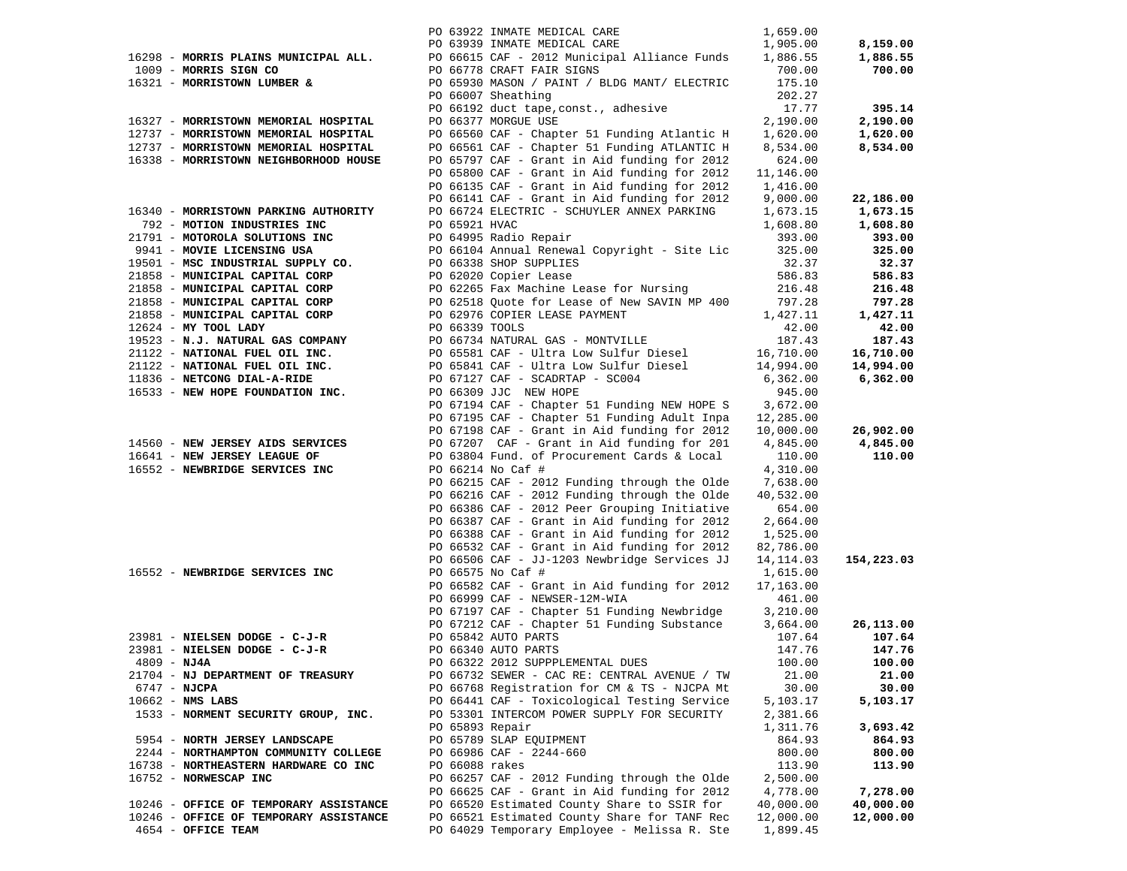|                                        |                | PO 63922 INMATE MEDICAL CARE                                                                 | 1,659.00             |            |
|----------------------------------------|----------------|----------------------------------------------------------------------------------------------|----------------------|------------|
|                                        |                | PO 63939 INMATE MEDICAL CARE                                                                 | 1,905.00             | 8,159.00   |
| 16298 - MORRIS PLAINS MUNICIPAL ALL.   |                | PO 66615 CAF - 2012 Municipal Alliance Funds                                                 | 1,886.55             | 1,886.55   |
| 1009 - MORRIS SIGN CO                  |                | PO 66778 CRAFT FAIR SIGNS                                                                    | 700.00               | 700.00     |
| 16321 - MORRISTOWN LUMBER &            |                | PO 65930 MASON / PAINT / BLDG MANT/ ELECTRIC                                                 | 175.10               |            |
|                                        |                | PO 66007 Sheathing                                                                           | 202.27               |            |
|                                        |                | PO 66192 duct tape, const., adhesive                                                         | 17.77                | 395.14     |
| 16327 - MORRISTOWN MEMORIAL HOSPITAL   |                | PO 66377 MORGUE USE                                                                          | 2,190.00             | 2,190.00   |
| 12737 - MORRISTOWN MEMORIAL HOSPITAL   |                | PO 66560 CAF - Chapter 51 Funding Atlantic H                                                 | 1,620.00             | 1,620.00   |
| 12737 - MORRISTOWN MEMORIAL HOSPITAL   |                | PO 66561 CAF - Chapter 51 Funding ATLANTIC H                                                 | 8,534.00             | 8,534.00   |
| 16338 - MORRISTOWN NEIGHBORHOOD HOUSE  |                | PO 65797 CAF - Grant in Aid funding for 2012                                                 | 624.00               |            |
|                                        |                | PO 65800 CAF - Grant in Aid funding for 2012                                                 | 11,146.00            |            |
|                                        |                | PO 66135 CAF - Grant in Aid funding for 2012                                                 | 1,416.00             |            |
|                                        |                | PO 66141 CAF - Grant in Aid funding for 2012                                                 | 9,000.00             | 22,186.00  |
| 16340 - MORRISTOWN PARKING AUTHORITY   |                | PO 66724 ELECTRIC - SCHUYLER ANNEX PARKING                                                   | 1,673.15             | 1,673.15   |
| 792 - MOTION INDUSTRIES INC            | PO 65921 HVAC  |                                                                                              | 1,608.80             | 1,608.80   |
| 21791 - MOTOROLA SOLUTIONS INC         |                | PO 64995 Radio Repair                                                                        | 393.00               | 393.00     |
| 9941 - MOVIE LICENSING USA             |                | PO 66104 Annual Renewal Copyright - Site Lic                                                 | 325.00               | 325.00     |
| 19501 - MSC INDUSTRIAL SUPPLY CO.      |                | PO 66338 SHOP SUPPLIES                                                                       | 32.37                | 32.37      |
| 21858 - MUNICIPAL CAPITAL CORP         |                | PO 62020 Copier Lease                                                                        | 586.83               | 586.83     |
| 21858 - MUNICIPAL CAPITAL CORP         |                | PO 62265 Fax Machine Lease for Nursing                                                       | 216.48               | 216.48     |
| 21858 - MUNICIPAL CAPITAL CORP         |                | PO 62518 Quote for Lease of New SAVIN MP 400                                                 | 797.28               | 797.28     |
| 21858 - MUNICIPAL CAPITAL CORP         |                | PO 62976 COPIER LEASE PAYMENT                                                                | 1,427.11             | 1,427.11   |
| $12624$ - MY TOOL LADY                 | PO 66339 TOOLS |                                                                                              | 42.00                | 42.00      |
| 19523 - N.J. NATURAL GAS COMPANY       |                | PO 66734 NATURAL GAS - MONTVILLE                                                             | 187.43               | 187.43     |
| 21122 - NATIONAL FUEL OIL INC.         |                | PO 65581 CAF - Ultra Low Sulfur Diesel                                                       | 16,710.00            | 16,710.00  |
| 21122 - NATIONAL FUEL OIL INC.         |                | PO 65841 CAF - Ultra Low Sulfur Diesel                                                       | 14,994.00            | 14,994.00  |
| 11836 - NETCONG DIAL-A-RIDE            |                | PO 67127 CAF - SCADRTAP - SC004                                                              | 6,362.00             | 6,362.00   |
| 16533 - NEW HOPE FOUNDATION INC.       |                | PO 66309 JJC NEW HOPE                                                                        | 945.00               |            |
|                                        |                | PO 67194 CAF - Chapter 51 Funding NEW HOPE S 3,672.00                                        |                      |            |
|                                        |                | PO 67195 CAF - Chapter 51 Funding Adult Inpa                                                 | 12,285.00            |            |
|                                        |                | PO 67198 CAF - Grant in Aid funding for 2012                                                 | 10,000.00            | 26,902.00  |
| 14560 - NEW JERSEY AIDS SERVICES       |                | PO 67207 CAF - Grant in Aid funding for 201                                                  | 4,845.00             | 4,845.00   |
| 16641 - NEW JERSEY LEAGUE OF           |                | PO 63804 Fund. of Procurement Cards & Local                                                  | 110.00               | 110.00     |
| 16552 - NEWBRIDGE SERVICES INC         |                | PO 66214 No Caf #                                                                            | 4,310.00             |            |
|                                        |                | PO 66215 CAF - 2012 Funding through the Olde                                                 | 7,638.00             |            |
|                                        |                | PO 66216 CAF - 2012 Funding through the Olde<br>PO 66386 CAF - 2012 Peer Grouping Initiative | 40,532.00            |            |
|                                        |                | PO 66387 CAF - Grant in Aid funding for 2012                                                 | 654.00               |            |
|                                        |                | PO 66388 CAF - Grant in Aid funding for 2012                                                 | 2,664.00<br>1,525.00 |            |
|                                        |                | PO 66532 CAF - Grant in Aid funding for 2012                                                 | 82,786.00            |            |
|                                        |                | PO 66506 CAF - JJ-1203 Newbridge Services JJ                                                 | 14,114.03            | 154,223.03 |
| 16552 - NEWBRIDGE SERVICES INC         |                | PO 66575 No Caf #                                                                            | 1,615.00             |            |
|                                        |                | PO 66582 CAF - Grant in Aid funding for 2012                                                 | 17,163.00            |            |
|                                        |                | PO 66999 CAF - NEWSER-12M-WIA                                                                | 461.00               |            |
|                                        |                | PO 67197 CAF - Chapter 51 Funding Newbridge                                                  | 3,210.00             |            |
|                                        |                | PO 67212 CAF - Chapter 51 Funding Substance                                                  | 3,664.00             | 26,113.00  |
| 23981 - NIELSEN DODGE - C-J-R          |                | PO 65842 AUTO PARTS                                                                          | 107.64               | 107.64     |
| 23981 - NIELSEN DODGE - C-J-R          |                | PO 66340 AUTO PARTS                                                                          | 147.76               | 147.76     |
| $4809 - NJ4A$                          |                | PO 66322 2012 SUPPPLEMENTAL DUES                                                             | 100.00               | 100.00     |
| 21704 - NJ DEPARTMENT OF TREASURY      |                | PO 66732 SEWER - CAC RE: CENTRAL AVENUE / TW                                                 | 21.00                | 21.00      |
| $6747 - NJCPA$                         |                | PO 66768 Registration for CM & TS - NJCPA Mt                                                 | 30.00                | 30.00      |
| $10662$ - NMS LABS                     |                | PO 66441 CAF - Toxicological Testing Service                                                 | 5,103.17             | 5,103.17   |
| 1533 - NORMENT SECURITY GROUP, INC.    |                | PO 53301 INTERCOM POWER SUPPLY FOR SECURITY                                                  | 2,381.66             |            |
|                                        |                | PO 65893 Repair                                                                              | 1,311.76             | 3,693.42   |
| 5954 - NORTH JERSEY LANDSCAPE          |                | PO 65789 SLAP EQUIPMENT                                                                      | 864.93               | 864.93     |
| 2244 - NORTHAMPTON COMMUNITY COLLEGE   |                | PO 66986 CAF - 2244-660                                                                      | 800.00               | 800.00     |
| 16738 - NORTHEASTERN HARDWARE CO INC   | PO 66088 rakes |                                                                                              | 113.90               | 113.90     |
| 16752 - NORWESCAP INC                  |                | PO 66257 CAF - 2012 Funding through the Olde                                                 | 2,500.00             |            |
|                                        |                | PO 66625 CAF - Grant in Aid funding for 2012                                                 | 4,778.00             | 7,278.00   |
| 10246 - OFFICE OF TEMPORARY ASSISTANCE |                | PO 66520 Estimated County Share to SSIR for                                                  | 40,000.00            | 40,000.00  |
| 10246 - OFFICE OF TEMPORARY ASSISTANCE |                | PO 66521 Estimated County Share for TANF Rec                                                 | 12,000.00            | 12,000.00  |
| 4654 - OFFICE TEAM                     |                | PO 64029 Temporary Employee - Melissa R. Ste                                                 | 1,899.45             |            |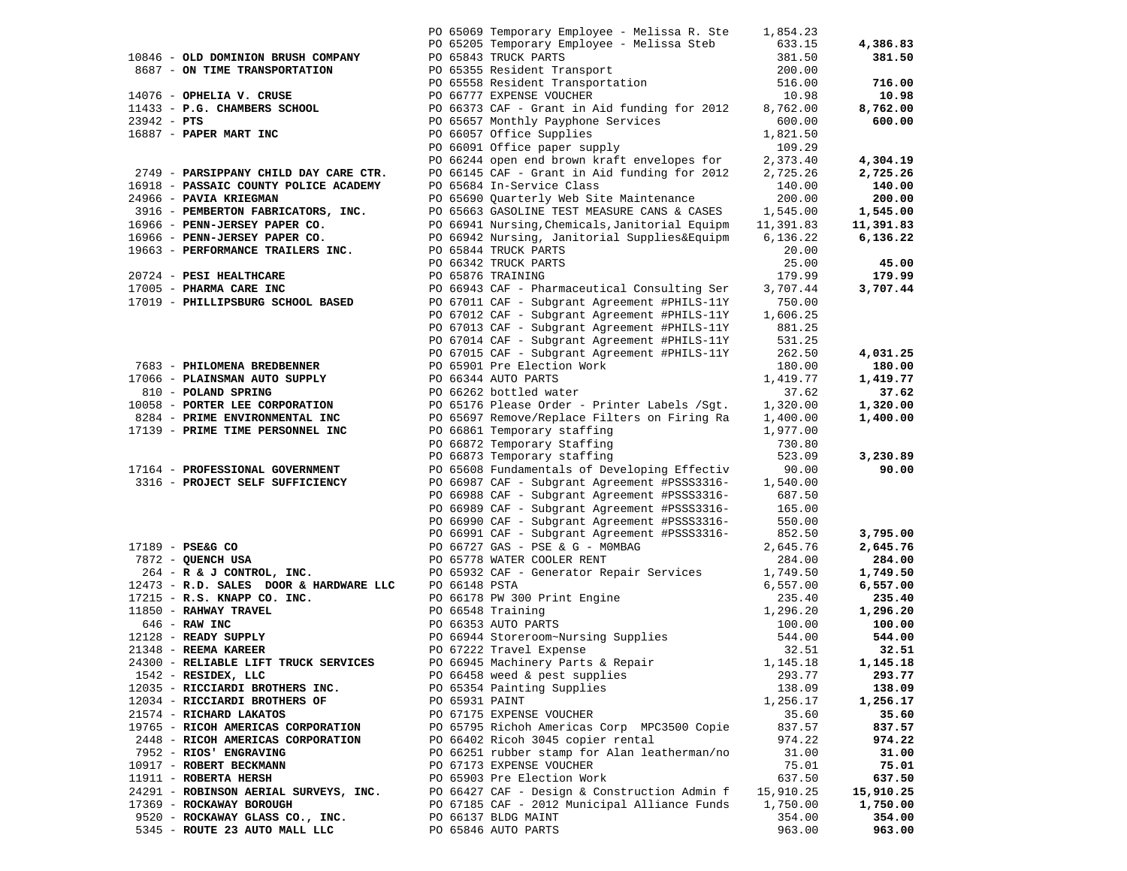|                                                                                |                | PO 65069 Temporary Employee - Melissa R. Ste 1,854.23                                                                                                                                                                                                                                                                                                           |                  |           |
|--------------------------------------------------------------------------------|----------------|-----------------------------------------------------------------------------------------------------------------------------------------------------------------------------------------------------------------------------------------------------------------------------------------------------------------------------------------------------------------|------------------|-----------|
|                                                                                |                |                                                                                                                                                                                                                                                                                                                                                                 |                  |           |
|                                                                                |                |                                                                                                                                                                                                                                                                                                                                                                 |                  | 4,386.83  |
|                                                                                |                |                                                                                                                                                                                                                                                                                                                                                                 |                  | 381.50    |
|                                                                                |                | 10846 - <b>OLD DOMINION BRUSH COMPANY</b><br>8687 - <b>ON TIME TRANSPORTATION</b><br>14076 - <b>OPHELIA V. CRUSE</b><br>1433 - <b>P.G. CHAMBERS SCHOOL</b><br>27942 - <b>PTS</b><br>27942 - <b>PTS</b><br>2.373.40<br>2.373.40<br>2.373.40<br>2.725.26<br>2.725.26<br>2.725.26                                                                                  |                  |           |
|                                                                                |                |                                                                                                                                                                                                                                                                                                                                                                 |                  | 716.00    |
|                                                                                |                |                                                                                                                                                                                                                                                                                                                                                                 |                  | 10.98     |
|                                                                                |                |                                                                                                                                                                                                                                                                                                                                                                 |                  | 8,762.00  |
|                                                                                |                |                                                                                                                                                                                                                                                                                                                                                                 |                  | 600.00    |
|                                                                                |                |                                                                                                                                                                                                                                                                                                                                                                 |                  |           |
|                                                                                |                |                                                                                                                                                                                                                                                                                                                                                                 |                  |           |
|                                                                                |                | PO 66244 open end brown kraft envelopes for 2,373.40<br>PO 66145 CAF - Grant in Aid funding for 2012 2,725.26                                                                                                                                                                                                                                                   |                  |           |
|                                                                                |                |                                                                                                                                                                                                                                                                                                                                                                 |                  | 4,304.19  |
| 2749 - PARSIPPANY CHILD DAY CARE CTR.                                          |                |                                                                                                                                                                                                                                                                                                                                                                 |                  | 2,725.26  |
|                                                                                |                |                                                                                                                                                                                                                                                                                                                                                                 |                  | 140.00    |
|                                                                                |                |                                                                                                                                                                                                                                                                                                                                                                 |                  | 200.00    |
|                                                                                |                |                                                                                                                                                                                                                                                                                                                                                                 |                  | 1,545.00  |
|                                                                                |                |                                                                                                                                                                                                                                                                                                                                                                 |                  | 11,391.83 |
|                                                                                |                |                                                                                                                                                                                                                                                                                                                                                                 |                  | 6,136.22  |
|                                                                                |                |                                                                                                                                                                                                                                                                                                                                                                 |                  |           |
|                                                                                |                |                                                                                                                                                                                                                                                                                                                                                                 |                  | 45.00     |
|                                                                                |                |                                                                                                                                                                                                                                                                                                                                                                 |                  |           |
|                                                                                |                |                                                                                                                                                                                                                                                                                                                                                                 |                  | 179.99    |
|                                                                                |                | 2731 <b>FRAILER COUNTY POLICE ACADEMY</b><br>28916 <b>PASSAIC COUNTY POLICE ACADEMY</b><br>29966 <b>PAVIA KRIEGMAN</b><br>29966 <b>PENN-JERSEY PAPER CO.</b><br>3916 <b>PEMBERTON FABRICATORS, INC.</b><br>200.00<br>3916 <b>PENN-JERSEY PAPER CO.</b><br>200.00<br>3916 <b>P</b>                                                                               |                  | 3,707.44  |
|                                                                                |                |                                                                                                                                                                                                                                                                                                                                                                 |                  |           |
|                                                                                |                | PO 67012 CAF - Subgrant Agreement #PHILS-11Y                                                                                                                                                                                                                                                                                                                    | 1,606.25         |           |
|                                                                                |                | PO 67013 CAF - Subgrant Agreement #PHILS-11Y                                                                                                                                                                                                                                                                                                                    | 881.25           |           |
|                                                                                |                | PO 67014 CAF - Subgrant Agreement #PHILS-11Y                                                                                                                                                                                                                                                                                                                    |                  |           |
|                                                                                |                | PO 67015 CAF - Subgrant Agreement #PHILS-11Y                                                                                                                                                                                                                                                                                                                    | 531.25<br>262.50 | 4,031.25  |
|                                                                                |                |                                                                                                                                                                                                                                                                                                                                                                 |                  | 180.00    |
|                                                                                |                |                                                                                                                                                                                                                                                                                                                                                                 |                  | 1,419.77  |
| 7683 - PHILOMENA BREDBENNER<br>17066 - PLAINSMAN AUTO SUPPLY<br>------- SPPING |                |                                                                                                                                                                                                                                                                                                                                                                 |                  |           |
|                                                                                |                | PO 65901 Pre Election Work 180.00<br>PO 66344 AUTO PARTS 1,419.77<br>PO 66262 bottled water 37.62<br>PO 65176 Please Order - Printer Labels /Sgt. 1,320.00                                                                                                                                                                                                      |                  | 37.62     |
| 10058 - PORTER LEE CORPORATION                                                 |                |                                                                                                                                                                                                                                                                                                                                                                 |                  | 1,320.00  |
|                                                                                |                |                                                                                                                                                                                                                                                                                                                                                                 |                  | 1,400.00  |
| 17139 - PRIME TIME PERSONNEL INC                                               |                | 8284 - PRIME ENVIRONMENTAL INC<br>17139 - PRIME TIME PERSONNEL INC<br>1977.00 PO 66861 Temporary staffing 1,977.00                                                                                                                                                                                                                                              |                  |           |
|                                                                                |                | PO 66872 Temporary Staffing                                                                                                                                                                                                                                                                                                                                     | 730.80           |           |
|                                                                                |                | PO 66873 Temporary staffing                                                                                                                                                                                                                                                                                                                                     | 523.09           | 3,230.89  |
| 17164 - PROFESSIONAL GOVERNMENT                                                |                | PO 65608 Fundamentals of Developing Effectiv 90.00<br>PO 66987 CAF - Subgrant Agreement #PSSS3316- 1,540.00                                                                                                                                                                                                                                                     |                  | 90.00     |
| 3316 - PROJECT SELF SUFFICIENCY                                                |                |                                                                                                                                                                                                                                                                                                                                                                 |                  |           |
|                                                                                |                | PO 66988 CAF - Subgrant Agreement #PSSS3316-                                                                                                                                                                                                                                                                                                                    | 687.50           |           |
|                                                                                |                | PO 66989 CAF - Subgrant Agreement #PSSS3316-                                                                                                                                                                                                                                                                                                                    | 165.00           |           |
|                                                                                |                | PO 66990 CAF - Subgrant Agreement #PSSS3316-                                                                                                                                                                                                                                                                                                                    | 550.00           |           |
|                                                                                |                |                                                                                                                                                                                                                                                                                                                                                                 | 852.50           | 3,795.00  |
|                                                                                |                |                                                                                                                                                                                                                                                                                                                                                                 |                  |           |
| 17189 - PSE&G CO<br>7872 - QUENCH USA                                          |                | PO 66991 CAF - Subgrant Agreement #PSSS3316-<br>PO 66727 GAS - PSE & G - MOMBAG<br>PO 65778 WATER COOLER RENT<br>17189 - PSEG CO<br>THE CONTROL, INC.<br>264 - R & J CONTROL, INC.<br>264 - R & J CONTROL, INC.<br>264 - R & J CONTROL, INC.<br>264 - R & J CONTROL, INC.<br>264 - R & J CONTROL, INC.<br>273 - R.D. SALES DOOR & HARDWARE LLC<br>273 - R.D. SA |                  | 2,645.76  |
|                                                                                |                |                                                                                                                                                                                                                                                                                                                                                                 |                  | 284.00    |
|                                                                                |                |                                                                                                                                                                                                                                                                                                                                                                 |                  | 1,749.50  |
|                                                                                |                |                                                                                                                                                                                                                                                                                                                                                                 |                  | 6,557.00  |
|                                                                                |                |                                                                                                                                                                                                                                                                                                                                                                 |                  | 235.40    |
|                                                                                |                |                                                                                                                                                                                                                                                                                                                                                                 |                  | 1,296.20  |
|                                                                                |                |                                                                                                                                                                                                                                                                                                                                                                 |                  | 100.00    |
|                                                                                |                |                                                                                                                                                                                                                                                                                                                                                                 |                  | 544.00    |
|                                                                                |                |                                                                                                                                                                                                                                                                                                                                                                 |                  | 32.51     |
| 24300 - RELIABLE LIFT TRUCK SERVICES                                           |                | PO 66945 Machinery Parts & Repair 1,145.18                                                                                                                                                                                                                                                                                                                      |                  | 1,145.18  |
| $1542$ - RESIDEX, LLC                                                          |                | PO 66458 weed & pest supplies                                                                                                                                                                                                                                                                                                                                   | 293.77           | 293.77    |
|                                                                                |                |                                                                                                                                                                                                                                                                                                                                                                 | 138.09           | 138.09    |
| 12035 - RICCIARDI BROTHERS INC.                                                |                | PO 65354 Painting Supplies                                                                                                                                                                                                                                                                                                                                      |                  |           |
| 12034 - RICCIARDI BROTHERS OF                                                  | PO 65931 PAINT |                                                                                                                                                                                                                                                                                                                                                                 | 1,256.17         | 1,256.17  |
| 21574 - RICHARD LAKATOS                                                        |                | PO 67175 EXPENSE VOUCHER                                                                                                                                                                                                                                                                                                                                        | 35.60            | 35.60     |
| 19765 - RICOH AMERICAS CORPORATION                                             |                | PO 65795 Richoh Americas Corp MPC3500 Copie                                                                                                                                                                                                                                                                                                                     | 837.57           | 837.57    |
| 2448 - RICOH AMERICAS CORPORATION                                              |                | PO 66402 Ricoh 3045 copier rental                                                                                                                                                                                                                                                                                                                               | 974.22           | 974.22    |
| 7952 - RIOS' ENGRAVING                                                         |                | PO 66251 rubber stamp for Alan leatherman/no                                                                                                                                                                                                                                                                                                                    | 31.00            | 31.00     |
| 10917 - ROBERT BECKMANN                                                        |                | PO 67173 EXPENSE VOUCHER                                                                                                                                                                                                                                                                                                                                        | 75.01            | 75.01     |
| 11911 - ROBERTA HERSH                                                          |                | PO 65903 Pre Election Work                                                                                                                                                                                                                                                                                                                                      | 637.50           | 637.50    |
| 24291 - ROBINSON AERIAL SURVEYS, INC.                                          |                | PO 66427 CAF - Design & Construction Admin f                                                                                                                                                                                                                                                                                                                    | 15,910.25        | 15,910.25 |
| 17369 - ROCKAWAY BOROUGH                                                       |                | PO 67185 CAF - 2012 Municipal Alliance Funds                                                                                                                                                                                                                                                                                                                    | 1,750.00         | 1,750.00  |
| 9520 - ROCKAWAY GLASS CO., INC.                                                |                | PO 66137 BLDG MAINT                                                                                                                                                                                                                                                                                                                                             | 354.00           | 354.00    |
| 5345 - ROUTE 23 AUTO MALL LLC                                                  |                | PO 65846 AUTO PARTS                                                                                                                                                                                                                                                                                                                                             | 963.00           | 963.00    |
|                                                                                |                |                                                                                                                                                                                                                                                                                                                                                                 |                  |           |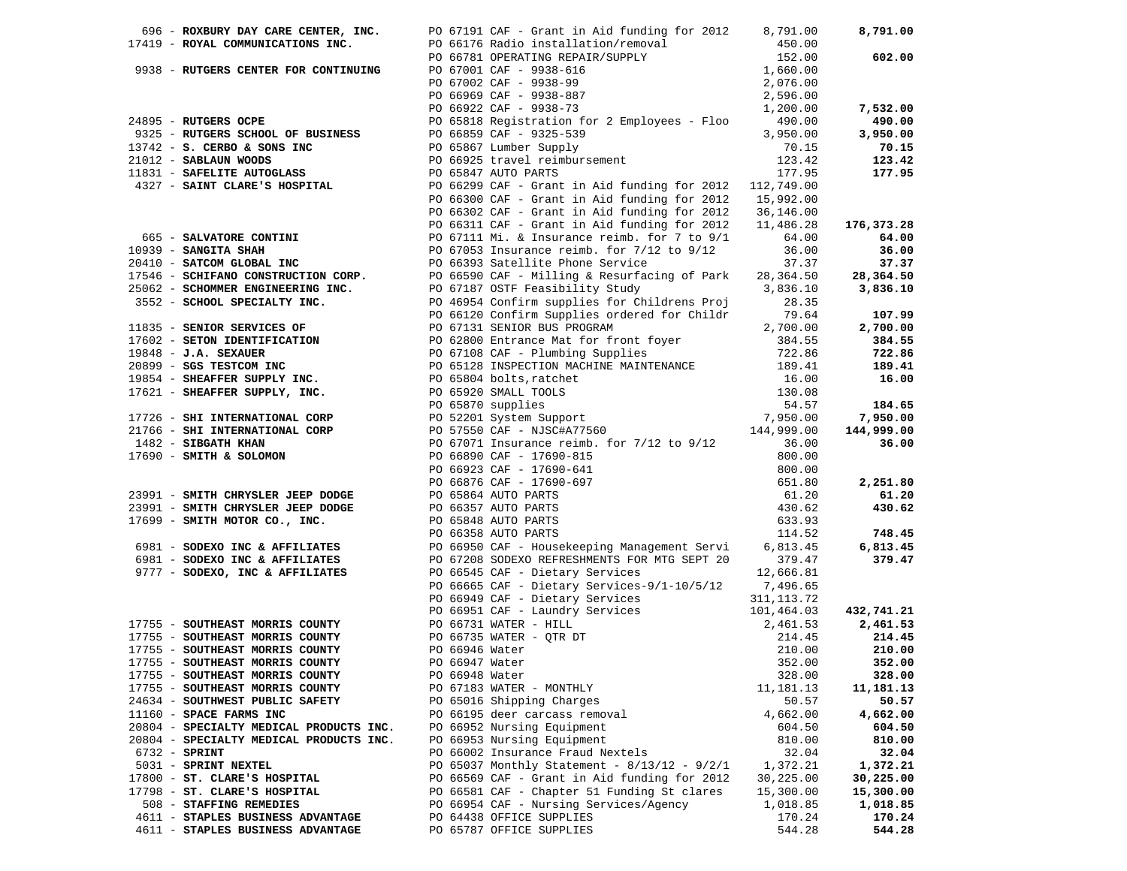|                                                   |                | 696 - ROXBURY DAY CARE CENTER, INC. $PQ = 67191$ CAF - Grant in Aid funding for 2012 $B = 791.00$                                                                                                                                                                                        |             | 8,791.00   |
|---------------------------------------------------|----------------|------------------------------------------------------------------------------------------------------------------------------------------------------------------------------------------------------------------------------------------------------------------------------------------|-------------|------------|
| 17419 - ROYAL COMMUNICATIONS INC.                 |                | PO 66176 Radio installation/removal<br>PO 66176 Radio installation/removal<br>PO 66781 OPERATING REPAIR/SUPPLY<br>PO 67001 CAF - 9938-616<br>PO 67002 CAF - 9938-99<br>PO 66969 CAF - 9938-887<br>PO 669622 CAF - 9938-73<br>PO 66922 CAF -                                              |             |            |
|                                                   |                |                                                                                                                                                                                                                                                                                          |             | 602.00     |
| 9938 - RUTGERS CENTER FOR CONTINUING              |                |                                                                                                                                                                                                                                                                                          |             |            |
|                                                   |                |                                                                                                                                                                                                                                                                                          |             |            |
|                                                   |                |                                                                                                                                                                                                                                                                                          |             |            |
|                                                   |                |                                                                                                                                                                                                                                                                                          |             | 7,532.00   |
| 24895 - RUTGERS OCPE                              |                |                                                                                                                                                                                                                                                                                          |             | 490.00     |
| 9325 - RUTGERS SCHOOL OF BUSINESS                 |                | PO 65818 Registration for 2 Employees - Floo (490.00)<br>PO 66859 CAF - 9325-539 3,950.00<br>PO 65867 Lumber Supply 70.15                                                                                                                                                                |             | 3,950.00   |
|                                                   |                |                                                                                                                                                                                                                                                                                          |             |            |
|                                                   |                |                                                                                                                                                                                                                                                                                          |             | 70.15      |
|                                                   |                |                                                                                                                                                                                                                                                                                          |             | 123.42     |
|                                                   |                |                                                                                                                                                                                                                                                                                          |             | 177.95     |
|                                                   |                | 9325 - RUTGERS SCHOOL OF BUSINESS<br>13742 - S. CERBO & SONS INC<br>21012 - SABLAUN WOODS<br>123.42<br>21012 - SABLAUN WOODS<br>123.42<br>21012 - SABLAUN WOODS<br>22.9 CAP - GERS CHOOL DO GARE'S HOSPITAL<br>22.7 - SAINT CLARE'S HOSPITAL<br>                                         |             |            |
|                                                   |                |                                                                                                                                                                                                                                                                                          |             |            |
|                                                   |                |                                                                                                                                                                                                                                                                                          |             |            |
|                                                   |                | PO $66311$ CAF - Grant in Aid funding for $2012$ 11,486.28                                                                                                                                                                                                                               |             | 176,373.28 |
| 665 - SALVATORE CONTINI                           |                | PO 67111 Mi. & Insurance reimb. f<br>PO 67111 Mi. & Insurance reimb. for 7/1<br>PO 66393 Satellite Phone Service<br>PO 67111 Mi. & Insurance reimb. for 7 to 9/1                                                                                                                         | 64.00       | 64.00      |
|                                                   |                | PO 67053 Insurance reimb. for $7/12$ to $9/12$                                                                                                                                                                                                                                           | 36.00       | 36.00      |
| 10939 - SANGITA SHAH<br>20410 - SATCOM GLOBAL INC |                |                                                                                                                                                                                                                                                                                          | 37.37       | 37.37      |
|                                                   |                |                                                                                                                                                                                                                                                                                          |             | 28,364.50  |
|                                                   |                |                                                                                                                                                                                                                                                                                          |             | 3,836.10   |
|                                                   |                |                                                                                                                                                                                                                                                                                          |             |            |
|                                                   |                |                                                                                                                                                                                                                                                                                          |             |            |
|                                                   |                |                                                                                                                                                                                                                                                                                          | 79.64       | 107.99     |
|                                                   |                |                                                                                                                                                                                                                                                                                          |             | 2,700.00   |
|                                                   |                |                                                                                                                                                                                                                                                                                          |             | 384.55     |
|                                                   |                |                                                                                                                                                                                                                                                                                          |             | 722.86     |
|                                                   |                |                                                                                                                                                                                                                                                                                          |             | 189.41     |
|                                                   |                |                                                                                                                                                                                                                                                                                          |             | 16.00      |
|                                                   |                |                                                                                                                                                                                                                                                                                          |             |            |
|                                                   |                |                                                                                                                                                                                                                                                                                          |             | 184.65     |
|                                                   |                |                                                                                                                                                                                                                                                                                          |             | 7,950.00   |
|                                                   |                |                                                                                                                                                                                                                                                                                          |             | 144,999.00 |
|                                                   |                |                                                                                                                                                                                                                                                                                          |             |            |
|                                                   |                |                                                                                                                                                                                                                                                                                          |             | 36.00      |
|                                                   |                | 1911 - <b>EATYMORPHONIC INC.</b><br>19746 - <b>EATYMORPHONIC POLYMATELY (1918)</b><br>19746 - <b>EATYMORPHONIC POLYMATELY (1918)</b><br>19756 - <b>EATYMORPHONIC POLYMATELY (1918)</b><br>19766 - <b>EATYMORPHONIC POLYMATELY (1919)</b><br>19766 - <b>EATYMORPHO</b>                    |             |            |
|                                                   |                |                                                                                                                                                                                                                                                                                          |             |            |
|                                                   |                |                                                                                                                                                                                                                                                                                          |             | 2,251.80   |
|                                                   |                |                                                                                                                                                                                                                                                                                          |             | 61.20      |
|                                                   |                |                                                                                                                                                                                                                                                                                          |             | 430.62     |
|                                                   |                |                                                                                                                                                                                                                                                                                          |             |            |
|                                                   |                |                                                                                                                                                                                                                                                                                          |             | 748.45     |
|                                                   |                |                                                                                                                                                                                                                                                                                          |             | 6,813.45   |
|                                                   |                | 6981 - SODEXO INC & AFFILIATES<br>PO 67208 SODEXO REFRESHMENTS FOR MTG SEPT 20                                                                                                                                                                                                           | 379.47      | 379.47     |
| 9777 - SODEXO, INC & AFFILIATES                   |                | PO 66545 CAF - Dietary Services                                                                                                                                                                                                                                                          | 12,666.81   |            |
|                                                   |                | PO 66665 CAF - Dietary Services-9/1-10/5/12 7,496.65                                                                                                                                                                                                                                     |             |            |
|                                                   |                | PO 66949 CAF - Dietary Services                                                                                                                                                                                                                                                          | 311,113.72  |            |
|                                                   |                |                                                                                                                                                                                                                                                                                          |             | 432,741.21 |
|                                                   |                | PO 66951 CAF - Laundry Services 101,464.03<br>17755 - SOUTHEAST MORRIS COUNTY<br>17755 - SOUTHEAST MORRIS COUNTY<br>17755 - SOUTHEAST MORRIS COUNTY<br>17755 - SOUTHEAST MORRIS COUNTY<br>17755 - SOUTHEAST MORRIS COUNTY<br>17755 - COUTHEAST MORRIS COUNTY<br>17755 - COUTHEAST MORRIS |             |            |
|                                                   |                |                                                                                                                                                                                                                                                                                          | 2,461.53    | 2,461.53   |
|                                                   |                |                                                                                                                                                                                                                                                                                          | 214.45      | 214.45     |
|                                                   |                |                                                                                                                                                                                                                                                                                          | 210.00      | 210.00     |
| 17755 - SOUTHEAST MORRIS COUNTY                   | PO 66947 Water | 352.00                                                                                                                                                                                                                                                                                   |             | 352.00     |
| 17755 - SOUTHEAST MORRIS COUNTY                   | PO 66948 Water |                                                                                                                                                                                                                                                                                          | 328.00      | 328.00     |
| 17755 - SOUTHEAST MORRIS COUNTY                   |                | PO 67183 WATER - MONTHLY                                                                                                                                                                                                                                                                 | 11, 181. 13 | 11,181.13  |
| 24634 - SOUTHWEST PUBLIC SAFETY                   |                | PO 65016 Shipping Charges                                                                                                                                                                                                                                                                | 50.57       | 50.57      |
| 11160 - SPACE FARMS INC                           |                | PO 66195 deer carcass removal                                                                                                                                                                                                                                                            | 4,662.00    | 4,662.00   |
| 20804 - SPECIALTY MEDICAL PRODUCTS INC.           |                | PO 66952 Nursing Equipment                                                                                                                                                                                                                                                               | 604.50      | 604.50     |
| 20804 - SPECIALTY MEDICAL PRODUCTS INC.           |                | PO 66953 Nursing Equipment                                                                                                                                                                                                                                                               | 810.00      | 810.00     |
| $6732 - SPRINT$                                   |                | PO 66002 Insurance Fraud Nextels                                                                                                                                                                                                                                                         | 32.04       | 32.04      |
|                                                   |                |                                                                                                                                                                                                                                                                                          |             |            |
| 5031 - SPRINT NEXTEL                              |                | PO 65037 Monthly Statement - $8/13/12 - 9/2/1$                                                                                                                                                                                                                                           | 1,372.21    | 1,372.21   |
| 17800 - ST. CLARE'S HOSPITAL                      |                | PO 66569 CAF - Grant in Aid funding for 2012                                                                                                                                                                                                                                             | 30,225.00   | 30,225.00  |
| 17798 - ST. CLARE'S HOSPITAL                      |                | PO 66581 CAF - Chapter 51 Funding St clares                                                                                                                                                                                                                                              | 15,300.00   | 15,300.00  |
| 508 - STAFFING REMEDIES                           |                | PO 66954 CAF - Nursing Services/Agency                                                                                                                                                                                                                                                   | 1,018.85    | 1,018.85   |
| 4611 - STAPLES BUSINESS ADVANTAGE                 |                | PO 64438 OFFICE SUPPLIES                                                                                                                                                                                                                                                                 | 170.24      | 170.24     |
| 4611 - STAPLES BUSINESS ADVANTAGE                 |                | PO 65787 OFFICE SUPPLIES                                                                                                                                                                                                                                                                 | 544.28      | 544.28     |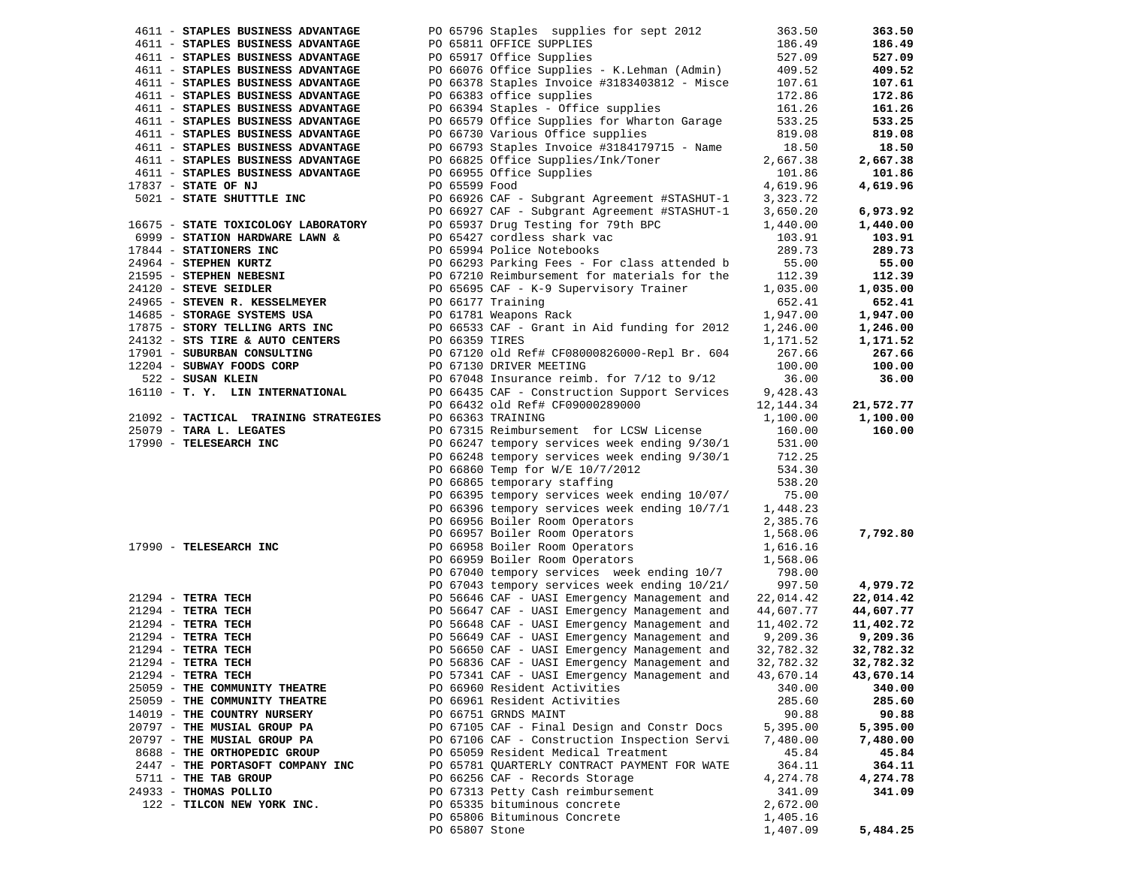| 4611 - STAPLES BUSINESS ADVANTAGE                                     | PO 65796 Staples supplies for sept 2012                                                                                                                                                                                                          | 363.50    | 363.50    |
|-----------------------------------------------------------------------|--------------------------------------------------------------------------------------------------------------------------------------------------------------------------------------------------------------------------------------------------|-----------|-----------|
| 4611 - STAPLES BUSINESS ADVANTAGE                                     | PO 65811 OFFICE SUPPLIES                                                                                                                                                                                                                         | 186.49    | 186.49    |
| 4611 - STAPLES BUSINESS ADVANTAGE                                     | PO 65917 Office Supplies                                                                                                                                                                                                                         | 527.09    | 527.09    |
| 4611 - STAPLES BUSINESS ADVANTAGE                                     | PO 66076 Office Supplies - K.Lehman (Admin)                                                                                                                                                                                                      | 409.52    | 409.52    |
| 4611 - STAPLES BUSINESS ADVANTAGE                                     | PO 66378 Staples Invoice #3183403812 - Misce                                                                                                                                                                                                     | 107.61    | 107.61    |
| 4611 - STAPLES BUSINESS ADVANTAGE                                     | PO 66383 office supplies                                                                                                                                                                                                                         | 172.86    | 172.86    |
| 4611 - STAPLES BUSINESS ADVANTAGE                                     | PO 66394 Staples - Office supplies                                                                                                                                                                                                               | 161.26    | 161.26    |
| 4611 - STAPLES BUSINESS ADVANTAGE                                     | PO 66579 Office Supplies for Wharton Garage                                                                                                                                                                                                      | 533.25    | 533.25    |
| 4611 - STAPLES BUSINESS ADVANTAGE                                     | PO 66730 Various Office supplies                                                                                                                                                                                                                 | 819.08    | 819.08    |
| 4611 - STAPLES BUSINESS ADVANTAGE                                     | PO 66793 Staples Invoice #3184179715 - Name                                                                                                                                                                                                      | 18.50     | 18.50     |
| 4611 - STAPLES BUSINESS ADVANTAGE                                     |                                                                                                                                                                                                                                                  | 2,667.38  | 2,667.38  |
|                                                                       | PO 66825 Office Supplies/Ink/Toner                                                                                                                                                                                                               |           |           |
| 4611 - STAPLES BUSINESS ADVANTAGE                                     | PO 66955 Office Supplies                                                                                                                                                                                                                         | 101.86    | 101.86    |
| 17837 - STATE OF NJ                                                   | PO 65599 Food                                                                                                                                                                                                                                    | 4,619.96  | 4,619.96  |
| 5021 - STATE SHUTTTLE INC                                             | PO 66926 CAF - Subgrant Agreement #STASHUT-1                                                                                                                                                                                                     | 3,323.72  |           |
|                                                                       | PO 66927 CAF - Subgrant Agreement #STASHUT-1                                                                                                                                                                                                     | 3,650.20  | 6,973.92  |
| 16675 - STATE TOXICOLOGY LABORATORY<br>6999 - STATION HARDWARE LAWN & | PO 65937 Drug Testing for 79th BPC                                                                                                                                                                                                               | 1,440.00  | 1,440.00  |
|                                                                       | PO 65427 cordless shark vac                                                                                                                                                                                                                      | 103.91    | 103.91    |
|                                                                       | 17844 - STATIONERS INC<br>24964 - STEPHEN KURTZ<br>21595 - STEPHEN NEBESNI<br>21595 - STEPHEN NEBESNI<br>24120 - STEPHEN NEBESNI<br>24120 - STEPHEN NEBESNI<br>24120 - STEPHEN NEBESNI<br>24120 - STEPHEN NEBESNI<br>24120 - STEPHEN NEBESNI<br> | 289.73    | 289.73    |
|                                                                       |                                                                                                                                                                                                                                                  | 55.00     | 55.00     |
|                                                                       |                                                                                                                                                                                                                                                  | 112.39    | 112.39    |
|                                                                       |                                                                                                                                                                                                                                                  | 1,035.00  | 1,035.00  |
| 24965 - STEVEN R. KESSELMEYER                                         | PO 66177 Training                                                                                                                                                                                                                                | 652.41    | 652.41    |
| 14685 - STORAGE SYSTEMS USA                                           | PO 61781 Weapons Rack                                                                                                                                                                                                                            | 1,947.00  | 1,947.00  |
|                                                                       |                                                                                                                                                                                                                                                  | 1,246.00  | 1,246.00  |
|                                                                       | 17875 - STORY TELLING ARTS INC<br>24132 - STS TIRE & AUTO CENTERS<br>PO 66359 TIRES                                                                                                                                                              | 1,171.52  | 1,171.52  |
| 17901 - SUBURBAN CONSULTING                                           | PO 67120 old Ref# CF08000826000-Repl Br. 604                                                                                                                                                                                                     | 267.66    | 267.66    |
| 12204 - SUBWAY FOODS CORP                                             | PO 67130 DRIVER MEETING                                                                                                                                                                                                                          | 100.00    | 100.00    |
| 522 - SUSAN KLEIN                                                     | PO 67048 Insurance reimb. for 7/12 to 9/12                                                                                                                                                                                                       | 36.00     | 36.00     |
| 16110 - T. Y. LIN INTERNATIONAL                                       | PO 66435 CAF - Construction Support Services                                                                                                                                                                                                     | 9,428.43  |           |
|                                                                       | PO 66432 old Ref# CF09000289000                                                                                                                                                                                                                  | 12,144.34 | 21,572.77 |
| 21092 - TACTICAL TRAINING STRATEGIES                                  | PO 66363 TRAINING                                                                                                                                                                                                                                | 1,100.00  | 1,100.00  |
| 25079 - TARA L. LEGATES                                               | PO 67315 Reimbursement for LCSW License                                                                                                                                                                                                          | 160.00    | 160.00    |
| 25079 - TARA L. LEGATES<br>17990 - TELESEARCH INC                     | PO 66247 tempory services week ending 9/30/1                                                                                                                                                                                                     | 531.00    |           |
|                                                                       | PO 66248 tempory services week ending 9/30/1                                                                                                                                                                                                     | 712.25    |           |
|                                                                       | PO 66860 Temp for W/E 10/7/2012                                                                                                                                                                                                                  | 534.30    |           |
|                                                                       | PO 66865 temporary staffing                                                                                                                                                                                                                      | 538.20    |           |
|                                                                       |                                                                                                                                                                                                                                                  | 75.00     |           |
|                                                                       | PO 66395 tempory services week ending 10/07/                                                                                                                                                                                                     |           |           |
|                                                                       | PO 66396 tempory services week ending 10/7/1                                                                                                                                                                                                     | 1,448.23  |           |
|                                                                       | PO 66956 Boiler Room Operators                                                                                                                                                                                                                   | 2,385.76  |           |
|                                                                       | PO 66957 Boiler Room Operators                                                                                                                                                                                                                   | 1,568.06  | 7,792.80  |
| 17990 - TELESEARCH INC                                                | PO 66958 Boiler Room Operators<br>PO 66959 Boiler Room Operators                                                                                                                                                                                 | 1,616.16  |           |
|                                                                       |                                                                                                                                                                                                                                                  | 1,568.06  |           |
|                                                                       | PO 67040 tempory services week ending 10/7                                                                                                                                                                                                       | 798.00    |           |
|                                                                       | PO 67043 tempory services week ending 10/21/                                                                                                                                                                                                     | 997.50    | 4,979.72  |
| $21294$ - TETRA TECH                                                  | PO 56646 CAF - UASI Emergency Management and                                                                                                                                                                                                     | 22,014.42 | 22,014.42 |
| $21294$ - TETRA TECH                                                  | PO 56647 CAF - UASI Emergency Management and                                                                                                                                                                                                     | 44,607.77 | 44,607.77 |
| $21294$ - TETRA TECH                                                  | PO 56648 CAF - UASI Emergency Management and                                                                                                                                                                                                     | 11,402.72 | 11,402.72 |
| $21294$ - TETRA TECH                                                  | PO 56649 CAF - UASI Emergency Management and                                                                                                                                                                                                     | 9,209.36  | 9,209.36  |
| $21294$ - TETRA TECH                                                  | PO 56650 CAF - UASI Emergency Management and                                                                                                                                                                                                     | 32,782.32 | 32,782.32 |
| 21294 - TETRA TECH                                                    | PO 56836 CAF - UASI Emergency Management and                                                                                                                                                                                                     | 32,782.32 | 32,782.32 |
| 21294 - TETRA TECH                                                    | PO 57341 CAF - UASI Emergency Management and                                                                                                                                                                                                     | 43,670.14 | 43,670.14 |
| 25059 - THE COMMUNITY THEATRE                                         | PO 66960 Resident Activities                                                                                                                                                                                                                     | 340.00    | 340.00    |
| 25059 - THE COMMUNITY THEATRE                                         | PO 66961 Resident Activities                                                                                                                                                                                                                     | 285.60    | 285.60    |
| 14019 - THE COUNTRY NURSERY                                           | PO 66751 GRNDS MAINT                                                                                                                                                                                                                             | 90.88     | 90.88     |
| 20797 - THE MUSIAL GROUP PA                                           | PO 67105 CAF - Final Design and Constr Docs                                                                                                                                                                                                      | 5,395.00  | 5,395.00  |
| 20797 - THE MUSIAL GROUP PA                                           | PO 67106 CAF - Construction Inspection Servi                                                                                                                                                                                                     | 7,480.00  | 7,480.00  |
| 8688 - THE ORTHOPEDIC GROUP                                           | PO 65059 Resident Medical Treatment                                                                                                                                                                                                              | 45.84     | 45.84     |
| 2447 - THE PORTASOFT COMPANY INC                                      | PO 65781 QUARTERLY CONTRACT PAYMENT FOR WATE                                                                                                                                                                                                     | 364.11    | 364.11    |
| 5711 - THE TAB GROUP                                                  | PO 66256 CAF - Records Storage                                                                                                                                                                                                                   | 4,274.78  | 4,274.78  |
| 24933 - THOMAS POLLIO                                                 | PO 67313 Petty Cash reimbursement                                                                                                                                                                                                                | 341.09    | 341.09    |
| 122 - TILCON NEW YORK INC.                                            | PO 65335 bituminous concrete                                                                                                                                                                                                                     | 2,672.00  |           |
|                                                                       | PO 65806 Bituminous Concrete                                                                                                                                                                                                                     | 1,405.16  |           |
|                                                                       | PO 65807 Stone                                                                                                                                                                                                                                   | 1,407.09  | 5,484.25  |
|                                                                       |                                                                                                                                                                                                                                                  |           |           |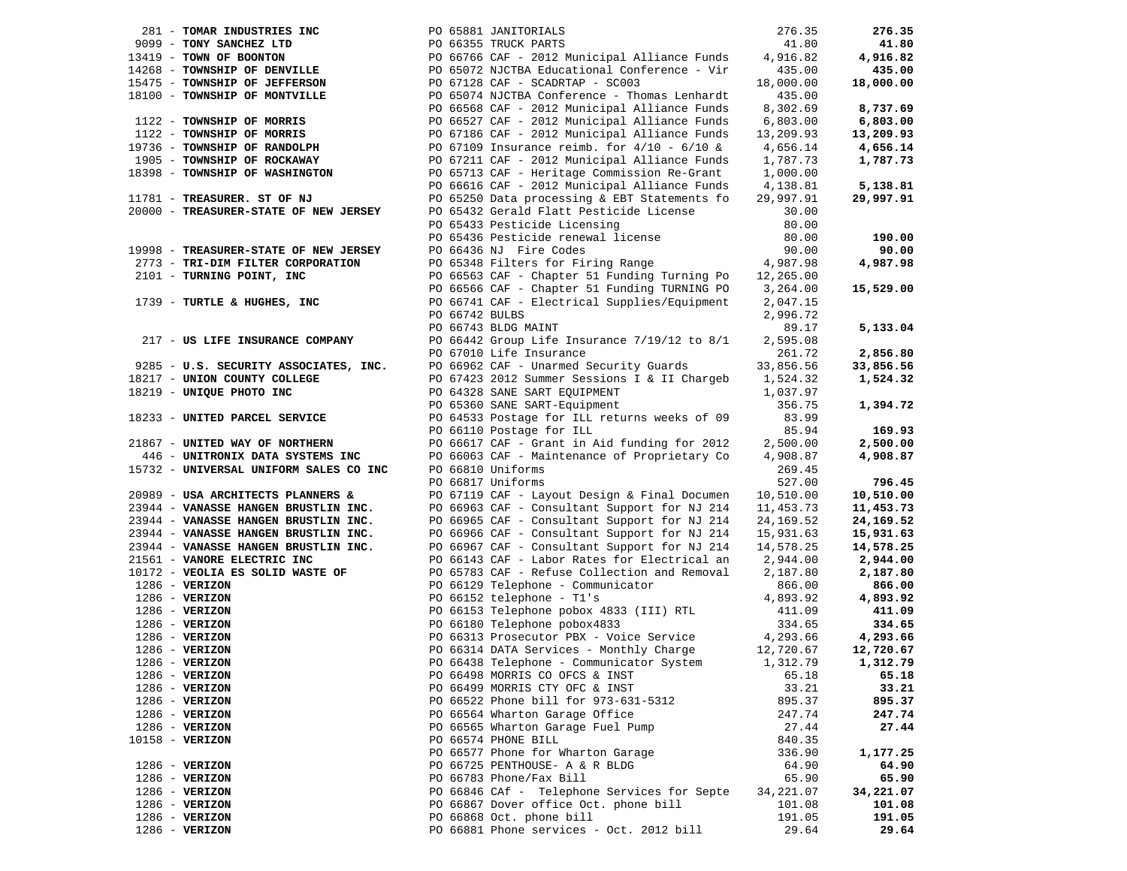| 281 - TOMAR INDUSTRIES INC             |                | PO 65881 JANITORIALS                          | 276.35    | 276.35    |
|----------------------------------------|----------------|-----------------------------------------------|-----------|-----------|
| 9099 - TONY SANCHEZ LTD                |                | PO 66355 TRUCK PARTS                          | 41.80     | 41.80     |
| 13419 - TOWN OF BOONTON                |                | PO 66766 CAF - 2012 Municipal Alliance Funds  | 4,916.82  | 4,916.82  |
| 14268 - TOWNSHIP OF DENVILLE           |                | PO 65072 NJCTBA Educational Conference - Vir  | 435.00    | 435.00    |
| 15475 - TOWNSHIP OF JEFFERSON          |                | PO 67128 CAF - SCADRTAP - SC003               | 18,000.00 | 18,000.00 |
| 18100 - TOWNSHIP OF MONTVILLE          |                | PO 65074 NJCTBA Conference - Thomas Lenhardt  | 435.00    |           |
|                                        |                | PO 66568 CAF - 2012 Municipal Alliance Funds  | 8,302.69  | 8,737.69  |
| 1122 - TOWNSHIP OF MORRIS              |                | PO 66527 CAF - 2012 Municipal Alliance Funds  | 6,803.00  | 6,803.00  |
| 1122 - TOWNSHIP OF MORRIS              |                | PO 67186 CAF - 2012 Municipal Alliance Funds  | 13,209.93 | 13,209.93 |
| 19736 - TOWNSHIP OF RANDOLPH           |                | PO 67109 Insurance reimb. for $4/10 - 6/10$ & | 4,656.14  | 4,656.14  |
| 1905 - TOWNSHIP OF ROCKAWAY            |                | PO 67211 CAF - 2012 Municipal Alliance Funds  | 1,787.73  | 1,787.73  |
| 18398 - TOWNSHIP OF WASHINGTON         |                | PO 65713 CAF - Heritage Commission Re-Grant   | 1,000.00  |           |
|                                        |                | PO 66616 CAF - 2012 Municipal Alliance Funds  | 4,138.81  | 5,138.81  |
| 11781 - TREASURER. ST OF NJ            |                | PO 65250 Data processing & EBT Statements fo  | 29,997.91 | 29,997.91 |
| 20000 - TREASURER-STATE OF NEW JERSEY  |                | PO 65432 Gerald Flatt Pesticide License       | 30.00     |           |
|                                        |                | PO 65433 Pesticide Licensing                  | 80.00     |           |
|                                        |                | PO 65436 Pesticide renewal license            | 80.00     | 190.00    |
| 19998 - TREASURER-STATE OF NEW JERSEY  |                | PO 66436 NJ Fire Codes                        | 90.00     | 90.00     |
| 2773 - TRI-DIM FILTER CORPORATION      |                | PO 65348 Filters for Firing Range             | 4,987.98  | 4,987.98  |
| 2101 - TURNING POINT, INC              |                | PO 66563 CAF - Chapter 51 Funding Turning Po  | 12,265.00 |           |
|                                        |                | PO 66566 CAF - Chapter 51 Funding TURNING PO  | 3,264.00  | 15,529.00 |
| 1739 - TURTLE & HUGHES, INC            |                | PO 66741 CAF - Electrical Supplies/Equipment  | 2,047.15  |           |
|                                        | PO 66742 BULBS |                                               | 2,996.72  |           |
|                                        |                | PO 66743 BLDG MAINT                           | 89.17     | 5,133.04  |
| 217 - US LIFE INSURANCE COMPANY        |                | PO 66442 Group Life Insurance 7/19/12 to 8/1  | 2,595.08  |           |
|                                        |                | PO 67010 Life Insurance                       | 261.72    | 2,856.80  |
| 9285 - U.S. SECURITY ASSOCIATES, INC.  |                | PO 66962 CAF - Unarmed Security Guards        | 33,856.56 | 33,856.56 |
| 18217 - UNION COUNTY COLLEGE           |                | PO 67423 2012 Summer Sessions I & II Chargeb  | 1,524.32  | 1,524.32  |
| 18219 - UNIQUE PHOTO INC               |                | PO 64328 SANE SART EQUIPMENT                  | 1,037.97  |           |
|                                        |                |                                               |           |           |
|                                        |                | PO 65360 SANE SART-Equipment                  | 356.75    | 1,394.72  |
| 18233 - UNITED PARCEL SERVICE          |                | PO 64533 Postage for ILL returns weeks of 09  | 83.99     |           |
|                                        |                | PO 66110 Postage for ILL                      | 85.94     | 169.93    |
| 21867 - UNITED WAY OF NORTHERN         |                | PO 66617 CAF - Grant in Aid funding for 2012  | 2,500.00  | 2,500.00  |
| 446 - UNITRONIX DATA SYSTEMS INC       |                | PO 66063 CAF - Maintenance of Proprietary Co  | 4,908.87  | 4,908.87  |
| 15732 - UNIVERSAL UNIFORM SALES CO INC |                | PO 66810 Uniforms                             | 269.45    |           |
|                                        |                | PO 66817 Uniforms                             | 527.00    | 796.45    |
| 20989 - USA ARCHITECTS PLANNERS &      |                | PO 67119 CAF - Layout Design & Final Documen  | 10,510.00 | 10,510.00 |
| 23944 - VANASSE HANGEN BRUSTLIN INC.   |                | PO 66963 CAF - Consultant Support for NJ 214  | 11,453.73 | 11,453.73 |
| 23944 - VANASSE HANGEN BRUSTLIN INC.   |                | PO 66965 CAF - Consultant Support for NJ 214  | 24,169.52 | 24,169.52 |
| 23944 - VANASSE HANGEN BRUSTLIN INC.   |                | PO 66966 CAF - Consultant Support for NJ 214  | 15,931.63 | 15,931.63 |
| 23944 - VANASSE HANGEN BRUSTLIN INC.   |                | PO 66967 CAF - Consultant Support for NJ 214  | 14,578.25 | 14,578.25 |
| 21561 - VANORE ELECTRIC INC            |                | PO 66143 CAF - Labor Rates for Electrical an  | 2,944.00  | 2,944.00  |
| 10172 - VEOLIA ES SOLID WASTE OF       |                | PO 65783 CAF - Refuse Collection and Removal  | 2,187.80  | 2,187.80  |
| $1286$ - VERIZON                       |                | PO 66129 Telephone - Communicator             | 866.00    | 866.00    |
| $1286$ - VERIZON                       |                | PO 66152 telephone - T1's                     | 4,893.92  | 4,893.92  |
| $1286$ - VERIZON                       |                | PO 66153 Telephone pobox 4833 (III) RTL       | 411.09    | 411.09    |
| $1286$ - VERIZON                       |                | PO 66180 Telephone pobox4833                  | 334.65    | 334.65    |
| $1286$ - VERIZON                       |                | PO 66313 Prosecutor PBX - Voice Service       | 4,293.66  | 4,293.66  |
| $1286$ - VERIZON                       |                | PO 66314 DATA Services - Monthly Charge       | 12,720.67 | 12,720.67 |
| $1286$ - VERIZON                       |                | PO 66438 Telephone - Communicator System      | 1,312.79  | 1,312.79  |
| $1286$ - VERIZON                       |                | PO 66498 MORRIS CO OFCS & INST                | 65.18     | 65.18     |
| $1286$ - VERIZON                       |                | PO 66499 MORRIS CTY OFC & INST                | 33.21     | 33.21     |
| $1286$ - VERIZON                       |                | PO 66522 Phone bill for 973-631-5312          | 895.37    | 895.37    |
| $1286 - VERIZON$                       |                | PO 66564 Wharton Garage Office                | 247.74    | 247.74    |
| 1286 - VERIZON                         |                | PO 66565 Wharton Garage Fuel Pump             | 27.44     | 27.44     |
| 10158 - VERIZON                        |                | PO 66574 PHONE BILL                           | 840.35    |           |
|                                        |                | PO 66577 Phone for Wharton Garage             | 336.90    | 1,177.25  |
| $1286 - VERIZON$                       |                | PO 66725 PENTHOUSE- A & R BLDG                | 64.90     | 64.90     |
| $1286$ - VERIZON                       |                | PO 66783 Phone/Fax Bill                       | 65.90     | 65.90     |
| $1286 - VERIZON$                       |                | PO 66846 CAf - Telephone Services for Septe   | 34,221.07 | 34,221.07 |
| $1286$ - VERIZON                       |                | PO 66867 Dover office Oct. phone bill         | 101.08    | 101.08    |
| $1286$ - VERIZON                       |                | PO 66868 Oct. phone bill                      | 191.05    | 191.05    |
| $1286$ - VERIZON                       |                | PO 66881 Phone services - Oct. 2012 bill      | 29.64     | 29.64     |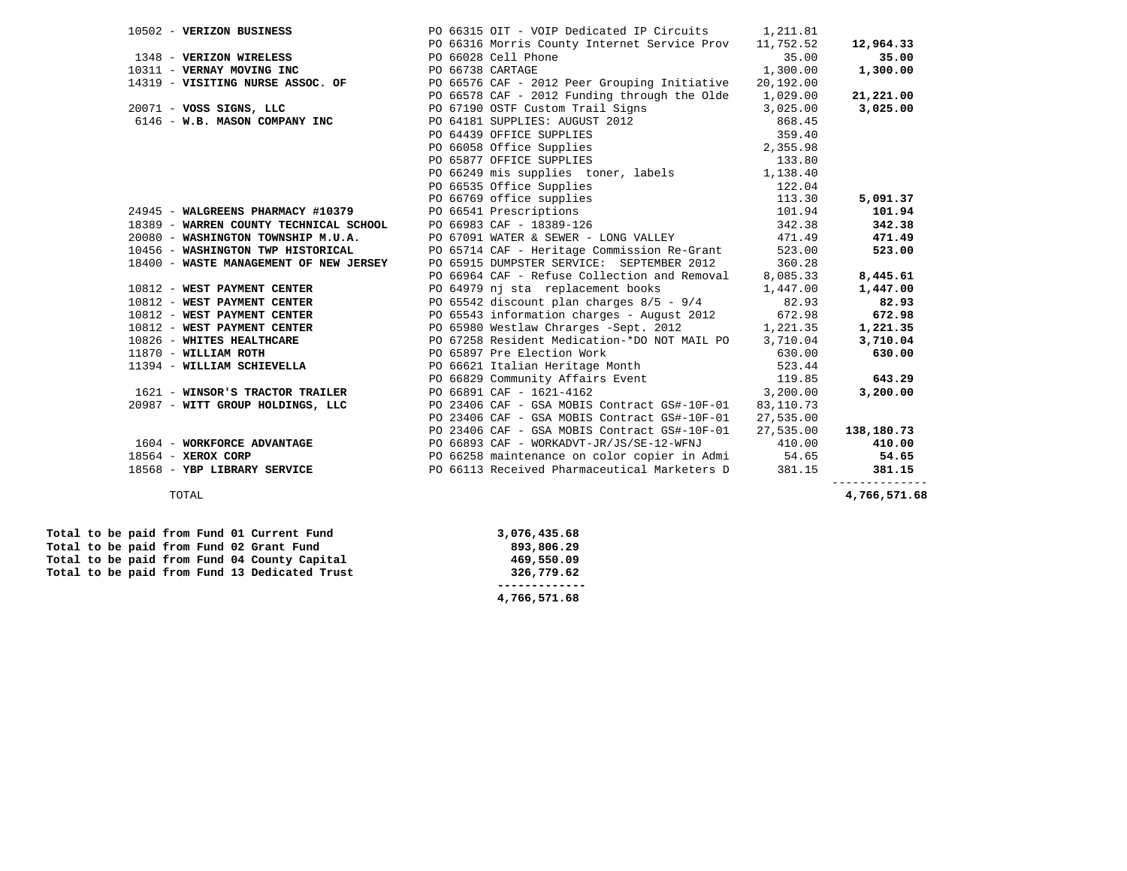| 10502 - VERIZON BUSINESS                                                                 |  | PO 66315 OIT - VOIP Dedicated IP Circuits                                                                                                                                                           | 1,211.81  |                          |
|------------------------------------------------------------------------------------------|--|-----------------------------------------------------------------------------------------------------------------------------------------------------------------------------------------------------|-----------|--------------------------|
|                                                                                          |  | PO 66316 Morris County Internet Service Prov                                                                                                                                                        | 11,752.52 | 12,964.33                |
| 1348 - VERIZON WIRELESS                                                                  |  | PO 66028 Cell Phone                                                                                                                                                                                 | 35.00     | 35.00                    |
|                                                                                          |  | PO 66738 CARTAGE                                                                                                                                                                                    | 1,300.00  | 1,300.00                 |
| 1348 - VERIZON WIRELESS<br>10311 - VERNAY MOVING INC<br>14319 - VISITING NURSE ASSOC. OF |  | PO 66576 CAF - 2012 Peer Grouping Initiative                                                                                                                                                        | 20,192.00 |                          |
|                                                                                          |  | PO 66578 CAF - 2012 Funding through the Olde                                                                                                                                                        | 1,029.00  | 21,221.00                |
| 20071 - VOSS SIGNS, LLC                                                                  |  | PO 67190 OSTF Custom Trail Signs 3,025.00<br>PO 64181 SUPPLIES: AUGUST 2012 868.45                                                                                                                  |           | 3,025.00                 |
| 6146 - W.B. MASON COMPANY INC                                                            |  |                                                                                                                                                                                                     |           |                          |
|                                                                                          |  | PO GELEC BOST CONTROLLER<br>PO 64439 OFFICE SUPPLIES<br>PO 66058 Office Supplies<br>PO 65877 OFFICE SUPPLIES<br>PO 66249 mis supplies toner, labels<br>1,138.40<br>1,138.40<br>2,355.98<br>1,138.40 |           |                          |
|                                                                                          |  |                                                                                                                                                                                                     |           |                          |
|                                                                                          |  |                                                                                                                                                                                                     |           |                          |
|                                                                                          |  |                                                                                                                                                                                                     |           |                          |
|                                                                                          |  | 122.04<br>PO 66535 Office Supplies                                                                                                                                                                  |           |                          |
|                                                                                          |  | PO 66769 office supplies                                                                                                                                                                            | 113.30    | 5,091.37                 |
| 24945 - WALGREENS PHARMACY #10379                                                        |  |                                                                                                                                                                                                     | 101.94    | 101.94                   |
| 18389 - WARREN COUNTY TECHNICAL SCHOOL                                                   |  | PO 66541 Prescriptions<br>PO 66983 CAF - 18389-126                                                                                                                                                  | 342.38    | 342.38                   |
| 20080 - WASHINGTON TOWNSHIP M.U.A.                                                       |  | PO 67091 WATER & SEWER - LONG VALLEY                                                                                                                                                                | 471.49    | 471.49                   |
| 10456 - WASHINGTON TWP HISTORICAL                                                        |  | PO 65714 CAF - Heritage Commission Re-Grant 523.00                                                                                                                                                  |           | 523.00                   |
| 18400 - WASTE MANAGEMENT OF NEW JERSEY                                                   |  | PO 65915 DUMPSTER SERVICE: SEPTEMBER 2012 360.28                                                                                                                                                    |           |                          |
|                                                                                          |  | PO 66964 CAF - Refuse Collection and Removal 8,085.33                                                                                                                                               |           | 8,445.61                 |
| 10812 - WEST PAYMENT CENTER                                                              |  | PO 64979 nj sta replacement books                                                                                                                                                                   | 1,447.00  | 1,447.00                 |
| 10812 - WEST PAYMENT CENTER                                                              |  | PO 65542 discount plan charges $8/5 - 9/4$ 82.93                                                                                                                                                    |           | 82.93                    |
| 10812 - WEST PAYMENT CENTER                                                              |  | PO 65543 information charges - August 2012 672.98                                                                                                                                                   |           | 672.98                   |
| 10812 - WEST PAYMENT CENTER                                                              |  | PO 65980 Westlaw Chrarges -Sept. 2012 1,221.35                                                                                                                                                      |           | 1,221.35                 |
| 10826 - WHITES HEALTHCARE                                                                |  | PO 67258 Resident Medication-*DO NOT MAIL PO 3,710.04                                                                                                                                               |           | 3,710.04                 |
| 11870 - WILLIAM ROTH                                                                     |  | PO 65897 Pre Election Work                                                                                                                                                                          | 630.00    | 630.00                   |
| 11394 - WILLIAM SCHIEVELLA                                                               |  | PO 66621 Italian Heritage Month 523.44                                                                                                                                                              |           |                          |
|                                                                                          |  | PO 66829 Community Affairs Event 119.85                                                                                                                                                             |           | 643.29                   |
| 1621 - WINSOR'S TRACTOR TRAILER                                                          |  | 3,200.00<br>PO 66891 CAF - 1621-4162                                                                                                                                                                |           | 3,200.00                 |
| 20987 - WITT GROUP HOLDINGS, LLC                                                         |  | PO 23406 CAF - GSA MOBIS Contract GS#-10F-01                                                                                                                                                        | 83,110.73 |                          |
|                                                                                          |  | PO 23406 CAF - GSA MOBIS Contract GS#-10F-01                                                                                                                                                        | 27,535.00 |                          |
|                                                                                          |  | PO 23406 CAF - GSA MOBIS Contract GS#-10F-01                                                                                                                                                        | 27,535.00 | 138,180.73               |
| 1604 - WORKFORCE ADVANTAGE                                                               |  | $PO$ 66893 CAF - WORKADVT-JR/JS/SE-12-WFNJ $410.00$                                                                                                                                                 |           | 410.00                   |
| 18564 - XEROX CORP<br>18568 - YBP LIBRARY SERVICE                                        |  | PO 66258 maintenance on color copier in Admi 54.65                                                                                                                                                  |           | 54.65                    |
|                                                                                          |  | PO 66113 Received Pharmaceutical Marketers D                                                                                                                                                        | 381.15    | 381.15<br>-------------- |
| TOTAL                                                                                    |  |                                                                                                                                                                                                     |           | 4,766,571.68             |

|  |  |  | Total to be paid from Fund 01 Current Fund    |
|--|--|--|-----------------------------------------------|
|  |  |  | Total to be paid from Fund 02 Grant Fund      |
|  |  |  | Total to be paid from Fund 04 County Capital  |
|  |  |  | Total to be paid from Fund 13 Dedicated Trust |

 **Total to be paid from Fund 01 Current Fund 3,076,435.68**   $\begin{array}{c} 0.806 & 0.29 \\ 0.200 & 0.29 \end{array}$  **Total to be paid from Fund 04 County Capital 469,550.09 Total to be paid from Fund 13 Dedicated Trust 326,779.62 ------------- 4,766,571.68**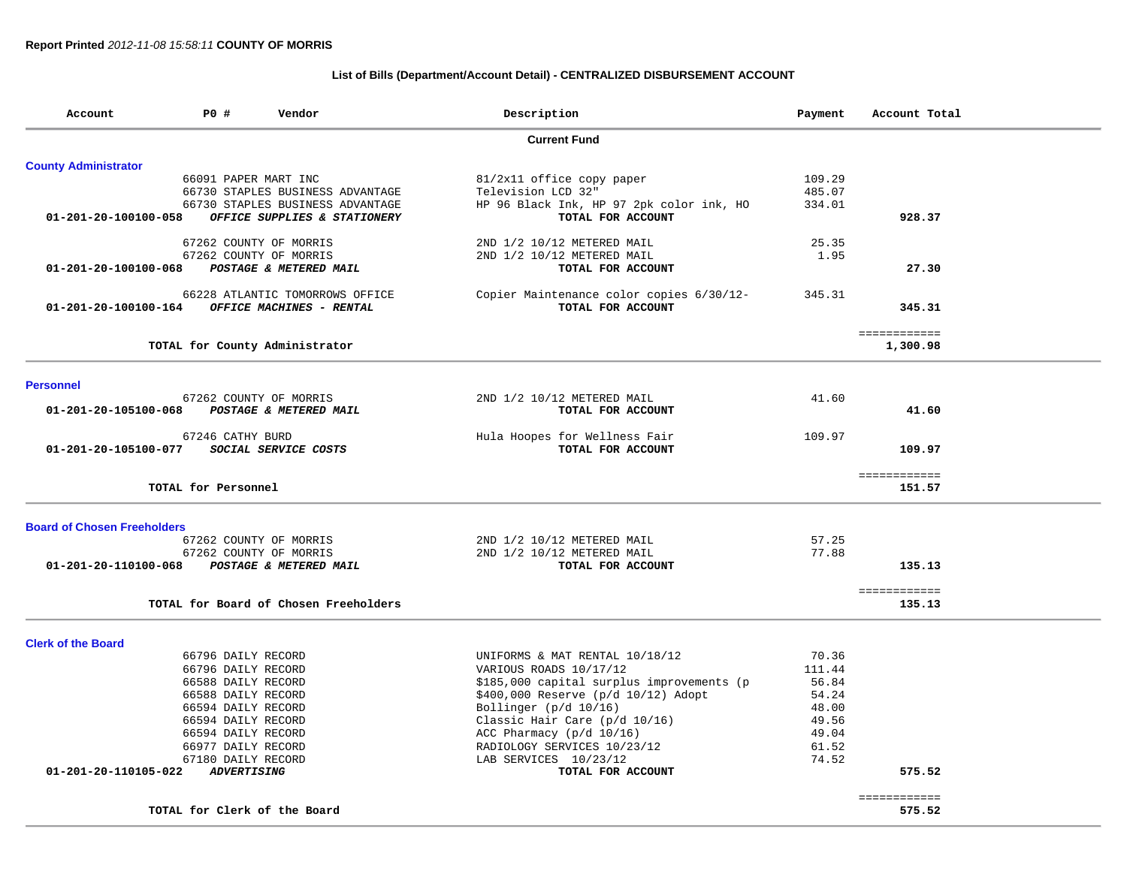## **List of Bills (Department/Account Detail) - CENTRALIZED DISBURSEMENT ACCOUNT**

| Account                            | P0 #                | Vendor                                | Description                                              | Payment | Account Total          |
|------------------------------------|---------------------|---------------------------------------|----------------------------------------------------------|---------|------------------------|
|                                    |                     |                                       | <b>Current Fund</b>                                      |         |                        |
| <b>County Administrator</b>        |                     |                                       |                                                          |         |                        |
|                                    |                     | 66091 PAPER MART INC                  | 81/2x11 office copy paper                                | 109.29  |                        |
|                                    |                     | 66730 STAPLES BUSINESS ADVANTAGE      | Television LCD 32"                                       | 485.07  |                        |
|                                    |                     | 66730 STAPLES BUSINESS ADVANTAGE      | HP 96 Black Ink, HP 97 2pk color ink, HO                 | 334.01  |                        |
| 01-201-20-100100-058               |                     | OFFICE SUPPLIES & STATIONERY          | TOTAL FOR ACCOUNT                                        |         | 928.37                 |
|                                    |                     | 67262 COUNTY OF MORRIS                | 2ND 1/2 10/12 METERED MAIL                               | 25.35   |                        |
|                                    |                     | 67262 COUNTY OF MORRIS                | 2ND 1/2 10/12 METERED MAIL                               | 1.95    |                        |
| 01-201-20-100100-068               |                     | POSTAGE & METERED MAIL                | TOTAL FOR ACCOUNT                                        |         | 27.30                  |
|                                    |                     | 66228 ATLANTIC TOMORROWS OFFICE       | Copier Maintenance color copies 6/30/12-                 | 345.31  |                        |
| 01-201-20-100100-164               |                     | OFFICE MACHINES - RENTAL              | TOTAL FOR ACCOUNT                                        |         | 345.31                 |
|                                    |                     |                                       |                                                          |         | ============           |
|                                    |                     | TOTAL for County Administrator        |                                                          |         | 1,300.98               |
| <b>Personnel</b>                   |                     |                                       |                                                          |         |                        |
|                                    |                     | 67262 COUNTY OF MORRIS                | 2ND 1/2 10/12 METERED MAIL                               | 41.60   |                        |
| 01-201-20-105100-068               |                     | POSTAGE & METERED MAIL                | TOTAL FOR ACCOUNT                                        |         | 41.60                  |
|                                    | 67246 CATHY BURD    |                                       | Hula Hoopes for Wellness Fair                            | 109.97  |                        |
| 01-201-20-105100-077               |                     | SOCIAL SERVICE COSTS                  | TOTAL FOR ACCOUNT                                        |         | 109.97                 |
|                                    |                     |                                       |                                                          |         | ============           |
|                                    | TOTAL for Personnel |                                       |                                                          |         | 151.57                 |
|                                    |                     |                                       |                                                          |         |                        |
| <b>Board of Chosen Freeholders</b> |                     | 67262 COUNTY OF MORRIS                |                                                          | 57.25   |                        |
|                                    |                     | 67262 COUNTY OF MORRIS                | 2ND 1/2 10/12 METERED MAIL<br>2ND 1/2 10/12 METERED MAIL | 77.88   |                        |
| 01-201-20-110100-068               |                     | POSTAGE & METERED MAIL                | TOTAL FOR ACCOUNT                                        |         | 135.13                 |
|                                    |                     |                                       |                                                          |         |                        |
|                                    |                     | TOTAL for Board of Chosen Freeholders |                                                          |         | ============<br>135.13 |
|                                    |                     |                                       |                                                          |         |                        |
| <b>Clerk of the Board</b>          |                     |                                       |                                                          |         |                        |
|                                    | 66796 DAILY RECORD  |                                       | UNIFORMS & MAT RENTAL 10/18/12                           | 70.36   |                        |
|                                    | 66796 DAILY RECORD  |                                       | VARIOUS ROADS 10/17/12                                   | 111.44  |                        |
|                                    | 66588 DAILY RECORD  |                                       | \$185,000 capital surplus improvements (p                | 56.84   |                        |
|                                    | 66588 DAILY RECORD  |                                       | \$400,000 Reserve (p/d 10/12) Adopt                      | 54.24   |                        |
|                                    | 66594 DAILY RECORD  |                                       | Bollinger (p/d 10/16)                                    | 48.00   |                        |
|                                    | 66594 DAILY RECORD  |                                       | Classic Hair Care (p/d 10/16)                            | 49.56   |                        |
|                                    | 66594 DAILY RECORD  |                                       | ACC Pharmacy $(p/d 10/16)$                               | 49.04   |                        |
|                                    | 66977 DAILY RECORD  |                                       | RADIOLOGY SERVICES 10/23/12                              | 61.52   |                        |
|                                    | 67180 DAILY RECORD  |                                       | LAB SERVICES 10/23/12                                    | 74.52   |                        |
| 01-201-20-110105-022               | <b>ADVERTISING</b>  |                                       | TOTAL FOR ACCOUNT                                        |         | 575.52                 |
|                                    |                     | TOTAL for Clerk of the Board          |                                                          |         | ============<br>575.52 |
|                                    |                     |                                       |                                                          |         |                        |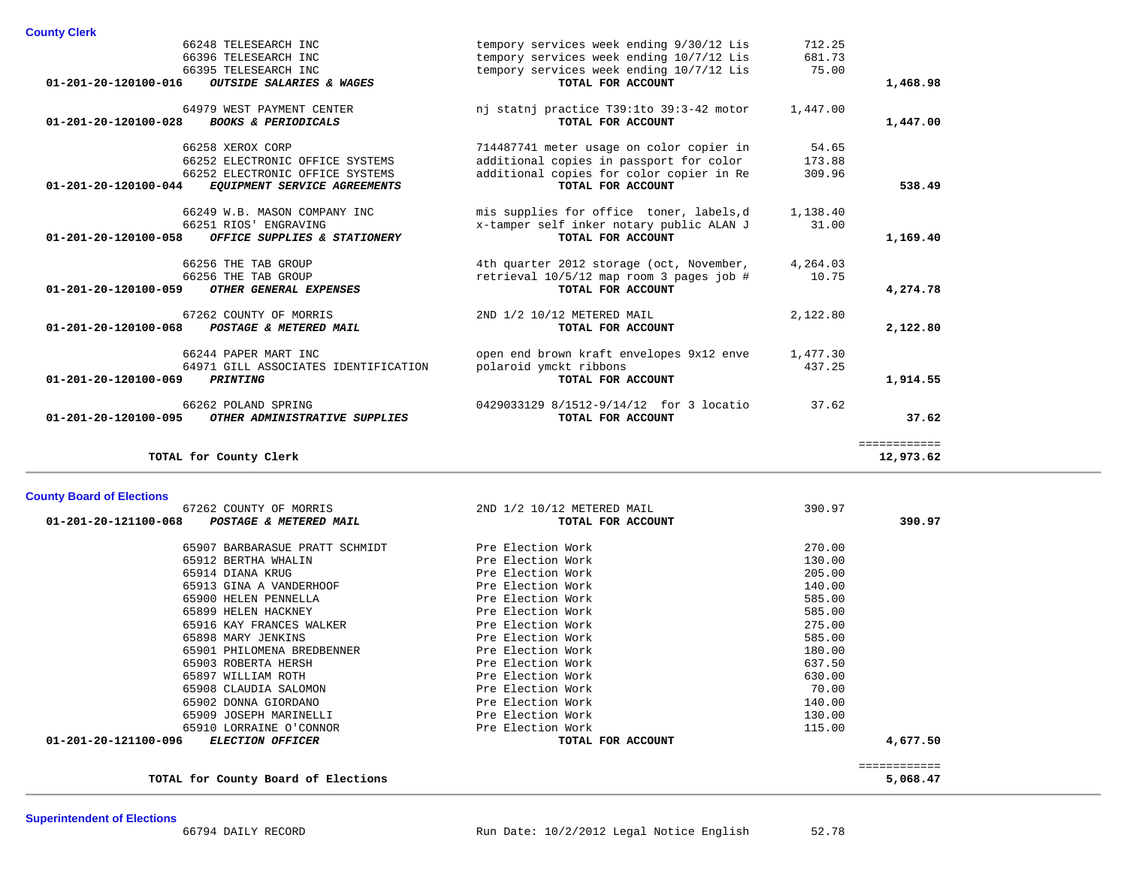| <b>County Clerk</b> |  |
|---------------------|--|
|                     |  |

| TOTAL for County Clerk                                                                                                                                   |                                                                                                                                                       |                           | 12,973.62             |
|----------------------------------------------------------------------------------------------------------------------------------------------------------|-------------------------------------------------------------------------------------------------------------------------------------------------------|---------------------------|-----------------------|
| 66262 POLAND SPRING<br>01-201-20-120100-095<br>OTHER ADMINISTRATIVE SUPPLIES                                                                             | 0429033129 8/1512-9/14/12 for 3 locatio<br>TOTAL FOR ACCOUNT                                                                                          | 37.62                     | 37.62<br>------------ |
| 66244 PAPER MART INC<br>64971 GILL ASSOCIATES IDENTIFICATION<br>01-201-20-120100-069<br><b>PRINTING</b>                                                  | open end brown kraft envelopes 9x12 enve<br>polaroid ymckt ribbons<br>TOTAL FOR ACCOUNT                                                               | 1,477.30<br>437.25        | 1,914.55              |
| 67262 COUNTY OF MORRIS<br>POSTAGE & METERED MAIL<br>$01 - 201 - 20 - 120100 - 068$                                                                       | 2ND 1/2 10/12 METERED MAIL<br>TOTAL FOR ACCOUNT                                                                                                       | 2,122.80                  | 2,122.80              |
| 66256 THE TAB GROUP<br>66256 THE TAB GROUP<br>01-201-20-120100-059<br>OTHER GENERAL EXPENSES                                                             | 4th quarter 2012 storage (oct, November,<br>retrieval 10/5/12 map room 3 pages job #<br>TOTAL FOR ACCOUNT                                             | 4,264.03<br>10.75         | 4,274.78              |
| 66249 W.B. MASON COMPANY INC<br>66251 RIOS' ENGRAVING<br>01-201-20-120100-058<br>OFFICE SUPPLIES & STATIONERY                                            | mis supplies for office toner, labels,d<br>x-tamper self inker notary public ALAN J<br>TOTAL FOR ACCOUNT                                              | 1,138.40<br>31.00         | 1,169.40              |
| 66258 XEROX CORP<br>66252 ELECTRONIC OFFICE SYSTEMS<br>66252 ELECTRONIC OFFICE SYSTEMS<br>$01 - 201 - 20 - 120100 - 044$<br>EQUIPMENT SERVICE AGREEMENTS | 714487741 meter usage on color copier in<br>additional copies in passport for color<br>additional copies for color copier in Re<br>TOTAL FOR ACCOUNT  | 54.65<br>173.88<br>309.96 | 538.49                |
| 64979 WEST PAYMENT CENTER<br>$01 - 201 - 20 - 120100 - 028$<br><b>BOOKS &amp; PERIODICALS</b>                                                            | nj statnj practice T39:1to 39:3-42 motor<br>TOTAL FOR ACCOUNT                                                                                         | 1,447.00                  | 1,447.00              |
| 66248 TELESEARCH INC<br>66396 TELESEARCH INC<br>66395 TELESEARCH INC<br>$01 - 201 - 20 - 120100 - 016$<br>OUTSIDE SALARIES & WAGES                       | tempory services week ending 9/30/12 Lis<br>tempory services week ending 10/7/12 Lis<br>tempory services week ending 10/7/12 Lis<br>TOTAL FOR ACCOUNT | 712.25<br>681.73<br>75.00 | 1,468.98              |
| <b>County Clerk</b>                                                                                                                                      |                                                                                                                                                       |                           |                       |

| <b>County Board of Elections</b> |  |  |  |  |
|----------------------------------|--|--|--|--|
|----------------------------------|--|--|--|--|

| 67262 COUNTY OF MORRIS                      | 2ND 1/2 10/12 METERED MAIL | 390.97   |
|---------------------------------------------|----------------------------|----------|
| 01-201-20-121100-068 POSTAGE & METERED MAIL | TOTAL FOR ACCOUNT          | 390.97   |
| 65907 BARBARASUE PRATT SCHMIDT              | Pre Election Work          | 270.00   |
| 65912 BERTHA WHALIN                         | Pre Election Work          | 130.00   |
| 65914 DIANA KRUG                            | Pre Election Work          | 205.00   |
| 65913 GINA A VANDERHOOF                     | Pre Election Work          | 140.00   |
| 65900 HELEN PENNELLA                        | Pre Election Work          | 585.00   |
| 65899 HELEN HACKNEY                         | Pre Election Work          | 585.00   |
| 65916 KAY FRANCES WALKER                    | Pre Election Work          | 275.00   |
| 65898 MARY JENKINS                          | Pre Election Work          | 585.00   |
| 65901 PHILOMENA BREDBENNER                  | Pre Election Work          | 180.00   |
| 65903 ROBERTA HERSH                         | Pre Election Work          | 637.50   |
| 65897 WILLIAM ROTH                          | Pre Election Work          | 630.00   |
| 65908 CLAUDIA SALOMON                       | Pre Election Work          | 70.00    |
| 65902 DONNA GIORDANO                        | Pre Election Work          | 140.00   |
| 65909 JOSEPH MARINELLI                      | Pre Election Work          | 130.00   |
| 65910 LORRAINE O'CONNOR                     | Pre Election Work          | 115.00   |
| 01-201-20-121100-096 ELECTION OFFICER       | TOTAL FOR ACCOUNT          | 4,677.50 |
|                                             |                            |          |

**TOTAL for County Board of Elections 5,068.47**

 ============ 5,068.47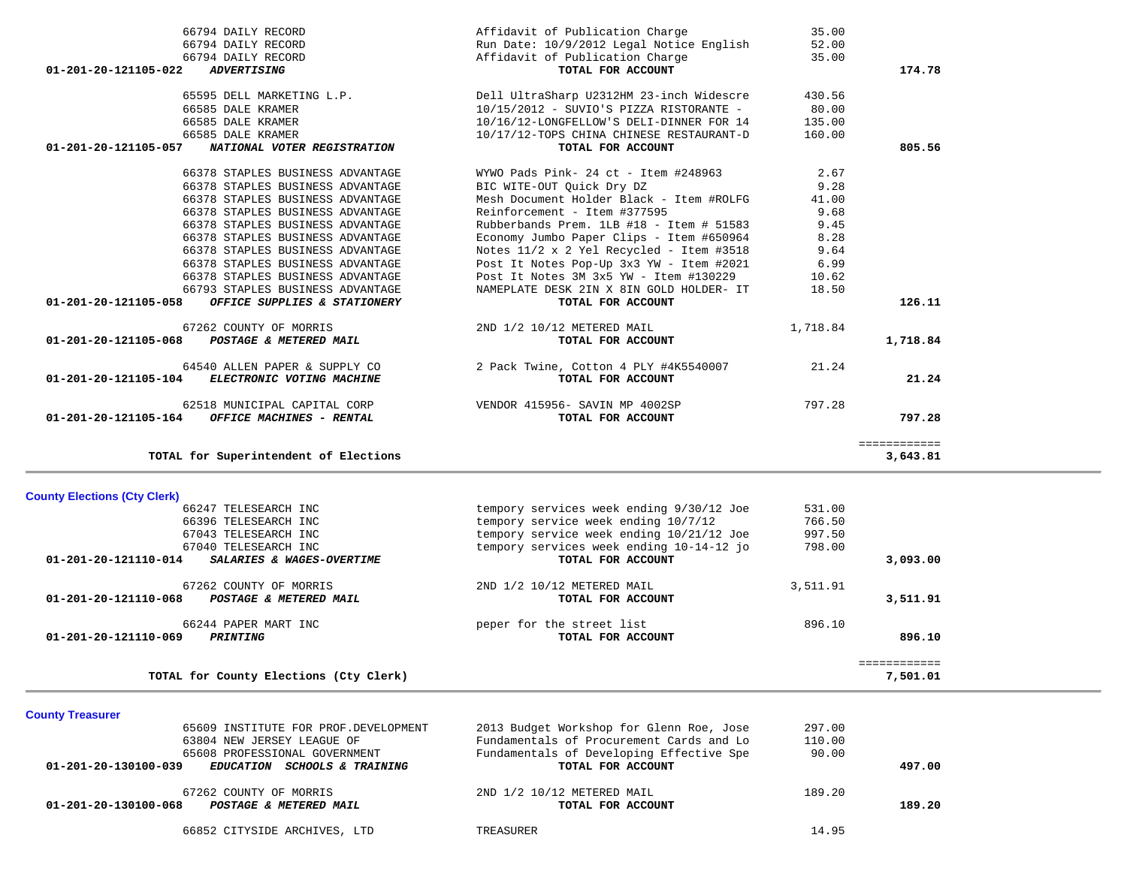| 66378 STAPLES BUSINESS ADVANTAGE<br>66378 STAPLES BUSINESS ADVANTAGE<br>66793 STAPLES BUSINESS ADVANTAGE<br>01-201-20-121105-058<br>OFFICE SUPPLIES & STATIONERY | Post It Notes Pop-Up 3x3 YW - Item #2021<br>Post It Notes 3M 3x5 YW - Item #130229<br>NAMEPLATE DESK 2IN X 8IN GOLD HOLDER- IT<br>TOTAL FOR ACCOUNT | 6.99<br>10.62<br>18.50 | 126.11                   |
|------------------------------------------------------------------------------------------------------------------------------------------------------------------|-----------------------------------------------------------------------------------------------------------------------------------------------------|------------------------|--------------------------|
| 67262 COUNTY OF MORRIS<br>POSTAGE & METERED MAIL<br>01-201-20-121105-068                                                                                         | 2ND 1/2 10/12 METERED MAIL<br>TOTAL FOR ACCOUNT                                                                                                     | 1,718.84               | 1,718.84                 |
| 64540 ALLEN PAPER & SUPPLY CO<br>01-201-20-121105-104<br>ELECTRONIC VOTING MACHINE                                                                               | 2 Pack Twine, Cotton 4 PLY #4K5540007<br>TOTAL FOR ACCOUNT                                                                                          | 21.24                  | 21.24                    |
| 62518 MUNICIPAL CAPITAL CORP<br>$01-201-20-121105-164$ OFFICE MACHINES - RENTAL                                                                                  | VENDOR 415956- SAVIN MP 4002SP<br>TOTAL FOR ACCOUNT                                                                                                 | 797.28                 | 797.28                   |
| TOTAL for Superintendent of Elections                                                                                                                            |                                                                                                                                                     |                        | ============<br>3,643.81 |
| <b>County Elections (Cty Clerk)</b>                                                                                                                              |                                                                                                                                                     |                        |                          |
| 66247 TELESEARCH INC                                                                                                                                             | tempory services week ending 9/30/12 Joe                                                                                                            | 531.00                 |                          |
| 66396 TELESEARCH INC                                                                                                                                             | tempory service week ending 10/7/12                                                                                                                 | 766.50                 |                          |
| 67043 TELESEARCH INC                                                                                                                                             | tempory service week ending 10/21/12 Joe                                                                                                            | 997.50                 |                          |
| 67040 TELESEARCH INC<br>01-201-20-121110-014<br>SALARIES & WAGES-OVERTIME                                                                                        | tempory services week ending 10-14-12 jo<br>TOTAL FOR ACCOUNT                                                                                       | 798.00                 | 3,093.00                 |
| 67262 COUNTY OF MORRIS<br>01-201-20-121110-068<br>POSTAGE & METERED MAIL                                                                                         | 2ND 1/2 10/12 METERED MAIL<br>TOTAL FOR ACCOUNT                                                                                                     | 3,511.91               | 3,511.91                 |
| 66244 PAPER MART INC<br>01-201-20-121110-069<br><i><b>PRINTING</b></i>                                                                                           | peper for the street list<br>TOTAL FOR ACCOUNT                                                                                                      | 896.10                 | 896.10                   |
| TOTAL for County Elections (Cty Clerk)                                                                                                                           |                                                                                                                                                     |                        | ============<br>7,501.01 |
| <b>County Treasurer</b>                                                                                                                                          |                                                                                                                                                     |                        |                          |
| 65609 INSTITUTE FOR PROF. DEVELOPMENT                                                                                                                            | 2013 Budget Workshop for Glenn Roe, Jose                                                                                                            | 297.00                 |                          |
| 63804 NEW JERSEY LEAGUE OF                                                                                                                                       | Fundamentals of Procurement Cards and Lo                                                                                                            | 110.00                 |                          |
| 65608 PROFESSIONAL GOVERNMENT                                                                                                                                    | Fundamentals of Developing Effective Spe                                                                                                            | 90.00                  |                          |
| 01-201-20-130100-039<br>EDUCATION SCHOOLS & TRAINING                                                                                                             | TOTAL FOR ACCOUNT                                                                                                                                   |                        | 497.00                   |

 67262 COUNTY OF MORRIS 2ND 1/2 10/12 METERED MAIL 189.20  **01-201-20-130100-068** *POSTAGE & METERED MAIL* **TOTAL FOR ACCOUNT 189.20**

66852 CITYSIDE ARCHIVES, LTD TREASURER 14.95

| 66794 DAILY RECORD                                   | Affidavit of Publication Charge              | 35.00  |        |
|------------------------------------------------------|----------------------------------------------|--------|--------|
| 66794 DAILY RECORD                                   | Run Date: 10/9/2012 Legal Notice English     | 52.00  |        |
| 66794 DAILY RECORD                                   | Affidavit of Publication Charge              | 35.00  |        |
| 01-201-20-121105-022<br><i><b>ADVERTISING</b></i>    | TOTAL FOR ACCOUNT                            |        | 174.78 |
|                                                      |                                              |        |        |
| 65595 DELL MARKETING L.P.                            | Dell UltraSharp U2312HM 23-inch Widescre     | 430.56 |        |
| 66585 DALE KRAMER                                    | 10/15/2012 - SUVIO'S PIZZA RISTORANTE -      | 80.00  |        |
| 66585 DALE KRAMER                                    | 10/16/12-LONGFELLOW'S DELI-DINNER FOR 14     | 135.00 |        |
| 66585 DALE KRAMER                                    | 10/17/12-TOPS CHINA CHINESE RESTAURANT-D     | 160.00 |        |
| 01-201-20-121105-057<br>NATIONAL VOTER REGISTRATION  | TOTAL FOR ACCOUNT                            |        | 805.56 |
|                                                      |                                              |        |        |
| 66378 STAPLES BUSINESS ADVANTAGE                     | WYWO Pads Pink- 24 ct - Item #248963         | 2.67   |        |
| 66378 STAPLES BUSINESS ADVANTAGE                     | BIC WITE-OUT Quick Dry DZ                    | 9.28   |        |
| 66378 STAPLES BUSINESS ADVANTAGE                     | Mesh Document Holder Black - Item #ROLFG     | 41.00  |        |
| 66378 STAPLES BUSINESS ADVANTAGE                     | Reinforcement - Item #377595                 | 9.68   |        |
| 66378 STAPLES BUSINESS ADVANTAGE                     | Rubberbands Prem. 1LB #18 - Item # 51583     | 9.45   |        |
| 66378 STAPLES BUSINESS ADVANTAGE                     | Economy Jumbo Paper Clips - Item #650964     | 8.28   |        |
| 66378 STAPLES BUSINESS ADVANTAGE                     | Notes $11/2$ x 2 Yel Recycled - Item #3518   | 9.64   |        |
| 66378 STAPLES BUSINESS ADVANTAGE                     | Post It Notes Pop-Up 3x3 YW - Item #2021     | 6.99   |        |
| 66378 STAPLES BUSINESS ADVANTAGE                     | Post It Notes $3M$ $3x5$ $YW -$ Item #130229 | 10.62  |        |
| 66793 STAPLES BUSINESS ADVANTAGE                     | NAMEPLATE DESK 2IN X 8IN GOLD HOLDER- IT     | 18.50  |        |
| 01-201-20-121105-058<br>OFFICE SUPPLIES & STATIONERY | TOTAL FOR ACCOUNT                            |        | 126.11 |
|                                                      |                                              |        |        |
|                                                      |                                              |        |        |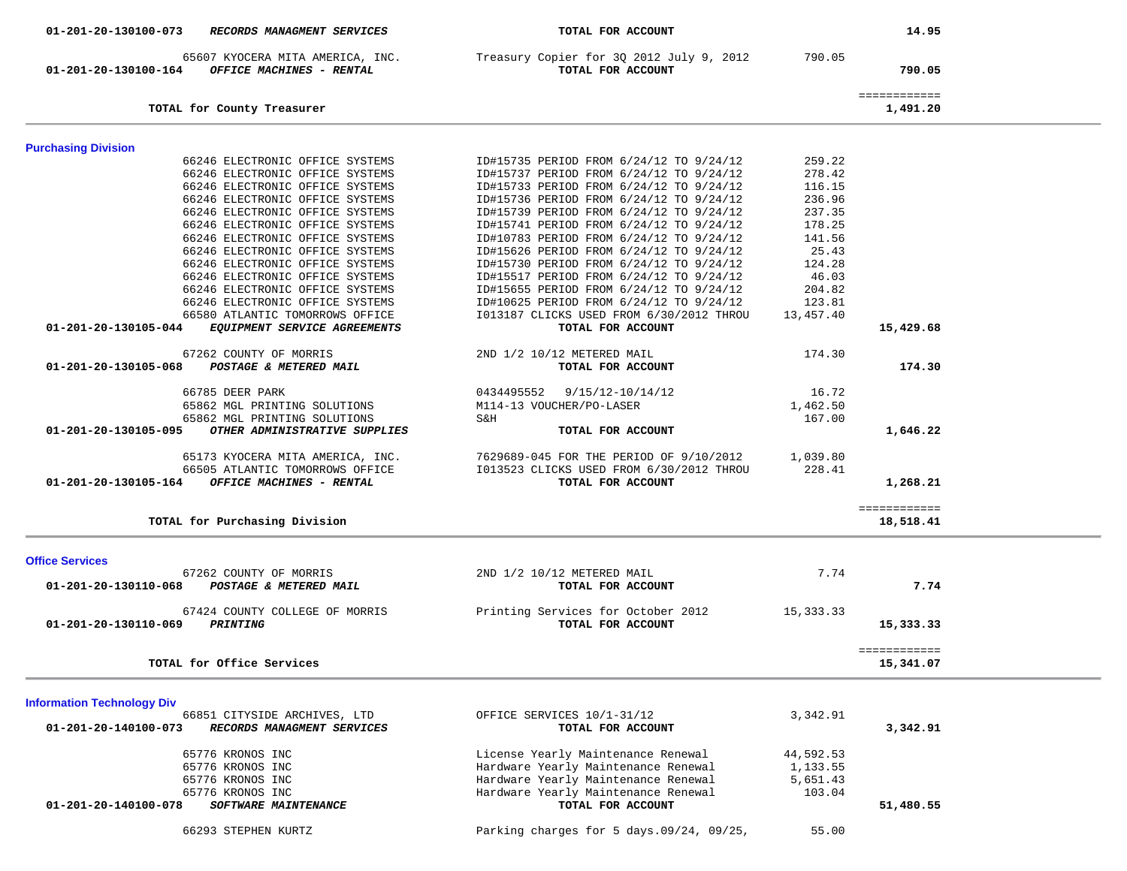| 01-201-20-130100-073 RECORDS MANAGMENT SERVICES                                                                                                                                                                                                                                                                                                            | TOTAL FOR ACCOUNT                                                                                                                                                                                                                                                                                                                                                                                                                          |                                                                                                | 14.95                     |  |
|------------------------------------------------------------------------------------------------------------------------------------------------------------------------------------------------------------------------------------------------------------------------------------------------------------------------------------------------------------|--------------------------------------------------------------------------------------------------------------------------------------------------------------------------------------------------------------------------------------------------------------------------------------------------------------------------------------------------------------------------------------------------------------------------------------------|------------------------------------------------------------------------------------------------|---------------------------|--|
| 01-201-20-130100-164 OFFICE MACHINES - RENTAL                                                                                                                                                                                                                                                                                                              | 65607 KYOCERA MITA AMERICA, INC. Treasury Copier for 3Q 2012 July 9, 2012<br>TOTAL FOR ACCOUNT                                                                                                                                                                                                                                                                                                                                             | 790.05                                                                                         | 790.05                    |  |
| TOTAL for County Treasurer                                                                                                                                                                                                                                                                                                                                 |                                                                                                                                                                                                                                                                                                                                                                                                                                            |                                                                                                | ============<br>1,491.20  |  |
| <b>Purchasing Division</b>                                                                                                                                                                                                                                                                                                                                 |                                                                                                                                                                                                                                                                                                                                                                                                                                            |                                                                                                |                           |  |
| 66246 ELECTRONIC OFFICE SYSTEMS<br>66246 ELECTRONIC OFFICE SYSTEMS<br>66246 ELECTRONIC OFFICE SYSTEMS<br>66246 ELECTRONIC OFFICE SYSTEMS<br>66246 ELECTRONIC OFFICE SYSTEMS<br>66246 ELECTRONIC OFFICE SYSTEMS<br>66246 ELECTRONIC OFFICE SYSTEMS<br>66246 ELECTRONIC OFFICE SYSTEMS<br>66246 ELECTRONIC OFFICE SYSTEMS<br>66246 ELECTRONIC OFFICE SYSTEMS | ID#15735 PERIOD FROM 6/24/12 TO 9/24/12<br>ID#15737 PERIOD FROM 6/24/12 TO 9/24/12<br>ID#15733 PERIOD FROM 6/24/12 TO 9/24/12<br>ID#15736 PERIOD FROM 6/24/12 TO 9/24/12<br>ID#15739 PERIOD FROM 6/24/12 TO 9/24/12<br>ID#15741 PERIOD FROM 6/24/12 TO 9/24/12<br>ID#10783 PERIOD FROM 6/24/12 TO 9/24/12<br>ID#15626 PERIOD FROM 6/24/12 TO 9/24/12<br>ID#15730 PERIOD FROM 6/24/12 TO 9/24/12<br>ID#15517 PERIOD FROM 6/24/12 TO 9/24/12 | 259.22<br>278.42<br>116.15<br>236.96<br>237.35<br>178.25<br>141.56<br>25.43<br>124.28<br>46.03 |                           |  |
| 66246 ELECTRONIC OFFICE SYSTEMS<br>66246 ELECTRONIC OFFICE SYSTEMS                                                                                                                                                                                                                                                                                         | ID#15655 PERIOD FROM 6/24/12 TO 9/24/12<br>ID#10625 PERIOD FROM 6/24/12 TO 9/24/12                                                                                                                                                                                                                                                                                                                                                         | 204.82<br>123.81                                                                               |                           |  |
| 66580 ATLANTIC TOMORROWS OFFICE<br>EQUIPMENT SERVICE AGREEMENTS<br>01-201-20-130105-044                                                                                                                                                                                                                                                                    | I013187 CLICKS USED FROM 6/30/2012 THROU<br>TOTAL FOR ACCOUNT                                                                                                                                                                                                                                                                                                                                                                              | 13,457.40                                                                                      | 15,429.68                 |  |
| 67262 COUNTY OF MORRIS<br>01-201-20-130105-068 POSTAGE & METERED MAIL                                                                                                                                                                                                                                                                                      | 2ND 1/2 10/12 METERED MAIL<br>TOTAL FOR ACCOUNT                                                                                                                                                                                                                                                                                                                                                                                            | 174.30                                                                                         | 174.30                    |  |
| 66785 DEER PARK<br>65862 MGL PRINTING SOLUTIONS<br>65862 MGL PRINTING SOLUTIONS<br>OTHER ADMINISTRATIVE SUPPLIES<br>01-201-20-130105-095                                                                                                                                                                                                                   | 0434495552 9/15/12-10/14/12<br>M114-13 VOUCHER/PO-LASER<br>S&H<br>TOTAL FOR ACCOUNT                                                                                                                                                                                                                                                                                                                                                        | 16.72<br>1,462.50<br>167.00                                                                    | 1,646.22                  |  |
| 65173 KYOCERA MITA AMERICA, INC.<br>66505 ATLANTIC TOMORROWS OFFICE<br>OFFICE MACHINES - RENTAL<br>01-201-20-130105-164                                                                                                                                                                                                                                    | 7629689-045 FOR THE PERIOD OF 9/10/2012 1,039.80<br>I013523 CLICKS USED FROM 6/30/2012 THROU<br>TOTAL FOR ACCOUNT                                                                                                                                                                                                                                                                                                                          | 228.41                                                                                         | 1,268.21                  |  |
| TOTAL for Purchasing Division                                                                                                                                                                                                                                                                                                                              |                                                                                                                                                                                                                                                                                                                                                                                                                                            |                                                                                                | ============<br>18,518.41 |  |
| <b>Office Services</b>                                                                                                                                                                                                                                                                                                                                     |                                                                                                                                                                                                                                                                                                                                                                                                                                            |                                                                                                |                           |  |
| 67262 COUNTY OF MORRIS<br>01-201-20-130110-068<br>POSTAGE & METERED MAIL                                                                                                                                                                                                                                                                                   | 2ND 1/2 10/12 METERED MAIL<br>TOTAL FOR ACCOUNT                                                                                                                                                                                                                                                                                                                                                                                            | 7.74                                                                                           | 7.74                      |  |
| 67424 COUNTY COLLEGE OF MORRIS<br>01-201-20-130110-069<br><i><b>PRINTING</b></i>                                                                                                                                                                                                                                                                           | Printing Services for October 2012<br>TOTAL FOR ACCOUNT                                                                                                                                                                                                                                                                                                                                                                                    | 15,333.33                                                                                      | 15,333.33                 |  |
| TOTAL for Office Services                                                                                                                                                                                                                                                                                                                                  |                                                                                                                                                                                                                                                                                                                                                                                                                                            |                                                                                                | ============<br>15,341.07 |  |
| <b>Information Technology Div</b>                                                                                                                                                                                                                                                                                                                          |                                                                                                                                                                                                                                                                                                                                                                                                                                            |                                                                                                |                           |  |
| 66851 CITYSIDE ARCHIVES, LTD<br>01-201-20-140100-073<br>RECORDS MANAGMENT SERVICES                                                                                                                                                                                                                                                                         | OFFICE SERVICES 10/1-31/12<br>TOTAL FOR ACCOUNT                                                                                                                                                                                                                                                                                                                                                                                            | 3,342.91                                                                                       | 3,342.91                  |  |
| 65776 KRONOS INC<br>65776 KRONOS INC<br>65776 KRONOS INC<br>65776 KRONOS INC<br>01-201-20-140100-078<br>SOFTWARE MAINTENANCE                                                                                                                                                                                                                               | License Yearly Maintenance Renewal<br>Hardware Yearly Maintenance Renewal<br>Hardware Yearly Maintenance Renewal<br>Hardware Yearly Maintenance Renewal<br>TOTAL FOR ACCOUNT                                                                                                                                                                                                                                                               | 44,592.53<br>1,133.55<br>5,651.43<br>103.04                                                    | 51,480.55                 |  |
| 66293 STEPHEN KURTZ                                                                                                                                                                                                                                                                                                                                        | Parking charges for 5 days.09/24, 09/25,                                                                                                                                                                                                                                                                                                                                                                                                   | 55.00                                                                                          |                           |  |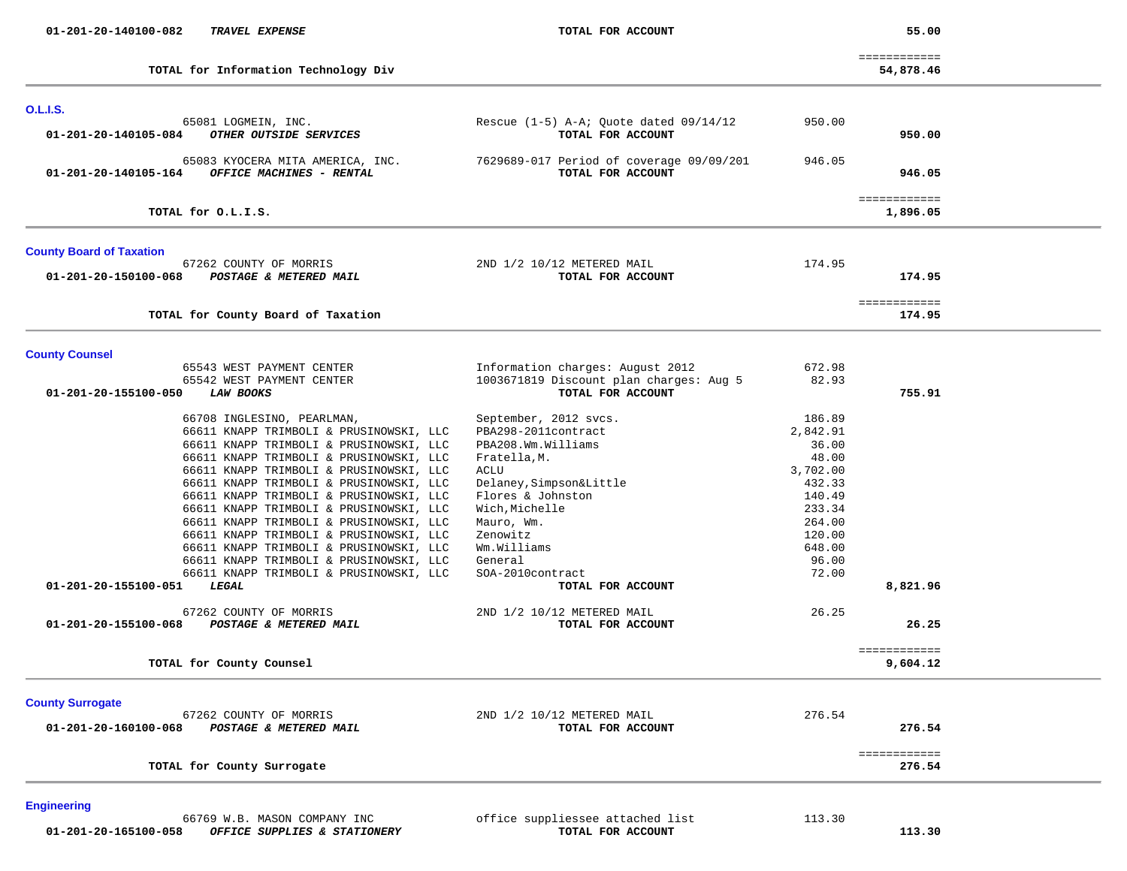| 01-201-20-140100-082<br><b>TRAVEL EXPENSE</b>                                       | TOTAL FOR ACCOUNT                                               |                 | 55.00                     |  |
|-------------------------------------------------------------------------------------|-----------------------------------------------------------------|-----------------|---------------------------|--|
| TOTAL for Information Technology Div                                                |                                                                 |                 | ============<br>54,878.46 |  |
| <b>O.L.I.S.</b>                                                                     |                                                                 |                 |                           |  |
| 65081 LOGMEIN, INC.<br>OTHER OUTSIDE SERVICES<br>01-201-20-140105-084               | Rescue $(1-5)$ A-A; Quote dated $09/14/12$<br>TOTAL FOR ACCOUNT | 950.00          | 950.00                    |  |
| 65083 KYOCERA MITA AMERICA, INC.<br>01-201-20-140105-164 OFFICE MACHINES - RENTAL   | 7629689-017 Period of coverage 09/09/201<br>TOTAL FOR ACCOUNT   | 946.05          | 946.05                    |  |
| TOTAL for O.L.I.S.                                                                  |                                                                 |                 | ============<br>1,896.05  |  |
| <b>County Board of Taxation</b>                                                     |                                                                 |                 |                           |  |
| 67262 COUNTY OF MORRIS<br>01-201-20-150100-068<br><b>POSTAGE &amp; METERED MAIL</b> | 2ND 1/2 10/12 METERED MAIL<br>TOTAL FOR ACCOUNT                 | 174.95          | 174.95                    |  |
| TOTAL for County Board of Taxation                                                  |                                                                 |                 | ============<br>174.95    |  |
| <b>County Counsel</b>                                                               |                                                                 |                 |                           |  |
| 65543 WEST PAYMENT CENTER                                                           | Information charges: August 2012                                | 672.98          |                           |  |
| 65542 WEST PAYMENT CENTER<br>01-201-20-155100-050<br><b>LAW BOOKS</b>               | 1003671819 Discount plan charges: Aug 5<br>TOTAL FOR ACCOUNT    | 82.93           | 755.91                    |  |
| 66708 INGLESINO, PEARLMAN,                                                          | September, 2012 svcs.                                           | 186.89          |                           |  |
| 66611 KNAPP TRIMBOLI & PRUSINOWSKI, LLC                                             | PBA298-2011contract                                             | 2,842.91        |                           |  |
| 66611 KNAPP TRIMBOLI & PRUSINOWSKI, LLC                                             | PBA208.Wm.Williams                                              | 36.00           |                           |  |
| 66611 KNAPP TRIMBOLI & PRUSINOWSKI, LLC                                             | Fratella, M.                                                    | 48.00           |                           |  |
| 66611 KNAPP TRIMBOLI & PRUSINOWSKI, LLC                                             | ACLU                                                            | 3,702.00        |                           |  |
| 66611 KNAPP TRIMBOLI & PRUSINOWSKI, LLC                                             | Delaney, Simpson&Little                                         | 432.33          |                           |  |
| 66611 KNAPP TRIMBOLI & PRUSINOWSKI, LLC                                             | Flores & Johnston                                               | 140.49          |                           |  |
| 66611 KNAPP TRIMBOLI & PRUSINOWSKI, LLC                                             | Wich, Michelle                                                  | 233.34          |                           |  |
| 66611 KNAPP TRIMBOLI & PRUSINOWSKI, LLC                                             | Mauro, Wm.                                                      | 264.00          |                           |  |
| 66611 KNAPP TRIMBOLI & PRUSINOWSKI, LLC                                             | Zenowitz<br>Wm.Williams                                         | 120.00          |                           |  |
| 66611 KNAPP TRIMBOLI & PRUSINOWSKI, LLC<br>66611 KNAPP TRIMBOLI & PRUSINOWSKI, LLC  | General                                                         | 648.00<br>96.00 |                           |  |
| 66611 KNAPP TRIMBOLI & PRUSINOWSKI, LLC                                             | SOA-2010contract                                                | 72.00           |                           |  |
| 01-201-20-155100-051<br>LEGAL                                                       | TOTAL FOR ACCOUNT                                               |                 | 8,821.96                  |  |
| 67262 COUNTY OF MORRIS                                                              | 2ND 1/2 10/12 METERED MAIL                                      | 26.25           |                           |  |
| 01-201-20-155100-068<br>POSTAGE & METERED MAIL                                      | TOTAL FOR ACCOUNT                                               |                 | 26.25                     |  |
|                                                                                     |                                                                 |                 | ============              |  |
| TOTAL for County Counsel                                                            |                                                                 |                 | 9,604.12                  |  |
| <b>County Surrogate</b>                                                             |                                                                 |                 |                           |  |
| 67262 COUNTY OF MORRIS<br>01-201-20-160100-068<br>POSTAGE & METERED MAIL            | 2ND 1/2 10/12 METERED MAIL<br>TOTAL FOR ACCOUNT                 | 276.54          | 276.54                    |  |
| TOTAL for County Surrogate                                                          |                                                                 |                 | ============<br>276.54    |  |

## **Engineering**

66769 W.B. MASON COMPANY INC office suppliessee attached list 113.30<br>3 OFFICE SUPPLIES & STATIONERY TOTAL FOR ACCOUNT  **01-201-20-165100-058** *OFFICE SUPPLIES & STATIONERY* **TOTAL FOR ACCOUNT 113.30**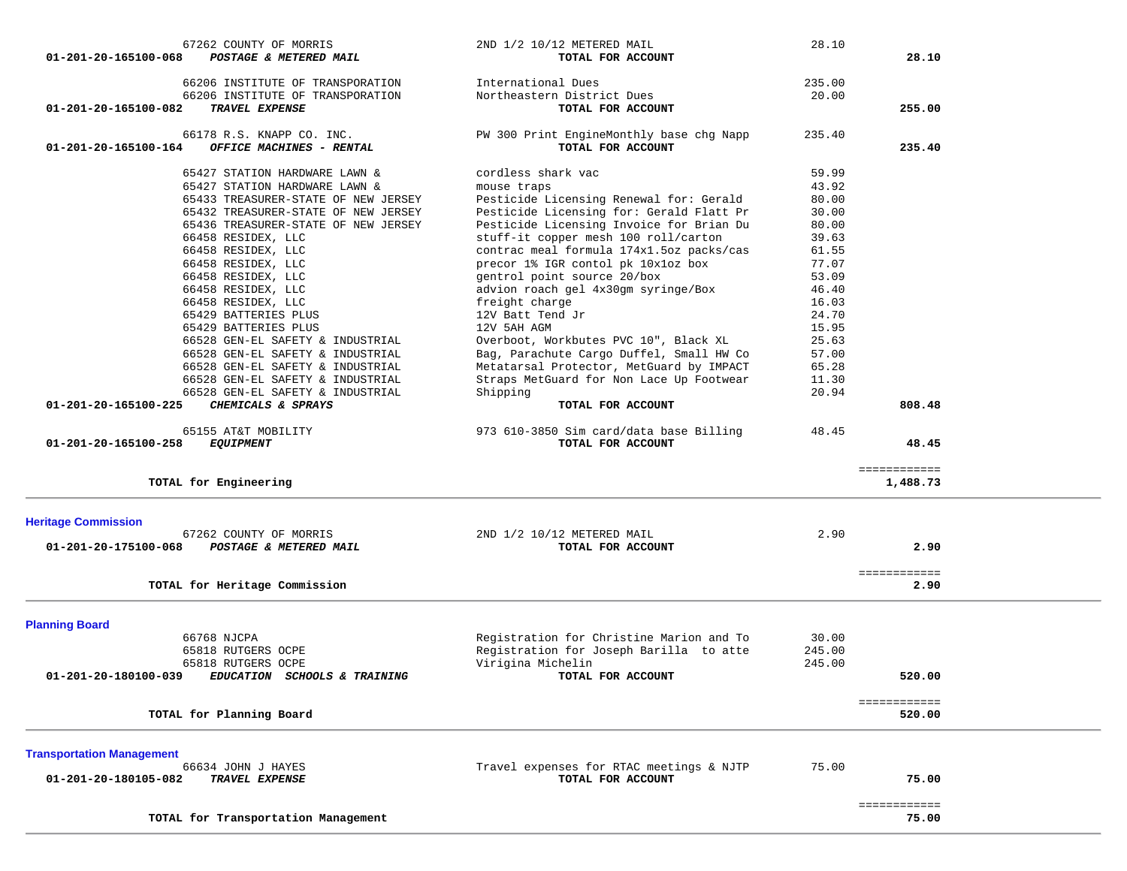| 67262 COUNTY OF MORRIS<br>01-201-20-165100-068<br>POSTAGE & METERED MAIL                                       | 2ND 1/2 10/12 METERED MAIL<br>TOTAL FOR ACCOUNT                                      | 28.10           | 28.10                    |  |
|----------------------------------------------------------------------------------------------------------------|--------------------------------------------------------------------------------------|-----------------|--------------------------|--|
| 66206 INSTITUTE OF TRANSPORATION<br>66206 INSTITUTE OF TRANSPORATION<br>01-201-20-165100-082<br>TRAVEL EXPENSE | International Dues<br>Northeastern District Dues<br>TOTAL FOR ACCOUNT                | 235.00<br>20.00 | 255.00                   |  |
|                                                                                                                |                                                                                      |                 |                          |  |
| 66178 R.S. KNAPP CO. INC.<br>01-201-20-165100-164<br>OFFICE MACHINES - RENTAL                                  | PW 300 Print EngineMonthly base chg Napp<br>TOTAL FOR ACCOUNT                        | 235.40          | 235.40                   |  |
| 65427 STATION HARDWARE LAWN &                                                                                  | cordless shark vac                                                                   | 59.99           |                          |  |
| 65427 STATION HARDWARE LAWN &                                                                                  | mouse traps                                                                          | 43.92           |                          |  |
| 65433 TREASURER-STATE OF NEW JERSEY                                                                            | Pesticide Licensing Renewal for: Gerald<br>Pesticide Licensing for: Gerald Flatt Pr  | 80.00<br>30.00  |                          |  |
| 65432 TREASURER-STATE OF NEW JERSEY<br>65436 TREASURER-STATE OF NEW JERSEY                                     | Pesticide Licensing Invoice for Brian Du                                             | 80.00           |                          |  |
| 66458 RESIDEX, LLC                                                                                             | stuff-it copper mesh 100 roll/carton                                                 | 39.63           |                          |  |
| 66458 RESIDEX, LLC                                                                                             | contrac meal formula 174x1.5oz packs/cas                                             | 61.55           |                          |  |
| 66458 RESIDEX, LLC                                                                                             | precor 1% IGR contol pk 10x1oz box                                                   | 77.07           |                          |  |
| 66458 RESIDEX, LLC                                                                                             | gentrol point source 20/box                                                          | 53.09           |                          |  |
| 66458 RESIDEX, LLC                                                                                             | advion roach gel 4x30gm syringe/Box                                                  | 46.40           |                          |  |
| 66458 RESIDEX, LLC                                                                                             | freight charge                                                                       | 16.03           |                          |  |
| 65429 BATTERIES PLUS                                                                                           | 12V Batt Tend Jr                                                                     | 24.70           |                          |  |
| 65429 BATTERIES PLUS                                                                                           | 12V 5AH AGM                                                                          | 15.95           |                          |  |
| 66528 GEN-EL SAFETY & INDUSTRIAL                                                                               | Overboot, Workbutes PVC 10", Black XL                                                | 25.63           |                          |  |
| 66528 GEN-EL SAFETY & INDUSTRIAL                                                                               | Bag, Parachute Cargo Duffel, Small HW Co                                             | 57.00           |                          |  |
| 66528 GEN-EL SAFETY & INDUSTRIAL<br>66528 GEN-EL SAFETY & INDUSTRIAL                                           | Metatarsal Protector, MetGuard by IMPACT<br>Straps MetGuard for Non Lace Up Footwear | 65.28<br>11.30  |                          |  |
| 66528 GEN-EL SAFETY & INDUSTRIAL                                                                               | Shipping                                                                             | 20.94           |                          |  |
| 01-201-20-165100-225<br>CHEMICALS & SPRAYS                                                                     | TOTAL FOR ACCOUNT                                                                    |                 | 808.48                   |  |
|                                                                                                                | 973 610-3850 Sim card/data base Billing                                              | 48.45           |                          |  |
|                                                                                                                |                                                                                      |                 |                          |  |
| 65155 AT&T MOBILITY<br>01-201-20-165100-258<br><b>EQUIPMENT</b>                                                | TOTAL FOR ACCOUNT                                                                    |                 | 48.45                    |  |
| TOTAL for Engineering                                                                                          |                                                                                      |                 | ============<br>1,488.73 |  |
| <b>Heritage Commission</b>                                                                                     |                                                                                      |                 |                          |  |
| 67262 COUNTY OF MORRIS                                                                                         | 2ND 1/2 10/12 METERED MAIL                                                           | 2.90            |                          |  |
| 01-201-20-175100-068<br>POSTAGE & METERED MAIL                                                                 | TOTAL FOR ACCOUNT                                                                    |                 | 2.90                     |  |
|                                                                                                                |                                                                                      |                 |                          |  |
| TOTAL for Heritage Commission                                                                                  |                                                                                      |                 | ============<br>2.90     |  |
|                                                                                                                |                                                                                      |                 |                          |  |
| <b>Planning Board</b>                                                                                          |                                                                                      |                 |                          |  |
| 66768 NJCPA<br>65818 RUTGERS OCPE                                                                              | Registration for Christine Marion and To                                             | 30.00<br>245.00 |                          |  |
| 65818 RUTGERS OCPE                                                                                             | Registration for Joseph Barilla to atte<br>Virigina Michelin                         | 245.00          |                          |  |
| 01-201-20-180100-039<br>EDUCATION SCHOOLS & TRAINING                                                           | TOTAL FOR ACCOUNT                                                                    |                 | 520.00                   |  |
|                                                                                                                |                                                                                      |                 |                          |  |
| TOTAL for Planning Board                                                                                       |                                                                                      |                 | ============<br>520.00   |  |
|                                                                                                                |                                                                                      |                 |                          |  |
| <b>Transportation Management</b>                                                                               |                                                                                      |                 |                          |  |
| 66634 JOHN J HAYES<br>01-201-20-180105-082<br>TRAVEL EXPENSE                                                   | Travel expenses for RTAC meetings & NJTP<br>TOTAL FOR ACCOUNT                        | 75.00           | 75.00                    |  |
|                                                                                                                |                                                                                      |                 |                          |  |
| TOTAL for Transportation Management                                                                            |                                                                                      |                 | ============<br>75.00    |  |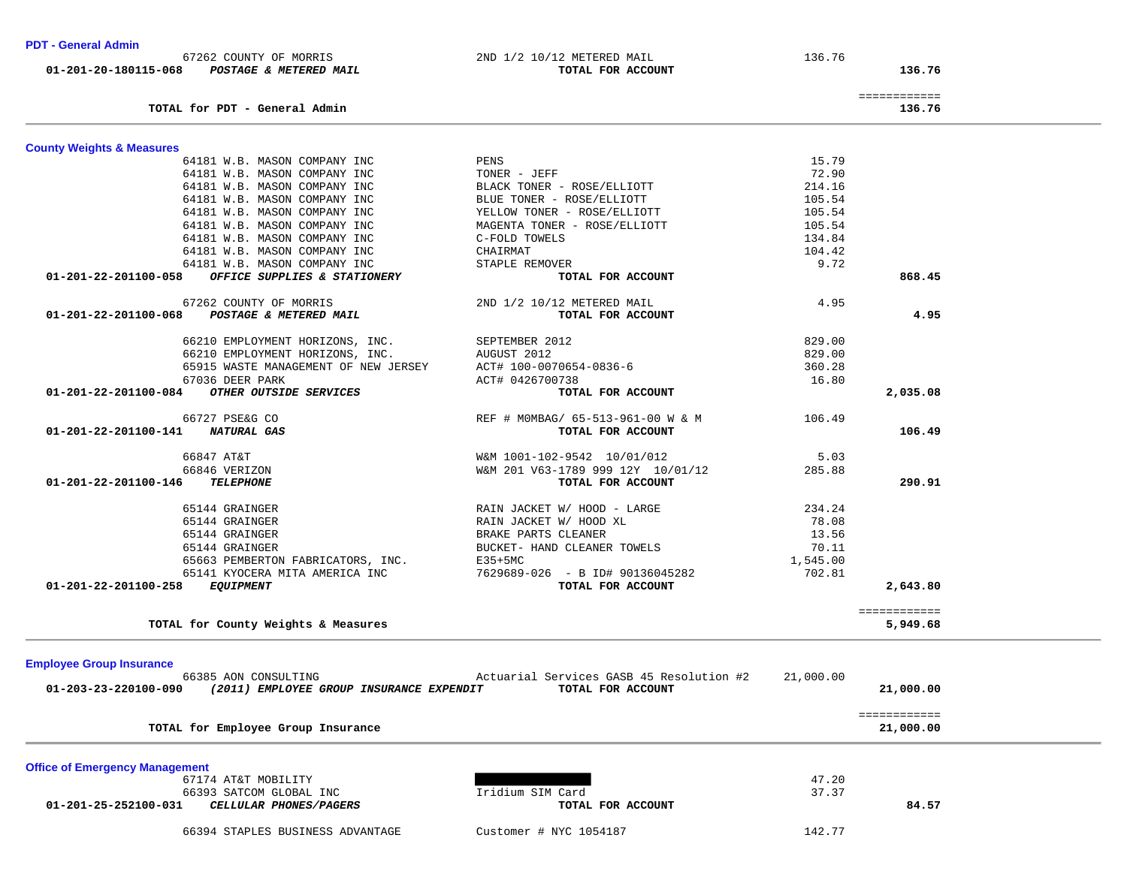| 64181 W.B. MASON COMPANY INC                                                             | MAGENTA TONER - ROSE/ELLIOTT                                  | 105.54    |                           |  |
|------------------------------------------------------------------------------------------|---------------------------------------------------------------|-----------|---------------------------|--|
| 64181 W.B. MASON COMPANY INC                                                             | C-FOLD TOWELS                                                 | 134.84    |                           |  |
| 64181 W.B. MASON COMPANY INC                                                             | CHAIRMAT                                                      | 104.42    |                           |  |
| 64181 W.B. MASON COMPANY INC                                                             | STAPLE REMOVER                                                | 9.72      |                           |  |
| 01-201-22-201100-058<br>OFFICE SUPPLIES & STATIONERY                                     | TOTAL FOR ACCOUNT                                             |           | 868.45                    |  |
| 67262 COUNTY OF MORRIS                                                                   | 2ND 1/2 10/12 METERED MAIL                                    | 4.95      |                           |  |
| 01-201-22-201100-068<br>POSTAGE & METERED MAIL                                           | TOTAL FOR ACCOUNT                                             |           | 4.95                      |  |
| 66210 EMPLOYMENT HORIZONS, INC.                                                          | SEPTEMBER 2012                                                | 829.00    |                           |  |
| 66210 EMPLOYMENT HORIZONS, INC.                                                          | AUGUST 2012                                                   | 829.00    |                           |  |
| 65915 WASTE MANAGEMENT OF NEW JERSEY                                                     | ACT# 100-0070654-0836-6                                       | 360.28    |                           |  |
| 67036 DEER PARK                                                                          | ACT# 0426700738                                               | 16.80     |                           |  |
| OTHER OUTSIDE SERVICES<br>01-201-22-201100-084                                           | TOTAL FOR ACCOUNT                                             |           | 2,035.08                  |  |
| 66727 PSE&G CO                                                                           | REF # MOMBAG/ 65-513-961-00 W & M                             | 106.49    |                           |  |
| <b>NATURAL GAS</b><br>01-201-22-201100-141                                               | TOTAL FOR ACCOUNT                                             |           | 106.49                    |  |
| 66847 AT&T                                                                               | W&M 1001-102-9542 10/01/012                                   | 5.03      |                           |  |
| 66846 VERIZON                                                                            | W&M 201 V63-1789 999 12Y 10/01/12                             | 285.88    |                           |  |
| 01-201-22-201100-146<br><b>TELEPHONE</b>                                                 | TOTAL FOR ACCOUNT                                             |           | 290.91                    |  |
| 65144 GRAINGER                                                                           | RAIN JACKET W/ HOOD - LARGE                                   | 234.24    |                           |  |
| 65144 GRAINGER                                                                           | RAIN JACKET W/ HOOD XL                                        | 78.08     |                           |  |
| 65144 GRAINGER                                                                           | BRAKE PARTS CLEANER                                           | 13.56     |                           |  |
| 65144 GRAINGER                                                                           | BUCKET- HAND CLEANER TOWELS                                   | 70.11     |                           |  |
| 65663 PEMBERTON FABRICATORS, INC.                                                        | $E35+5MC$                                                     | 1,545.00  |                           |  |
| 65141 KYOCERA MITA AMERICA INC                                                           | 7629689-026 - B ID# 90136045282                               | 702.81    |                           |  |
| 01-201-22-201100-258<br><b>EQUIPMENT</b>                                                 | TOTAL FOR ACCOUNT                                             |           | 2,643.80                  |  |
|                                                                                          |                                                               |           | ============              |  |
| TOTAL for County Weights & Measures                                                      |                                                               |           | 5,949.68                  |  |
|                                                                                          |                                                               |           |                           |  |
| <b>Employee Group Insurance</b>                                                          |                                                               |           |                           |  |
| 66385 AON CONSULTING<br>(2011) EMPLOYEE GROUP INSURANCE EXPENDIT<br>01-203-23-220100-090 | Actuarial Services GASB 45 Resolution #2<br>TOTAL FOR ACCOUNT | 21,000.00 | 21,000.00                 |  |
|                                                                                          |                                                               |           |                           |  |
| TOTAL for Employee Group Insurance                                                       |                                                               |           | ============<br>21,000.00 |  |
|                                                                                          |                                                               |           |                           |  |
| <b>Office of Emergency Management</b>                                                    |                                                               |           |                           |  |
| 67174 AT&T MOBILITY                                                                      |                                                               | 47.20     |                           |  |
| 66393 SATCOM GLOBAL INC                                                                  | Iridium SIM Card                                              | 37.37     |                           |  |
| 01-201-25-252100-031 CELLULAR PHONES/PAGERS                                              | TOTAL FOR ACCOUNT                                             |           | 84.57                     |  |
| 66394 STAPLES BUSINESS ADVANTAGE                                                         | Customer # NYC 1054187                                        | 142.77    |                           |  |
|                                                                                          |                                                               |           |                           |  |

64181 W.B. MASON COMPANY INC PENS 15.79

 64181 W.B. MASON COMPANY INC TONER - JEFF 72.90 64181 W.B. MASON COMPANY INC BLACK TONER - ROSE/ELLIOTT 214.16 64181 W.B. MASON COMPANY INC BLUE TONER - ROSE/ELLIOTT 105.54 64181 W.B. MASON COMPANY INC YELLOW TONER - ROSE/ELLIOTT 105.54

136.76

**PDT - General Admin** 

**County Weights & Measures**

72.90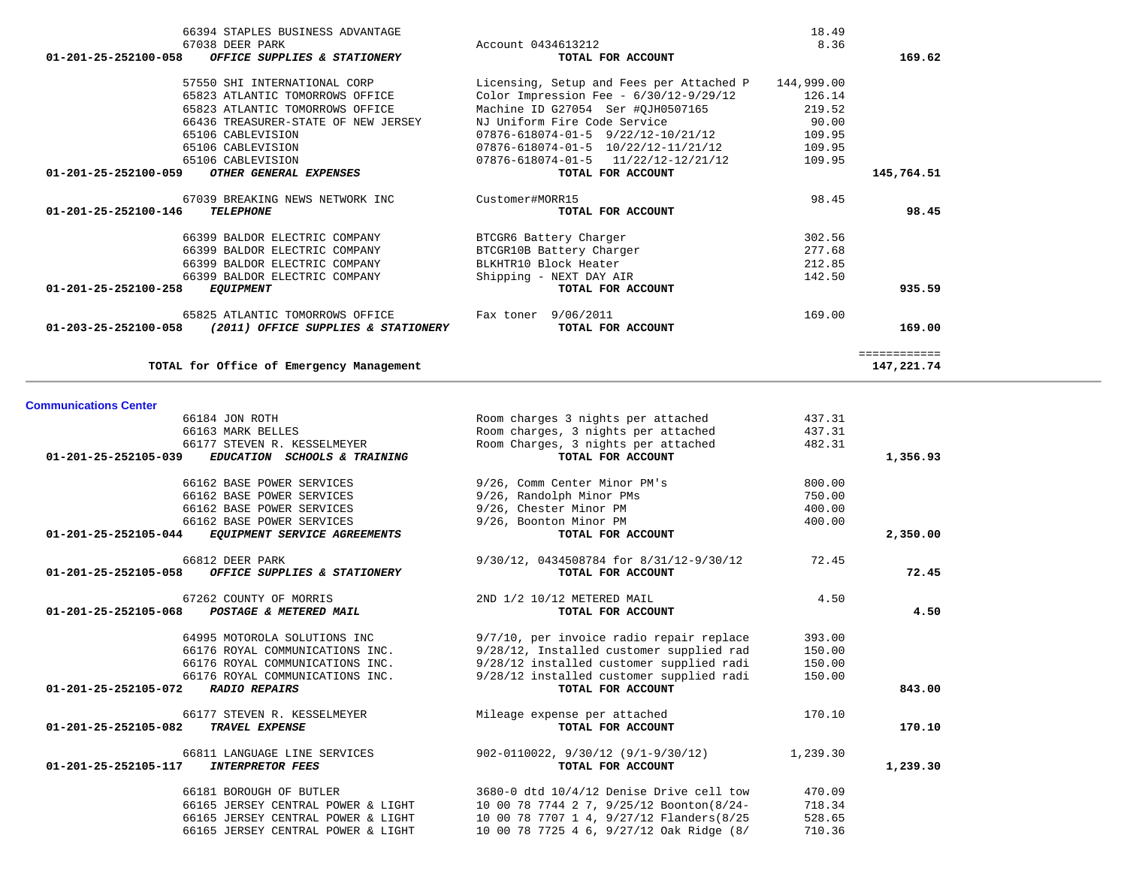|                                    | OFFICE SUPPLIES & STATIONERY                                             | TOTAL FOR ACCOUNT                                                                    |                  | 169.62       |
|------------------------------------|--------------------------------------------------------------------------|--------------------------------------------------------------------------------------|------------------|--------------|
|                                    | 57550 SHI INTERNATIONAL CORP                                             | Licensing, Setup and Fees per Attached P                                             | 144,999.00       |              |
|                                    | 65823 ATLANTIC TOMORROWS OFFICE                                          | Color Impression Fee - $6/30/12-9/29/12$                                             | 126.14           |              |
|                                    | 65823 ATLANTIC TOMORROWS OFFICE                                          | Machine ID G27054 Ser #QJH0507165                                                    | 219.52           |              |
|                                    | 66436 TREASURER-STATE OF NEW JERSEY                                      | NJ Uniform Fire Code Service                                                         | 90.00            |              |
|                                    | 65106 CABLEVISION                                                        | $07876 - 618074 - 01 - 5$ $9/22/12 - 10/21/12$                                       | 109.95           |              |
|                                    | 65106 CABLEVISION                                                        | 07876-618074-01-5 10/22/12-11/21/12                                                  | 109.95           |              |
|                                    |                                                                          |                                                                                      |                  |              |
|                                    | 65106 CABLEVISION<br>OTHER GENERAL EXPENSES                              | $07876 - 618074 - 01 - 5$ $11/22/12 - 12/21/12$                                      | 109.95           |              |
| 01-201-25-252100-059               |                                                                          | TOTAL FOR ACCOUNT                                                                    |                  | 145,764.51   |
|                                    | 67039 BREAKING NEWS NETWORK INC                                          | Customer#MORR15                                                                      | 98.45            |              |
| 01-201-25-252100-146               | <b>TELEPHONE</b>                                                         | TOTAL FOR ACCOUNT                                                                    |                  | 98.45        |
|                                    | 66399 BALDOR ELECTRIC COMPANY                                            | BTCGR6 Battery Charger                                                               | 302.56           |              |
|                                    | 66399 BALDOR ELECTRIC COMPANY                                            | BTCGR10B Battery Charger                                                             | 277.68           |              |
|                                    | 66399 BALDOR ELECTRIC COMPANY                                            | BLKHTR10 Block Heater                                                                | 212.85           |              |
|                                    |                                                                          |                                                                                      |                  |              |
|                                    | 66399 BALDOR ELECTRIC COMPANY                                            | Shipping - NEXT DAY AIR                                                              | 142.50           |              |
| 01-201-25-252100-258               | <b>EQUIPMENT</b>                                                         | TOTAL FOR ACCOUNT                                                                    |                  | 935.59       |
|                                    | 65825 ATLANTIC TOMORROWS OFFICE                                          | Fax toner 9/06/2011                                                                  | 169.00           |              |
| 01-203-25-252100-058               | (2011) OFFICE SUPPLIES & STATIONERY                                      | TOTAL FOR ACCOUNT                                                                    |                  | 169.00       |
|                                    |                                                                          |                                                                                      |                  | ============ |
|                                    | TOTAL for Office of Emergency Management                                 |                                                                                      |                  | 147,221.74   |
|                                    |                                                                          |                                                                                      |                  |              |
| <b>Communications Center</b>       |                                                                          |                                                                                      |                  |              |
|                                    |                                                                          |                                                                                      |                  |              |
|                                    | 66184 JON ROTH                                                           | Room charges 3 nights per attached                                                   | 437.31           |              |
|                                    | 66163 MARK BELLES                                                        | Room charges, 3 nights per attached                                                  | 437.31           |              |
|                                    | 66177 STEVEN R. KESSELMEYER                                              | Room Charges, 3 nights per attached                                                  | 482.31           |              |
| 01-201-25-252105-039               | EDUCATION SCHOOLS & TRAINING                                             | TOTAL FOR ACCOUNT                                                                    |                  | 1,356.93     |
|                                    |                                                                          |                                                                                      |                  |              |
|                                    |                                                                          |                                                                                      |                  |              |
|                                    | 66162 BASE POWER SERVICES                                                | 9/26, Comm Center Minor PM's                                                         | 800.00           |              |
|                                    | 66162 BASE POWER SERVICES                                                | 9/26, Randolph Minor PMs                                                             | 750.00           |              |
|                                    | 66162 BASE POWER SERVICES                                                | 9/26, Chester Minor PM                                                               | 400.00           |              |
|                                    | 66162 BASE POWER SERVICES                                                | 9/26, Boonton Minor PM                                                               | 400.00           |              |
| 01-201-25-252105-044               | EQUIPMENT SERVICE AGREEMENTS                                             | TOTAL FOR ACCOUNT                                                                    |                  | 2,350.00     |
|                                    | 66812 DEER PARK                                                          | 9/30/12, 0434508784 for 8/31/12-9/30/12                                              | 72.45            |              |
| 01-201-25-252105-058               | OFFICE SUPPLIES & STATIONERY                                             | TOTAL FOR ACCOUNT                                                                    |                  | 72.45        |
|                                    |                                                                          |                                                                                      |                  |              |
|                                    | 67262 COUNTY OF MORRIS                                                   | 2ND 1/2 10/12 METERED MAIL                                                           | 4.50             |              |
| 01-201-25-252105-068               | POSTAGE & METERED MAIL                                                   | TOTAL FOR ACCOUNT                                                                    |                  | 4.50         |
|                                    |                                                                          |                                                                                      |                  |              |
|                                    | 64995 MOTOROLA SOLUTIONS INC                                             | 9/7/10, per invoice radio repair replace                                             | 393.00           |              |
|                                    | 66176 ROYAL COMMUNICATIONS INC.                                          | 9/28/12, Installed customer supplied rad                                             | 150.00           |              |
|                                    | 66176 ROYAL COMMUNICATIONS INC.                                          | 9/28/12 installed customer supplied radi                                             | 150.00           |              |
|                                    | 66176 ROYAL COMMUNICATIONS INC.                                          | 9/28/12 installed customer supplied radi                                             | 150.00           |              |
| 01-201-25-252105-072 RADIO REPAIRS |                                                                          | TOTAL FOR ACCOUNT                                                                    |                  | 843.00       |
|                                    | 66177 STEVEN R. KESSELMEYER                                              | Mileage expense per attached                                                         | 170.10           |              |
| 01-201-25-252105-082               | <b>TRAVEL EXPENSE</b>                                                    | TOTAL FOR ACCOUNT                                                                    |                  | 170.10       |
|                                    |                                                                          |                                                                                      |                  |              |
|                                    | 66811 LANGUAGE LINE SERVICES                                             | $902-0110022, 9/30/12 (9/1-9/30/12)$                                                 | 1,239.30         |              |
| 01-201-25-252105-117               | <i><b>INTERPRETOR FEES</b></i>                                           | TOTAL FOR ACCOUNT                                                                    |                  | 1,239.30     |
|                                    |                                                                          |                                                                                      |                  |              |
|                                    | 66181 BOROUGH OF BUTLER                                                  | 3680-0 dtd 10/4/12 Denise Drive cell tow                                             | 470.09           |              |
|                                    | 66165 JERSEY CENTRAL POWER & LIGHT                                       | 10 00 78 7744 2 7, 9/25/12 Boonton(8/24-                                             | 718.34           |              |
|                                    | 66165 JERSEY CENTRAL POWER & LIGHT<br>66165 JERSEY CENTRAL POWER & LIGHT | 10 00 78 7707 1 4, 9/27/12 Flanders(8/25<br>10 00 78 7725 4 6, 9/27/12 Oak Ridge (8/ | 528.65<br>710.36 |              |

66394 STAPLES BUSINESS ADVANTAGE 18.49

67038 DEER PARK Account 0434613212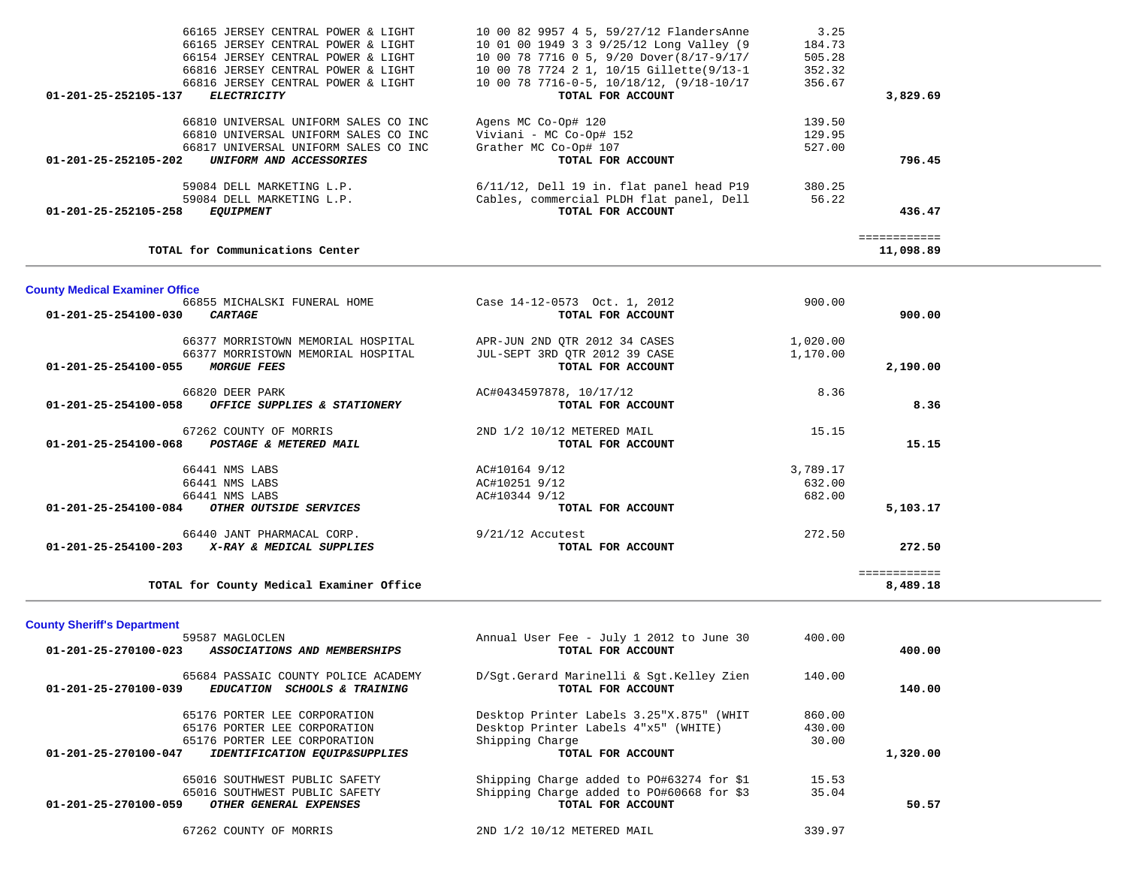| <b>County Sheriff's Department</b>   |                                                                                                                                                                                                                                                                                                                                                                                                                                                                                                                                                                                                                                                                                                                      |                                                                                                                                                                                                                                                                                                                                | 8,489.18                                                                                 |                                                                |
|--------------------------------------|----------------------------------------------------------------------------------------------------------------------------------------------------------------------------------------------------------------------------------------------------------------------------------------------------------------------------------------------------------------------------------------------------------------------------------------------------------------------------------------------------------------------------------------------------------------------------------------------------------------------------------------------------------------------------------------------------------------------|--------------------------------------------------------------------------------------------------------------------------------------------------------------------------------------------------------------------------------------------------------------------------------------------------------------------------------|------------------------------------------------------------------------------------------|----------------------------------------------------------------|
|                                      | TOTAL FOR ACCOUNT                                                                                                                                                                                                                                                                                                                                                                                                                                                                                                                                                                                                                                                                                                    |                                                                                                                                                                                                                                                                                                                                | 272.50                                                                                   |                                                                |
|                                      |                                                                                                                                                                                                                                                                                                                                                                                                                                                                                                                                                                                                                                                                                                                      |                                                                                                                                                                                                                                                                                                                                |                                                                                          |                                                                |
| OTHER OUTSIDE SERVICES               | TOTAL FOR ACCOUNT                                                                                                                                                                                                                                                                                                                                                                                                                                                                                                                                                                                                                                                                                                    |                                                                                                                                                                                                                                                                                                                                | 5,103.17                                                                                 |                                                                |
| 66441 NMS LABS                       | AC#10344 9/12                                                                                                                                                                                                                                                                                                                                                                                                                                                                                                                                                                                                                                                                                                        | 682.00                                                                                                                                                                                                                                                                                                                         |                                                                                          |                                                                |
|                                      |                                                                                                                                                                                                                                                                                                                                                                                                                                                                                                                                                                                                                                                                                                                      |                                                                                                                                                                                                                                                                                                                                |                                                                                          |                                                                |
|                                      |                                                                                                                                                                                                                                                                                                                                                                                                                                                                                                                                                                                                                                                                                                                      |                                                                                                                                                                                                                                                                                                                                |                                                                                          |                                                                |
| 67262 COUNTY OF MORRIS               | 2ND 1/2 10/12 METERED MAIL<br>TOTAL FOR ACCOUNT                                                                                                                                                                                                                                                                                                                                                                                                                                                                                                                                                                                                                                                                      | 15.15                                                                                                                                                                                                                                                                                                                          | 15.15                                                                                    |                                                                |
| OFFICE SUPPLIES & STATIONERY         | TOTAL FOR ACCOUNT                                                                                                                                                                                                                                                                                                                                                                                                                                                                                                                                                                                                                                                                                                    |                                                                                                                                                                                                                                                                                                                                | 8.36                                                                                     |                                                                |
|                                      |                                                                                                                                                                                                                                                                                                                                                                                                                                                                                                                                                                                                                                                                                                                      |                                                                                                                                                                                                                                                                                                                                |                                                                                          |                                                                |
| <b>MORGUE FEES</b>                   |                                                                                                                                                                                                                                                                                                                                                                                                                                                                                                                                                                                                                                                                                                                      |                                                                                                                                                                                                                                                                                                                                |                                                                                          |                                                                |
| 66377 MORRISTOWN MEMORIAL HOSPITAL   | APR-JUN 2ND QTR 2012 34 CASES                                                                                                                                                                                                                                                                                                                                                                                                                                                                                                                                                                                                                                                                                        | 1,020.00                                                                                                                                                                                                                                                                                                                       |                                                                                          |                                                                |
| CARTAGE                              | TOTAL FOR ACCOUNT                                                                                                                                                                                                                                                                                                                                                                                                                                                                                                                                                                                                                                                                                                    |                                                                                                                                                                                                                                                                                                                                | 900.00                                                                                   |                                                                |
| 66855 MICHALSKI FUNERAL HOME         | Case 14-12-0573 Oct. 1, 2012                                                                                                                                                                                                                                                                                                                                                                                                                                                                                                                                                                                                                                                                                         | 900.00                                                                                                                                                                                                                                                                                                                         |                                                                                          |                                                                |
|                                      |                                                                                                                                                                                                                                                                                                                                                                                                                                                                                                                                                                                                                                                                                                                      |                                                                                                                                                                                                                                                                                                                                |                                                                                          |                                                                |
|                                      |                                                                                                                                                                                                                                                                                                                                                                                                                                                                                                                                                                                                                                                                                                                      |                                                                                                                                                                                                                                                                                                                                | 11,098.89                                                                                |                                                                |
|                                      |                                                                                                                                                                                                                                                                                                                                                                                                                                                                                                                                                                                                                                                                                                                      |                                                                                                                                                                                                                                                                                                                                |                                                                                          |                                                                |
| 59084 DELL MARKETING L.P.            | Cables, commercial PLDH flat panel, Dell                                                                                                                                                                                                                                                                                                                                                                                                                                                                                                                                                                                                                                                                             | 56.22                                                                                                                                                                                                                                                                                                                          |                                                                                          |                                                                |
|                                      |                                                                                                                                                                                                                                                                                                                                                                                                                                                                                                                                                                                                                                                                                                                      |                                                                                                                                                                                                                                                                                                                                |                                                                                          |                                                                |
| UNIFORM AND ACCESSORIES              | TOTAL FOR ACCOUNT                                                                                                                                                                                                                                                                                                                                                                                                                                                                                                                                                                                                                                                                                                    |                                                                                                                                                                                                                                                                                                                                | 796.45                                                                                   |                                                                |
|                                      |                                                                                                                                                                                                                                                                                                                                                                                                                                                                                                                                                                                                                                                                                                                      |                                                                                                                                                                                                                                                                                                                                |                                                                                          |                                                                |
| 66810 UNIVERSAL UNIFORM SALES CO INC | Agens MC Co-Op# 120                                                                                                                                                                                                                                                                                                                                                                                                                                                                                                                                                                                                                                                                                                  | 139.50                                                                                                                                                                                                                                                                                                                         |                                                                                          |                                                                |
|                                      |                                                                                                                                                                                                                                                                                                                                                                                                                                                                                                                                                                                                                                                                                                                      |                                                                                                                                                                                                                                                                                                                                |                                                                                          |                                                                |
| 66816 JERSEY CENTRAL POWER & LIGHT   | 10 00 78 7716-0-5, 10/18/12, (9/18-10/17                                                                                                                                                                                                                                                                                                                                                                                                                                                                                                                                                                                                                                                                             | 356.67                                                                                                                                                                                                                                                                                                                         |                                                                                          |                                                                |
| 66154 JERSEY CENTRAL POWER & LIGHT   | 10 00 78 7716 0 5, 9/20 Dover (8/17-9/17/                                                                                                                                                                                                                                                                                                                                                                                                                                                                                                                                                                                                                                                                            | 505.28                                                                                                                                                                                                                                                                                                                         |                                                                                          |                                                                |
|                                      |                                                                                                                                                                                                                                                                                                                                                                                                                                                                                                                                                                                                                                                                                                                      |                                                                                                                                                                                                                                                                                                                                |                                                                                          |                                                                |
|                                      | 66816 JERSEY CENTRAL POWER & LIGHT<br><b>ELECTRICITY</b><br>01-201-25-252105-137<br>66810 UNIVERSAL UNIFORM SALES CO INC<br>66817 UNIVERSAL UNIFORM SALES CO INC<br>01-201-25-252105-202<br>59084 DELL MARKETING L.P.<br>01-201-25-252105-258<br><b>EQUIPMENT</b><br>TOTAL for Communications Center<br><b>County Medical Examiner Office</b><br>01-201-25-254100-030<br>66377 MORRISTOWN MEMORIAL HOSPITAL<br>01-201-25-254100-055<br>66820 DEER PARK<br>01-201-25-254100-058<br>01-201-25-254100-068 POSTAGE & METERED MAIL<br>66441 NMS LABS<br>66441 NMS LABS<br>01-201-25-254100-084<br>66440 JANT PHARMACAL CORP.<br>01-201-25-254100-203 X-RAY & MEDICAL SUPPLIES<br>TOTAL for County Medical Examiner Office | 10 00 78 7724 2 1, 10/15 Gillette(9/13-1<br>TOTAL FOR ACCOUNT<br>Viviani - MC Co-Op# 152<br>Grather MC Co-Op# 107<br>$6/11/12$ , Dell 19 in. flat panel head P19<br>TOTAL FOR ACCOUNT<br>JUL-SEPT 3RD OTR 2012 39 CASE<br>TOTAL FOR ACCOUNT<br>AC#0434597878, 10/17/12<br>AC#10164 9/12<br>AC#10251 9/12<br>$9/21/12$ Accutest | 352.32<br>129.95<br>527.00<br>380.25<br>1,170.00<br>8.36<br>3,789.17<br>632.00<br>272.50 | 3,829.69<br>436.47<br>============<br>2,190.00<br>============ |

| 01-201-25-270100-023 | ASSOCIATIONS AND MEMBERSHIPS                                                             | Millual USEL PEE - UUIY I ZUIZ LU UUIIE 30<br>TOTAL FOR ACCOUNT | TUU.UU | 400.00   |
|----------------------|------------------------------------------------------------------------------------------|-----------------------------------------------------------------|--------|----------|
| 01-201-25-270100-039 | 65684 PASSAIC COUNTY POLICE ACADEMY<br><b>SCHOOLS &amp; TRAINING</b><br><i>EDUCATION</i> | D/Sgt.Gerard Marinelli & Sgt.Kelley Zien<br>TOTAL FOR ACCOUNT   | 140.00 | 140.00   |
|                      | 65176 PORTER LEE CORPORATION                                                             | Desktop Printer Labels 3.25"X.875" (WHIT                        | 860.00 |          |
|                      | 65176 PORTER LEE CORPORATION                                                             | Desktop Printer Labels 4"x5" (WHITE)                            | 430.00 |          |
|                      | 65176 PORTER LEE CORPORATION                                                             | Shipping Charge                                                 | 30.00  |          |
| 01-201-25-270100-047 | <b>IDENTIFICATION EQUIP&amp;SUPPLIES</b>                                                 | TOTAL FOR ACCOUNT                                               |        | 1,320.00 |
|                      | 65016 SOUTHWEST PUBLIC SAFETY                                                            | Shipping Charge added to P0#63274 for \$1                       | 15.53  |          |
|                      | 65016 SOUTHWEST PUBLIC SAFETY                                                            | Shipping Charge added to PO#60668 for \$3                       | 35.04  |          |
| 01-201-25-270100-059 | OTHER GENERAL EXPENSES                                                                   | TOTAL FOR ACCOUNT                                               |        | 50.57    |
|                      | 67262 COUNTY OF MORRIS                                                                   | 2ND 1/2 10/12 METERED MAIL                                      | 339.97 |          |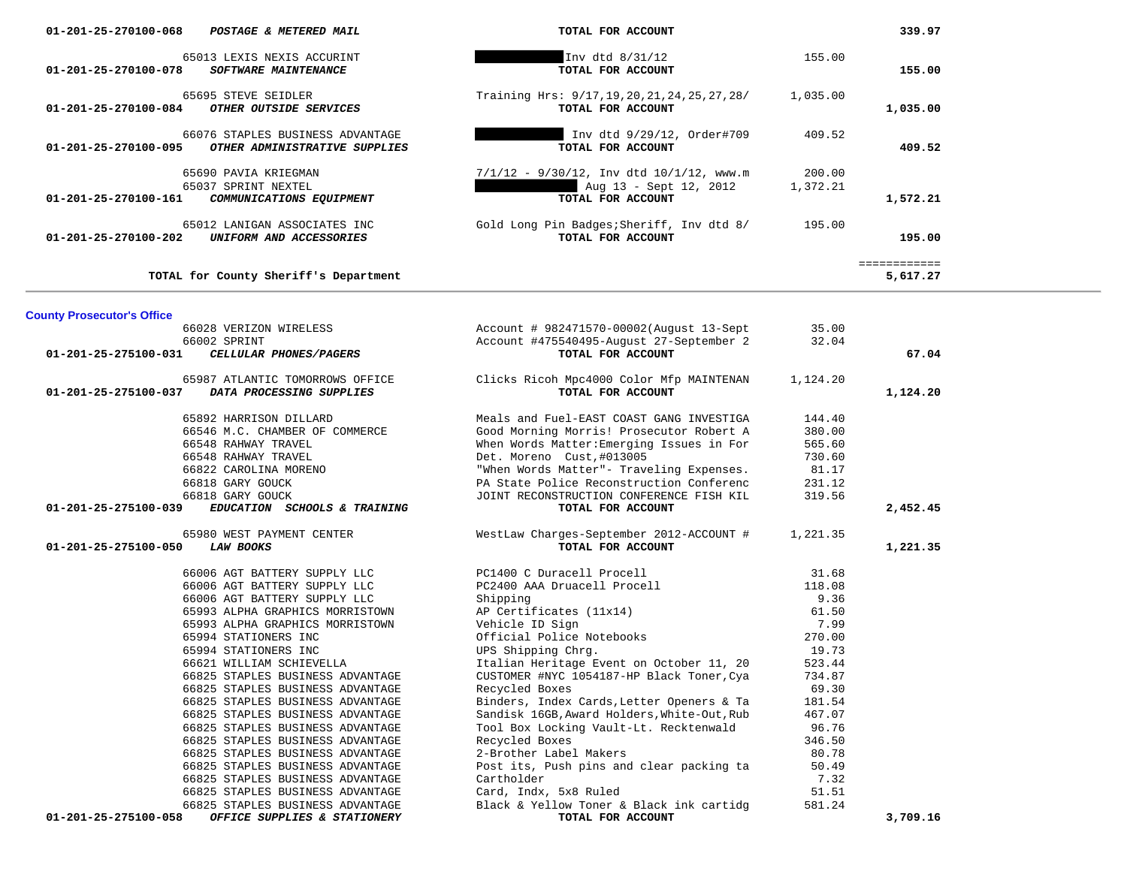| 01-201-25-270100-068<br>POSTAGE & METERED MAIL                                                                                                                                                                                                                                                                                                                                                                                                                                                                                                                                                                                                             | TOTAL FOR ACCOUNT                                                                                                                                                                                                                                                                                                                                                                                                                                                                                                                                                                                 |                                                                                                                                                                              | 339.97                   |
|------------------------------------------------------------------------------------------------------------------------------------------------------------------------------------------------------------------------------------------------------------------------------------------------------------------------------------------------------------------------------------------------------------------------------------------------------------------------------------------------------------------------------------------------------------------------------------------------------------------------------------------------------------|---------------------------------------------------------------------------------------------------------------------------------------------------------------------------------------------------------------------------------------------------------------------------------------------------------------------------------------------------------------------------------------------------------------------------------------------------------------------------------------------------------------------------------------------------------------------------------------------------|------------------------------------------------------------------------------------------------------------------------------------------------------------------------------|--------------------------|
| 65013 LEXIS NEXIS ACCURINT<br>$01 - 201 - 25 - 270100 - 078$<br>SOFTWARE MAINTENANCE                                                                                                                                                                                                                                                                                                                                                                                                                                                                                                                                                                       | Inv dtd 8/31/12<br>TOTAL FOR ACCOUNT                                                                                                                                                                                                                                                                                                                                                                                                                                                                                                                                                              | 155.00                                                                                                                                                                       | 155.00                   |
| 65695 STEVE SEIDLER<br>OTHER OUTSIDE SERVICES<br>01-201-25-270100-084                                                                                                                                                                                                                                                                                                                                                                                                                                                                                                                                                                                      | Training Hrs: 9/17, 19, 20, 21, 24, 25, 27, 28/<br>TOTAL FOR ACCOUNT                                                                                                                                                                                                                                                                                                                                                                                                                                                                                                                              | 1,035.00                                                                                                                                                                     | 1,035.00                 |
| 66076 STAPLES BUSINESS ADVANTAGE<br>OTHER ADMINISTRATIVE SUPPLIES<br>01-201-25-270100-095                                                                                                                                                                                                                                                                                                                                                                                                                                                                                                                                                                  | Inv dtd 9/29/12, Order#709<br>TOTAL FOR ACCOUNT                                                                                                                                                                                                                                                                                                                                                                                                                                                                                                                                                   | 409.52                                                                                                                                                                       | 409.52                   |
| 65690 PAVIA KRIEGMAN<br>65037 SPRINT NEXTEL<br>01-201-25-270100-161<br>COMMUNICATIONS EQUIPMENT                                                                                                                                                                                                                                                                                                                                                                                                                                                                                                                                                            | $7/1/12$ - $9/30/12$ , Inv dtd $10/1/12$ , www.m<br>Aug 13 - Sept 12, 2012<br>TOTAL FOR ACCOUNT                                                                                                                                                                                                                                                                                                                                                                                                                                                                                                   | 200.00<br>1,372.21                                                                                                                                                           | 1,572.21                 |
| 65012 LANIGAN ASSOCIATES INC<br>01-201-25-270100-202<br>UNIFORM AND ACCESSORIES                                                                                                                                                                                                                                                                                                                                                                                                                                                                                                                                                                            | Gold Long Pin Badges; Sheriff, Inv dtd 8/<br>TOTAL FOR ACCOUNT                                                                                                                                                                                                                                                                                                                                                                                                                                                                                                                                    | 195.00                                                                                                                                                                       | 195.00                   |
| TOTAL for County Sheriff's Department                                                                                                                                                                                                                                                                                                                                                                                                                                                                                                                                                                                                                      |                                                                                                                                                                                                                                                                                                                                                                                                                                                                                                                                                                                                   |                                                                                                                                                                              | ============<br>5,617.27 |
| <b>County Prosecutor's Office</b>                                                                                                                                                                                                                                                                                                                                                                                                                                                                                                                                                                                                                          |                                                                                                                                                                                                                                                                                                                                                                                                                                                                                                                                                                                                   |                                                                                                                                                                              |                          |
| 66028 VERIZON WIRELESS<br>66002 SPRINT<br>01-201-25-275100-031<br>CELLULAR PHONES/PAGERS                                                                                                                                                                                                                                                                                                                                                                                                                                                                                                                                                                   | Account # 982471570-00002(August 13-Sept<br>Account #475540495-August 27-September 2<br>TOTAL FOR ACCOUNT                                                                                                                                                                                                                                                                                                                                                                                                                                                                                         | 35.00<br>32.04                                                                                                                                                               | 67.04                    |
| 65987 ATLANTIC TOMORROWS OFFICE<br>01-201-25-275100-037<br>DATA PROCESSING SUPPLIES                                                                                                                                                                                                                                                                                                                                                                                                                                                                                                                                                                        | Clicks Ricoh Mpc4000 Color Mfp MAINTENAN<br>TOTAL FOR ACCOUNT                                                                                                                                                                                                                                                                                                                                                                                                                                                                                                                                     | 1,124.20                                                                                                                                                                     | 1,124.20                 |
| 65892 HARRISON DILLARD<br>66546 M.C. CHAMBER OF COMMERCE<br>66548 RAHWAY TRAVEL<br>66548 RAHWAY TRAVEL<br>66822 CAROLINA MORENO<br>66818 GARY GOUCK<br>66818 GARY GOUCK<br>01-201-25-275100-039<br>EDUCATION SCHOOLS & TRAINING                                                                                                                                                                                                                                                                                                                                                                                                                            | Meals and Fuel-EAST COAST GANG INVESTIGA<br>Good Morning Morris! Prosecutor Robert A<br>When Words Matter: Emerging Issues in For<br>Det. Moreno Cust, #013005<br>"When Words Matter"- Traveling Expenses.<br>PA State Police Reconstruction Conferenc<br>JOINT RECONSTRUCTION CONFERENCE FISH KIL<br>TOTAL FOR ACCOUNT                                                                                                                                                                                                                                                                           | 144.40<br>380.00<br>565.60<br>730.60<br>81.17<br>231.12<br>319.56                                                                                                            | 2,452.45                 |
| 65980 WEST PAYMENT CENTER<br>01-201-25-275100-050<br><b>LAW BOOKS</b>                                                                                                                                                                                                                                                                                                                                                                                                                                                                                                                                                                                      | WestLaw Charges-September 2012-ACCOUNT #<br>TOTAL FOR ACCOUNT                                                                                                                                                                                                                                                                                                                                                                                                                                                                                                                                     | 1,221.35                                                                                                                                                                     | 1,221.35                 |
| 66006 AGT BATTERY SUPPLY LLC<br>66006 AGT BATTERY SUPPLY LLC<br>66006 AGT BATTERY SUPPLY LLC<br>65993 ALPHA GRAPHICS MORRISTOWN<br>65993 ALPHA GRAPHICS MORRISTOWN<br>65994 STATIONERS INC<br>65994 STATIONERS INC<br>66621 WILLIAM SCHIEVELLA<br>66825 STAPLES BUSINESS ADVANTAGE<br>66825 STAPLES BUSINESS ADVANTAGE<br>66825 STAPLES BUSINESS ADVANTAGE<br>66825 STAPLES BUSINESS ADVANTAGE<br>66825 STAPLES BUSINESS ADVANTAGE<br>66825 STAPLES BUSINESS ADVANTAGE<br>66825 STAPLES BUSINESS ADVANTAGE<br>66825 STAPLES BUSINESS ADVANTAGE<br>66825 STAPLES BUSINESS ADVANTAGE<br>66825 STAPLES BUSINESS ADVANTAGE<br>66825 STAPLES BUSINESS ADVANTAGE | PC1400 C Duracell Procell<br>PC2400 AAA Druacell Procell<br>Shipping<br>AP Certificates (11x14)<br>Vehicle ID Sign<br>Official Police Notebooks<br>UPS Shipping Chrg.<br>Italian Heritage Event on October 11, 20<br>CUSTOMER #NYC 1054187-HP Black Toner, Cya<br>Recycled Boxes<br>Binders, Index Cards, Letter Openers & Ta<br>Sandisk 16GB, Award Holders, White-Out, Rub<br>Tool Box Locking Vault-Lt. Recktenwald<br>Recycled Boxes<br>2-Brother Label Makers<br>Post its, Push pins and clear packing ta<br>Cartholder<br>Card, Indx, 5x8 Ruled<br>Black & Yellow Toner & Black ink cartidg | 31.68<br>118.08<br>9.36<br>61.50<br>7.99<br>270.00<br>19.73<br>523.44<br>734.87<br>69.30<br>181.54<br>467.07<br>96.76<br>346.50<br>80.78<br>50.49<br>7.32<br>51.51<br>581.24 |                          |
| 01-201-25-275100-058<br>OFFICE SUPPLIES & STATIONERY                                                                                                                                                                                                                                                                                                                                                                                                                                                                                                                                                                                                       | TOTAL FOR ACCOUNT                                                                                                                                                                                                                                                                                                                                                                                                                                                                                                                                                                                 |                                                                                                                                                                              | 3,709.16                 |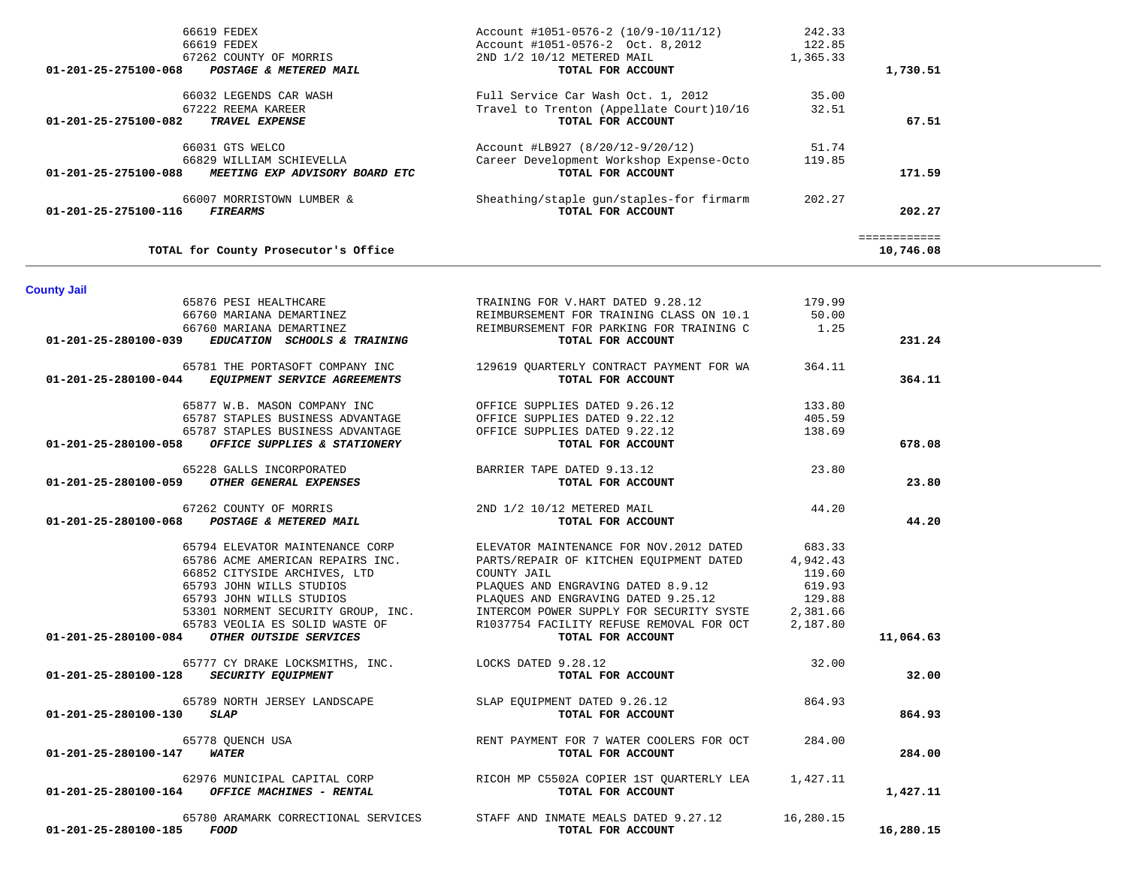| OUUL UIU WALCO<br>66829 WILLIAM SCHIEVELLA<br>01-201-25-275100-088<br>MEETING EXP ADVISORY BOARD ETC | ACCOMIC $\pi$ -DJZ, (0/20/12)/20/12)<br>Career Development Workshop Expense-Octo<br>TOTAL FOR ACCOUNT | <u>- -</u><br>119.85 | 171.59                    |  |
|------------------------------------------------------------------------------------------------------|-------------------------------------------------------------------------------------------------------|----------------------|---------------------------|--|
| 66007 MORRISTOWN LUMBER &<br>01-201-25-275100-116<br><b>FIREARMS</b>                                 | Sheathing/staple gun/staples-for firmarm<br>TOTAL FOR ACCOUNT                                         | 202.27               | 202.27                    |  |
| TOTAL for County Prosecutor's Office                                                                 |                                                                                                       |                      | ============<br>10,746.08 |  |
| <b>County Jail</b>                                                                                   |                                                                                                       |                      |                           |  |
| 65876 PESI HEALTHCARE                                                                                | TRAINING FOR V.HART DATED 9.28.12                                                                     | 179.99               |                           |  |
| 66760 MARIANA DEMARTINEZ                                                                             | REIMBURSEMENT FOR TRAINING CLASS ON 10.1                                                              | 50.00                |                           |  |
| 66760 MARIANA DEMARTINEZ                                                                             | REIMBURSEMENT FOR PARKING FOR TRAINING C<br>TOTAL FOR ACCOUNT                                         | 1.25                 | 231.24                    |  |
| 01-201-25-280100-039<br>EDUCATION SCHOOLS & TRAINING                                                 |                                                                                                       |                      |                           |  |
| 65781 THE PORTASOFT COMPANY INC                                                                      | 129619 QUARTERLY CONTRACT PAYMENT FOR WA                                                              | 364.11               |                           |  |
| 01-201-25-280100-044 EQUIPMENT SERVICE AGREEMENTS                                                    | TOTAL FOR ACCOUNT                                                                                     |                      | 364.11                    |  |
|                                                                                                      |                                                                                                       |                      |                           |  |
| 65877 W.B. MASON COMPANY INC                                                                         | OFFICE SUPPLIES DATED 9.26.12                                                                         | 133.80               |                           |  |
| 65787 STAPLES BUSINESS ADVANTAGE                                                                     | OFFICE SUPPLIES DATED 9.22.12                                                                         | 405.59               |                           |  |
| 65787 STAPLES BUSINESS ADVANTAGE                                                                     | OFFICE SUPPLIES DATED 9.22.12                                                                         | 138.69               |                           |  |
| OFFICE SUPPLIES & STATIONERY<br>01-201-25-280100-058                                                 | TOTAL FOR ACCOUNT                                                                                     |                      | 678.08                    |  |
| 65228 GALLS INCORPORATED                                                                             | BARRIER TAPE DATED 9.13.12                                                                            | 23.80                |                           |  |
| 01-201-25-280100-059 OTHER GENERAL EXPENSES                                                          | TOTAL FOR ACCOUNT                                                                                     |                      | 23.80                     |  |
|                                                                                                      |                                                                                                       |                      |                           |  |
| 67262 COUNTY OF MORRIS                                                                               | 2ND 1/2 10/12 METERED MAIL                                                                            | 44.20                |                           |  |
| 01-201-25-280100-068 POSTAGE & METERED MAIL                                                          | TOTAL FOR ACCOUNT                                                                                     |                      | 44.20                     |  |
|                                                                                                      |                                                                                                       |                      |                           |  |
| 65794 ELEVATOR MAINTENANCE CORP                                                                      | ELEVATOR MAINTENANCE FOR NOV. 2012 DATED                                                              | 683.33               |                           |  |
| 65786 ACME AMERICAN REPAIRS INC.                                                                     | PARTS/REPAIR OF KITCHEN EQUIPMENT DATED<br>COUNTY JAIL                                                | 4,942.43<br>119.60   |                           |  |
| 66852 CITYSIDE ARCHIVES, LTD<br>65793 JOHN WILLS STUDIOS                                             | PLAQUES AND ENGRAVING DATED 8.9.12                                                                    | 619.93               |                           |  |
| 65793 JOHN WILLS STUDIOS                                                                             | PLAQUES AND ENGRAVING DATED 9.25.12                                                                   | 129.88               |                           |  |
| 53301 NORMENT SECURITY GROUP, INC.                                                                   | INTERCOM POWER SUPPLY FOR SECURITY SYSTE                                                              | 2,381.66             |                           |  |
| 65783 VEOLIA ES SOLID WASTE OF                                                                       | R1037754 FACILITY REFUSE REMOVAL FOR OCT                                                              | 2,187.80             |                           |  |
| OTHER OUTSIDE SERVICES<br>01-201-25-280100-084                                                       | TOTAL FOR ACCOUNT                                                                                     |                      | 11,064.63                 |  |
|                                                                                                      |                                                                                                       |                      |                           |  |
| 65777 CY DRAKE LOCKSMITHS, INC.                                                                      | LOCKS DATED 9.28.12                                                                                   | 32.00                |                           |  |
| 01-201-25-280100-128 SECURITY EQUIPMENT                                                              | TOTAL FOR ACCOUNT                                                                                     |                      | 32.00                     |  |
| 65789 NORTH JERSEY LANDSCAPE                                                                         | SLAP EQUIPMENT DATED 9.26.12                                                                          | 864.93               |                           |  |
| 01-201-25-280100-130<br><b>SLAP</b>                                                                  | TOTAL FOR ACCOUNT                                                                                     |                      | 864.93                    |  |
|                                                                                                      |                                                                                                       |                      |                           |  |
| 65778 QUENCH USA                                                                                     | RENT PAYMENT FOR 7 WATER COOLERS FOR OCT                                                              | 284.00               |                           |  |
| 01-201-25-280100-147<br>WATER                                                                        | TOTAL FOR ACCOUNT                                                                                     |                      | 284.00                    |  |
|                                                                                                      |                                                                                                       |                      |                           |  |
| 62976 MUNICIPAL CAPITAL CORP                                                                         | RICOH MP C5502A COPIER 1ST OUARTERLY LEA                                                              | 1,427.11             |                           |  |
| $01 - 201 - 25 - 280100 - 164$ OFFICE MACHINES - RENTAL                                              | TOTAL FOR ACCOUNT                                                                                     |                      | 1,427.11                  |  |
|                                                                                                      |                                                                                                       |                      |                           |  |
| 65780 ARAMARK CORRECTIONAL SERVICES                                                                  | STAFF AND INMATE MEALS DATED 9.27.12                                                                  | 16,280.15            |                           |  |
| 01-201-25-280100-185<br>FOOD                                                                         | TOTAL FOR ACCOUNT                                                                                     |                      | 16,280.15                 |  |

|          | 242.33   | Account #1051-0576-2 (10/9-10/11/12)     | 66619 FEDEX                                                   |
|----------|----------|------------------------------------------|---------------------------------------------------------------|
|          | 122.85   | Account #1051-0576-2 Oct. 8,2012         | 66619 FEDEX                                                   |
|          | 1,365.33 | 2ND 1/2 10/12 METERED MAIL               | 67262 COUNTY OF MORRIS                                        |
| 1,730.51 |          | TOTAL FOR ACCOUNT                        | 01-201-25-275100-068<br>POSTAGE & METERED MAIL                |
|          | 35.00    | Full Service Car Wash Oct. 1, 2012       | 66032 LEGENDS CAR WASH                                        |
|          | 32.51    | Travel to Trenton (Appellate Court)10/16 | 67222 REEMA KAREER                                            |
| 67.51    |          | TOTAL FOR ACCOUNT                        | 01-201-25-275100-082<br><b>TRAVEL EXPENSE</b>                 |
|          | 51.74    | Account #LB927 (8/20/12-9/20/12)         | 66031 GTS WELCO                                               |
|          | 119.85   | Career Development Workshop Expense-Octo | 66829 WILLIAM SCHIEVELLA                                      |
| 171.59   |          | TOTAL FOR ACCOUNT                        | 01-201-25-275100-088<br><i>MEETING EXP ADVISORY BOARD ETC</i> |
|          | 202.27   | Sheathing/staple gun/staples-for firmarm | 66007 MORRISTOWN LUMBER &                                     |
| 202.27   |          | TOTAL FOR ACCOUNT                        | 01-201-25-275100-116<br><b>FIREARMS</b>                       |
|          |          |                                          |                                                               |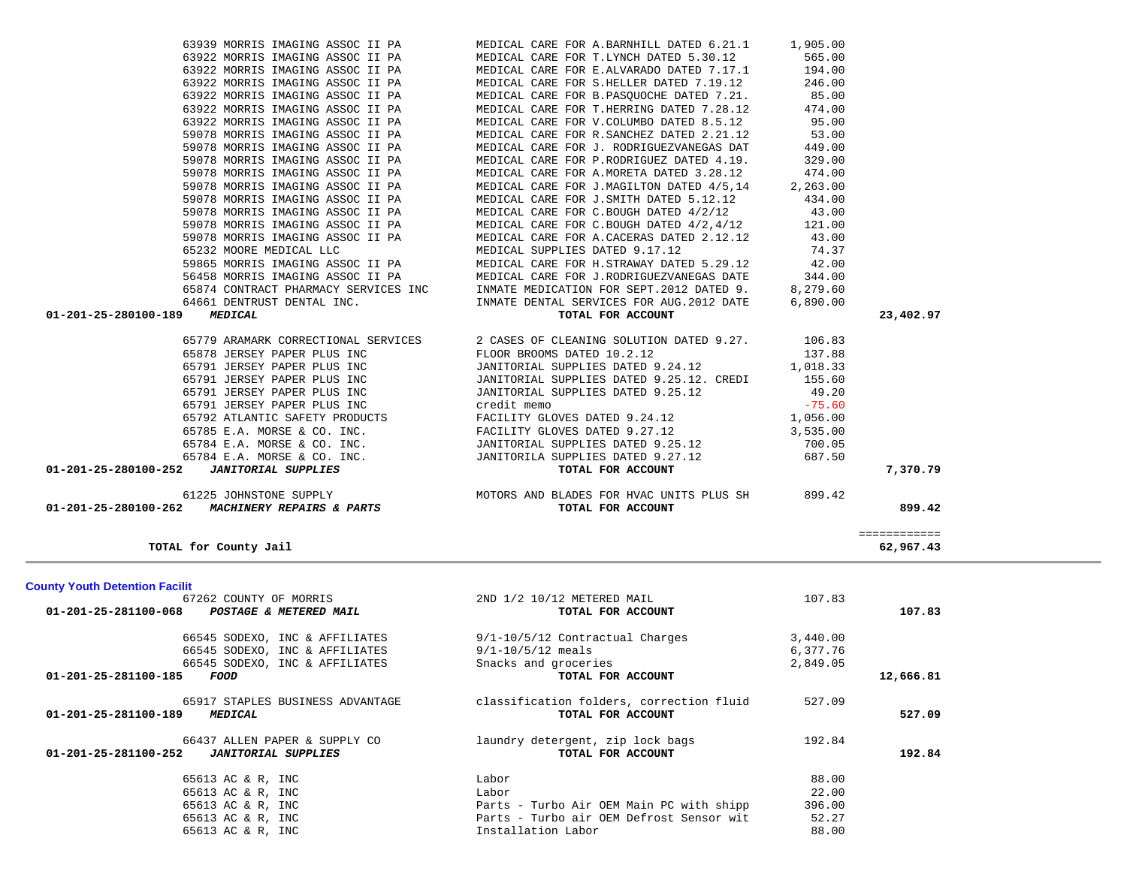| <b>County Youth Detention Facilit</b>              |                                          |          |           |
|----------------------------------------------------|------------------------------------------|----------|-----------|
| 67262 COUNTY OF MORRIS                             | 2ND 1/2 10/12 METERED MAIL               | 107.83   |           |
| 01-201-25-281100-068<br>POSTAGE & METERED MAIL     | TOTAL FOR ACCOUNT                        |          | 107.83    |
| 66545 SODEXO, INC & AFFILIATES                     | 9/1-10/5/12 Contractual Charges          | 3,440.00 |           |
| 66545 SODEXO, INC & AFFILIATES                     | $9/1 - 10/5/12$ meals                    | 6,377.76 |           |
| 66545 SODEXO, INC & AFFILIATES                     | Snacks and groceries                     | 2,849.05 |           |
| 01-201-25-281100-185<br>FOOD                       | TOTAL FOR ACCOUNT                        |          | 12,666.81 |
| 65917 STAPLES BUSINESS ADVANTAGE                   | classification folders, correction fluid | 527.09   |           |
| 01-201-25-281100-189<br><i><b>MEDICAL</b></i>      | TOTAL FOR ACCOUNT                        |          | 527.09    |
| 66437 ALLEN PAPER & SUPPLY CO                      | laundry detergent, zip lock bags         | 192.84   |           |
| 01-201-25-281100-252<br><b>JANITORIAL SUPPLIES</b> | TOTAL FOR ACCOUNT                        |          | 192.84    |
| 65613 AC & R, INC                                  | Labor                                    | 88.00    |           |
| 65613 AC & R, INC                                  | Labor                                    | 22.00    |           |
| 65613 AC & R, INC                                  | Parts - Turbo Air OEM Main PC with shipp | 396.00   |           |
| 65613 AC & R, INC                                  | Parts - Turbo air OEM Defrost Sensor wit | 52.27    |           |
| 65613 AC & R, INC                                  | Installation Labor                       | 88.00    |           |
|                                                    |                                          |          |           |

| 64661 DENTRUST DENTAL INC.                         | INMATE DENTAL SERVICES FOR AUG.2012 DATE | 6,890.00 |           |
|----------------------------------------------------|------------------------------------------|----------|-----------|
| 01-201-25-280100-189<br><i><b>MEDICAL</b></i>      | TOTAL FOR ACCOUNT                        |          | 23,402.97 |
| 65779 ARAMARK CORRECTIONAL SERVICES                | 2 CASES OF CLEANING SOLUTION DATED 9.27. | 106.83   |           |
| 65878 JERSEY PAPER PLUS INC                        | FLOOR BROOMS DATED 10.2.12               | 137.88   |           |
| 65791 JERSEY PAPER PLUS INC                        | JANITORIAL SUPPLIES DATED 9.24.12        | 1,018.33 |           |
| 65791 JERSEY PAPER PLUS INC                        | JANITORIAL SUPPLIES DATED 9.25.12. CREDI | 155.60   |           |
| 65791 JERSEY PAPER PLUS INC                        | JANITORIAL SUPPLIES DATED 9.25.12        | 49.20    |           |
| 65791 JERSEY PAPER PLUS INC                        | credit memo                              | $-75.60$ |           |
| 65792 ATLANTIC SAFETY PRODUCTS                     | FACILITY GLOVES DATED 9.24.12            | 1,056.00 |           |
| 65785 E.A. MORSE & CO. INC.                        | FACILITY GLOVES DATED 9.27.12            | 3,535.00 |           |
| 65784 E.A. MORSE & CO. INC.                        | JANITORIAL SUPPLIES DATED 9.25.12        | 700.05   |           |
| 65784 E.A. MORSE & CO. INC.                        | JANITORILA SUPPLIES DATED 9.27.12        | 687.50   |           |
| 01-201-25-280100-252<br><b>JANITORIAL SUPPLIES</b> | TOTAL FOR ACCOUNT                        |          | 7,370.79  |
| 61225 JOHNSTONE SUPPLY                             | MOTORS AND BLADES FOR HVAC UNITS PLUS SH | 899.42   |           |
| 01-201-25-280100-262<br>MACHINERY REPAIRS & PARTS  | TOTAL FOR ACCOUNT                        |          | 899.42    |

============

| 189 | <i><b>MEDICAL</b></i> |                                      |  |  |
|-----|-----------------------|--------------------------------------|--|--|
|     |                       | 64661 DENTRUST DENTAL INC.           |  |  |
|     |                       | 65874 CONTRACT PHARMACY SERVICES INC |  |  |
|     |                       | 56458 MORRIS IMAGING ASSOC II PA     |  |  |
|     |                       | 59865 MORRIS IMAGING ASSOC II PA     |  |  |
|     |                       | 65232 MOORE MEDICAL LLC              |  |  |
|     |                       | 59078 MORRIS IMAGING ASSOC II PA     |  |  |
|     |                       | 59078 MORRIS IMAGING ASSOC II PA     |  |  |
|     |                       | 59078 MORRIS IMAGING ASSOC II PA     |  |  |
|     |                       | 59078 MORRIS IMAGING ASSOC II PA     |  |  |
|     |                       | 59078 MORRIS IMAGING ASSOC II PA     |  |  |
|     |                       | 59078 MORRIS IMAGING ASSOC II PA     |  |  |
|     |                       | 59078 MORRIS IMAGING ASSOC II PA     |  |  |
|     |                       | 59078 MORRIS IMAGING ASSOC II PA     |  |  |
|     |                       | 59078 MORRIS IMAGING ASSOC II PA     |  |  |
|     |                       | 63922 MORRIS IMAGING ASSOC II PA     |  |  |

**TOTAL for County Jail 62,967.43**

 63939 MORRIS IMAGING ASSOC II PA MEDICAL CARE FOR A.BARNHILL DATED 6.21.1 1,905.00 63922 MORRIS IMAGING ASSOC II PA MEDICAL CARE FOR T.LYNCH DATED 5.30.12 565.00 63922 MORRIS IMAGING ASSOC II PA MEDICAL CARE FOR E.ALVARADO DATED 7.17.1 194.00 63922 MORRIS IMAGING ASSOC II PA MEDICAL CARE FOR S.HELLER DATED 7.19.12 246.00 63922 MORRIS IMAGING ASSOC II PA MEDICAL CARE FOR B.PASQUOCHE DATED 7.21. 85.00 63922 MORRIS IMAGING ASSOC II PA MEDICAL CARE FOR T.HERRING DATED 7.28.12 474.00 MEDICAL CARE FOR V.COLUMBO DATED 8.5.12 95.00 MEDICAL CARE FOR R.SANCHEZ DATED 2.21.12 53.00 MEDICAL CARE FOR J. RODRIGUEZVANEGAS DAT 449.00 MEDICAL CARE FOR P.RODRIGUEZ DATED 4.19. 329.00 MEDICAL CARE FOR A.MORETA DATED 3.28.12 474.00 MEDICAL CARE FOR J.MAGILTON DATED 4/5,14 2,263.00 MEDICAL CARE FOR J. SMITH DATED 5.12.12 434.00 MEDICAL CARE FOR C.BOUGH DATED  $4/2/12$  43.00 MEDICAL CARE FOR C.BOUGH DATED  $4/2,4/12$  121.00 MEDICAL CARE FOR A.CACERAS DATED 2.12.12 43.00 MEDICAL SUPPLIES DATED 9.17.12 74.37 MEDICAL CARE FOR H.STRAWAY DATED 5.29.12 42.00 MEDICAL CARE FOR J.RODRIGUEZVANEGAS DATE 344.00 INMATE MEDICATION FOR SEPT.2012 DATED 9. 8,279.60

62,967.43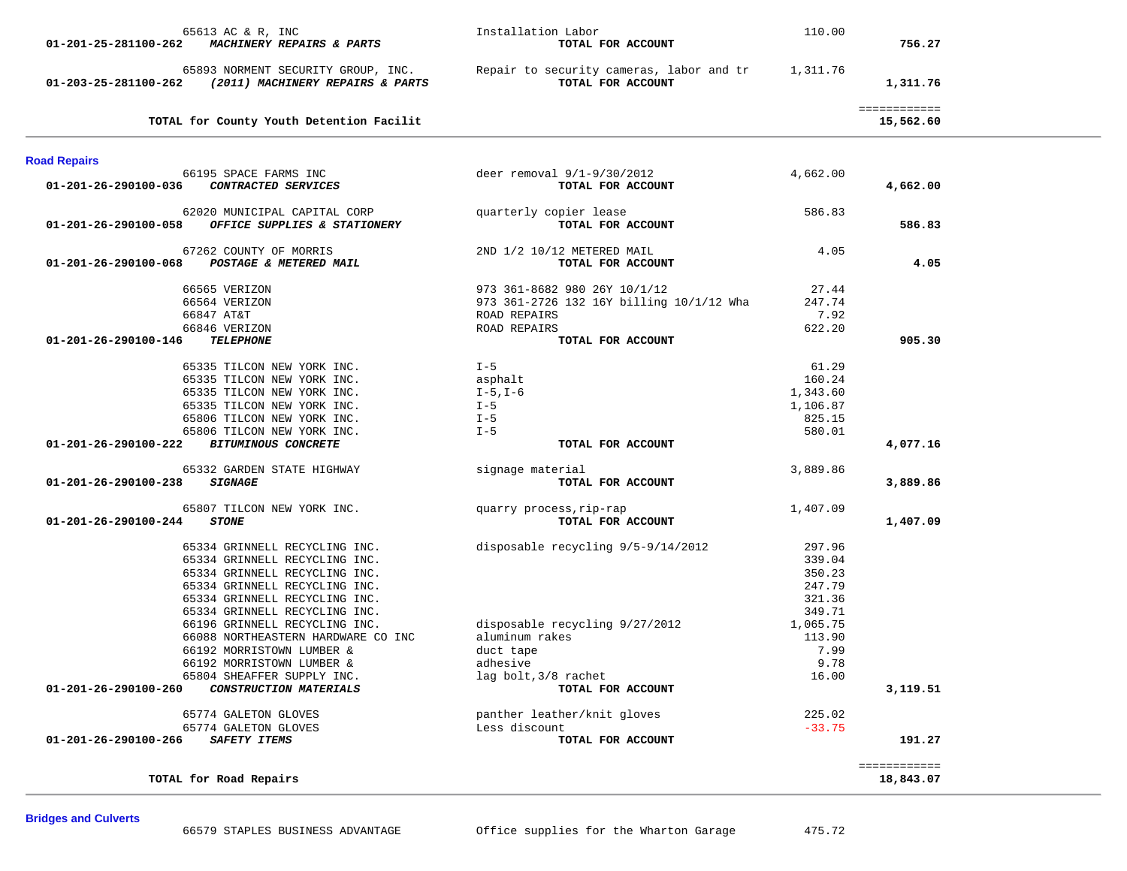| 65613 AC & R, INC<br>MACHINERY REPAIRS & PARTS<br>01-201-25-281100-262                         | Installation Labor<br>TOTAL FOR ACCOUNT                       | 110.00         | 756.27                    |  |
|------------------------------------------------------------------------------------------------|---------------------------------------------------------------|----------------|---------------------------|--|
|                                                                                                |                                                               |                |                           |  |
| 65893 NORMENT SECURITY GROUP, INC.<br>(2011) MACHINERY REPAIRS & PARTS<br>01-203-25-281100-262 | Repair to security cameras, labor and tr<br>TOTAL FOR ACCOUNT | 1,311.76       | 1,311.76                  |  |
| TOTAL for County Youth Detention Facilit                                                       |                                                               |                | ============<br>15,562.60 |  |
| <b>Road Repairs</b>                                                                            |                                                               |                |                           |  |
| 66195 SPACE FARMS INC                                                                          | deer removal $9/1-9/30/2012$                                  | 4,662.00       |                           |  |
| CONTRACTED SERVICES<br>01-201-26-290100-036                                                    | TOTAL FOR ACCOUNT                                             |                | 4,662.00                  |  |
| 62020 MUNICIPAL CAPITAL CORP                                                                   | quarterly copier lease                                        | 586.83         |                           |  |
| OFFICE SUPPLIES & STATIONERY<br>01-201-26-290100-058                                           | TOTAL FOR ACCOUNT                                             |                | 586.83                    |  |
| 67262 COUNTY OF MORRIS                                                                         | 2ND 1/2 10/12 METERED MAIL                                    | 4.05           |                           |  |
| POSTAGE & METERED MAIL<br>01-201-26-290100-068                                                 | TOTAL FOR ACCOUNT                                             |                | 4.05                      |  |
| 66565 VERIZON                                                                                  | 973 361-8682 980 26Y 10/1/12                                  | 27.44          |                           |  |
| 66564 VERIZON                                                                                  | 973 361-2726 132 16Y billing 10/1/12 Wha                      | 247.74         |                           |  |
| 66847 AT&T                                                                                     | ROAD REPAIRS                                                  | 7.92           |                           |  |
| 66846 VERIZON                                                                                  | ROAD REPAIRS                                                  | 622.20         |                           |  |
| <b>TELEPHONE</b><br>01-201-26-290100-146                                                       | TOTAL FOR ACCOUNT                                             |                | 905.30                    |  |
| 65335 TILCON NEW YORK INC.                                                                     | $I - 5$                                                       | 61.29          |                           |  |
| 65335 TILCON NEW YORK INC.                                                                     | asphalt                                                       | 160.24         |                           |  |
| 65335 TILCON NEW YORK INC.                                                                     | I-5,I-6                                                       | 1,343.60       |                           |  |
| 65335 TILCON NEW YORK INC.                                                                     | $I - 5$                                                       | 1,106.87       |                           |  |
| 65806 TILCON NEW YORK INC.                                                                     | $I - 5$                                                       | 825.15         |                           |  |
| 65806 TILCON NEW YORK INC.                                                                     | $I - 5$                                                       | 580.01         |                           |  |
| 01-201-26-290100-222<br><b>BITUMINOUS CONCRETE</b>                                             | TOTAL FOR ACCOUNT                                             |                | 4,077.16                  |  |
| 65332 GARDEN STATE HIGHWAY                                                                     | signage material                                              | 3,889.86       |                           |  |
| 01-201-26-290100-238<br><i><b>SIGNAGE</b></i>                                                  | TOTAL FOR ACCOUNT                                             |                | 3,889.86                  |  |
| 65807 TILCON NEW YORK INC.                                                                     | quarry process, rip-rap                                       | 1,407.09       |                           |  |
| 01-201-26-290100-244<br><b>STONE</b>                                                           | TOTAL FOR ACCOUNT                                             |                | 1,407.09                  |  |
| 65334 GRINNELL RECYCLING INC.                                                                  | disposable recycling 9/5-9/14/2012                            | 297.96         |                           |  |
| 65334 GRINNELL RECYCLING INC.                                                                  |                                                               | 339.04         |                           |  |
| 65334 GRINNELL RECYCLING INC.                                                                  |                                                               | 350.23         |                           |  |
| 65334 GRINNELL RECYCLING INC.                                                                  |                                                               | 247.79         |                           |  |
| 65334 GRINNELL RECYCLING INC.                                                                  |                                                               | 321.36         |                           |  |
| 65334 GRINNELL RECYCLING INC.                                                                  |                                                               | 349.71         |                           |  |
| 66196 GRINNELL RECYCLING INC.                                                                  | disposable recycling 9/27/2012                                | 1,065.75       |                           |  |
| 66088 NORTHEASTERN HARDWARE CO INC<br>66192 MORRISTOWN LUMBER &                                | aluminum rakes<br>duct tape                                   | 113.90<br>7.99 |                           |  |
| 66192 MORRISTOWN LUMBER &                                                                      | adhesive                                                      | 9.78           |                           |  |
| 65804 SHEAFFER SUPPLY INC.                                                                     | lag bolt, 3/8 rachet                                          | 16.00          |                           |  |
| 01-201-26-290100-260<br>CONSTRUCTION MATERIALS                                                 | TOTAL FOR ACCOUNT                                             |                | 3,119.51                  |  |
| 65774 GALETON GLOVES                                                                           | panther leather/knit gloves                                   | 225.02         |                           |  |
| 65774 GALETON GLOVES                                                                           | Less discount                                                 | $-33.75$       |                           |  |
| 01-201-26-290100-266<br>SAFETY ITEMS                                                           | TOTAL FOR ACCOUNT                                             |                | 191.27                    |  |
|                                                                                                |                                                               |                | ============              |  |
| TOTAL for Road Repairs                                                                         |                                                               |                | 18,843.07                 |  |

66579 STAPLES BUSINESS ADVANTAGE Office supplies for the Wharton Garage 475.72

**Bridges and Culverts**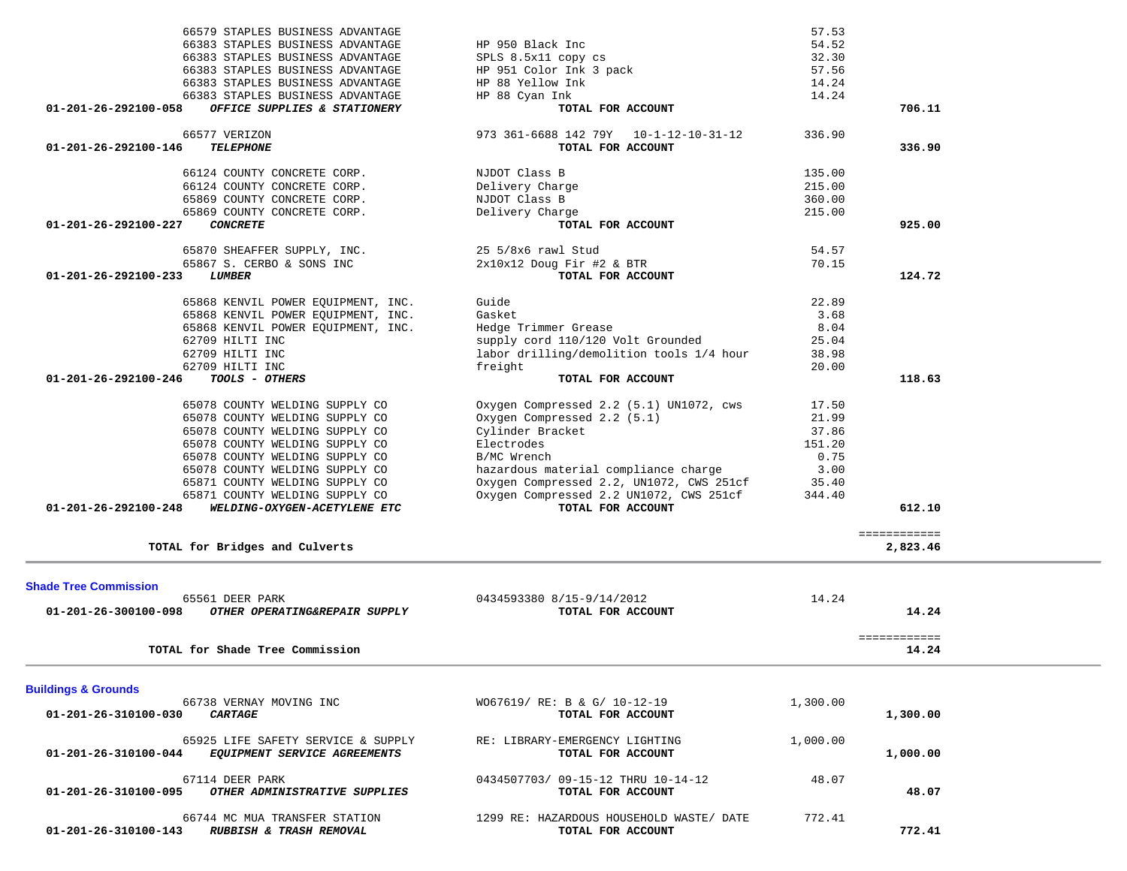| 66383 STAPLES BUSINESS ADVANTAGE                                                        | SPLS 8.5x11 copy cs                                 | 32.30            |              |
|-----------------------------------------------------------------------------------------|-----------------------------------------------------|------------------|--------------|
| 66383 STAPLES BUSINESS ADVANTAGE                                                        | HP 951 Color Ink 3 pack                             | 57.56            |              |
| 66383 STAPLES BUSINESS ADVANTAGE                                                        | HP 88 Yellow Ink                                    | 14.24            |              |
| 66383 STAPLES BUSINESS ADVANTAGE                                                        | HP 88 Cyan Ink                                      | 14.24            |              |
| OFFICE SUPPLIES & STATIONERY<br>01-201-26-292100-058                                    | TOTAL FOR ACCOUNT                                   |                  | 706.11       |
| 66577 VERIZON                                                                           | 973 361-6688 142 79Y 10-1-12-10-31-12               | 336.90           |              |
| <b>TELEPHONE</b><br>01-201-26-292100-146                                                | TOTAL FOR ACCOUNT                                   |                  | 336.90       |
|                                                                                         |                                                     |                  |              |
| 66124 COUNTY CONCRETE CORP.                                                             | NJDOT Class B                                       | 135.00           |              |
| 66124 COUNTY CONCRETE CORP.                                                             | Delivery Charge<br>NJDOT Class B                    | 215.00           |              |
| 65869 COUNTY CONCRETE CORP.<br>65869 COUNTY CONCRETE CORP.                              | Delivery Charge                                     | 360.00<br>215.00 |              |
| <b>CONCRETE</b><br>01-201-26-292100-227                                                 | TOTAL FOR ACCOUNT                                   |                  | 925.00       |
|                                                                                         |                                                     |                  |              |
| 65870 SHEAFFER SUPPLY, INC.                                                             | 25 5/8x6 rawl Stud                                  | 54.57            |              |
| 65867 S. CERBO & SONS INC                                                               | 2x10x12 Doug Fir #2 & BTR                           | 70.15            |              |
| <b>LUMBER</b><br>01-201-26-292100-233                                                   | TOTAL FOR ACCOUNT                                   |                  | 124.72       |
| 65868 KENVIL POWER EQUIPMENT, INC.                                                      | Guide                                               | 22.89            |              |
| 65868 KENVIL POWER EQUIPMENT, INC.                                                      | Gasket                                              | 3.68             |              |
| 65868 KENVIL POWER EQUIPMENT, INC.                                                      | Hedge Trimmer Grease                                | 8.04             |              |
| 62709 HILTI INC                                                                         | supply cord 110/120 Volt Grounded                   | 25.04            |              |
| 62709 HILTI INC                                                                         | labor drilling/demolition tools 1/4 hour            | 38.98            |              |
| 62709 HILTI INC                                                                         | freight                                             | 20.00            |              |
| 01-201-26-292100-246<br>TOOLS - OTHERS                                                  | TOTAL FOR ACCOUNT                                   |                  | 118.63       |
| 65078 COUNTY WELDING SUPPLY CO                                                          | Oxygen Compressed 2.2 (5.1) UN1072, cws             | 17.50            |              |
| 65078 COUNTY WELDING SUPPLY CO                                                          | Oxygen Compressed 2.2 (5.1)                         | 21.99            |              |
| 65078 COUNTY WELDING SUPPLY CO                                                          | Cylinder Bracket                                    | 37.86            |              |
| 65078 COUNTY WELDING SUPPLY CO                                                          | Electrodes                                          | 151.20           |              |
| 65078 COUNTY WELDING SUPPLY CO                                                          | B/MC Wrench                                         | 0.75             |              |
| 65078 COUNTY WELDING SUPPLY CO                                                          | hazardous material compliance charge                | 3.00             |              |
| 65871 COUNTY WELDING SUPPLY CO                                                          | Oxygen Compressed 2.2, UN1072, CWS 251cf            | 35.40            |              |
| 65871 COUNTY WELDING SUPPLY CO                                                          | Oxygen Compressed 2.2 UN1072, CWS 251cf             | 344.40           |              |
| WELDING-OXYGEN-ACETYLENE ETC<br>01-201-26-292100-248                                    | TOTAL FOR ACCOUNT                                   |                  | 612.10       |
|                                                                                         |                                                     |                  | ============ |
| TOTAL for Bridges and Culverts                                                          |                                                     |                  | 2,823.46     |
|                                                                                         |                                                     |                  |              |
| <b>Shade Tree Commission</b>                                                            |                                                     |                  |              |
| 65561 DEER PARK                                                                         | 0434593380 8/15-9/14/2012                           | 14.24            |              |
| 01-201-26-300100-098<br>OTHER OPERATING&REPAIR SUPPLY                                   | TOTAL FOR ACCOUNT                                   |                  | 14.24        |
|                                                                                         |                                                     |                  | ============ |
| TOTAL for Shade Tree Commission                                                         |                                                     |                  | 14.24        |
|                                                                                         |                                                     |                  |              |
| <b>Buildings &amp; Grounds</b><br>66738 VERNAY MOVING INC                               | WO67619/ RE: B & G/ 10-12-19                        | 1,300.00         |              |
| 01-201-26-310100-030 CARTAGE                                                            | TOTAL FOR ACCOUNT                                   |                  | 1,300.00     |
|                                                                                         |                                                     |                  |              |
| 65925 LIFE SAFETY SERVICE & SUPPLY<br>01-201-26-310100-044 EQUIPMENT SERVICE AGREEMENTS | RE: LIBRARY-EMERGENCY LIGHTING<br>TOTAL FOR ACCOUNT | 1,000.00         | 1,000.00     |
|                                                                                         |                                                     |                  |              |
| 67114 DEER PARK                                                                         | 0434507703/09-15-12 THRU 10-14-12                   | 48.07            |              |
| 01-201-26-310100-095 OTHER ADMINISTRATIVE SUPPLIES                                      | TOTAL FOR ACCOUNT                                   |                  | 48.07        |
| 66744 MC MUA TRANSFER STATION                                                           | 1299 RE: HAZARDOUS HOUSEHOLD WASTE/ DATE            | 772.41           |              |
| 01-201-26-310100-143 RUBBISH & TRASH REMOVAL                                            | TOTAL FOR ACCOUNT                                   |                  | 772.41       |
|                                                                                         |                                                     |                  |              |
|                                                                                         |                                                     |                  |              |

66579 STAPLES BUSINESS ADVANTAGE 57.53

66383 STAPLES BUSINESS ADVANTAGE HP 950 Black Inc<br>66383 STAPLES BUSINESS ADVANTAGE SPLS 8.5x11 copy cs<br>66383 STAPLES PHOTIFIC 10111-1-1 2

54.52

32.30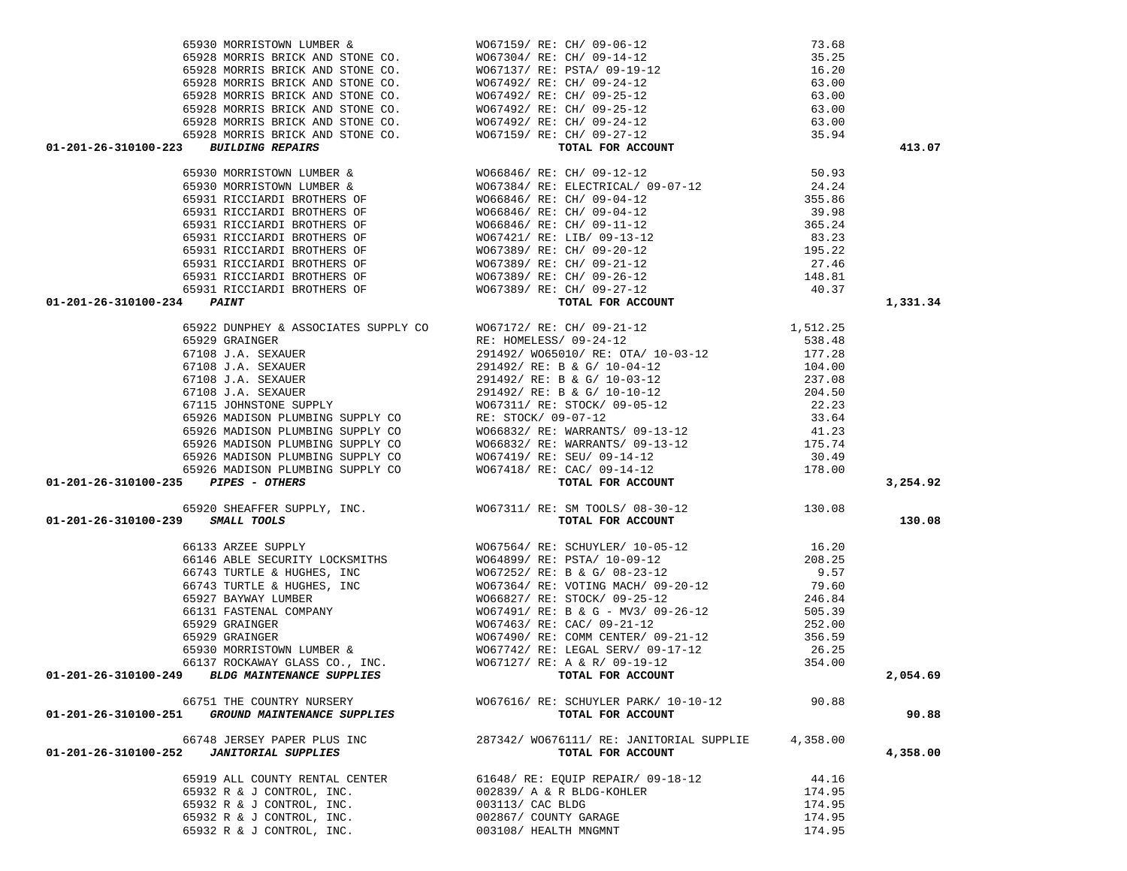| 01-201-26-310100-223 BUILDING REPAIRS               | $\begin{array}{lllllllllllllllllllllll} \text{65930} & \text{MORRISTOWN LUMBER} & \text{W067159/ RE: CH/ 09-06-12} & 73.68 \\ \text{65928 MORRIS BRICK AND STONE CO.} & \text{W067304/ RE: CH/ 09-14-12} & 35.25 \\ \text{65928 MORRIS BRICK AND STONE CO.} & \text{W067137/ RE: SH/ 09-19-12} & 16.20 \\ \text{65928 MORRIS BRICK AND STONE CO.} & \text{W067492/ RE: CH/ 0$ |          | 413.07   |
|-----------------------------------------------------|-------------------------------------------------------------------------------------------------------------------------------------------------------------------------------------------------------------------------------------------------------------------------------------------------------------------------------------------------------------------------------|----------|----------|
|                                                     |                                                                                                                                                                                                                                                                                                                                                                               |          |          |
|                                                     |                                                                                                                                                                                                                                                                                                                                                                               |          |          |
|                                                     |                                                                                                                                                                                                                                                                                                                                                                               |          |          |
|                                                     |                                                                                                                                                                                                                                                                                                                                                                               |          |          |
|                                                     |                                                                                                                                                                                                                                                                                                                                                                               |          |          |
|                                                     |                                                                                                                                                                                                                                                                                                                                                                               |          |          |
|                                                     |                                                                                                                                                                                                                                                                                                                                                                               |          |          |
|                                                     |                                                                                                                                                                                                                                                                                                                                                                               |          |          |
|                                                     |                                                                                                                                                                                                                                                                                                                                                                               |          |          |
|                                                     |                                                                                                                                                                                                                                                                                                                                                                               |          |          |
| 01-201-26-310100-234 PAINT                          |                                                                                                                                                                                                                                                                                                                                                                               |          | 1,331.34 |
|                                                     |                                                                                                                                                                                                                                                                                                                                                                               |          |          |
|                                                     |                                                                                                                                                                                                                                                                                                                                                                               |          |          |
|                                                     |                                                                                                                                                                                                                                                                                                                                                                               |          |          |
|                                                     |                                                                                                                                                                                                                                                                                                                                                                               |          |          |
|                                                     |                                                                                                                                                                                                                                                                                                                                                                               |          |          |
|                                                     |                                                                                                                                                                                                                                                                                                                                                                               |          |          |
|                                                     |                                                                                                                                                                                                                                                                                                                                                                               |          |          |
|                                                     |                                                                                                                                                                                                                                                                                                                                                                               |          |          |
|                                                     |                                                                                                                                                                                                                                                                                                                                                                               |          |          |
|                                                     |                                                                                                                                                                                                                                                                                                                                                                               |          |          |
|                                                     |                                                                                                                                                                                                                                                                                                                                                                               |          |          |
|                                                     |                                                                                                                                                                                                                                                                                                                                                                               |          |          |
| $01 - 201 - 26 - 310100 - 235$ PIPES - OTHERS       |                                                                                                                                                                                                                                                                                                                                                                               |          | 3,254.92 |
|                                                     | 65920 SHEAFFER SUPPLY, INC.<br>9 SMALL TOOLS 130.08<br>9 SMALL TOOLS                                                                                                                                                                                                                                                                                                          |          |          |
| 01-201-26-310100-239 SMALL TOOLS                    |                                                                                                                                                                                                                                                                                                                                                                               |          | 130.08   |
|                                                     |                                                                                                                                                                                                                                                                                                                                                                               |          |          |
|                                                     |                                                                                                                                                                                                                                                                                                                                                                               |          |          |
|                                                     |                                                                                                                                                                                                                                                                                                                                                                               |          |          |
|                                                     |                                                                                                                                                                                                                                                                                                                                                                               |          |          |
|                                                     |                                                                                                                                                                                                                                                                                                                                                                               |          |          |
|                                                     |                                                                                                                                                                                                                                                                                                                                                                               |          |          |
|                                                     |                                                                                                                                                                                                                                                                                                                                                                               |          |          |
|                                                     |                                                                                                                                                                                                                                                                                                                                                                               |          |          |
|                                                     |                                                                                                                                                                                                                                                                                                                                                                               |          |          |
|                                                     |                                                                                                                                                                                                                                                                                                                                                                               |          |          |
|                                                     |                                                                                                                                                                                                                                                                                                                                                                               |          | 2,054.69 |
| 66751 THE COUNTRY NURSERY                           | WO67616/RE: SCHUYLER PARK/ 10-10-12                                                                                                                                                                                                                                                                                                                                           | 90.88    |          |
| 01-201-26-310100-251<br>GROUND MAINTENANCE SUPPLIES | TOTAL FOR ACCOUNT                                                                                                                                                                                                                                                                                                                                                             |          | 90.88    |
| 66748 JERSEY PAPER PLUS INC                         | 287342/ WO676111/ RE: JANITORIAL SUPPLIE                                                                                                                                                                                                                                                                                                                                      | 4,358.00 |          |
| 01-201-26-310100-252  JANITORIAL SUPPLIES           | TOTAL FOR ACCOUNT                                                                                                                                                                                                                                                                                                                                                             |          | 4,358.00 |
| 65919 ALL COUNTY RENTAL CENTER                      | 61648/ RE: EQUIP REPAIR/ 09-18-12                                                                                                                                                                                                                                                                                                                                             | 44.16    |          |
| 65932 R & J CONTROL, INC.                           | 002839/ A & R BLDG-KOHLER                                                                                                                                                                                                                                                                                                                                                     | 174.95   |          |
| 65932 R & J CONTROL, INC.                           | 003113/ CAC BLDG                                                                                                                                                                                                                                                                                                                                                              | 174.95   |          |
| 65932 R & J CONTROL, INC.                           | 002867/ COUNTY GARAGE                                                                                                                                                                                                                                                                                                                                                         | 174.95   |          |
|                                                     |                                                                                                                                                                                                                                                                                                                                                                               |          |          |

65932 R & J CONTROL, INC.  $003108/$  HEALTH MNGMNT 174.95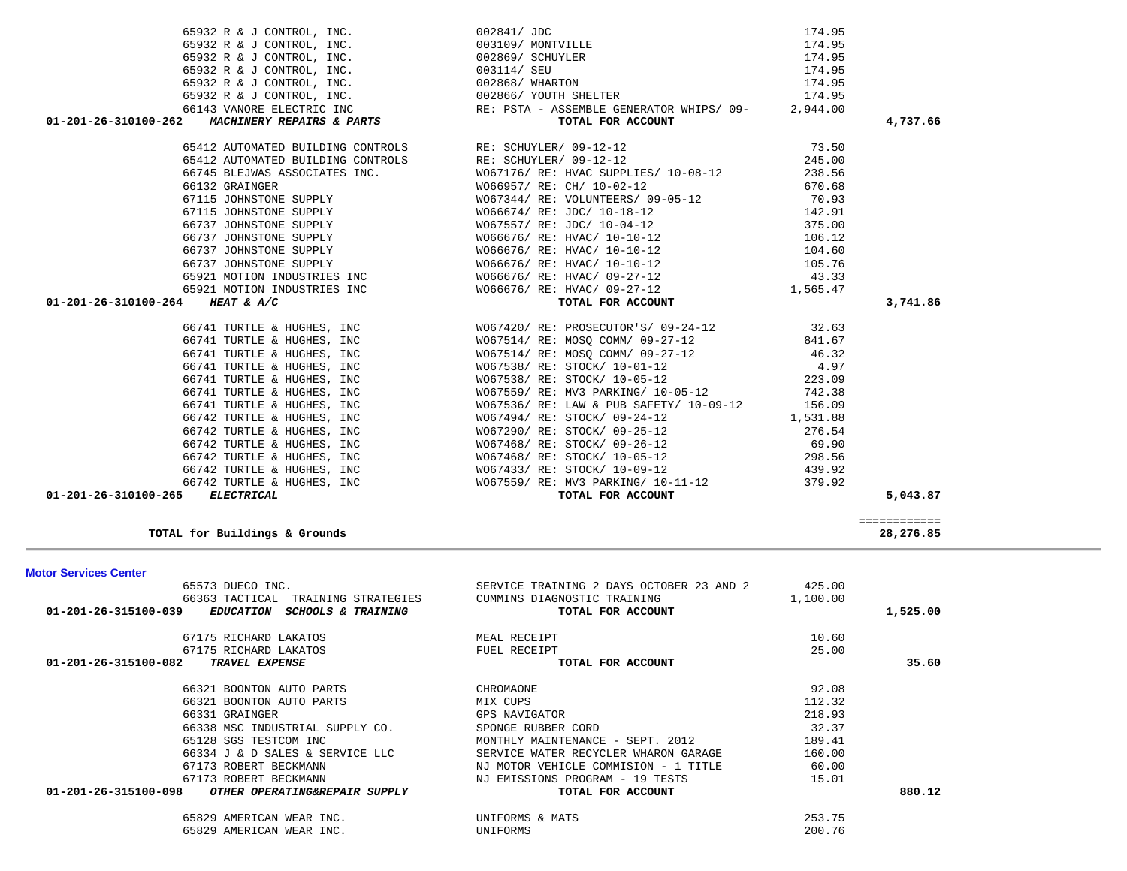| 66742 TURTLE & HUGHES, INC                                      | W067468/ RE: STOCK/ 10-05-12             | 298.56   |                           |  |
|-----------------------------------------------------------------|------------------------------------------|----------|---------------------------|--|
| 66742 TURTLE & HUGHES, INC                                      | W067433/ RE: STOCK/ 10-09-12             | 439.92   |                           |  |
| 66742 TURTLE & HUGHES, INC                                      | WO67559/ RE: MV3 PARKING/ 10-11-12       | 379.92   |                           |  |
| <b>ELECTRICAL</b><br>01-201-26-310100-265                       | TOTAL FOR ACCOUNT                        |          | 5,043.87                  |  |
| TOTAL for Buildings & Grounds                                   |                                          |          | ============<br>28,276.85 |  |
|                                                                 |                                          |          |                           |  |
| <b>Motor Services Center</b>                                    |                                          |          |                           |  |
| 65573 DUECO INC.                                                | SERVICE TRAINING 2 DAYS OCTOBER 23 AND 2 | 425.00   |                           |  |
| 66363 TACTICAL TRAINING STRATEGIES                              | CUMMINS DIAGNOSTIC TRAINING              | 1,100.00 |                           |  |
| 01-201-26-315100-039<br>EDUCATION SCHOOLS & TRAINING            | TOTAL FOR ACCOUNT                        |          | 1,525.00                  |  |
| 67175 RICHARD LAKATOS                                           | MEAL RECEIPT                             | 10.60    |                           |  |
| 67175 RICHARD LAKATOS                                           | FUEL RECEIPT                             | 25.00    |                           |  |
| 01-201-26-315100-082<br>TRAVEL EXPENSE                          | TOTAL FOR ACCOUNT                        |          | 35.60                     |  |
| 66321 BOONTON AUTO PARTS                                        | CHROMAONE                                | 92.08    |                           |  |
| 66321 BOONTON AUTO PARTS                                        | MIX CUPS                                 | 112.32   |                           |  |
| 66331 GRAINGER                                                  | GPS NAVIGATOR                            | 218.93   |                           |  |
| 66338 MSC INDUSTRIAL SUPPLY CO.                                 | SPONGE RUBBER CORD                       | 32.37    |                           |  |
| 65128 SGS TESTCOM INC                                           | MONTHLY MAINTENANCE - SEPT. 2012         | 189.41   |                           |  |
| 66334 J & D SALES & SERVICE LLC                                 | SERVICE WATER RECYCLER WHARON GARAGE     | 160.00   |                           |  |
| 67173 ROBERT BECKMANN                                           | NJ MOTOR VEHICLE COMMISION - 1 TITLE     | 60.00    |                           |  |
| 67173 ROBERT BECKMANN                                           | NJ EMISSIONS PROGRAM - 19 TESTS          | 15.01    |                           |  |
| $01 - 201 - 26 - 315100 - 098$<br>OTHER OPERATING&REPAIR SUPPLY | TOTAL FOR ACCOUNT                        |          | 880.12                    |  |
| 65829 AMERICAN WEAR INC.                                        | UNIFORMS & MATS                          | 253.75   |                           |  |
| 65829 AMERICAN WEAR INC.                                        | UNIFORMS                                 | 200.76   |                           |  |

| 65932 R & J CONTROL, INC. $003114/$ SEU                                                                                                                                                                                        |                                                                                                                                                                                                                                                | 174.95 |               |
|--------------------------------------------------------------------------------------------------------------------------------------------------------------------------------------------------------------------------------|------------------------------------------------------------------------------------------------------------------------------------------------------------------------------------------------------------------------------------------------|--------|---------------|
|                                                                                                                                                                                                                                |                                                                                                                                                                                                                                                |        |               |
|                                                                                                                                                                                                                                |                                                                                                                                                                                                                                                |        |               |
|                                                                                                                                                                                                                                |                                                                                                                                                                                                                                                |        |               |
|                                                                                                                                                                                                                                | 65932 R & J CONTROL, INC.<br>65932 R & J CONTROL, INC.<br>65932 R & J CONTROL, INC.<br>66143 VANORE ELECTRIC INC RE: PSTA - ASSEMBLE GENERATOR WHIPS/09-<br>01-201-26-310100-262 MACHINERY REPAIRS & PARTS<br>01-201-26-310100-262 MACHINERY   |        | 4,737.66      |
|                                                                                                                                                                                                                                |                                                                                                                                                                                                                                                |        |               |
|                                                                                                                                                                                                                                |                                                                                                                                                                                                                                                |        |               |
|                                                                                                                                                                                                                                |                                                                                                                                                                                                                                                |        |               |
|                                                                                                                                                                                                                                |                                                                                                                                                                                                                                                |        |               |
|                                                                                                                                                                                                                                | 67115 JOHNSTONE SUPPLY<br>67115 JOHNSTONE SUPPLY<br>6737 JOHNSTONE SUPPLY<br>66737 JOHNSTONE SUPPLY<br>66737 JOHNSTONE SUPPLY<br>66737 JOHNSTONE SUPPLY<br>66737 JOHNSTONE SUPPLY<br>66737 JOHNSTONE SUPPLY<br>66737 JOHNSTONE SUPPLY<br>70.93 |        |               |
|                                                                                                                                                                                                                                |                                                                                                                                                                                                                                                |        |               |
|                                                                                                                                                                                                                                |                                                                                                                                                                                                                                                |        |               |
|                                                                                                                                                                                                                                |                                                                                                                                                                                                                                                |        |               |
|                                                                                                                                                                                                                                | 66737 JOHNSTONE SUPPLY WO66676/RE: HVAC/10-10-12<br>66737 JOHNSTONE SUPPLY WO66676/RE: HVAC/10-10-12<br>65921 MOTION INDUSTRIES INC WO66676/RE: HVAC/09-27-12 43.33                                                                            |        |               |
|                                                                                                                                                                                                                                |                                                                                                                                                                                                                                                |        |               |
|                                                                                                                                                                                                                                |                                                                                                                                                                                                                                                |        |               |
|                                                                                                                                                                                                                                | 65921 MOTION INDUSTRIES INC WO66676/ RE: HVAC/ 09-27-12 1,565.47                                                                                                                                                                               |        |               |
| 01-201-26-310100-264 HEAT & A/C                                                                                                                                                                                                | TOTAL FOR ACCOUNT                                                                                                                                                                                                                              |        | 3,741.86      |
|                                                                                                                                                                                                                                | 66741 TURTLE & HUGHES, INC<br>66741 TURTLE & HUGHES, INC<br>66741 TURTLE & HUGHES, INC<br>66741 TURTLE & HUGHES, INC<br>6811.67                                                                                                                |        |               |
|                                                                                                                                                                                                                                |                                                                                                                                                                                                                                                |        |               |
|                                                                                                                                                                                                                                | 66741 TURTLE & HUGHES, INC<br>66741 TURTLE & HUGHES, INC<br>66741 TURTLE & HUGHES, INC<br>66741 TURTLE & HUGHES, INC<br>66741 TURTLE & HUGHES, INC<br>66741 TURTLE & HUGHES, INC<br>66741 TURTLE & HUGHES, INC<br>66741 TURTLE & HUGHES, INC   |        |               |
|                                                                                                                                                                                                                                |                                                                                                                                                                                                                                                |        |               |
|                                                                                                                                                                                                                                |                                                                                                                                                                                                                                                |        |               |
|                                                                                                                                                                                                                                |                                                                                                                                                                                                                                                |        |               |
|                                                                                                                                                                                                                                |                                                                                                                                                                                                                                                |        |               |
|                                                                                                                                                                                                                                |                                                                                                                                                                                                                                                |        |               |
|                                                                                                                                                                                                                                |                                                                                                                                                                                                                                                |        |               |
|                                                                                                                                                                                                                                | 66742 TURTLE & HUGHES, INC<br>66742 TURTLE & HUGHES, INC<br>66742 TURTLE & HUGHES, INC<br>66742 TURTLE & HUGHES, INC<br>66742 TURTLE & HUGHES, INC<br>66742 TURTLE & HUGHES, INC<br>66742 TURTLE & HUGHES, INC<br>69.90                        |        |               |
|                                                                                                                                                                                                                                | 66742 TURTLE & HUGHES, INC WO67468/RE: STOCK/10-05-12 298.56                                                                                                                                                                                   |        |               |
|                                                                                                                                                                                                                                |                                                                                                                                                                                                                                                |        |               |
| 66742 TURTLE & HUGHES, INC WO67433/RE: STOCK/10-09-12 439.92                                                                                                                                                                   |                                                                                                                                                                                                                                                |        |               |
| $0.1, 0.01, 0.01, 0.01, 0.01, 0.01, 0.01, 0.01, 0.01, 0.01, 0.01, 0.01, 0.01, 0.01, 0.01, 0.01, 0.01, 0.01, 0.01, 0.01, 0.01, 0.01, 0.01, 0.01, 0.01, 0.01, 0.01, 0.01, 0.01, 0.01, 0.01, 0.01, 0.01, 0.01, 0.01, 0.01, 0.01,$ | 66742 TURTLE & HUGHES, INC WO67559/RE: MV3 PARKING/10-11-12 379.92<br>$\blacksquare$                                                                                                                                                           |        | $F = 0.42.05$ |

65932 R & J CONTROL, INC.  $002841 / JDC$  174.95 65932 R & J CONTROL, INC. 003109/ MONTVILLE 174.95

65932 R & J CONTROL,  $INC.$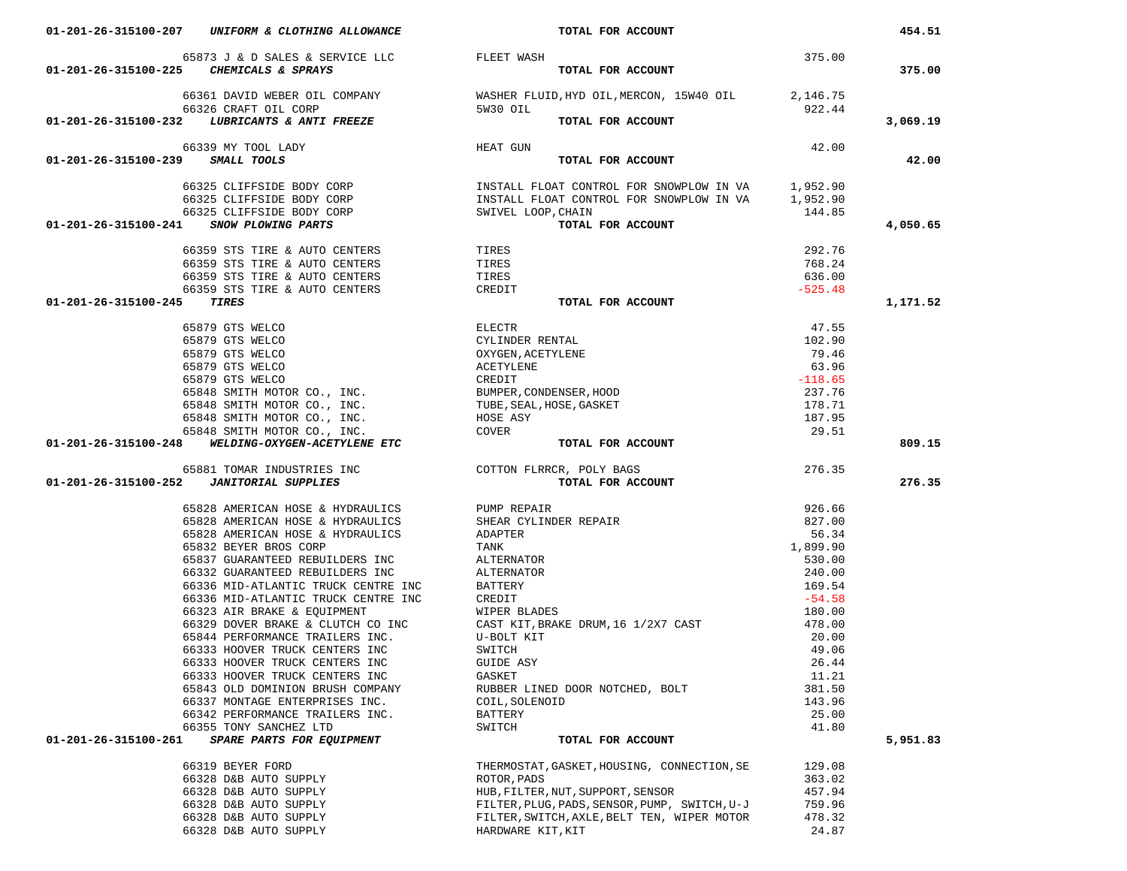|                      | $$65873$ J $\&$ D SALES $\&$ SERVICE LLC $$$ FLEET WASH $01-201-26-315100-225$ $$$ $$CHEMICALS$ $\&$ $$SPRAYS$ | TOTAL FOR ACCOUNT                                                                                                                                                                                                                                                                                                                                                                                                                                            | 375.00           | 375.00   |
|----------------------|----------------------------------------------------------------------------------------------------------------|--------------------------------------------------------------------------------------------------------------------------------------------------------------------------------------------------------------------------------------------------------------------------------------------------------------------------------------------------------------------------------------------------------------------------------------------------------------|------------------|----------|
|                      |                                                                                                                |                                                                                                                                                                                                                                                                                                                                                                                                                                                              |                  |          |
|                      |                                                                                                                | $\begin{array}{cccc} \text{66361 DAVID WEBER OIL COMPANY} \end{array} & \begin{array}{cccc} \text{WASHER FLUID, HYD OIL, MERCON, 15W40 OIL} \end{array} & \begin{array}{cccc} 2,146.75 & 22.44 \\ 922.44 & 5 & 0.000 \\ \end{array} & \begin{array}{cccc} \text{WASHER FLUID, HYD OIL, MERCON, 15W40 OIL} \end{array} & \begin{array}{cccc} \text{5W40 OIL} \end{array} & \begin{array}{cccc} \text{5W40 OIL} \end{array} & \begin{array}{cccc} \text{5W4$   |                  |          |
|                      |                                                                                                                |                                                                                                                                                                                                                                                                                                                                                                                                                                                              |                  |          |
|                      |                                                                                                                |                                                                                                                                                                                                                                                                                                                                                                                                                                                              |                  | 3,069.19 |
|                      | 66339 MY TOOL LADY                                                                                             | HEAT GUN                                                                                                                                                                                                                                                                                                                                                                                                                                                     | 42.00            |          |
|                      | 01-201-26-315100-239 SMALL TOOLS                                                                               | TOTAL FOR ACCOUNT                                                                                                                                                                                                                                                                                                                                                                                                                                            |                  | 42.00    |
|                      |                                                                                                                |                                                                                                                                                                                                                                                                                                                                                                                                                                                              |                  |          |
|                      |                                                                                                                |                                                                                                                                                                                                                                                                                                                                                                                                                                                              |                  |          |
|                      |                                                                                                                |                                                                                                                                                                                                                                                                                                                                                                                                                                                              |                  |          |
|                      |                                                                                                                | $\begin{array}{cccc} \texttt{66325 CLIFFSIDE BODY CORP} & \texttt{INSTALL FLOAT CONTROL FOR SNOWLEDW IN VA} & \texttt{1,952.90} \\ \texttt{66325 CLIFFSIDE BODY CORP} & \texttt{INSTALL FLOAT CONTROL FOR SNOWLEDW IN VA} & \texttt{1,952.90} \\ \texttt{66325 CLIFFSIDE BODY CORP} & \texttt{INSTALL FLOAP} & \texttt{CONTROL FOR SNOWLEDW IN VA} & \texttt{1,952.90} \\ \texttt{66325 CLIFFSIDE BODY CORP} & \texttt{INSTALL FLOAP} & \texttt{CONTROL FOR$ |                  | 4,050.65 |
|                      |                                                                                                                |                                                                                                                                                                                                                                                                                                                                                                                                                                                              | 292.76           |          |
|                      | 66359 STS TIRE & AUTO CENTERS TIRES<br>66359 STS TIRE & AUTO CENTERS TIRES TIRES                               |                                                                                                                                                                                                                                                                                                                                                                                                                                                              | 768.24           |          |
|                      | 66359 STS TIRE & AUTO CENTERS TIRES                                                                            |                                                                                                                                                                                                                                                                                                                                                                                                                                                              | 636.00           |          |
|                      |                                                                                                                |                                                                                                                                                                                                                                                                                                                                                                                                                                                              | $-525.48$        |          |
| 01-201-26-315100-245 | 66359 STS TIRE & AUTO CENTERS CREDIT CREDIT                                                                    | TOTAL FOR ACCOUNT                                                                                                                                                                                                                                                                                                                                                                                                                                            |                  | 1,171.52 |
|                      |                                                                                                                |                                                                                                                                                                                                                                                                                                                                                                                                                                                              |                  |          |
|                      |                                                                                                                |                                                                                                                                                                                                                                                                                                                                                                                                                                                              |                  |          |
|                      |                                                                                                                |                                                                                                                                                                                                                                                                                                                                                                                                                                                              |                  |          |
|                      |                                                                                                                |                                                                                                                                                                                                                                                                                                                                                                                                                                                              |                  |          |
|                      |                                                                                                                |                                                                                                                                                                                                                                                                                                                                                                                                                                                              |                  |          |
|                      |                                                                                                                |                                                                                                                                                                                                                                                                                                                                                                                                                                                              |                  |          |
|                      |                                                                                                                |                                                                                                                                                                                                                                                                                                                                                                                                                                                              |                  |          |
|                      |                                                                                                                |                                                                                                                                                                                                                                                                                                                                                                                                                                                              |                  |          |
|                      |                                                                                                                |                                                                                                                                                                                                                                                                                                                                                                                                                                                              |                  |          |
|                      | 01-201-26-315100-248 WELDING-OXYGEN-ACETYLENE ETC                                                              |                                                                                                                                                                                                                                                                                                                                                                                                                                                              |                  | 809.15   |
|                      |                                                                                                                |                                                                                                                                                                                                                                                                                                                                                                                                                                                              |                  |          |
|                      |                                                                                                                | $\begin{tabular}{lllllllllllllllllll} \textbf{65879 GT S WELCO} & & & & & & & & & & 47.55 \\ \textbf{65879 GT S WELCO} & & & & & & & & & & 102.90 \\ \textbf{65879 GT S WELCO} & & & & & & & & & 102.90 \\ \textbf{65879 GT S WELCO} & & & & & & & & & & 79.46 \\ \textbf{65879 GT S WELCO} & & & & & & & & & & 79.46 \\ \textbf{65879 GT S WELCO} & & & & & & & & & & & 79.46 \\ \textbf{65879$                                                             |                  |          |
|                      |                                                                                                                |                                                                                                                                                                                                                                                                                                                                                                                                                                                              | 276.35           | 276.35   |
|                      |                                                                                                                | 65881 TOMAR INDUSTRIES INC COTTON FLRRCR, POLY BAGS<br>01-201-26-315100-252 JANITORIAL SUPPLIES CONFERNATION COTTON FOR ACCOUNT                                                                                                                                                                                                                                                                                                                              |                  |          |
|                      | 65828 AMERICAN HOSE & HYDRAULICS PUMP REPAIR                                                                   |                                                                                                                                                                                                                                                                                                                                                                                                                                                              | 926.66           |          |
|                      |                                                                                                                |                                                                                                                                                                                                                                                                                                                                                                                                                                                              | 827.00           |          |
|                      |                                                                                                                |                                                                                                                                                                                                                                                                                                                                                                                                                                                              |                  |          |
|                      | 65832 BEYER BROS CORP                                                                                          | 65828 AMERICAN HOSE & HYDRAULICS<br>65828 AMERICAN HOSE & HYDRAULICS SHEAR CYLINDER REPAIR<br>65832 BEVER BROG CORP<br>TANK                                                                                                                                                                                                                                                                                                                                  |                  |          |
|                      | 65837 GUARANTEED REBUILDERS INC ALTERNATOR                                                                     |                                                                                                                                                                                                                                                                                                                                                                                                                                                              |                  |          |
|                      |                                                                                                                |                                                                                                                                                                                                                                                                                                                                                                                                                                                              |                  |          |
|                      |                                                                                                                |                                                                                                                                                                                                                                                                                                                                                                                                                                                              |                  |          |
|                      |                                                                                                                |                                                                                                                                                                                                                                                                                                                                                                                                                                                              |                  |          |
|                      |                                                                                                                | $\begin{array}{r} 827.00 \\ 56.34 \\ 1,899.90 \\ 530.00 \\ 240.00 \\ 169.54 \\ \end{array}$                                                                                                                                                                                                                                                                                                                                                                  | 478.00           |          |
|                      |                                                                                                                | 66336 MID-ATLANTIC TRUCK CENTRE INC<br>66323 AIR BRAKE & EQUIPMENT WIPER BLADES<br>66329 DOVER BRAKE & CLUTCH CO INC CAST KIT,BRAKE DRUM,16 1/2X7 CAST<br>65844 PERFORMANCE TRAILERS INC. U-BOLT KIT                                                                                                                                                                                                                                                         | 20.00            |          |
|                      |                                                                                                                |                                                                                                                                                                                                                                                                                                                                                                                                                                                              | 49.06            |          |
|                      |                                                                                                                |                                                                                                                                                                                                                                                                                                                                                                                                                                                              | 26.44            |          |
|                      | 66333 HOOVER TRUCK CENTERS INC                                                                                 | GASKET                                                                                                                                                                                                                                                                                                                                                                                                                                                       | 11.21            |          |
|                      | 65843 OLD DOMINION BRUSH COMPANY                                                                               | RUBBER LINED DOOR NOTCHED, BOLT                                                                                                                                                                                                                                                                                                                                                                                                                              | 381.50           |          |
|                      | 66337 MONTAGE ENTERPRISES INC.                                                                                 | COIL, SOLENOID                                                                                                                                                                                                                                                                                                                                                                                                                                               | 143.96           |          |
|                      | 66342 PERFORMANCE TRAILERS INC.<br>66355 TONY SANCHEZ LTD                                                      | <b>BATTERY</b><br>SWITCH                                                                                                                                                                                                                                                                                                                                                                                                                                     | 25.00<br>41.80   |          |
| 01-201-26-315100-261 | SPARE PARTS FOR EQUIPMENT                                                                                      | TOTAL FOR ACCOUNT                                                                                                                                                                                                                                                                                                                                                                                                                                            |                  | 5,951.83 |
|                      |                                                                                                                |                                                                                                                                                                                                                                                                                                                                                                                                                                                              |                  |          |
|                      | 66319 BEYER FORD                                                                                               | THERMOSTAT, GASKET, HOUSING, CONNECTION, SE                                                                                                                                                                                                                                                                                                                                                                                                                  | 129.08           |          |
|                      | 66328 D&B AUTO SUPPLY                                                                                          | ROTOR, PADS                                                                                                                                                                                                                                                                                                                                                                                                                                                  | 363.02           |          |
|                      | 66328 D&B AUTO SUPPLY<br>66328 D&B AUTO SUPPLY                                                                 | HUB, FILTER, NUT, SUPPORT, SENSOR<br>FILTER, PLUG, PADS, SENSOR, PUMP, SWITCH, U-J                                                                                                                                                                                                                                                                                                                                                                           | 457.94<br>759.96 |          |

66328 D&B AUTO SUPPLY HARDWARE KIT,KIT 24.87

01-201-26-315100-207 *UNIFORM & CLOTHING ALLOWANCE TOTAL FOR ACCOUNT* 

454.51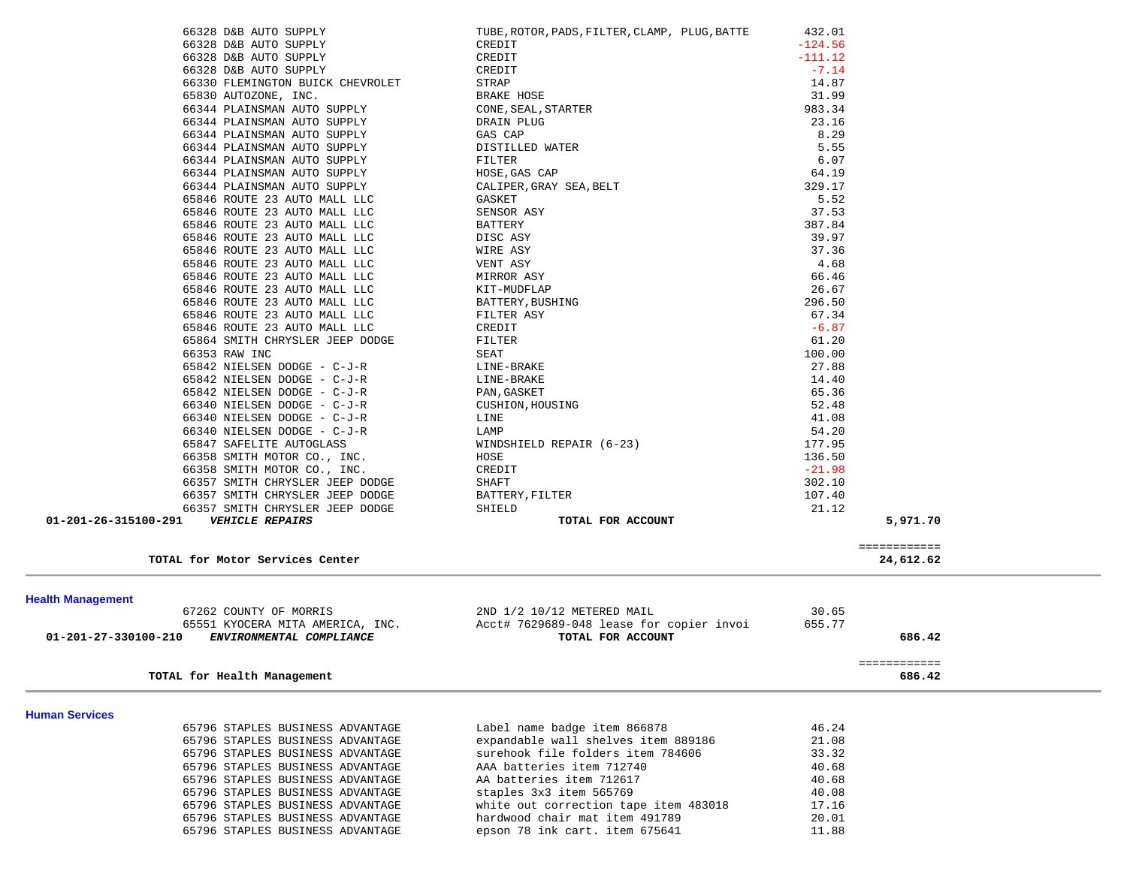| 66328 D&B AUTO SUPPLY                                                | TUBE, ROTOR, PADS, FILTER, CLAMP, PLUG, BATTE                            | 432.01         |                           |  |
|----------------------------------------------------------------------|--------------------------------------------------------------------------|----------------|---------------------------|--|
| 66328 D&B AUTO SUPPLY                                                | CREDIT                                                                   | $-124.56$      |                           |  |
| 66328 D&B AUTO SUPPLY                                                | CREDIT                                                                   | $-111.12$      |                           |  |
| 66328 D&B AUTO SUPPLY                                                | CREDIT                                                                   | $-7.14$        |                           |  |
| 66330 FLEMINGTON BUICK CHEVROLET                                     | STRAP                                                                    | 14.87          |                           |  |
| 65830 AUTOZONE, INC.                                                 | BRAKE HOSE                                                               | 31.99          |                           |  |
| 66344 PLAINSMAN AUTO SUPPLY                                          | CONE, SEAL, STARTER                                                      | 983.34         |                           |  |
| 66344 PLAINSMAN AUTO SUPPLY                                          | DRAIN PLUG                                                               | 23.16          |                           |  |
| 66344 PLAINSMAN AUTO SUPPLY                                          | GAS CAP                                                                  | 8.29           |                           |  |
| 66344 PLAINSMAN AUTO SUPPLY                                          | DISTILLED WATER                                                          | 5.55           |                           |  |
| 66344 PLAINSMAN AUTO SUPPLY                                          | FILTER                                                                   | 6.07           |                           |  |
| 66344 PLAINSMAN AUTO SUPPLY                                          | HOSE, GAS CAP                                                            | 64.19          |                           |  |
| 66344 PLAINSMAN AUTO SUPPLY                                          | CALIPER, GRAY SEA, BELT                                                  | 329.17         |                           |  |
| 65846 ROUTE 23 AUTO MALL LLC                                         | GASKET                                                                   | 5.52           |                           |  |
| 65846 ROUTE 23 AUTO MALL LLC                                         | SENSOR ASY                                                               | 37.53          |                           |  |
| 65846 ROUTE 23 AUTO MALL LLC                                         | BATTERY                                                                  | 387.84         |                           |  |
| 65846 ROUTE 23 AUTO MALL LLC                                         | DISC ASY                                                                 | 39.97          |                           |  |
| 65846 ROUTE 23 AUTO MALL LLC                                         | WIRE ASY                                                                 | 37.36          |                           |  |
| 65846 ROUTE 23 AUTO MALL LLC                                         | VENT ASY                                                                 | 4.68           |                           |  |
| 65846 ROUTE 23 AUTO MALL LLC                                         | MIRROR ASY                                                               | 66.46          |                           |  |
| 65846 ROUTE 23 AUTO MALL LLC                                         | KIT-MUDFLAP                                                              | 26.67          |                           |  |
| 65846 ROUTE 23 AUTO MALL LLC                                         | BATTERY, BUSHING                                                         | 296.50         |                           |  |
| 65846 ROUTE 23 AUTO MALL LLC                                         | FILTER ASY                                                               | 67.34          |                           |  |
| 65846 ROUTE 23 AUTO MALL LLC                                         | CREDIT                                                                   | $-6.87$        |                           |  |
| 65864 SMITH CHRYSLER JEEP DODGE                                      | FILTER                                                                   | 61.20          |                           |  |
| 66353 RAW INC                                                        | SEAT                                                                     | 100.00         |                           |  |
| 65842 NIELSEN DODGE - C-J-R                                          | LINE-BRAKE<br>LINE-BRAKE                                                 | 27.88<br>14.40 |                           |  |
| 65842 NIELSEN DODGE - C-J-R                                          |                                                                          | 65.36          |                           |  |
| 65842 NIELSEN DODGE - C-J-R<br>66340 NIELSEN DODGE - C-J-R           | PAN, GASKET<br>CUSHION, HOUSING                                          | 52.48          |                           |  |
| 66340 NIELSEN DODGE - C-J-R                                          | LINE                                                                     | 41.08          |                           |  |
| 66340 NIELSEN DODGE - C-J-R                                          | LAMP                                                                     | 54.20          |                           |  |
| 65847 SAFELITE AUTOGLASS                                             | WINDSHIELD REPAIR (6-23)                                                 | 177.95         |                           |  |
| 66358 SMITH MOTOR CO., INC.                                          | HOSE                                                                     | 136.50         |                           |  |
| 66358 SMITH MOTOR CO., INC.                                          | CREDIT                                                                   | $-21.98$       |                           |  |
| 66357 SMITH CHRYSLER JEEP DODGE                                      | SHAFT                                                                    | 302.10         |                           |  |
| 66357 SMITH CHRYSLER JEEP DODGE                                      | BATTERY, FILTER                                                          | 107.40         |                           |  |
| 66357 SMITH CHRYSLER JEEP DODGE                                      | SHIELD                                                                   | 21.12          |                           |  |
| 01-201-26-315100-291<br><b>VEHICLE REPAIRS</b>                       | TOTAL FOR ACCOUNT                                                        |                | 5,971.70                  |  |
|                                                                      |                                                                          |                |                           |  |
| TOTAL for Motor Services Center                                      |                                                                          |                | ============<br>24,612.62 |  |
|                                                                      |                                                                          |                |                           |  |
|                                                                      |                                                                          |                |                           |  |
| <b>Health Management</b>                                             |                                                                          |                |                           |  |
| 67262 COUNTY OF MORRIS                                               | 2ND 1/2 10/12 METERED MAIL                                               | 30.65          |                           |  |
| 65551 KYOCERA MITA AMERICA, INC.                                     | Acct# 7629689-048 lease for copier invoi                                 | 655.77         |                           |  |
| 01-201-27-330100-210<br>ENVIRONMENTAL COMPLIANCE                     | TOTAL FOR ACCOUNT                                                        |                | 686.42                    |  |
|                                                                      |                                                                          |                | ============              |  |
| TOTAL for Health Management                                          |                                                                          |                | 686.42                    |  |
|                                                                      |                                                                          |                |                           |  |
| <b>Human Services</b>                                                |                                                                          |                |                           |  |
| 65796 STAPLES BUSINESS ADVANTAGE                                     | Label name badge item 866878                                             | 46.24          |                           |  |
| 65796 STAPLES BUSINESS ADVANTAGE                                     | expandable wall shelves item 889186<br>surehook file folders item 784606 | 21.08          |                           |  |
| 65796 STAPLES BUSINESS ADVANTAGE<br>65796 STAPLES BUSINESS ADVANTAGE | AAA batteries item 712740                                                | 33.32          |                           |  |
| 65796 STAPLES BUSINESS ADVANTAGE                                     | AA batteries item 712617                                                 | 40.68<br>40.68 |                           |  |
| 65796 STAPLES BUSINESS ADVANTAGE                                     | staples 3x3 item 565769                                                  | 40.08          |                           |  |
| 65796 STAPLES BUSINESS ADVANTAGE                                     | white out correction tape item 483018                                    | 17.16          |                           |  |
| 65796 STAPLES BUSINESS ADVANTAGE                                     | hardwood chair mat item 491789                                           | 20.01          |                           |  |

 $20.01$ <br> $11.88$ 

65796 STAPLES BUSINESS ADVANTAGE epson 78 ink cart. item 675641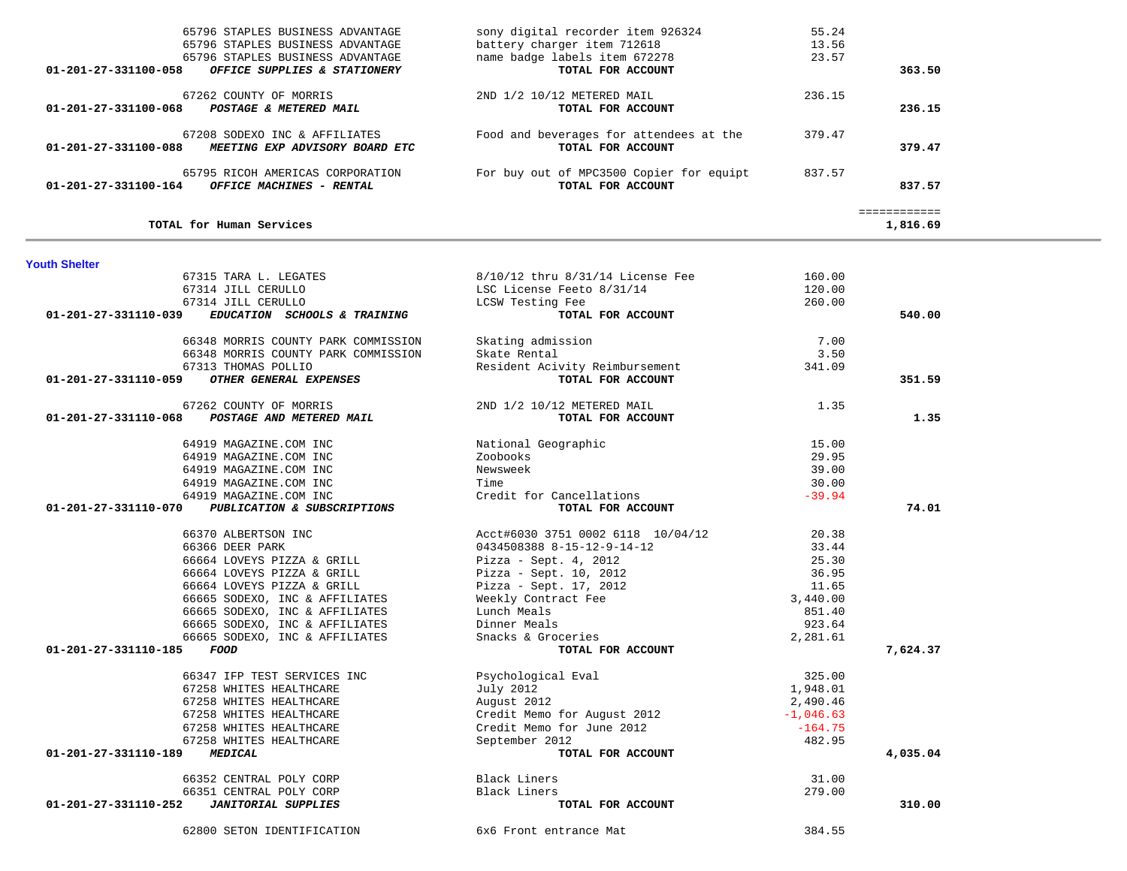| TOTAL for Human Services                                                                |                                                               |        | ------------<br>1,816.69 |
|-----------------------------------------------------------------------------------------|---------------------------------------------------------------|--------|--------------------------|
| 65795 RICOH AMERICAS CORPORATION<br>01-201-27-331100-164<br>OFFICE MACHINES - RENTAL    | For buy out of MPC3500 Copier for equipt<br>TOTAL FOR ACCOUNT | 837.57 | 837.57                   |
| 67208 SODEXO INC & AFFILIATES<br>01-201-27-331100-088<br>MEETING EXP ADVISORY BOARD ETC | Food and beverages for attendees at the<br>TOTAL FOR ACCOUNT  | 379.47 | 379.47                   |
| 67262 COUNTY OF MORRIS<br>01-201-27-331100-068<br>POSTAGE & METERED MAIL                | 2ND 1/2 10/12 METERED MAIL<br>TOTAL FOR ACCOUNT               | 236.15 | 236.15                   |
| 01-201-27-331100-058<br>OFFICE SUPPLIES & STATIONERY                                    | TOTAL FOR ACCOUNT                                             |        | 363.50                   |
| 65796 STAPLES BUSINESS ADVANTAGE                                                        | name badge labels item 672278                                 | 23.57  |                          |
| 65796 STAPLES BUSINESS ADVANTAGE                                                        | battery charger item 712618                                   | 13.56  |                          |
| 65796 STAPLES BUSINESS ADVANTAGE                                                        | sony digital recorder item 926324                             | 55.24  |                          |

| 67315 TARA L. LEGATES                                | $8/10/12$ thru $8/31/14$ License Fee | 160.00      |          |
|------------------------------------------------------|--------------------------------------|-------------|----------|
| 67314 JILL CERULLO                                   | LSC License Feeto 8/31/14            | 120.00      |          |
| 67314 JILL CERULLO                                   | LCSW Testing Fee                     | 260.00      |          |
| 01-201-27-331110-039<br>EDUCATION SCHOOLS & TRAINING | TOTAL FOR ACCOUNT                    |             | 540.00   |
| 66348 MORRIS COUNTY PARK COMMISSION                  | Skating admission                    | 7.00        |          |
| 66348 MORRIS COUNTY PARK COMMISSION                  | Skate Rental                         | 3.50        |          |
| 67313 THOMAS POLLIO                                  | Resident Acivity Reimbursement       | 341.09      |          |
| OTHER GENERAL EXPENSES<br>01-201-27-331110-059       | TOTAL FOR ACCOUNT                    |             | 351.59   |
| 67262 COUNTY OF MORRIS                               | 2ND 1/2 10/12 METERED MAIL           | 1.35        |          |
| 01-201-27-331110-068 POSTAGE AND METERED MAIL        | TOTAL FOR ACCOUNT                    |             | 1.35     |
| 64919 MAGAZINE.COM INC                               | National Geographic                  | 15.00       |          |
| 64919 MAGAZINE.COM INC                               | Zoobooks                             | 29.95       |          |
| 64919 MAGAZINE.COM INC                               | Newsweek                             | 39.00       |          |
| 64919 MAGAZINE.COM INC                               | Time                                 | 30.00       |          |
| 64919 MAGAZINE.COM INC                               | Credit for Cancellations             | $-39.94$    |          |
| 01-201-27-331110-070<br>PUBLICATION & SUBSCRIPTIONS  | TOTAL FOR ACCOUNT                    |             | 74.01    |
| 66370 ALBERTSON INC                                  | Acct#6030 3751 0002 6118 10/04/12    | 20.38       |          |
| 66366 DEER PARK                                      | 0434508388 8-15-12-9-14-12           | 33.44       |          |
| 66664 LOVEYS PIZZA & GRILL                           | Pizza - Sept. $4, 2012$              | 25.30       |          |
| 66664 LOVEYS PIZZA & GRILL                           | Pizza - Sept. 10, 2012               | 36.95       |          |
| 66664 LOVEYS PIZZA & GRILL                           | Pizza - Sept. 17, 2012               | 11.65       |          |
| 66665 SODEXO, INC & AFFILIATES                       | Weekly Contract Fee                  | 3,440.00    |          |
| 66665 SODEXO, INC & AFFILIATES                       | Lunch Meals                          | 851.40      |          |
| 66665 SODEXO, INC & AFFILIATES                       | Dinner Meals                         | 923.64      |          |
| 66665 SODEXO, INC & AFFILIATES                       | Snacks & Groceries                   | 2,281.61    |          |
| 01-201-27-331110-185<br>FOOD                         | TOTAL FOR ACCOUNT                    |             | 7,624.37 |
| 66347 IFP TEST SERVICES INC                          | Psychological Eval                   | 325.00      |          |
| 67258 WHITES HEALTHCARE                              | July 2012                            | 1,948.01    |          |
| 67258 WHITES HEALTHCARE                              | August 2012                          | 2,490.46    |          |
| 67258 WHITES HEALTHCARE                              | Credit Memo for August 2012          | $-1,046.63$ |          |
| 67258 WHITES HEALTHCARE                              | Credit Memo for June 2012            | $-164.75$   |          |
| 67258 WHITES HEALTHCARE                              | September 2012                       | 482.95      |          |
| 01-201-27-331110-189<br><b>MEDICAL</b>               | TOTAL FOR ACCOUNT                    |             | 4,035.04 |
| 66352 CENTRAL POLY CORP                              | Black Liners                         | 31.00       |          |
| 66351 CENTRAL POLY CORP                              | Black Liners                         | 279.00      |          |
| 01-201-27-331110-252<br><b>JANITORIAL SUPPLIES</b>   | TOTAL FOR ACCOUNT                    |             | 310.00   |

62800 SETON IDENTIFICATION 6x6 Front entrance Mat 384.55

**Youth Shelter**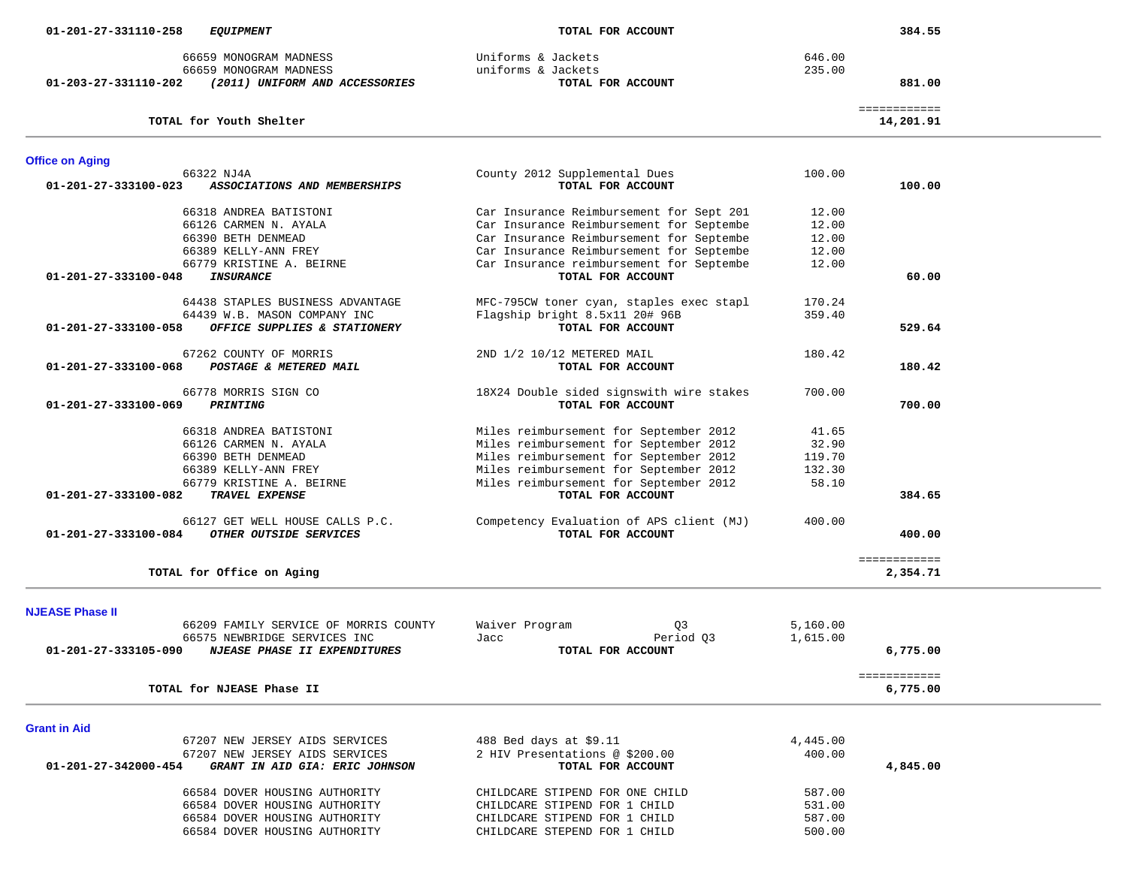| 01-203-27-331110-202           | 66659 MONOGRAM MADNESS<br>66659 MONOGRAM MADNESS | Uniforms & Jackets<br>uniforms & Jackets<br>TOTAL FOR ACCOUNT | 646.00<br>235.00 | 881.00                    |
|--------------------------------|--------------------------------------------------|---------------------------------------------------------------|------------------|---------------------------|
|                                | (2011) UNIFORM AND ACCESSORIES                   |                                                               |                  |                           |
|                                | TOTAL for Youth Shelter                          |                                                               |                  | ============<br>14,201.91 |
| <b>Office on Aging</b>         |                                                  |                                                               |                  |                           |
| 01-201-27-333100-023           | 66322 NJ4A<br>ASSOCIATIONS AND MEMBERSHIPS       | County 2012 Supplemental Dues<br>TOTAL FOR ACCOUNT            | 100.00           | 100.00                    |
|                                | 66318 ANDREA BATISTONI                           | Car Insurance Reimbursement for Sept 201                      | 12.00            |                           |
|                                | 66126 CARMEN N. AYALA                            | Car Insurance Reimbursement for Septembe                      | 12.00            |                           |
|                                | 66390 BETH DENMEAD                               | Car Insurance Reimbursement for Septembe                      | 12.00            |                           |
|                                | 66389 KELLY-ANN FREY                             | Car Insurance Reimbursement for Septembe                      | 12.00            |                           |
|                                | 66779 KRISTINE A. BEIRNE                         | Car Insurance reimbursement for Septembe                      | 12.00            |                           |
| 01-201-27-333100-048           | <b>INSURANCE</b>                                 | TOTAL FOR ACCOUNT                                             |                  | 60.00                     |
|                                | 64438 STAPLES BUSINESS ADVANTAGE                 | MFC-795CW toner cyan, staples exec stapl                      | 170.24           |                           |
|                                | 64439 W.B. MASON COMPANY INC                     | Flagship bright 8.5x11 20# 96B                                | 359.40           |                           |
| 01-201-27-333100-058           | OFFICE SUPPLIES & STATIONERY                     | TOTAL FOR ACCOUNT                                             |                  | 529.64                    |
|                                | 67262 COUNTY OF MORRIS                           | 2ND 1/2 10/12 METERED MAIL                                    | 180.42           |                           |
| $01 - 201 - 27 - 333100 - 068$ | POSTAGE & METERED MAIL                           | TOTAL FOR ACCOUNT                                             |                  | 180.42                    |
|                                | 66778 MORRIS SIGN CO                             | 18X24 Double sided signswith wire stakes                      | 700.00           |                           |
| 01-201-27-333100-069           | <b>PRINTING</b>                                  | TOTAL FOR ACCOUNT                                             |                  | 700.00                    |
|                                | 66318 ANDREA BATISTONI                           | Miles reimbursement for September 2012                        | 41.65            |                           |
|                                | 66126 CARMEN N. AYALA                            | Miles reimbursement for September 2012                        | 32.90            |                           |
|                                | 66390 BETH DENMEAD                               | Miles reimbursement for September 2012                        | 119.70           |                           |
|                                | 66389 KELLY-ANN FREY                             | Miles reimbursement for September 2012                        | 132.30           |                           |
|                                | 66779 KRISTINE A. BEIRNE                         | Miles reimbursement for September 2012                        | 58.10            |                           |
| 01-201-27-333100-082           | TRAVEL EXPENSE                                   | TOTAL FOR ACCOUNT                                             |                  | 384.65                    |
|                                | 66127 GET WELL HOUSE CALLS P.C.                  | Competency Evaluation of APS client (MJ)                      | 400.00           |                           |
| $01 - 201 - 27 - 333100 - 084$ | OTHER OUTSIDE SERVICES                           | TOTAL FOR ACCOUNT                                             |                  | 400.00                    |
|                                |                                                  |                                                               |                  | ============              |
|                                | TOTAL for Office on Aging                        |                                                               |                  | 2,354.71                  |
|                                |                                                  |                                                               |                  |                           |
| <b>NJEASE Phase II</b>         |                                                  |                                                               |                  |                           |
|                                | 66209 FAMILY SERVICE OF MORRIS COUNTY            | Waiver Program<br>Q3                                          | 5.160.00         |                           |

|                      | 66575 NEWBRIDGE SERVICES INC        | Jacc                           | Period 03         | 1,615.00 |          |
|----------------------|-------------------------------------|--------------------------------|-------------------|----------|----------|
| 01-201-27-333105-090 | <i>NJEASE PHASE II EXPENDITURES</i> |                                | TOTAL FOR ACCOUNT |          | 6,775.00 |
|                      |                                     |                                |                   |          |          |
|                      | TOTAL for NJEASE Phase II           |                                |                   |          | 6,775.00 |
|                      |                                     |                                |                   |          |          |
| <b>Grant in Aid</b>  |                                     |                                |                   |          |          |
|                      | 67207 NEW JERSEY AIDS SERVICES      | 488 Bed days at \$9.11         |                   | 4,445.00 |          |
|                      | 67207 NEW JERSEY AIDS SERVICES      | 2 HIV Presentations @ \$200.00 |                   | 400.00   |          |
|                      |                                     |                                |                   |          |          |

 **01-201-27-342000-454** *GRANT IN AID GIA: ERIC JOHNSON* **TOTAL FOR ACCOUNT 4,845.00** 66584 DOVER HOUSING AUTHORITY CHILDCARE STIPEND FOR ONE CHILD 587.00 66584 DOVER HOUSING AUTHORITY CHILDCARE STIPEND FOR 1 CHILD 531.00 66584 DOVER HOUSING AUTHORITY CHILDCARE STIPEND FOR 1 CHILD 587.00 500.00 66584 DOVER HOUSING AUTHORITY CHILDCARE STEPEND FOR 1 CHILD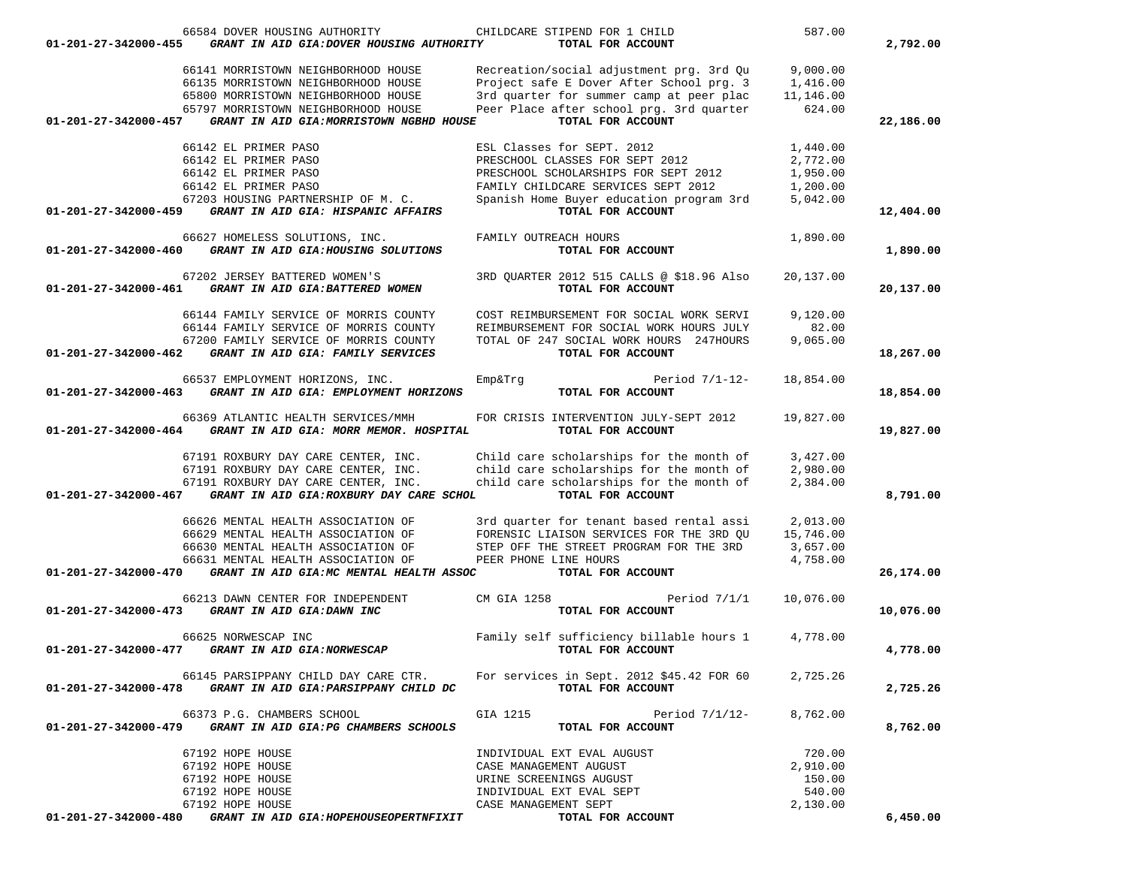| 01-201-27-342000-455 | 66584 DOVER HOUSING AUTHORITY<br>GRANT IN AID GIA: DOVER HOUSING AUTHORITY                                                                                                                           | CHILDCARE STIPEND FOR 1 CHILD<br>TOTAL FOR ACCOUNT                                                                                                                                                            | 587.00                                                   | 2,792.00  |
|----------------------|------------------------------------------------------------------------------------------------------------------------------------------------------------------------------------------------------|---------------------------------------------------------------------------------------------------------------------------------------------------------------------------------------------------------------|----------------------------------------------------------|-----------|
| 01-201-27-342000-457 | 66141 MORRISTOWN NEIGHBORHOOD HOUSE<br>66135 MORRISTOWN NEIGHBORHOOD HOUSE<br>65800 MORRISTOWN NEIGHBORHOOD HOUSE<br>65797 MORRISTOWN NEIGHBORHOOD HOUSE<br>GRANT IN AID GIA: MORRISTOWN NGBHD HOUSE | Recreation/social adjustment prg. 3rd Qu<br>Project safe E Dover After School prg. 3<br>3rd quarter for summer camp at peer plac<br>Peer Place after school prg. 3rd quarter<br>TOTAL FOR ACCOUNT             | 9,000.00<br>1,416.00<br>11,146.00<br>624.00              | 22,186.00 |
| 01-201-27-342000-459 | 66142 EL PRIMER PASO<br>66142 EL PRIMER PASO<br>66142 EL PRIMER PASO<br>66142 EL PRIMER PASO<br>67203 HOUSING PARTNERSHIP OF M. C.<br>GRANT IN AID GIA: HISPANIC AFFAIRS                             | ESL Classes for SEPT. 2012<br>PRESCHOOL CLASSES FOR SEPT 2012<br>PRESCHOOL SCHOLARSHIPS FOR SEPT 2012<br>FAMILY CHILDCARE SERVICES SEPT 2012<br>Spanish Home Buyer education program 3rd<br>TOTAL FOR ACCOUNT | 1,440.00<br>2,772.00<br>1,950.00<br>1,200.00<br>5,042.00 |           |
|                      |                                                                                                                                                                                                      |                                                                                                                                                                                                               |                                                          | 12,404.00 |
| 01-201-27-342000-460 | 66627 HOMELESS SOLUTIONS, INC.<br>GRANT IN AID GIA: HOUSING SOLUTIONS                                                                                                                                | FAMILY OUTREACH HOURS<br>TOTAL FOR ACCOUNT                                                                                                                                                                    | 1,890.00                                                 | 1,890.00  |
| 01-201-27-342000-461 | 67202 JERSEY BATTERED WOMEN'S<br>GRANT IN AID GIA: BATTERED WOMEN                                                                                                                                    | 3RD QUARTER 2012 515 CALLS @ \$18.96 Also<br>TOTAL FOR ACCOUNT                                                                                                                                                | 20,137.00                                                | 20,137.00 |
| 01-201-27-342000-462 | 66144 FAMILY SERVICE OF MORRIS COUNTY<br>66144 FAMILY SERVICE OF MORRIS COUNTY<br>67200 FAMILY SERVICE OF MORRIS COUNTY<br>GRANT IN AID GIA: FAMILY SERVICES                                         | COST REIMBURSEMENT FOR SOCIAL WORK SERVI<br>REIMBURSEMENT FOR SOCIAL WORK HOURS JULY<br>TOTAL OF 247 SOCIAL WORK HOURS 247HOURS<br>TOTAL FOR ACCOUNT                                                          | 9.120.00<br>82.00<br>9,065.00                            | 18,267.00 |
|                      |                                                                                                                                                                                                      |                                                                                                                                                                                                               |                                                          |           |
| 01-201-27-342000-463 | 66537 EMPLOYMENT HORIZONS, INC.<br>GRANT IN AID GIA: EMPLOYMENT HORIZONS                                                                                                                             | Period $7/1-12-$<br>Emp&Trg<br>TOTAL FOR ACCOUNT                                                                                                                                                              | 18,854.00                                                | 18,854.00 |
| 01-201-27-342000-464 | 66369 ATLANTIC HEALTH SERVICES/MMH<br>GRANT IN AID GIA: MORR MEMOR. HOSPITAL                                                                                                                         | FOR CRISIS INTERVENTION JULY-SEPT 2012<br>TOTAL FOR ACCOUNT                                                                                                                                                   | 19,827.00                                                | 19,827.00 |
| 01-201-27-342000-467 | 67191 ROXBURY DAY CARE CENTER, INC.<br>67191 ROXBURY DAY CARE CENTER, INC.<br>67191 ROXBURY DAY CARE CENTER, INC.<br>GRANT IN AID GIA: ROXBURY DAY CARE SCHOL                                        | Child care scholarships for the month of<br>child care scholarships for the month of<br>child care scholarships for the month of<br>TOTAL FOR ACCOUNT                                                         | 3,427.00<br>2,980.00<br>2,384.00                         | 8,791.00  |
|                      | 66626 MENTAL HEALTH ASSOCIATION OF<br>66629 MENTAL HEALTH ASSOCIATION OF<br>66630 MENTAL HEALTH ASSOCIATION OF<br>66631 MENTAL HEALTH ASSOCIATION OF                                                 | 3rd quarter for tenant based rental assi<br>FORENSIC LIAISON SERVICES FOR THE 3RD QU<br>STEP OFF THE STREET PROGRAM FOR THE 3RD<br>PEER PHONE LINE HOURS                                                      | 2,013.00<br>15,746.00<br>3,657.00<br>4,758.00            |           |
| 01-201-27-342000-470 | GRANT IN AID GIA: MC MENTAL HEALTH ASSOC                                                                                                                                                             | TOTAL FOR ACCOUNT                                                                                                                                                                                             |                                                          | 26,174.00 |
| 01-201-27-342000-473 | 66213 DAWN CENTER FOR INDEPENDENT<br>GRANT IN AID GIA: DAWN INC                                                                                                                                      | CM GIA 1258<br>Period $7/1/1$<br>TOTAL FOR ACCOUNT                                                                                                                                                            | 10,076.00                                                | 10,076.00 |
| 01-201-27-342000-477 | 66625 NORWESCAP INC<br>GRANT IN AID GIA: NORWESCAP                                                                                                                                                   | Family self sufficiency billable hours 1<br>TOTAL FOR ACCOUNT                                                                                                                                                 | 4,778.00                                                 | 4,778.00  |
|                      | $01-201-27-342000-478$ GRANT IN AID GIA:PARSIPPANY CHILD DC                                                                                                                                          | 66145 PARSIPPANY CHILD DAY CARE CTR. For services in Sept. 2012 \$45.42 FOR 60<br>TOTAL FOR ACCOUNT                                                                                                           | 2,725.26                                                 | 2,725.26  |
|                      | 66373 P.G. CHAMBERS SCHOOL<br>01-201-27-342000-479 GRANT IN AID GIA: PG CHAMBERS SCHOOLS                                                                                                             | GIA 1215<br>Period 7/1/12-<br>TOTAL FOR ACCOUNT                                                                                                                                                               | 8,762.00                                                 | 8,762.00  |
|                      | 67192 HOPE HOUSE<br>67192 HOPE HOUSE<br>67192 HOPE HOUSE<br>67192 HOPE HOUSE                                                                                                                         | INDIVIDUAL EXT EVAL AUGUST<br>CASE MANAGEMENT AUGUST<br>URINE SCREENINGS AUGUST<br>INDIVIDUAL EXT EVAL SEPT                                                                                                   | 720.00<br>2,910.00<br>150.00<br>540.00                   |           |
| 01-201-27-342000-480 | 67192 HOPE HOUSE<br>GRANT IN AID GIA: HOPEHOUSEOPERTNFIXIT                                                                                                                                           | CASE MANAGEMENT SEPT<br>TOTAL FOR ACCOUNT                                                                                                                                                                     | 2,130.00                                                 | 6,450.00  |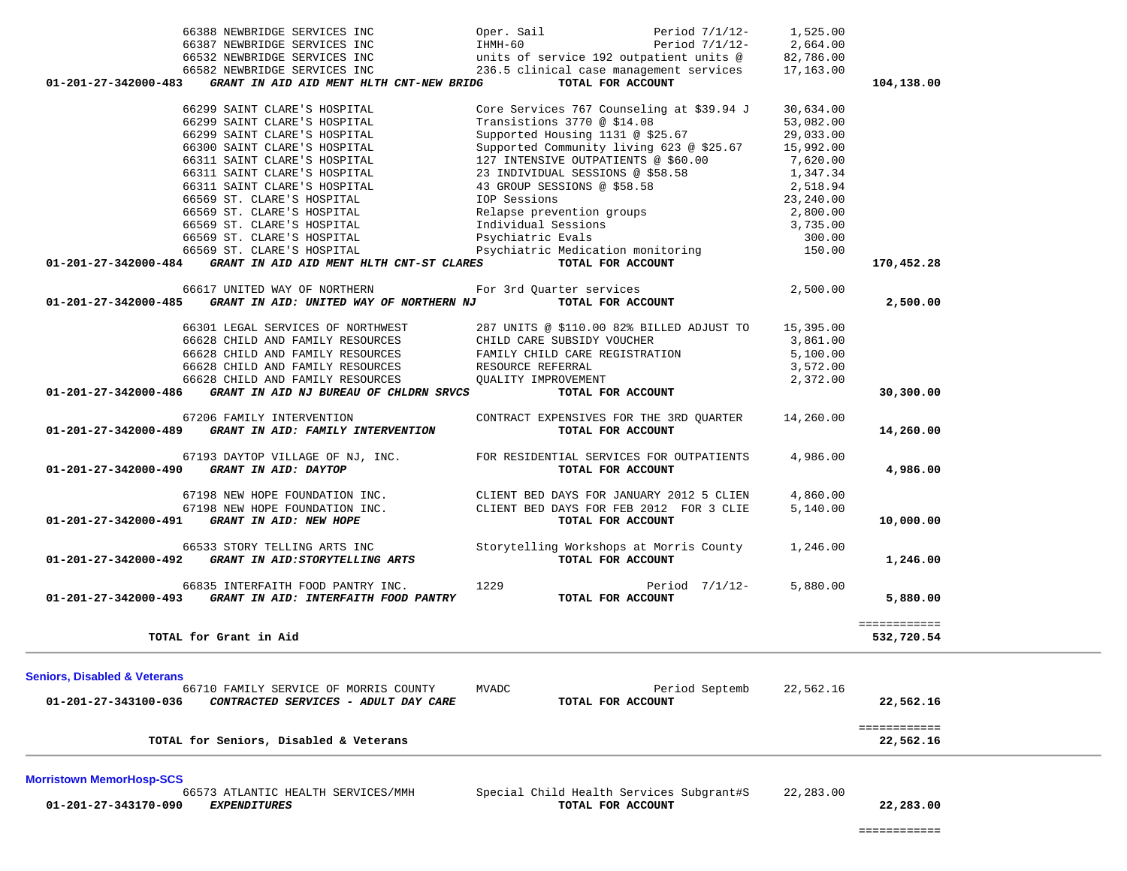|                                         | 00009 SI. CHARE S HOSPITAL                                 | PSYCHIALIIC EVAIS                         | 300.00    |                            |
|-----------------------------------------|------------------------------------------------------------|-------------------------------------------|-----------|----------------------------|
|                                         | 66569 ST. CLARE'S HOSPITAL                                 | Psychiatric Medication monitoring         | 150.00    |                            |
| 01-201-27-342000-484                    | GRANT IN AID AID MENT HLTH CNT-ST CLARES                   | TOTAL FOR ACCOUNT                         |           | 170,452.28                 |
|                                         | 66617 UNITED WAY OF NORTHERN                               | For 3rd Ouarter services                  | 2,500.00  |                            |
| 01-201-27-342000-485                    | GRANT IN AID: UNITED WAY OF NORTHERN NJ                    | TOTAL FOR ACCOUNT                         |           | 2,500.00                   |
|                                         | 66301 LEGAL SERVICES OF NORTHWEST                          | 287 UNITS @ \$110.00 82% BILLED ADJUST TO | 15,395.00 |                            |
|                                         | 66628 CHILD AND FAMILY RESOURCES                           | CHILD CARE SUBSIDY VOUCHER                | 3,861.00  |                            |
|                                         | 66628 CHILD AND FAMILY RESOURCES                           | FAMILY CHILD CARE REGISTRATION            | 5,100.00  |                            |
|                                         | 66628 CHILD AND FAMILY RESOURCES                           | RESOURCE REFERRAL                         | 3,572.00  |                            |
|                                         | 66628 CHILD AND FAMILY RESOURCES                           | OUALITY IMPROVEMENT                       | 2,372.00  |                            |
| 01-201-27-342000-486                    | GRANT IN AID NJ BUREAU OF CHLDRN SRVCS                     | TOTAL FOR ACCOUNT                         |           | 30,300.00                  |
|                                         | 67206 FAMILY INTERVENTION                                  | CONTRACT EXPENSIVES FOR THE 3RD QUARTER   | 14,260.00 |                            |
| 01-201-27-342000-489                    | GRANT IN AID: FAMILY INTERVENTION                          | TOTAL FOR ACCOUNT                         |           | 14,260.00                  |
|                                         | 67193 DAYTOP VILLAGE OF NJ, INC.                           | FOR RESIDENTIAL SERVICES FOR OUTPATIENTS  | 4,986.00  |                            |
|                                         | 01-201-27-342000-490 GRANT IN AID: DAYTOP                  | TOTAL FOR ACCOUNT                         |           | 4,986.00                   |
|                                         | 67198 NEW HOPE FOUNDATION INC.                             | CLIENT BED DAYS FOR JANUARY 2012 5 CLIEN  | 4,860.00  |                            |
|                                         | 67198 NEW HOPE FOUNDATION INC.                             | CLIENT BED DAYS FOR FEB 2012 FOR 3 CLIE   | 5,140.00  |                            |
| 01-201-27-342000-491                    | GRANT IN AID: NEW HOPE                                     | TOTAL FOR ACCOUNT                         |           | 10,000.00                  |
|                                         | 66533 STORY TELLING ARTS INC                               | Storytelling Workshops at Morris County   | 1,246.00  |                            |
|                                         | 01-201-27-342000-492 GRANT IN AID:STORYTELLING ARTS        | TOTAL FOR ACCOUNT                         |           | 1,246.00                   |
|                                         | 66835 INTERFAITH FOOD PANTRY INC.                          | 1229<br>Period 7/1/12-                    | 5,880.00  |                            |
| 01-201-27-342000-493                    | GRANT IN AID: INTERFAITH FOOD PANTRY                       | TOTAL FOR ACCOUNT                         |           | 5,880.00                   |
|                                         | TOTAL for Grant in Aid                                     |                                           |           | ============<br>532,720.54 |
|                                         |                                                            |                                           |           |                            |
| <b>Seniors, Disabled &amp; Veterans</b> |                                                            |                                           |           |                            |
|                                         | 66710 FAMILY SERVICE OF MORRIS COUNTY                      | Period Septemb<br>MVADC                   | 22,562.16 |                            |
|                                         | 01-201-27-343100-036  CONTRACTED SERVICES - ADULT DAY CARE | TOTAL FOR ACCOUNT                         |           | 22,562.16                  |
|                                         | TOTAL for Seniors, Disabled & Veterans                     |                                           |           | ============<br>22,562.16  |
|                                         |                                                            |                                           |           |                            |
| <b>Morristown MemorHosp-SCS</b>         |                                                            |                                           |           |                            |
|                                         | 66573 ATLANTIC HEALTH SERVICES/MMH                         | Special Child Health Services Subgrant#S  | 22,283.00 |                            |
| 01-201-27-343170-090                    | <b>EXPENDITURES</b>                                        | TOTAL FOR ACCOUNT                         |           | 22,283.00                  |

|                                                                  | $\frac{1}{2}$                                     | <u>.</u>  |            |
|------------------------------------------------------------------|---------------------------------------------------|-----------|------------|
| 66582 NEWBRIDGE SERVICES INC                                     | 236.5 clinical case management services 17,163.00 |           |            |
| 01-201-27-342000-483<br>GRANT IN AID AID MENT HLTH CNT-NEW BRIDG | TOTAL FOR ACCOUNT                                 |           | 104,138.00 |
|                                                                  |                                                   |           |            |
| 66299 SAINT CLARE'S HOSPITAL                                     | Core Services 767 Counseling at \$39.94 J         | 30,634.00 |            |
| 66299 SAINT CLARE'S HOSPITAL                                     | Transistions 3770 @ \$14.08                       | 53,082.00 |            |
| 66299 SAINT CLARE'S HOSPITAL                                     | Supported Housing 1131 @ \$25.67                  | 29,033.00 |            |
| 66300 SAINT CLARE'S HOSPITAL                                     | Supported Community living 623 @ \$25.67          | 15,992.00 |            |
| 66311 SAINT CLARE'S HOSPITAL                                     | 127 INTENSIVE OUTPATIENTS @ \$60.00               | 7,620.00  |            |
| 66311 SAINT CLARE'S HOSPITAL                                     | 23 INDIVIDUAL SESSIONS @ \$58.58                  | 1,347.34  |            |
| 66311 SAINT CLARE'S HOSPITAL                                     | 43 GROUP SESSIONS @ \$58.58                       | 2,518.94  |            |
| 66569 ST. CLARE'S HOSPITAL                                       | IOP Sessions                                      | 23,240.00 |            |
| 66569 ST. CLARE'S HOSPITAL                                       | Relapse prevention groups                         | 2,800.00  |            |
| 66569 ST. CLARE'S HOSPITAL                                       | Individual Sessions                               | 3,735.00  |            |
| 66569 ST. CLARE'S HOSPITAL                                       | Psychiatric Evals                                 | 300.00    |            |
| 66569 ST. CLARE'S HOSPITAL                                       | Psychiatric Medication monitoring                 | 150.00    |            |
|                                                                  |                                                   |           |            |

============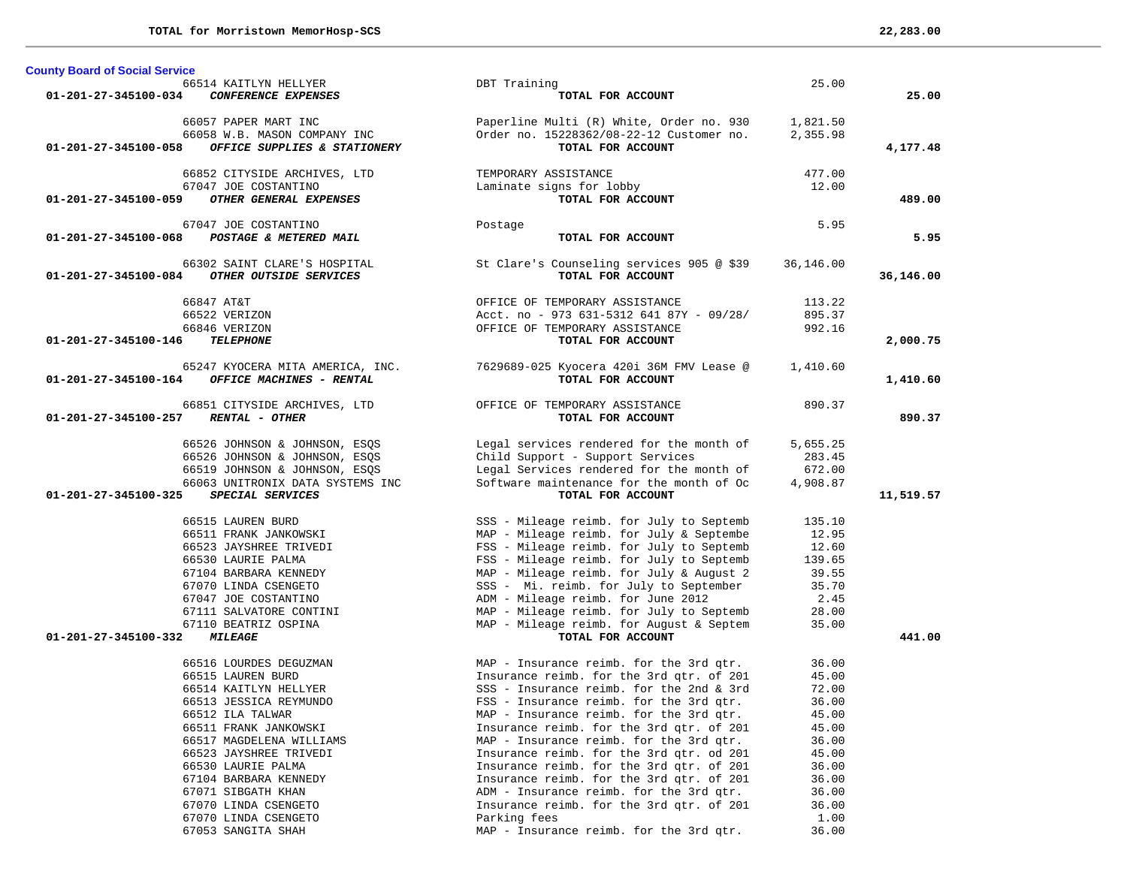| TOTAL for Morristown MemorHosp-SCS |  | 22,283.00 |  |  |
|------------------------------------|--|-----------|--|--|
|------------------------------------|--|-----------|--|--|

**County Board of Social Service**

|                      | 66514 KAITLYN HELLYER                                | DBT Training                                                                        | 25.00          |           |
|----------------------|------------------------------------------------------|-------------------------------------------------------------------------------------|----------------|-----------|
| 01-201-27-345100-034 | CONFERENCE EXPENSES                                  | TOTAL FOR ACCOUNT                                                                   |                | 25.00     |
|                      |                                                      |                                                                                     |                |           |
|                      | 66057 PAPER MART INC                                 | Paperline Multi (R) White, Order no. 930                                            | 1,821.50       |           |
|                      | 66058 W.B. MASON COMPANY INC                         | Order no. 15228362/08-22-12 Customer no.                                            | 2,355.98       |           |
| 01-201-27-345100-058 | OFFICE SUPPLIES & STATIONERY                         | TOTAL FOR ACCOUNT                                                                   |                | 4,177.48  |
|                      |                                                      |                                                                                     | 477.00         |           |
|                      | 66852 CITYSIDE ARCHIVES, LTD<br>67047 JOE COSTANTINO | TEMPORARY ASSISTANCE                                                                | 12.00          |           |
| 01-201-27-345100-059 | OTHER GENERAL EXPENSES                               | Laminate signs for lobby<br>TOTAL FOR ACCOUNT                                       |                | 489.00    |
|                      |                                                      |                                                                                     |                |           |
|                      | 67047 JOE COSTANTINO                                 | Postage                                                                             | 5.95           |           |
| 01-201-27-345100-068 | POSTAGE & METERED MAIL                               | TOTAL FOR ACCOUNT                                                                   |                | 5.95      |
|                      |                                                      |                                                                                     |                |           |
|                      | 66302 SAINT CLARE'S HOSPITAL                         | St Clare's Counseling services 905 @ \$39                                           | 36,146.00      |           |
| 01-201-27-345100-084 | OTHER OUTSIDE SERVICES                               | TOTAL FOR ACCOUNT                                                                   |                | 36,146.00 |
|                      |                                                      |                                                                                     |                |           |
|                      | 66847 AT&T                                           | OFFICE OF TEMPORARY ASSISTANCE                                                      | 113.22         |           |
|                      | 66522 VERIZON                                        | Acct. no - 973 631-5312 641 87Y - 09/28/                                            | 895.37         |           |
|                      | 66846 VERIZON                                        | OFFICE OF TEMPORARY ASSISTANCE                                                      | 992.16         |           |
| 01-201-27-345100-146 | <b>TELEPHONE</b>                                     | TOTAL FOR ACCOUNT                                                                   |                | 2,000.75  |
|                      | 65247 KYOCERA MITA AMERICA, INC.                     | 7629689-025 Kyocera 420i 36M FMV Lease @                                            | 1,410.60       |           |
| 01-201-27-345100-164 | OFFICE MACHINES - RENTAL                             | TOTAL FOR ACCOUNT                                                                   |                | 1,410.60  |
|                      |                                                      |                                                                                     |                |           |
|                      | 66851 CITYSIDE ARCHIVES, LTD                         | OFFICE OF TEMPORARY ASSISTANCE                                                      | 890.37         |           |
| 01-201-27-345100-257 | RENTAL - OTHER                                       | TOTAL FOR ACCOUNT                                                                   |                | 890.37    |
|                      |                                                      |                                                                                     |                |           |
|                      | 66526 JOHNSON & JOHNSON, ESQS                        | Legal services rendered for the month of                                            | 5,655.25       |           |
|                      | 66526 JOHNSON & JOHNSON, ESQS                        | Child Support - Support Services                                                    | 283.45         |           |
|                      | 66519 JOHNSON & JOHNSON, ESQS                        | Legal Services rendered for the month of                                            | 672.00         |           |
|                      | 66063 UNITRONIX DATA SYSTEMS INC                     | Software maintenance for the month of Oc                                            | 4,908.87       |           |
| 01-201-27-345100-325 | SPECIAL SERVICES                                     | TOTAL FOR ACCOUNT                                                                   |                | 11,519.57 |
|                      | 66515 LAUREN BURD                                    | SSS - Mileage reimb. for July to Septemb                                            | 135.10         |           |
|                      | 66511 FRANK JANKOWSKI                                | MAP - Mileage reimb. for July & Septembe                                            | 12.95          |           |
|                      | 66523 JAYSHREE TRIVEDI                               | FSS - Mileage reimb. for July to Septemb                                            | 12.60          |           |
|                      | 66530 LAURIE PALMA                                   | FSS - Mileage reimb. for July to Septemb                                            | 139.65         |           |
|                      | 67104 BARBARA KENNEDY                                | MAP - Mileage reimb. for July & August 2                                            | 39.55          |           |
|                      | 67070 LINDA CSENGETO                                 | SSS - Mi. reimb. for July to September                                              | 35.70          |           |
|                      | 67047 JOE COSTANTINO                                 | ADM - Mileage reimb. for June 2012                                                  | 2.45           |           |
|                      | 67111 SALVATORE CONTINI                              | MAP - Mileage reimb. for July to Septemb                                            | 28.00          |           |
|                      | 67110 BEATRIZ OSPINA                                 | MAP - Mileage reimb. for August & Septem                                            | 35.00          |           |
| 01-201-27-345100-332 | <i><b>MILEAGE</b></i>                                | TOTAL FOR ACCOUNT                                                                   |                | 441.00    |
|                      |                                                      |                                                                                     |                |           |
|                      | 66516 LOURDES DEGUZMAN                               | MAP - Insurance reimb. for the 3rd qtr.                                             | 36.00          |           |
|                      | 66515 LAUREN BURD                                    | Insurance reimb. for the 3rd qtr. of 201                                            | 45.00          |           |
|                      | 66514 KAITLYN HELLYER                                | SSS - Insurance reimb. for the 2nd & 3rd                                            | 72.00          |           |
|                      | 66513 JESSICA REYMUNDO                               | FSS - Insurance reimb. for the 3rd gtr.                                             | 36.00          |           |
|                      | 66512 ILA TALWAR                                     | MAP - Insurance reimb. for the 3rd qtr.                                             | 45.00          |           |
|                      | 66511 FRANK JANKOWSKI                                | Insurance reimb. for the 3rd qtr. of 201                                            | 45.00          |           |
|                      | 66517 MAGDELENA WILLIAMS<br>66523 JAYSHREE TRIVEDI   | MAP - Insurance reimb. for the 3rd qtr.<br>Insurance reimb. for the 3rd qtr. od 201 | 36.00<br>45.00 |           |
|                      | 66530 LAURIE PALMA                                   | Insurance reimb. for the 3rd qtr. of 201                                            | 36.00          |           |
|                      | 67104 BARBARA KENNEDY                                | Insurance reimb. for the 3rd qtr. of 201                                            | 36.00          |           |
|                      | 67071 SIBGATH KHAN                                   | ADM - Insurance reimb. for the 3rd gtr.                                             | 36.00          |           |
|                      | 67070 LINDA CSENGETO                                 | Insurance reimb. for the 3rd qtr. of 201                                            | 36.00          |           |
|                      | 67070 LINDA CSENGETO                                 | Parking fees                                                                        | 1.00           |           |
|                      | 67053 SANGITA SHAH                                   | MAP - Insurance reimb. for the 3rd qtr.                                             | 36.00          |           |
|                      |                                                      |                                                                                     |                |           |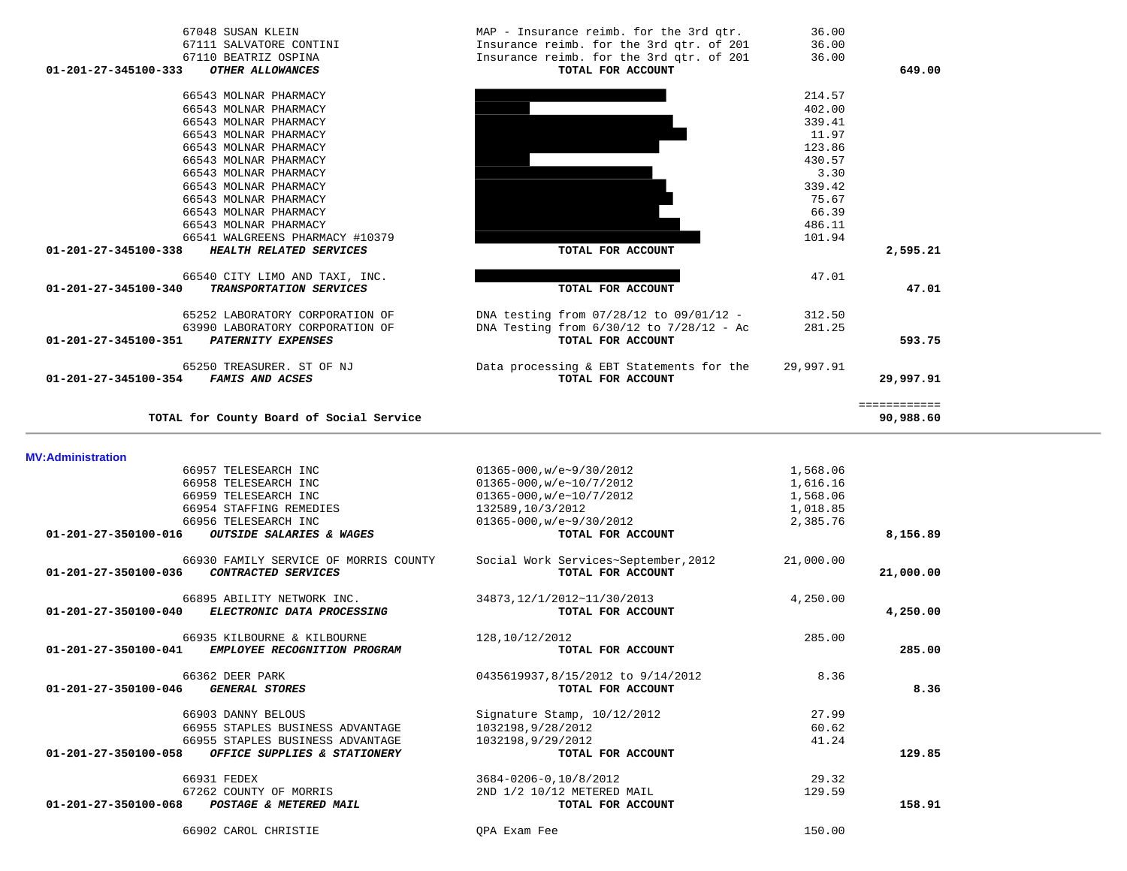| <b>MV:Administration</b>            |                                                   |                                      |           |           |
|-------------------------------------|---------------------------------------------------|--------------------------------------|-----------|-----------|
|                                     | 66957 TELESEARCH INC                              | $01365 - 000$ , w/e~9/30/2012        | 1,568.06  |           |
|                                     | 66958 TELESEARCH INC                              | $01365 - 000, w/e~10/7/2012$         | 1,616.16  |           |
|                                     | 66959 TELESEARCH INC                              | 01365-000,w/e~10/7/2012              | 1,568.06  |           |
|                                     | 66954 STAFFING REMEDIES                           | 132589,10/3/2012                     | 1,018.85  |           |
|                                     | 66956 TELESEARCH INC                              | $01365 - 000, w/e \sim 9/30/2012$    | 2,385.76  |           |
| 01-201-27-350100-016                | OUTSIDE SALARIES & WAGES                          | TOTAL FOR ACCOUNT                    |           | 8,156.89  |
|                                     | 66930 FAMILY SERVICE OF MORRIS COUNTY             | Social Work Services~September, 2012 | 21,000.00 |           |
| 01-201-27-350100-036                | CONTRACTED SERVICES                               | TOTAL FOR ACCOUNT                    |           | 21,000.00 |
|                                     | 66895 ABILITY NETWORK INC.                        | 34873,12/1/2012~11/30/2013           | 4,250.00  |           |
| $01 - 201 - 27 - 350100 - 040$      | ELECTRONIC DATA PROCESSING                        | TOTAL FOR ACCOUNT                    |           | 4,250.00  |
|                                     | 66935 KILBOURNE & KILBOURNE                       | 128,10/12/2012                       | 285.00    |           |
| 01-201-27-350100-041                | EMPLOYEE RECOGNITION PROGRAM                      | TOTAL FOR ACCOUNT                    |           | 285.00    |
|                                     | 66362 DEER PARK                                   | 0435619937,8/15/2012 to 9/14/2012    | 8.36      |           |
| 01-201-27-350100-046 GENERAL STORES |                                                   | TOTAL FOR ACCOUNT                    |           | 8.36      |
|                                     | 66903 DANNY BELOUS                                | Signature Stamp, 10/12/2012          | 27.99     |           |
|                                     | 66955 STAPLES BUSINESS ADVANTAGE                  | 1032198,9/28/2012                    | 60.62     |           |
|                                     | 66955 STAPLES BUSINESS ADVANTAGE                  | 1032198,9/29/2012                    | 41.24     |           |
|                                     | 01-201-27-350100-058 OFFICE SUPPLIES & STATIONERY | TOTAL FOR ACCOUNT                    |           | 129.85    |
|                                     | 66931 FEDEX                                       | 3684-0206-0.10/8/2012                | 29.32     |           |
|                                     | 67262 COUNTY OF MORRIS                            | 2ND 1/2 10/12 METERED MAIL           | 129.59    |           |
| 01-201-27-350100-068                | POSTAGE & METERED MAIL                            | TOTAL FOR ACCOUNT                    |           | 158.91    |
|                                     | 66902 CAROL CHRISTIE                              | OPA Exam Fee                         | 150.00    |           |

| 67111 SALVATORE CONTINI                                | Insurance reimb. for the 3rd qtr. of 201     | 36.00     |              |
|--------------------------------------------------------|----------------------------------------------|-----------|--------------|
| 67110 BEATRIZ OSPINA                                   | Insurance reimb. for the 3rd qtr. of 201     | 36.00     |              |
| 01-201-27-345100-333<br>OTHER ALLOWANCES               | TOTAL FOR ACCOUNT                            |           | 649.00       |
| 66543 MOLNAR PHARMACY                                  |                                              | 214.57    |              |
| 66543 MOLNAR PHARMACY                                  |                                              | 402.00    |              |
| 66543 MOLNAR PHARMACY                                  |                                              | 339.41    |              |
| 66543 MOLNAR PHARMACY                                  |                                              | 11.97     |              |
| 66543 MOLNAR PHARMACY                                  |                                              | 123.86    |              |
| 66543 MOLNAR PHARMACY                                  |                                              | 430.57    |              |
| 66543 MOLNAR PHARMACY                                  |                                              | 3.30      |              |
| 66543 MOLNAR PHARMACY                                  |                                              | 339.42    |              |
| 66543 MOLNAR PHARMACY                                  |                                              | 75.67     |              |
| 66543 MOLNAR PHARMACY                                  |                                              | 66.39     |              |
| 66543 MOLNAR PHARMACY                                  |                                              | 486.11    |              |
| 66541 WALGREENS PHARMACY #10379                        |                                              | 101.94    |              |
| 01-201-27-345100-338<br>HEALTH RELATED SERVICES        | TOTAL FOR ACCOUNT                            |           | 2,595.21     |
| 66540 CITY LIMO AND TAXI, INC.                         |                                              | 47.01     |              |
| 01-201-27-345100-340<br><b>TRANSPORTATION SERVICES</b> | TOTAL FOR ACCOUNT                            |           | 47.01        |
| 65252 LABORATORY CORPORATION OF                        | DNA testing from 07/28/12 to 09/01/12 -      | 312.50    |              |
| 63990 LABORATORY CORPORATION OF                        | DNA Testing from $6/30/12$ to $7/28/12$ - Ac | 281.25    |              |
| 01-201-27-345100-351<br><b>PATERNITY EXPENSES</b>      | TOTAL FOR ACCOUNT                            |           | 593.75       |
| 65250 TREASURER. ST OF NJ                              | Data processing & EBT Statements for the     | 29,997.91 |              |
| 01-201-27-345100-354<br><b>FAMIS AND ACSES</b>         | TOTAL FOR ACCOUNT                            |           | 29,997.91    |
|                                                        |                                              |           | ============ |
| TOTAL for County Board of Social Service               |                                              |           | 90,988.60    |

67048 SUSAN KLEIN MAP - Insurance reimb. for the 3rd qtr. 36.00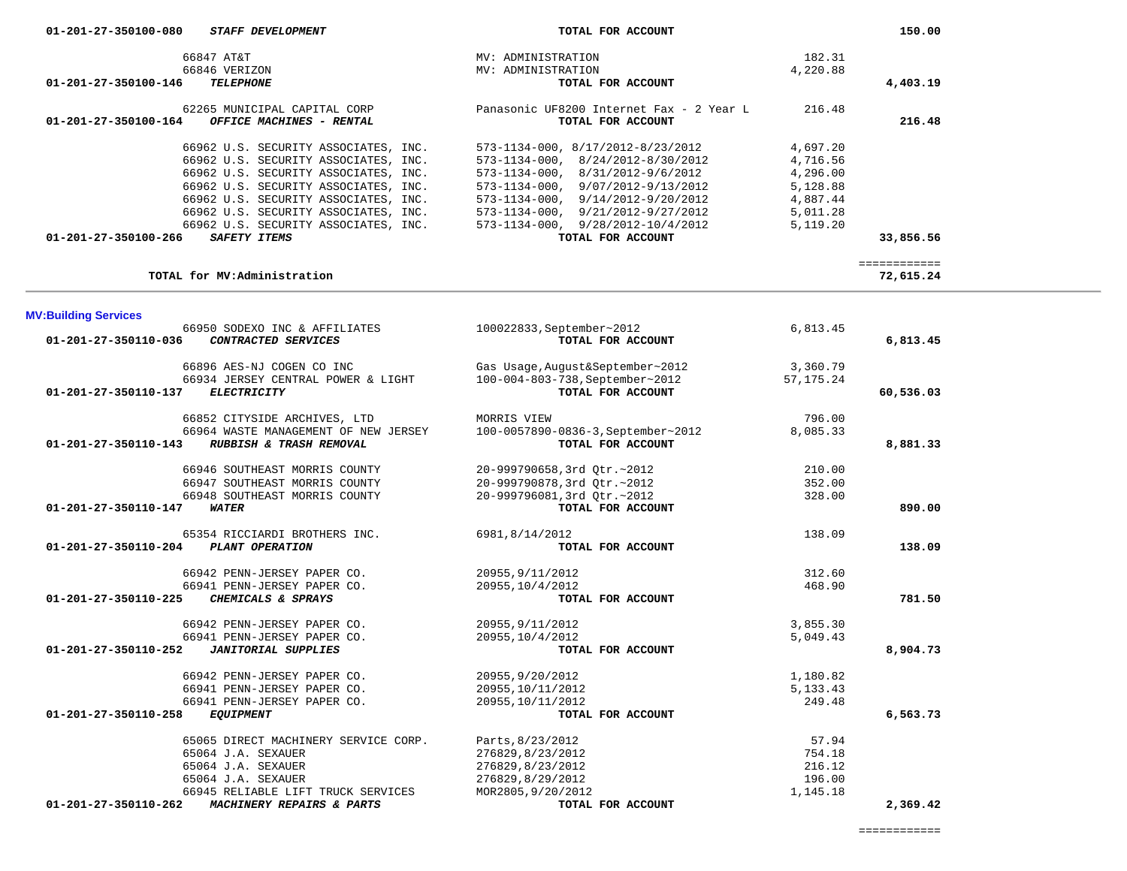| 66962 U.S. SECURITY ASSOCIATES, INC.                        | $573 - 1134 - 000$ , $9/07/2012 - 9/13/2012$ | 5,128.88    |                           |  |
|-------------------------------------------------------------|----------------------------------------------|-------------|---------------------------|--|
| 66962 U.S. SECURITY ASSOCIATES, INC.                        | $573 - 1134 - 000$ , $9/14/2012 - 9/20/2012$ | 4,887.44    |                           |  |
| 66962 U.S. SECURITY ASSOCIATES, INC.                        | $573 - 1134 - 000$ , $9/21/2012 - 9/27/2012$ | 5,011.28    |                           |  |
| 66962 U.S. SECURITY ASSOCIATES, INC.                        | $573 - 1134 - 000$ , $9/28/2012 - 10/4/2012$ | 5,119.20    |                           |  |
| 01-201-27-350100-266<br><b>SAFETY ITEMS</b>                 | TOTAL FOR ACCOUNT                            |             | 33,856.56                 |  |
|                                                             |                                              |             |                           |  |
| TOTAL for MV: Administration                                |                                              |             | ============<br>72,615.24 |  |
|                                                             |                                              |             |                           |  |
| <b>MV:Building Services</b>                                 |                                              |             |                           |  |
| 66950 SODEXO INC & AFFILIATES                               | 100022833, September~2012                    | 6,813.45    |                           |  |
| CONTRACTED SERVICES<br>01-201-27-350110-036                 | TOTAL FOR ACCOUNT                            |             | 6,813.45                  |  |
|                                                             |                                              |             |                           |  |
| 66896 AES-NJ COGEN CO INC                                   | Gas Usage, August&September~2012             | 3,360.79    |                           |  |
| 66934 JERSEY CENTRAL POWER & LIGHT                          | 100-004-803-738, September~2012              | 57, 175. 24 |                           |  |
| 01-201-27-350110-137 ELECTRICITY                            | TOTAL FOR ACCOUNT                            |             | 60,536.03                 |  |
| 66852 CITYSIDE ARCHIVES, LTD                                | MORRIS VIEW                                  | 796.00      |                           |  |
| 66964 WASTE MANAGEMENT OF NEW JERSEY                        | 100-0057890-0836-3, September~2012           | 8,085.33    |                           |  |
| 01-201-27-350110-143<br>RUBBISH & TRASH REMOVAL             | TOTAL FOR ACCOUNT                            |             | 8,881.33                  |  |
| 66946 SOUTHEAST MORRIS COUNTY                               | 20-999790658,3rd Qtr.~2012                   | 210.00      |                           |  |
| 66947 SOUTHEAST MORRIS COUNTY                               | 20-999790878,3rd Qtr.~2012                   | 352.00      |                           |  |
| 66948 SOUTHEAST MORRIS COUNTY                               | 20-999796081,3rd Otr.~2012                   | 328.00      |                           |  |
| 01-201-27-350110-147<br><b>WATER</b>                        | TOTAL FOR ACCOUNT                            |             | 890.00                    |  |
|                                                             |                                              |             |                           |  |
| 65354 RICCIARDI BROTHERS INC.                               | 6981,8/14/2012                               | 138.09      |                           |  |
| PLANT OPERATION<br>01-201-27-350110-204                     | TOTAL FOR ACCOUNT                            |             | 138.09                    |  |
| 66942 PENN-JERSEY PAPER CO.                                 | 20955, 9/11/2012                             | 312.60      |                           |  |
| 66941 PENN-JERSEY PAPER CO.                                 | 20955, 10/4/2012                             | 468.90      |                           |  |
| 01-201-27-350110-225<br>CHEMICALS & SPRAYS                  | TOTAL FOR ACCOUNT                            |             | 781.50                    |  |
| 66942 PENN-JERSEY PAPER CO.                                 | 20955, 9/11/2012                             | 3,855.30    |                           |  |
| 66941 PENN-JERSEY PAPER CO.                                 | 20955, 10/4/2012                             | 5,049.43    |                           |  |
| 01-201-27-350110-252<br><b>JANITORIAL SUPPLIES</b>          | TOTAL FOR ACCOUNT                            |             | 8,904.73                  |  |
| 66942 PENN-JERSEY PAPER CO.                                 | 20955, 9/20/2012                             | 1,180.82    |                           |  |
| 66941 PENN-JERSEY PAPER CO.                                 | 20955, 10/11/2012                            | 5, 133. 43  |                           |  |
| 66941 PENN-JERSEY PAPER CO.                                 | 20955, 10/11/2012                            | 249.48      |                           |  |
| $01 - 201 - 27 - 350110 - 258$<br><b>EQUIPMENT</b>          | TOTAL FOR ACCOUNT                            |             | 6,563.73                  |  |
|                                                             |                                              |             |                           |  |
| 65065 DIRECT MACHINERY SERVICE CORP.                        | Parts, 8/23/2012                             | 57.94       |                           |  |
| 65064 J.A. SEXAUER                                          | 276829,8/23/2012                             | 754.18      |                           |  |
| 65064 J.A. SEXAUER                                          | 276829,8/23/2012                             | 216.12      |                           |  |
| 65064 J.A. SEXAUER                                          | 276829,8/29/2012                             | 196.00      |                           |  |
| 66945 RELIABLE LIFT TRUCK SERVICES                          | MOR2805, 9/20/2012                           | 1,145.18    |                           |  |
| $01 - 201 - 27 - 350110 - 262$<br>MACHINERY REPAIRS & PARTS | TOTAL FOR ACCOUNT                            |             | 2,369.42                  |  |
|                                                             |                                              |             |                           |  |

66847 AT&T MV: ADMINISTRATION 182.31

 66962 U.S. SECURITY ASSOCIATES, INC. 573-1134-000, 8/17/2012-8/23/2012 4,697.20 66962 U.S. SECURITY ASSOCIATES, INC. 573-1134-000, 8/24/2012-8/30/2012 4,716.56 66962 U.S. SECURITY ASSOCIATES, INC. 573-1134-000, 8/31/2012-9/6/2012 4,296.00

 **01-201-27-350100-146** *TELEPHONE* **TOTAL FOR ACCOUNT 4,403.19**

 **01-201-27-350100-164** *OFFICE MACHINES - RENTAL* **TOTAL FOR ACCOUNT 216.48**

66846 VERIZON MV: ADMINISTRATION 4,220.88

62265 MUNICIPAL CAPITAL CORP Panasonic UF8200 Internet Fax - 2 Year L 216.48

| 01-201-27-350100-080 | <b>STAFF DEVELOPMENT</b> |  | TOTAL FOR ACCOUNT |
|----------------------|--------------------------|--|-------------------|
|                      |                          |  |                   |

4,220.88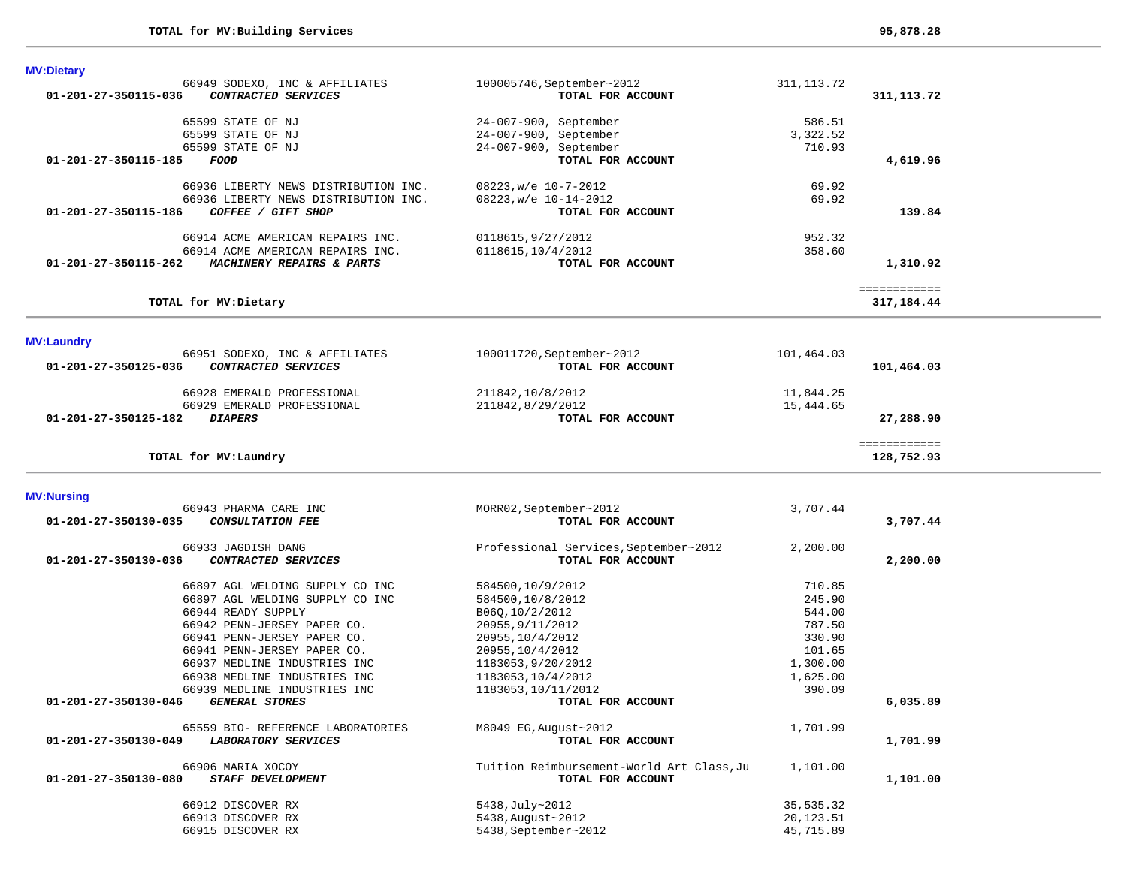**MV:Dietary** 

| 01-201-27-350115-036 | 66949 SODEXO, INC & AFFILIATES<br>CONTRACTED SERVICES      | 100005746, September~2012<br>TOTAL FOR ACCOUNT | 311, 113.72 | 311, 113. 72 |  |
|----------------------|------------------------------------------------------------|------------------------------------------------|-------------|--------------|--|
|                      | 65599 STATE OF NJ                                          | 24-007-900, September                          | 586.51      |              |  |
|                      | 65599 STATE OF NJ                                          | 24-007-900, September                          | 3,322.52    |              |  |
|                      | 65599 STATE OF NJ                                          | 24-007-900, September                          | 710.93      |              |  |
| 01-201-27-350115-185 | FOOD                                                       | TOTAL FOR ACCOUNT                              |             | 4,619.96     |  |
|                      |                                                            |                                                |             |              |  |
|                      | 66936 LIBERTY NEWS DISTRIBUTION INC.                       | $08223$ , w/e $10-7-2012$                      | 69.92       |              |  |
| 01-201-27-350115-186 | 66936 LIBERTY NEWS DISTRIBUTION INC.<br>COFFEE / GIFT SHOP | 08223, w/e 10-14-2012<br>TOTAL FOR ACCOUNT     | 69.92       | 139.84       |  |
|                      |                                                            |                                                |             |              |  |
|                      | 66914 ACME AMERICAN REPAIRS INC.                           | 0118615,9/27/2012                              | 952.32      |              |  |
|                      | 66914 ACME AMERICAN REPAIRS INC.                           | 0118615, 10/4/2012                             | 358.60      |              |  |
| 01-201-27-350115-262 | MACHINERY REPAIRS & PARTS                                  | TOTAL FOR ACCOUNT                              |             | 1,310.92     |  |
|                      |                                                            |                                                |             | ============ |  |
|                      | TOTAL for MV: Dietary                                      |                                                |             | 317,184.44   |  |
|                      |                                                            |                                                |             |              |  |
| <b>MV:Laundry</b>    | 66951 SODEXO, INC & AFFILIATES                             | 100011720, September~2012                      | 101,464.03  |              |  |
| 01-201-27-350125-036 | CONTRACTED SERVICES                                        | TOTAL FOR ACCOUNT                              |             | 101,464.03   |  |
|                      |                                                            |                                                |             |              |  |
|                      | 66928 EMERALD PROFESSIONAL                                 | 211842,10/8/2012                               | 11,844.25   |              |  |
|                      | 66929 EMERALD PROFESSIONAL                                 | 211842,8/29/2012                               | 15,444.65   |              |  |
| 01-201-27-350125-182 | <b>DIAPERS</b>                                             | TOTAL FOR ACCOUNT                              |             | 27,288.90    |  |
|                      |                                                            |                                                |             | ============ |  |
|                      | TOTAL for MV: Laundry                                      |                                                |             | 128,752.93   |  |
|                      |                                                            |                                                |             |              |  |
| <b>MV:Nursing</b>    | 66943 PHARMA CARE INC                                      | MORR02, September~2012                         | 3,707.44    |              |  |
| 01-201-27-350130-035 | <b>CONSULTATION FEE</b>                                    | TOTAL FOR ACCOUNT                              |             | 3,707.44     |  |
|                      |                                                            |                                                |             |              |  |
|                      | 66933 JAGDISH DANG                                         | Professional Services, September~2012          | 2,200.00    |              |  |
| 01-201-27-350130-036 | CONTRACTED SERVICES                                        | TOTAL FOR ACCOUNT                              |             | 2,200.00     |  |
|                      | 66897 AGL WELDING SUPPLY CO INC                            | 584500,10/9/2012                               | 710.85      |              |  |
|                      | 66897 AGL WELDING SUPPLY CO INC                            | 584500,10/8/2012                               | 245.90      |              |  |
|                      | 66944 READY SUPPLY                                         | B06Q, 10/2/2012                                | 544.00      |              |  |
|                      | 66942 PENN-JERSEY PAPER CO.                                | 20955, 9/11/2012                               | 787.50      |              |  |
|                      | 66941 PENN-JERSEY PAPER CO.                                | 20955, 10/4/2012                               | 330.90      |              |  |
|                      | 66941 PENN-JERSEY PAPER CO.                                | 20955, 10/4/2012                               | 101.65      |              |  |
|                      |                                                            |                                                |             |              |  |
|                      | 66937 MEDLINE INDUSTRIES INC                               | 1183053,9/20/2012                              | 1,300.00    |              |  |
|                      | 66938 MEDLINE INDUSTRIES INC                               | 1183053,10/4/2012                              | 1,625.00    |              |  |
|                      | 66939 MEDLINE INDUSTRIES INC                               | 1183053, 10/11/2012                            | 390.09      |              |  |
| 01-201-27-350130-046 | <b>GENERAL STORES</b>                                      | TOTAL FOR ACCOUNT                              |             | 6,035.89     |  |
|                      | 65559 BIO- REFERENCE LABORATORIES                          | M8049 EG, August~2012                          | 1,701.99    |              |  |
| 01-201-27-350130-049 | <b>LABORATORY SERVICES</b>                                 | TOTAL FOR ACCOUNT                              |             | 1,701.99     |  |
|                      | 66906 MARIA XOCOY                                          | Tuition Reimbursement-World Art Class, Ju      | 1,101.00    |              |  |
| 01-201-27-350130-080 | STAFF DEVELOPMENT                                          | TOTAL FOR ACCOUNT                              |             | 1,101.00     |  |
|                      | 66912 DISCOVER RX                                          | 5438, July~2012                                | 35,535.32   |              |  |
|                      | 66913 DISCOVER RX                                          | 5438, August~2012                              | 20,123.51   |              |  |
|                      | 66915 DISCOVER RX                                          | 5438, September~2012                           | 45,715.89   |              |  |
|                      |                                                            |                                                |             |              |  |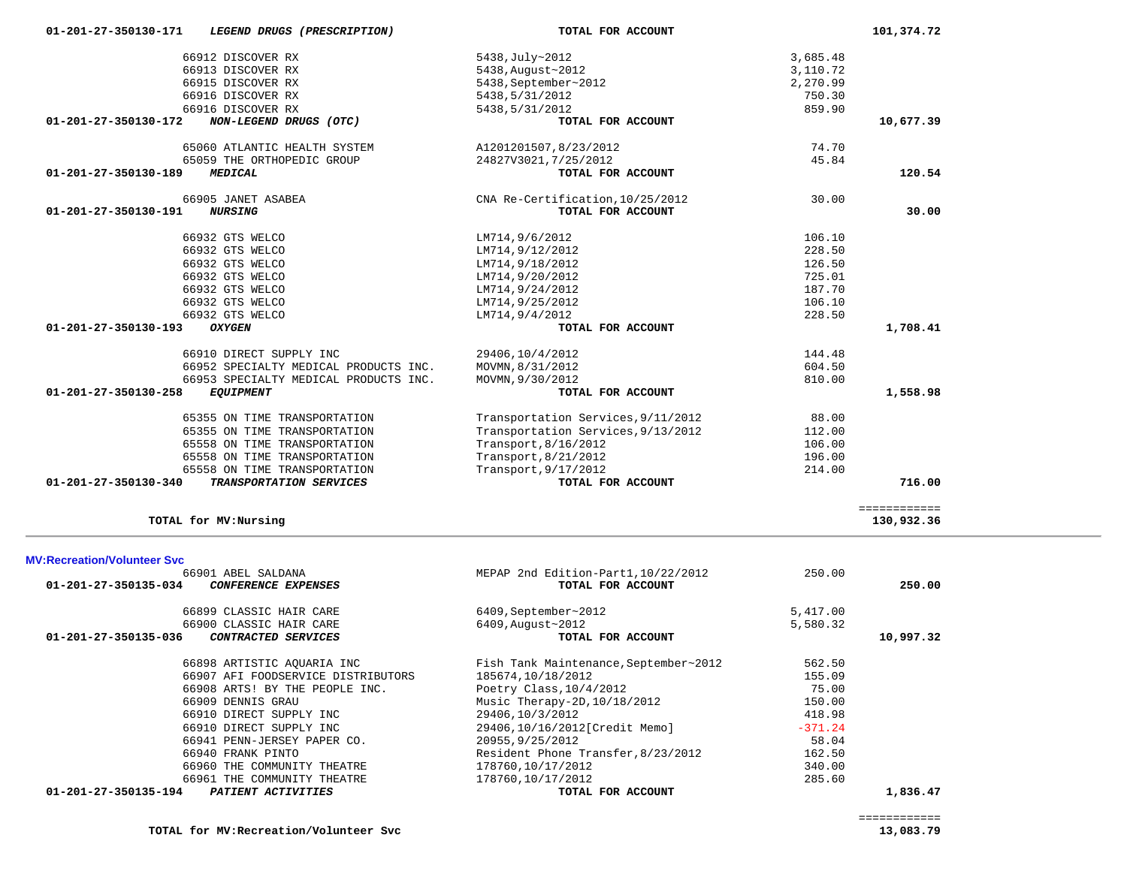| TOTAL for MV: Recreation/Volunteer Svc | 13,083.79 |
|----------------------------------------|-----------|
|----------------------------------------|-----------|

| 66899 CLASSIC HAIR CARE                            | 6409,September~2012                   | 5,417.00  |           |
|----------------------------------------------------|---------------------------------------|-----------|-----------|
| 66900 CLASSIC HAIR CARE                            | 6409, August~2012                     | 5,580.32  |           |
| 01-201-27-350135-036<br><i>CONTRACTED SERVICES</i> | TOTAL FOR ACCOUNT                     |           | 10,997.32 |
| 66898 ARTISTIC AQUARIA INC                         | Fish Tank Maintenance, September~2012 | 562.50    |           |
| 66907 AFI FOODSERVICE DISTRIBUTORS                 | 185674,10/18/2012                     | 155.09    |           |
| 66908 ARTS! BY THE PEOPLE INC.                     | Poetry Class, 10/4/2012               | 75.00     |           |
| 66909 DENNIS GRAU                                  | Music Therapy-2D, 10/18/2012          | 150.00    |           |
| 66910 DIRECT SUPPLY INC                            | 29406,10/3/2012                       | 418.98    |           |
| 66910 DIRECT SUPPLY INC                            | 29406,10/16/2012[Credit Memo]         | $-371.24$ |           |
| 66941 PENN-JERSEY PAPER CO.                        | 20955, 9/25/2012                      | 58.04     |           |
| 66940 FRANK PINTO                                  | Resident Phone Transfer, 8/23/2012    | 162.50    |           |
| 66960 THE COMMUNITY THEATRE                        | 178760,10/17/2012                     | 340.00    |           |
| 66961 THE COMMUNITY THEATRE                        | 178760,10/17/2012                     | 285.60    |           |
| 01-201-27-350135-194<br><b>PATIENT ACTIVITIES</b>  | TOTAL FOR ACCOUNT                     |           | 1,836.47  |
|                                                    |                                       |           |           |

============

============

| <b>MV:Recreation/Volunteer Svc</b>          |                                       |           |           |
|---------------------------------------------|---------------------------------------|-----------|-----------|
| 66901 ABEL SALDANA                          | MEPAP 2nd Edition-Part1, 10/22/2012   | 250.00    |           |
| 01-201-27-350135-034<br>CONFERENCE EXPENSES | TOTAL FOR ACCOUNT                     |           | 250.00    |
| 66899 CLASSIC HAIR CARE                     | 6409, September~2012                  | 5,417.00  |           |
| 66900 CLASSIC HAIR CARE                     | 6409, August~2012                     | 5,580.32  |           |
| 01-201-27-350135-036<br>CONTRACTED SERVICES | TOTAL FOR ACCOUNT                     |           | 10,997.32 |
| 66898 ARTISTIC AOUARIA INC                  | Fish Tank Maintenance, September~2012 | 562.50    |           |
| 66907 AFI FOODSERVICE DISTRIBUTORS          | 185674,10/18/2012                     | 155.09    |           |
| 66908 ARTS! BY THE PEOPLE INC.              | Poetry Class, $10/4/2012$             | 75.00     |           |
| 66909 DENNIS GRAU                           | Music Therapy-2D, 10/18/2012          | 150.00    |           |
| 66910 DIRECT SUPPLY INC                     | 29406,10/3/2012                       | 418.98    |           |
| 66910 DIRECT SUPPLY INC                     | 29406,10/16/2012[Credit Memo]         | $-371.24$ |           |
| 66941 PENN-JERSEY PAPER CO.                 | 20955, 9/25/2012                      | 58.04     |           |
| 66940 FRANK PINTO                           | Resident Phone Transfer, 8/23/2012    | 162.50    |           |
| 66960 THE COMMUNITY THEATRE                 | 178760,10/17/2012                     | 340.00    |           |
| 66961 THE COMMUNITY THEATRE                 | 178760,10/17/2012                     | 285.60    |           |

## **TOTAL for MV:Nursing 130,932.36**

| 66912 DISCOVER RX                               | 5438, July~2012                    | 3,685.48 |           |
|-------------------------------------------------|------------------------------------|----------|-----------|
| 66913 DISCOVER RX                               | 5438, August~2012                  | 3,110.72 |           |
| 66915 DISCOVER RX                               | 5438, September~2012               | 2,270.99 |           |
| 66916 DISCOVER RX                               | 5438,5/31/2012                     | 750.30   |           |
| 66916 DISCOVER RX                               | 5438,5/31/2012                     | 859.90   |           |
| NON-LEGEND DRUGS (OTC)<br>01-201-27-350130-172  | TOTAL FOR ACCOUNT                  |          | 10,677.39 |
| 65060 ATLANTIC HEALTH SYSTEM                    | A1201201507,8/23/2012              | 74.70    |           |
| 65059 THE ORTHOPEDIC GROUP                      | 24827V3021, 7/25/2012              | 45.84    |           |
| 01-201-27-350130-189<br><b>MEDICAL</b>          | TOTAL FOR ACCOUNT                  |          | 120.54    |
| 66905 JANET ASABEA                              | CNA Re-Certification, 10/25/2012   | 30.00    |           |
| 01-201-27-350130-191<br><b>NURSING</b>          | TOTAL FOR ACCOUNT                  |          | 30.00     |
| 66932 GTS WELCO                                 | LM714,9/6/2012                     | 106.10   |           |
| 66932 GTS WELCO                                 | LM714,9/12/2012                    | 228.50   |           |
| 66932 GTS WELCO                                 | LM714,9/18/2012                    | 126.50   |           |
| 66932 GTS WELCO                                 | LM714,9/20/2012                    | 725.01   |           |
| 66932 GTS WELCO                                 | LM714,9/24/2012                    | 187.70   |           |
| 66932 GTS WELCO                                 | LM714,9/25/2012                    | 106.10   |           |
| 66932 GTS WELCO                                 | LM714,9/4/2012                     | 228.50   |           |
| 01-201-27-350130-193<br><b>OXYGEN</b>           | TOTAL FOR ACCOUNT                  |          | 1,708.41  |
| 66910 DIRECT SUPPLY INC                         | 29406,10/4/2012                    | 144.48   |           |
| 66952 SPECIALTY MEDICAL PRODUCTS INC.           | MOVMN, 8/31/2012                   | 604.50   |           |
| 66953 SPECIALTY MEDICAL PRODUCTS INC.           | MOVMN, 9/30/2012                   | 810.00   |           |
| 01-201-27-350130-258<br><b>EQUIPMENT</b>        | TOTAL FOR ACCOUNT                  |          | 1,558.98  |
| 65355 ON TIME TRANSPORTATION                    | Transportation Services, 9/11/2012 | 88.00    |           |
| 65355 ON TIME TRANSPORTATION                    | Transportation Services, 9/13/2012 | 112.00   |           |
| 65558 ON TIME TRANSPORTATION                    | Transport, 8/16/2012               | 106.00   |           |
| 65558 ON TIME TRANSPORTATION                    | Transport, 8/21/2012               | 196.00   |           |
| 65558 ON TIME TRANSPORTATION                    | Transport, 9/17/2012               | 214.00   |           |
| 01-201-27-350130-340<br>TRANSPORTATION SERVICES | TOTAL FOR ACCOUNT                  |          | 716.00    |
|                                                 |                                    |          |           |

130,932.36

13,083.79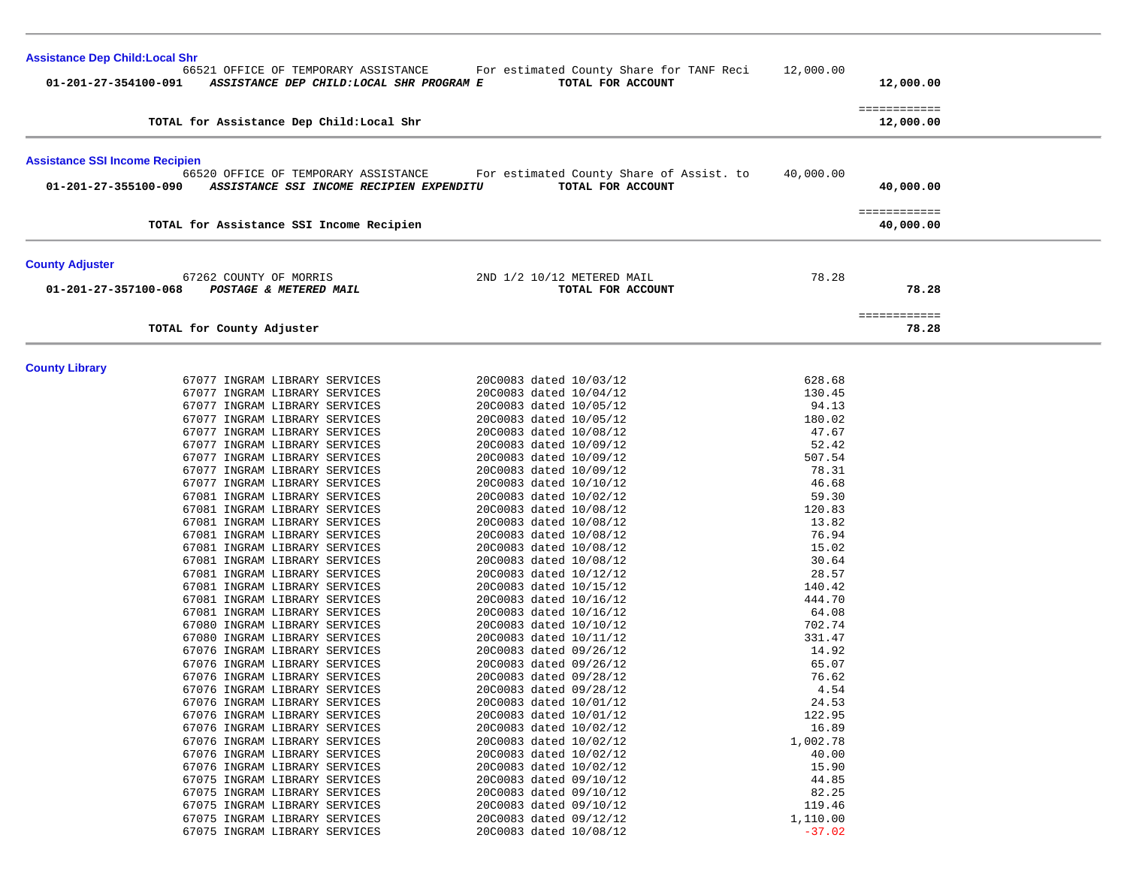| <b>Assistance Dep Child: Local Shr</b>                                                                    |                                                               |                 |                           |
|-----------------------------------------------------------------------------------------------------------|---------------------------------------------------------------|-----------------|---------------------------|
| 66521 OFFICE OF TEMPORARY ASSISTANCE<br>01-201-27-354100-091<br>ASSISTANCE DEP CHILD: LOCAL SHR PROGRAM E | For estimated County Share for TANF Reci<br>TOTAL FOR ACCOUNT | 12,000.00       | 12,000.00                 |
| TOTAL for Assistance Dep Child: Local Shr                                                                 |                                                               |                 | ============<br>12,000.00 |
|                                                                                                           |                                                               |                 |                           |
| <b>Assistance SSI Income Recipien</b><br>66520 OFFICE OF TEMPORARY ASSISTANCE                             | For estimated County Share of Assist. to                      | 40,000.00       |                           |
| ASSISTANCE SSI INCOME RECIPIEN EXPENDITU<br>01-201-27-355100-090                                          | TOTAL FOR ACCOUNT                                             |                 | 40,000.00                 |
|                                                                                                           |                                                               |                 | ============              |
| TOTAL for Assistance SSI Income Recipien                                                                  |                                                               |                 | 40,000.00                 |
| <b>County Adjuster</b>                                                                                    |                                                               |                 |                           |
| 67262 COUNTY OF MORRIS<br>01-201-27-357100-068<br>POSTAGE & METERED MAIL                                  | 2ND 1/2 10/12 METERED MAIL<br>TOTAL FOR ACCOUNT               | 78.28           | 78.28                     |
|                                                                                                           |                                                               |                 | ============              |
| TOTAL for County Adjuster                                                                                 |                                                               |                 | 78.28                     |
| <b>County Library</b>                                                                                     |                                                               |                 |                           |
| 67077 INGRAM LIBRARY SERVICES                                                                             | 20C0083 dated 10/03/12                                        | 628.68          |                           |
| 67077 INGRAM LIBRARY SERVICES                                                                             | 20C0083 dated 10/04/12                                        | 130.45          |                           |
| 67077 INGRAM LIBRARY SERVICES                                                                             | 20C0083 dated 10/05/12                                        | 94.13           |                           |
| 67077 INGRAM LIBRARY SERVICES                                                                             | 20C0083 dated 10/05/12                                        | 180.02          |                           |
| 67077 INGRAM LIBRARY SERVICES                                                                             | 20C0083 dated 10/08/12                                        | 47.67           |                           |
| 67077 INGRAM LIBRARY SERVICES                                                                             | 20C0083 dated 10/09/12                                        | 52.42           |                           |
| 67077 INGRAM LIBRARY SERVICES                                                                             | 20C0083 dated 10/09/12                                        | 507.54<br>78.31 |                           |
| 67077 INGRAM LIBRARY SERVICES<br>67077 INGRAM LIBRARY SERVICES                                            | 20C0083 dated 10/09/12<br>20C0083 dated 10/10/12              | 46.68           |                           |
| 67081 INGRAM LIBRARY SERVICES                                                                             | 20C0083 dated 10/02/12                                        | 59.30           |                           |
| 67081 INGRAM LIBRARY SERVICES                                                                             | 20C0083 dated 10/08/12                                        | 120.83          |                           |
| 67081 INGRAM LIBRARY SERVICES                                                                             | 20C0083 dated 10/08/12                                        | 13.82           |                           |
| 67081 INGRAM LIBRARY SERVICES                                                                             | 20C0083 dated 10/08/12                                        | 76.94           |                           |
| 67081 INGRAM LIBRARY SERVICES                                                                             | 20C0083 dated 10/08/12                                        | 15.02           |                           |
| 67081 INGRAM LIBRARY SERVICES                                                                             | 20C0083 dated 10/08/12                                        | 30.64           |                           |
| 67081 INGRAM LIBRARY SERVICES                                                                             | 20C0083 dated 10/12/12                                        | 28.57           |                           |
| 67081 INGRAM LIBRARY SERVICES                                                                             | 20C0083 dated 10/15/12                                        | 140.42          |                           |
| 67081 INGRAM LIBRARY SERVICES                                                                             | 20C0083 dated 10/16/12                                        | 444.70          |                           |
| 67081 INGRAM LIBRARY SERVICES                                                                             | 20C0083 dated 10/16/12                                        | 64.08           |                           |
| 67080 INGRAM LIBRARY SERVICES                                                                             | 20C0083 dated 10/10/12                                        | 702.74          |                           |
| 67080 INGRAM LIBRARY SERVICES<br>67076 INGRAM LIBRARY SERVICES                                            | 20C0083 dated 10/11/12<br>20C0083 dated 09/26/12              | 331.47<br>14.92 |                           |
| 67076 INGRAM LIBRARY SERVICES                                                                             | 20C0083 dated 09/26/12                                        | 65.07           |                           |
| 67076 INGRAM LIBRARY SERVICES                                                                             | 20C0083 dated 09/28/12                                        | 76.62           |                           |
| 67076 INGRAM LIBRARY SERVICES                                                                             | 20C0083 dated 09/28/12                                        | 4.54            |                           |
| 67076 INGRAM LIBRARY SERVICES                                                                             | 20C0083 dated 10/01/12                                        | 24.53           |                           |
| 67076 INGRAM LIBRARY SERVICES                                                                             | 20C0083 dated 10/01/12                                        | 122.95          |                           |
| 67076 INGRAM LIBRARY SERVICES                                                                             | 20C0083 dated 10/02/12                                        | 16.89           |                           |
| 67076 INGRAM LIBRARY SERVICES                                                                             | 20C0083 dated 10/02/12                                        | 1,002.78        |                           |
| 67076 INGRAM LIBRARY SERVICES                                                                             | 20C0083 dated 10/02/12                                        | 40.00           |                           |
| 67076 INGRAM LIBRARY SERVICES                                                                             | 20C0083 dated 10/02/12                                        | 15.90           |                           |
| 67075 INGRAM LIBRARY SERVICES                                                                             | 20C0083 dated 09/10/12                                        | 44.85           |                           |
| 67075 INGRAM LIBRARY SERVICES<br>67075 INGRAM LIBRARY SERVICES                                            | 20C0083 dated 09/10/12<br>20C0083 dated 09/10/12              | 82.25<br>119.46 |                           |
| 67075 INGRAM LIBRARY SERVICES                                                                             | 20C0083 dated 09/12/12                                        | 1,110.00        |                           |
| 67075 INGRAM LIBRARY SERVICES                                                                             | 20C0083 dated 10/08/12                                        | $-37.02$        |                           |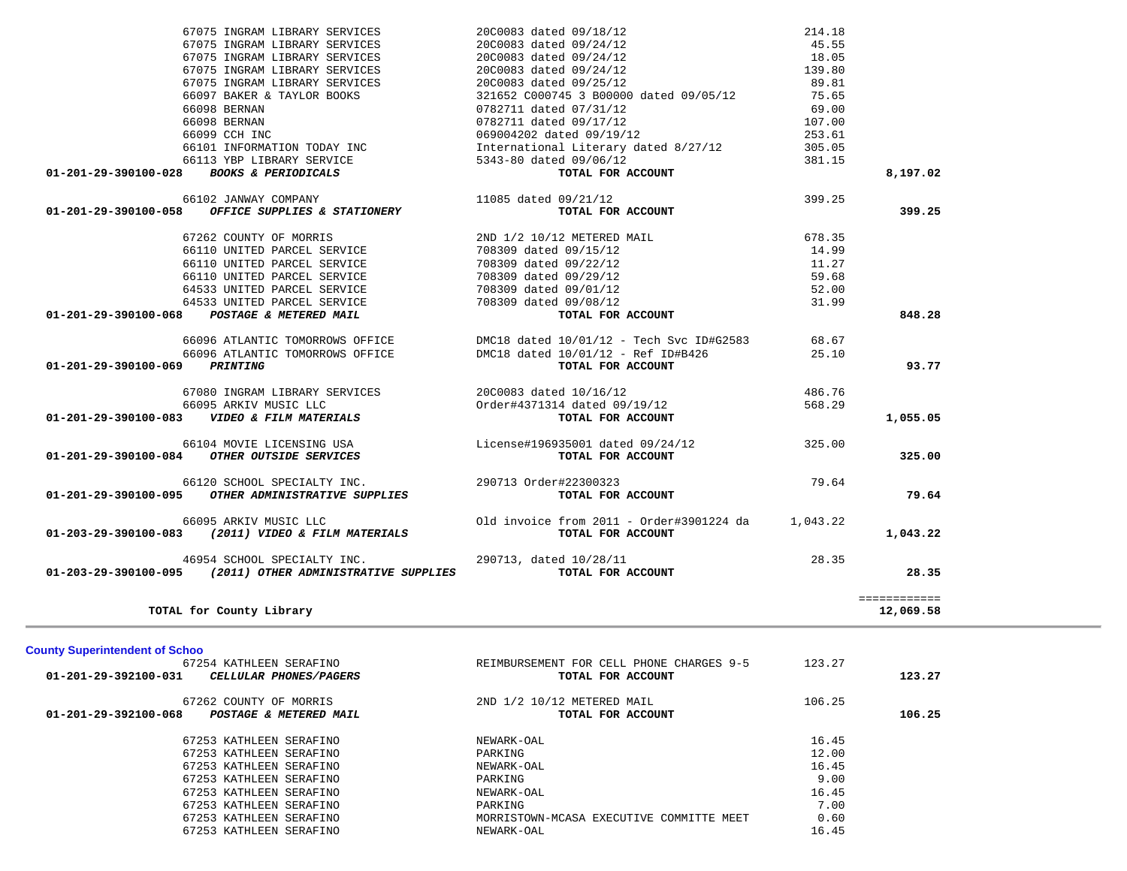| 67254 KATHLEEN SERAFINO<br>01-201-29-392100-031<br><i>CELLULAR PHONES/PAGERS</i> | REIMBURSEMENT FOR CELL PHONE CHARGES 9-5<br>TOTAL FOR ACCOUNT | 123.27 | 123.27 |
|----------------------------------------------------------------------------------|---------------------------------------------------------------|--------|--------|
| 67262 COUNTY OF MORRIS<br>01-201-29-392100-068<br>POSTAGE & METERED MAIL         | 2ND 1/2 10/12 METERED MAIL<br>TOTAL FOR ACCOUNT               | 106.25 | 106.25 |
| 67253 KATHLEEN SERAFINO                                                          | NEWARK-OAL                                                    | 16.45  |        |
| 67253 KATHLEEN SERAFINO                                                          | PARKING                                                       | 12.00  |        |
| 67253 KATHLEEN SERAFINO                                                          | NEWARK-OAL                                                    | 16.45  |        |
| 67253 KATHLEEN SERAFINO                                                          | PARKING                                                       | 9.00   |        |
| 67253 KATHLEEN SERAFINO                                                          | NEWARK-OAL                                                    | 16.45  |        |
| 67253 KATHLEEN SERAFINO                                                          | PARKING                                                       | 7.00   |        |
| 67253 KATHLEEN SERAFINO                                                          | MORRISTOWN-MCASA EXECUTIVE COMMITTE MEET                      | 0.60   |        |
| 67253 KATHLEEN SERAFINO                                                          | NEWARK-OAL                                                    | 16.45  |        |
|                                                                                  |                                                               |        |        |

|                                | 66095 ARKIV MUSIC LLC                | Order#4371314 dated 09/19/12             | 568.29   |           |
|--------------------------------|--------------------------------------|------------------------------------------|----------|-----------|
| $01 - 201 - 29 - 390100 - 083$ | <i>VIDEO &amp; FILM MATERIALS</i>    | TOTAL FOR ACCOUNT                        |          | 1,055.05  |
|                                | 66104 MOVIE LICENSING USA            | License#196935001 dated 09/24/12         | 325.00   |           |
| $01 - 201 - 29 - 390100 - 084$ | OTHER OUTSIDE SERVICES               | TOTAL FOR ACCOUNT                        |          | 325.00    |
|                                | 66120 SCHOOL SPECIALTY INC.          | 290713 Order#22300323                    | 79.64    |           |
| 01-201-29-390100-095           | OTHER ADMINISTRATIVE SUPPLIES        | TOTAL FOR ACCOUNT                        |          | 79.64     |
|                                | 66095 ARKIV MUSIC LLC                | Old invoice from 2011 - Order#3901224 da | 1,043.22 |           |
| 01-203-29-390100-083           | (2011) VIDEO & FILM MATERIALS        | TOTAL FOR ACCOUNT                        |          | 1,043.22  |
|                                | 46954 SCHOOL SPECIALTY INC.          | 290713, dated 10/28/11                   | 28.35    |           |
| 01-203-29-390100-095           | (2011) OTHER ADMINISTRATIVE SUPPLIES | TOTAL FOR ACCOUNT                        |          | 28.35     |
|                                |                                      |                                          |          |           |
|                                | TOTAL for County Library             |                                          |          | 12,069.58 |

|                               | 67075 INGRAM LIBRARY SERVICES                                                                                            | 20C0083 dated 09/25/12                                                                                                                                                                                       | 89.81  |          |
|-------------------------------|--------------------------------------------------------------------------------------------------------------------------|--------------------------------------------------------------------------------------------------------------------------------------------------------------------------------------------------------------|--------|----------|
|                               |                                                                                                                          | 6/073 INGRAM LIBRARI SERVICES<br>66097 BAKER & TAYLOR BOOKS 321652 C000745 3 B00000 dated 09/05/12<br>66098 BERNAN 0782711 dated 09/17/12<br>0782711 dated 09/17/12                                          | 75.65  |          |
|                               |                                                                                                                          |                                                                                                                                                                                                              | 69.00  |          |
|                               |                                                                                                                          |                                                                                                                                                                                                              | 107.00 |          |
|                               |                                                                                                                          | 66099 CCH INC                                     069004202 dated 09/19/12                       253.61<br>66101 INFORMATION TODAY INC             International Literary dated 8/27/12               305.05 |        |          |
|                               |                                                                                                                          |                                                                                                                                                                                                              |        |          |
|                               | 66113 YBP LIBRARY SERVICE 5343-80 dated 09/06/12                                                                         | ed $09/06/12$<br><b>TOTAL FOR ACCOUNT</b>                                                                                                                                                                    | 381.15 |          |
|                               | 01-201-29-390100-028 BOOKS & PERIODICALS                                                                                 |                                                                                                                                                                                                              |        | 8,197.02 |
|                               | $66102$ JANWAY COMPANY<br>01-201-29-390100-058 OFFICE SUPPLIES & STATIONERY                                              | 11085 dated 09/21/12                                                                                                                                                                                         | 399.25 |          |
|                               |                                                                                                                          | TOTAL FOR ACCOUNT                                                                                                                                                                                            |        | 399.25   |
|                               | $67262$ COUNTY OF MORRIS $$\tt 2ND 1/2 10/12 METERED 141L$$ $66110$ UNITED PARCEL SERVICE $$\tt 708309$ dated $09/15/12$ |                                                                                                                                                                                                              | 678.35 |          |
|                               |                                                                                                                          |                                                                                                                                                                                                              | 14.99  |          |
|                               | 66110 UNITED PARCEL SERVICE 708309 dated 09/22/12                                                                        |                                                                                                                                                                                                              | 11.27  |          |
|                               | 66110 UNITED PARCEL SERVICE 708309 dated 09/29/12                                                                        |                                                                                                                                                                                                              | 59.68  |          |
|                               | 64533 UNITED PARCEL SERVICE 708309 dated 09/01/12<br>64533 UNITED PARCEL SERVICE 708309 dated 09/08/12                   |                                                                                                                                                                                                              | 52.00  |          |
|                               |                                                                                                                          |                                                                                                                                                                                                              | 31.99  |          |
|                               | 01-201-29-390100-068 POSTAGE & METERED MAIL                                                                              | TOTAL FOR ACCOUNT                                                                                                                                                                                            |        | 848.28   |
|                               |                                                                                                                          | 66096 ATLANTIC TOMORROWS OFFICE DMC18 dated 10/01/12 - Tech Svc ID#G2583 68.67                                                                                                                               |        |          |
|                               |                                                                                                                          | 66096 ATLANTIC TOMORROWS OFFICE DMC18 dated 10/01/12 - Ref ID#B426                                                                                                                                           | 25.10  |          |
| 01-201-29-390100-069 PRINTING |                                                                                                                          | TOTAL FOR ACCOUNT                                                                                                                                                                                            |        | 93.77    |
|                               |                                                                                                                          | 67080 INGRAM LIBRARY SERVICES 2000083 dated 10/16/12<br>66095 ARKIV MUSIC LLC 01-201-29-390100-083 VIDEO & FILM MATERIALS TOTAL FOR ACCOUNT                                                                  | 486.76 |          |
|                               |                                                                                                                          |                                                                                                                                                                                                              | 568.29 |          |
|                               |                                                                                                                          |                                                                                                                                                                                                              |        | 1,055.05 |
|                               |                                                                                                                          | 66104 MOVIE LICENSING USA License#196935001 dated 09/24/12                                                                                                                                                   | 325.00 |          |
|                               | 01-201-29-390100-084 OTHER OUTSIDE SERVICES                                                                              | TOTAL FOR ACCOUNT                                                                                                                                                                                            |        | 325.00   |
|                               | 66120 SCHOOL SPECIALTY INC. 290713 Order#22300323                                                                        |                                                                                                                                                                                                              | 79.64  |          |
|                               | 01-201-29-390100-095 OTHER ADMINISTRATIVE SUPPLIES                                                                       | TOTAL FOR ACCOUNT                                                                                                                                                                                            |        | 79.64    |
|                               | 66095 ARKIV MUSIC LLC                                                                                                    | Old invoice from 2011 - Order#3901224 da 1,043.22                                                                                                                                                            |        |          |
|                               | 01-203-29-390100-083 (2011) VIDEO & FILM MATERIALS                                                                       | TOTAL FOR ACCOUNT                                                                                                                                                                                            |        | 1,043.22 |
|                               | 46954 SCHOOL SPECIALTY INC.                                                                                              | 290713, dated 10/28/11                                                                                                                                                                                       | 28.35  |          |
|                               | 01-203-29-390100-095 (2011) OTHER ADMINISTRATIVE SUPPLIES                                                                | TOTAL FOR ACCOUNT                                                                                                                                                                                            |        | 28.35    |
|                               |                                                                                                                          |                                                                                                                                                                                                              |        |          |

 67075 INGRAM LIBRARY SERVICES 20C0083 dated 09/18/12 214.18 67075 INGRAM LIBRARY SERVICES 20C0083 dated 09/24/12 45.55

67075 INGRAM LIBRARY SERVICES 20C0083 dated 09/24/12 139.80

67075 INGRAM LIBRARY SERVICES

**County Superintendent of Schoo**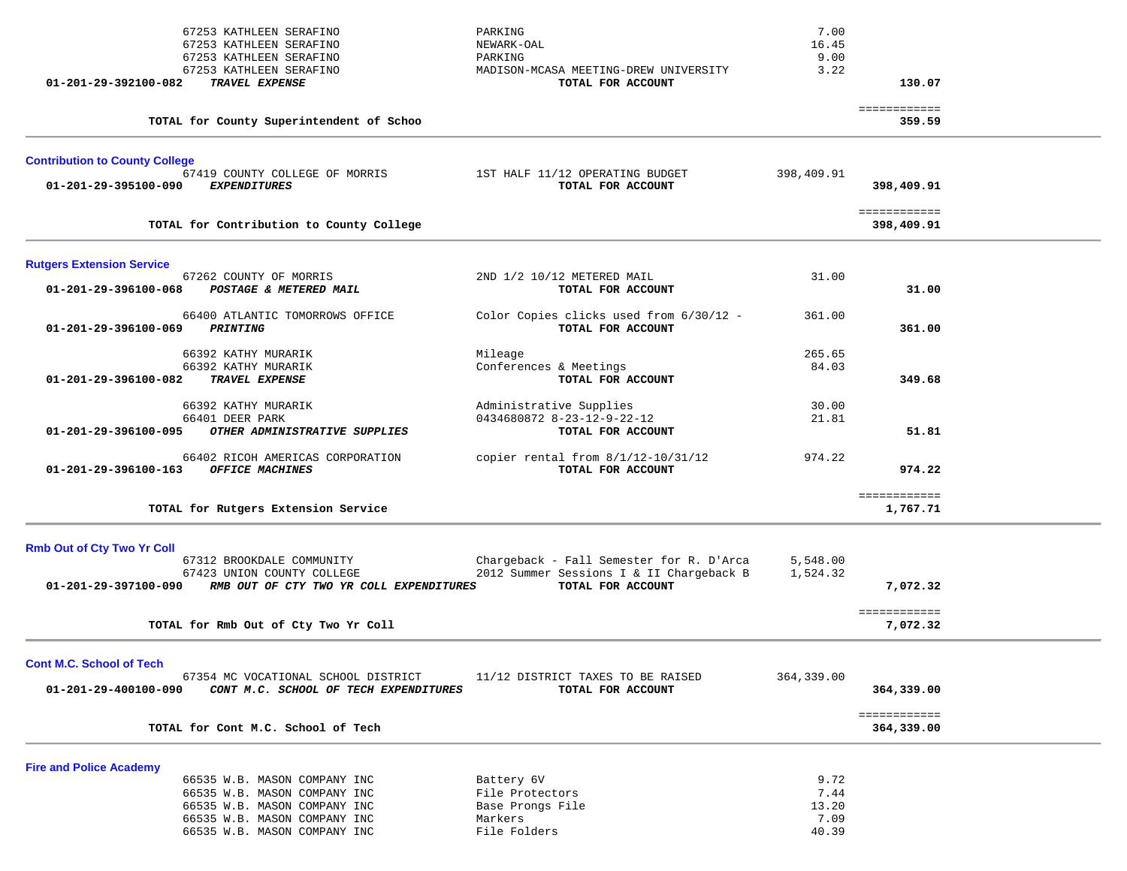| 01-201-29-392100-082                                          | 67253 KATHLEEN SERAFINO<br>67253 KATHLEEN SERAFINO<br>67253 KATHLEEN SERAFINO<br>67253 KATHLEEN SERAFINO<br>TRAVEL EXPENSE                                   | PARKING<br>NEWARK-OAL<br>PARKING<br>MADISON-MCASA MEETING-DREW UNIVERSITY<br>TOTAL FOR ACCOUNT | 7.00<br>16.45<br>9.00<br>3.22          | 130.07                     |  |
|---------------------------------------------------------------|--------------------------------------------------------------------------------------------------------------------------------------------------------------|------------------------------------------------------------------------------------------------|----------------------------------------|----------------------------|--|
|                                                               | TOTAL for County Superintendent of Schoo                                                                                                                     |                                                                                                |                                        | ============<br>359.59     |  |
| <b>Contribution to County College</b><br>01-201-29-395100-090 | 67419 COUNTY COLLEGE OF MORRIS<br><b>EXPENDITURES</b>                                                                                                        | 1ST HALF 11/12 OPERATING BUDGET<br>TOTAL FOR ACCOUNT                                           | 398,409.91                             | 398,409.91                 |  |
|                                                               | TOTAL for Contribution to County College                                                                                                                     |                                                                                                |                                        | ============<br>398,409.91 |  |
| <b>Rutgers Extension Service</b>                              |                                                                                                                                                              |                                                                                                |                                        |                            |  |
| 01-201-29-396100-068                                          | 67262 COUNTY OF MORRIS<br>POSTAGE & METERED MAIL                                                                                                             | 2ND 1/2 10/12 METERED MAIL<br>TOTAL FOR ACCOUNT                                                | 31.00                                  | 31.00                      |  |
| 01-201-29-396100-069                                          | 66400 ATLANTIC TOMORROWS OFFICE<br><b>PRINTING</b>                                                                                                           | Color Copies clicks used from 6/30/12 -<br>TOTAL FOR ACCOUNT                                   | 361.00                                 | 361.00                     |  |
| 01-201-29-396100-082                                          | 66392 KATHY MURARIK<br>66392 KATHY MURARIK<br>TRAVEL EXPENSE                                                                                                 | Mileage<br>Conferences & Meetings<br>TOTAL FOR ACCOUNT                                         | 265.65<br>84.03                        | 349.68                     |  |
| 01-201-29-396100-095                                          | 66392 KATHY MURARIK<br>66401 DEER PARK<br>OTHER ADMINISTRATIVE SUPPLIES                                                                                      | Administrative Supplies<br>$0434680872$ $8-23-12-9-22-12$<br>TOTAL FOR ACCOUNT                 | 30.00<br>21.81                         | 51.81                      |  |
| 01-201-29-396100-163                                          | 66402 RICOH AMERICAS CORPORATION<br><b>OFFICE MACHINES</b>                                                                                                   | copier rental from 8/1/12-10/31/12<br>TOTAL FOR ACCOUNT                                        | 974.22                                 | 974.22                     |  |
|                                                               | TOTAL for Rutgers Extension Service                                                                                                                          |                                                                                                |                                        | ============<br>1,767.71   |  |
| <b>Rmb Out of Cty Two Yr Coll</b>                             | 67312 BROOKDALE COMMUNITY                                                                                                                                    | Chargeback - Fall Semester for R. D'Arca                                                       | 5,548.00                               |                            |  |
| 01-201-29-397100-090                                          | 67423 UNION COUNTY COLLEGE<br>RMB OUT OF CTY TWO YR COLL EXPENDITURES                                                                                        | 2012 Summer Sessions I & II Chargeback B<br>TOTAL FOR ACCOUNT                                  | 1,524.32                               | 7,072.32                   |  |
|                                                               | TOTAL for Rmb Out of Cty Two Yr Coll                                                                                                                         |                                                                                                |                                        | ============<br>7,072.32   |  |
| <b>Cont M.C. School of Tech</b>                               | 67354 MC VOCATIONAL SCHOOL DISTRICT                                                                                                                          | 11/12 DISTRICT TAXES TO BE RAISED                                                              | 364, 339.00                            |                            |  |
| 01-201-29-400100-090                                          | CONT M.C. SCHOOL OF TECH EXPENDITURES                                                                                                                        | TOTAL FOR ACCOUNT                                                                              |                                        | 364,339.00<br>============ |  |
|                                                               | TOTAL for Cont M.C. School of Tech                                                                                                                           |                                                                                                |                                        | 364,339.00                 |  |
| <b>Fire and Police Academy</b>                                | 66535 W.B. MASON COMPANY INC<br>66535 W.B. MASON COMPANY INC<br>66535 W.B. MASON COMPANY INC<br>66535 W.B. MASON COMPANY INC<br>66535 W.B. MASON COMPANY INC | Battery 6V<br>File Protectors<br>Base Prongs File<br>Markers<br>File Folders                   | 9.72<br>7.44<br>13.20<br>7.09<br>40.39 |                            |  |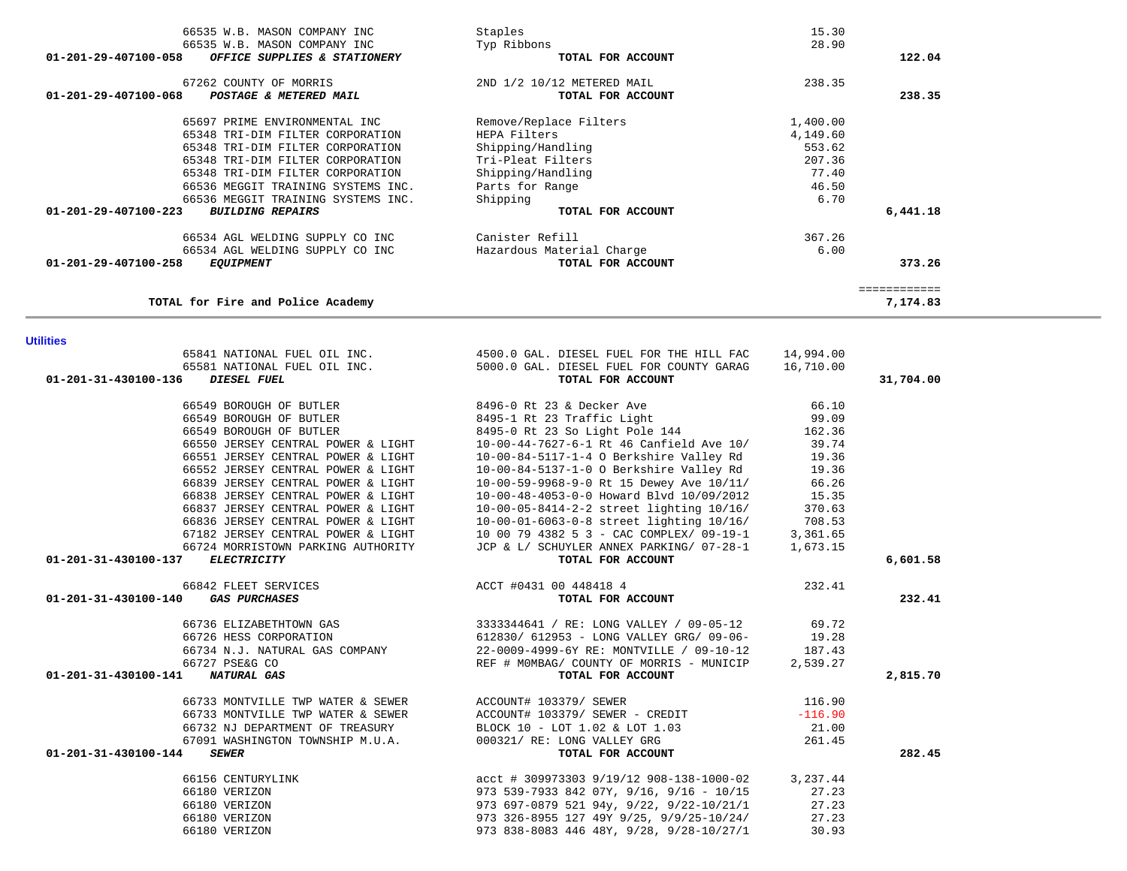| <b>Utilities</b>                           |                                                                                                                                                          |           |           |
|--------------------------------------------|----------------------------------------------------------------------------------------------------------------------------------------------------------|-----------|-----------|
|                                            | 65841 NATIONAL FUEL OIL INC. 4500.0 GAL. DIESEL FUEL FOR THE HILL FAC 14,994.00<br>65581 NATIONAL FUEL OIL INC. 5000.0 GAL. DIESEL FUEL FOR COUNTY GARAG | 16,710.00 |           |
| 01-201-31-430100-136<br>DIESEL FUEL        | TOTAL FOR ACCOUNT                                                                                                                                        |           | 31,704.00 |
|                                            |                                                                                                                                                          |           |           |
| 66549 BOROUGH OF BUTLER                    | 8496-0 Rt 23 & Decker Ave                                                                                                                                | 66.10     |           |
| 66549 BOROUGH OF BUTLER                    | 8495-1 Rt 23 Traffic Light                                                                                                                               | 99.09     |           |
| 66549 BOROUGH OF BUTLER                    | 8495-0 Rt 23 So Light Pole 144                                                                                                                           | 162.36    |           |
| 66550 JERSEY CENTRAL POWER & LIGHT         | 10-00-44-7627-6-1 Rt 46 Canfield Ave 10/ 39.74                                                                                                           |           |           |
| 66551 JERSEY CENTRAL POWER & LIGHT         | 10-00-84-5117-1-4 O Berkshire Valley Rd                                                                                                                  | 19.36     |           |
| 66552 JERSEY CENTRAL POWER & LIGHT         | 10-00-84-5137-1-0 O Berkshire Valley Rd                                                                                                                  | 19.36     |           |
| 66839 JERSEY CENTRAL POWER & LIGHT         | 10-00-59-9968-9-0 Rt 15 Dewey Ave 10/11/ 66.26                                                                                                           |           |           |
| 66838 JERSEY CENTRAL POWER & LIGHT         | 10-00-48-4053-0-0 Howard Blvd 10/09/2012                                                                                                                 | 15.35     |           |
| 66837 JERSEY CENTRAL POWER & LIGHT         | $10 - 00 - 05 - 8414 - 2 - 2$ street lighting $10/16/$<br>$10 - 00 - 05 - 8414 - 2 - 2$ street lighting $10/16/$                                         | 370.63    |           |
| 66836 JERSEY CENTRAL POWER & LIGHT         | $10-00-01-6063-0-8$ street lighting $10/16/$                                                                                                             | 708.53    |           |
| 67182 JERSEY CENTRAL POWER & LIGHT         | 10 00 79 4382 5 3 - CAC COMPLEX/ $09-19-1$                                                                                                               | 3,361.65  |           |
| 66724 MORRISTOWN PARKING AUTHORITY         | JCP & L/ SCHUYLER ANNEX PARKING/ 07-28-1                                                                                                                 | 1,673.15  |           |
| <b>ELECTRICITY</b><br>01-201-31-430100-137 | TOTAL FOR ACCOUNT                                                                                                                                        |           | 6,601.58  |
| 66842 FLEET SERVICES                       | ACCT #0431 00 448418 4                                                                                                                                   | 232.41    |           |
| 01-201-31-430100-140 GAS PURCHASES         | TOTAL FOR ACCOUNT                                                                                                                                        |           | 232.41    |
| 66736 ELIZABETHTOWN GAS                    | 3333344641 / RE: LONG VALLEY / 09-05-12 69.72                                                                                                            |           |           |
| 66726 HESS CORPORATION                     | 612830/ 612953 - LONG VALLEY GRG/ 09-06- 19.28                                                                                                           |           |           |
| 66734 N.J. NATURAL GAS COMPANY             | 22-0009-4999-6Y RE: MONTVILLE / 09-10-12 187.43                                                                                                          |           |           |
| 66727 PSE&G CO                             | REF # MOMBAG/ COUNTY OF MORRIS - MUNICIP                                                                                                                 | 2,539.27  |           |
| 01-201-31-430100-141<br>NATURAL GAS        | TOTAL FOR ACCOUNT                                                                                                                                        |           | 2,815.70  |
| 66733 MONTVILLE TWP WATER & SEWER          | ACCOUNT# 103379/ SEWER                                                                                                                                   | 116.90    |           |
| 66733 MONTVILLE TWP WATER & SEWER          | ACCOUNT# 103379/ SEWER - CREDIT                                                                                                                          | $-116.90$ |           |
| 66732 NJ DEPARTMENT OF TREASURY            | BLOCK 10 - LOT 1.02 & LOT 1.03                                                                                                                           | 21.00     |           |
| 67091 WASHINGTON TOWNSHIP M.U.A.           | 000321/ RE: LONG VALLEY GRG                                                                                                                              | 261.45    |           |
| 01-201-31-430100-144<br><b>SEWER</b>       | TOTAL FOR ACCOUNT                                                                                                                                        |           | 282.45    |
| 66156 CENTURYLINK                          | acct # 309973303 9/19/12 908-138-1000-02                                                                                                                 | 3,237.44  |           |
| 66180 VERIZON                              | 973 539-7933 842 07Y, 9/16, 9/16 - 10/15                                                                                                                 | 27.23     |           |
| 66180 VERIZON                              | 973 697-0879 521 94y, 9/22, 9/22-10/21/1                                                                                                                 | 27.23     |           |
| 66180 VERIZON                              | 973 326-8955 127 49Y 9/25, 9/9/25-10/24/                                                                                                                 | 27.23     |           |

66180 VERIZON 973 838-8083 446 48Y, 9/28, 9/28-10/27/1 30.93

| TOTAL FOR ACCOUNT          |          | 122.04       |
|----------------------------|----------|--------------|
| 2ND 1/2 10/12 METERED MAIL | 238.35   |              |
| TOTAL FOR ACCOUNT          |          | 238.35       |
| Remove/Replace Filters     | 1,400.00 |              |
| HEPA Filters               | 4,149.60 |              |
| Shipping/Handling          | 553.62   |              |
| Tri-Pleat Filters          | 207.36   |              |
| Shipping/Handling          | 77.40    |              |
| Parts for Range            | 46.50    |              |
| Shipping                   | 6.70     |              |
| TOTAL FOR ACCOUNT          |          | 6,441.18     |
| Canister Refill            | 367.26   |              |
| Hazardous Material Charge  | 6.00     |              |
| TOTAL FOR ACCOUNT          |          | 373.26       |
|                            |          | ============ |
|                            |          | 7,174.83     |
|                            |          |              |

 66535 W.B. MASON COMPANY INC Staples 15.30 66535 W.B. MASON COMPANY INC Typ Ribbons 28.90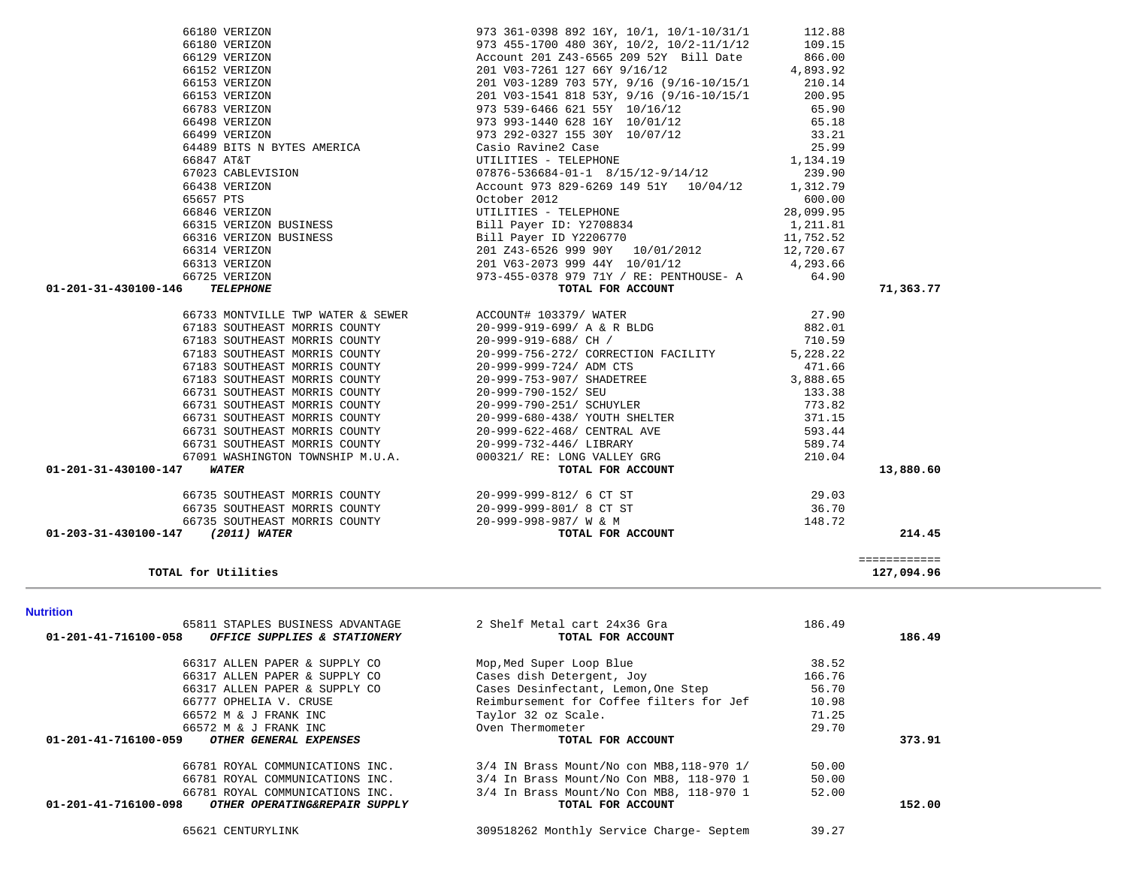| 65811 STAPLES BUSINESS ADVANTAGE                      | 2 Shelf Metal cart 24x36 Gra              | 186.49 |        |
|-------------------------------------------------------|-------------------------------------------|--------|--------|
| 01-201-41-716100-058<br>OFFICE SUPPLIES & STATIONERY  | TOTAL FOR ACCOUNT                         |        | 186.49 |
| 66317 ALLEN PAPER & SUPPLY CO                         | Mop, Med Super Loop Blue                  | 38.52  |        |
| 66317 ALLEN PAPER & SUPPLY CO                         | Cases dish Detergent, Joy                 | 166.76 |        |
| 66317 ALLEN PAPER & SUPPLY CO                         | Cases Desinfectant, Lemon, One Step       | 56.70  |        |
| 66777 OPHELIA V. CRUSE                                | Reimbursement for Coffee filters for Jef  | 10.98  |        |
| 66572 M & J FRANK INC                                 | Taylor 32 oz Scale.                       | 71.25  |        |
| 66572 M & J FRANK INC                                 | Oven Thermometer                          | 29.70  |        |
| 01-201-41-716100-059<br>OTHER GENERAL EXPENSES        | TOTAL FOR ACCOUNT                         |        | 373.91 |
| 66781 ROYAL COMMUNICATIONS INC.                       | 3/4 IN Brass Mount/No con MB8, 118-970 1/ | 50.00  |        |
| 66781 ROYAL COMMUNICATIONS INC.                       | 3/4 In Brass Mount/No Con MB8, 118-970 1  | 50.00  |        |
| 66781 ROYAL COMMUNICATIONS INC.                       | 3/4 In Brass Mount/No Con MB8, 118-970 1  | 52.00  |        |
| 01-201-41-716100-098<br>OTHER OPERATING&REPAIR SUPPLY | TOTAL FOR ACCOUNT                         |        | 152.00 |
| 65621 CENTURYLINK                                     | 309518262 Monthly Service Charge- Septem  | 39.27  |        |

**TOTAL for Utilities 127,094.96**

**Nutrition** 

| 66498 VERIZON                                                                                               | 973 993-1440 628 16Y 10/01/12                                                                                                                                                                                       | 65.18     |           |
|-------------------------------------------------------------------------------------------------------------|---------------------------------------------------------------------------------------------------------------------------------------------------------------------------------------------------------------------|-----------|-----------|
|                                                                                                             | 66499 VERIZON 573 292-0327 155 30Y 10/07/12 33.21<br>64489 BITS N BYTES AMERICA Casio Ravine2 Case 25.99<br>66847 AT&T UTILITIES - TELEPHONE 1,134.19<br>67023 CABLEVISION 07876-536684-01-1 8/15/12-9/14/12 239.90 |           |           |
|                                                                                                             |                                                                                                                                                                                                                     |           |           |
|                                                                                                             |                                                                                                                                                                                                                     |           |           |
|                                                                                                             |                                                                                                                                                                                                                     |           |           |
|                                                                                                             | Account 973 829-6269 149 51Y 10/04/12 1,312.79                                                                                                                                                                      |           |           |
| 67023 CABLEVISION<br>66438 VERIZON<br>65657 PTS<br>66846 VERIZON                                            | October 2012                                                                                                                                                                                                        | 600.00    |           |
|                                                                                                             | 65657 PTS<br>66846 VERIZON<br>66315 VERIZON BUSINESS<br>66315 VERIZON BUSINESS<br>66316 VERIZON BUSINESS<br>166316 VERIZON BUSINESS<br>166316 VERIZON BUSINESS<br>1611 Payer ID Y2206770                            | 28,099.95 |           |
|                                                                                                             |                                                                                                                                                                                                                     | 1,211.81  |           |
|                                                                                                             |                                                                                                                                                                                                                     | 11,752.52 |           |
| 66314 VERIZON                                                                                               | 201 Z43-6526 999 90Y 10/01/2012 12,720.67                                                                                                                                                                           |           |           |
| 66313 VERIZON                                                                                               |                                                                                                                                                                                                                     |           |           |
| 66725 VERIZON                                                                                               |                                                                                                                                                                                                                     |           |           |
| 01-201-31-430100-146<br>TELEPHONE                                                                           | 201 v63-2073 999 44Y 10/01/12 4,293.66<br>973-455-0378 979 71Y / RE: PENTHOUSE- A 64.90<br><b>TOTAL FOR ACCOUNT</b><br>973-455-0378 979 71Y / RE: PENTHOUSE- A 64.90<br><b>TOTAL FOR ACCOUNT</b>                    |           | 71,363.77 |
|                                                                                                             | 66733 MONTVILLE TWP WATER & SEWER ACCOUNT# $103379/$ WATER 27.90                                                                                                                                                    |           |           |
|                                                                                                             | 67183 SOUTHEAST MORRIS COUNTY 20-999-919-699/ A & R BLDG 882.01                                                                                                                                                     |           |           |
|                                                                                                             | 67183 SOUTHEAST MORRIS COUNTY 20-999-919-688/ CH / 710.59                                                                                                                                                           |           |           |
|                                                                                                             | 67183 SOUTHEAST MORRIS COUNTY 20-999-756-272/ CORRECTION FACILITY                                                                                                                                                   | 5,228.22  |           |
|                                                                                                             |                                                                                                                                                                                                                     |           |           |
|                                                                                                             |                                                                                                                                                                                                                     |           |           |
|                                                                                                             |                                                                                                                                                                                                                     |           |           |
|                                                                                                             |                                                                                                                                                                                                                     |           |           |
|                                                                                                             | 66731 SOUTHEAST MORRIS COUNTY 20-999-680-438/ YOUTH SHELTER                                                                                                                                                         | 371.15    |           |
|                                                                                                             | 66731 SOUTHEAST MORRIS COUNTY 20-999-622-468/ CENTRAL AVE                                                                                                                                                           | 593.44    |           |
|                                                                                                             |                                                                                                                                                                                                                     | 589.74    |           |
| 66731 SOUTHEAST MORRIS COUNTY 20-999-732-446/ LIBRARY                                                       |                                                                                                                                                                                                                     | 210.04    |           |
|                                                                                                             |                                                                                                                                                                                                                     |           |           |
|                                                                                                             |                                                                                                                                                                                                                     |           |           |
|                                                                                                             | 66731 SOUTHEAST MORRIS COUNTY<br>66731 SOUTHEAST MORRIS COUNTY<br>67091 WASHINGTON TOWNSHIP M.U.A. 000321/RE: LONG VALLEY GRG<br><b>WATER</b> TOTAL FOR ACCOUNT                                                     |           | 13,880.60 |
| 01-201-31-430100-147                                                                                        | 66735 SOUTHEAST MORRIS COUNTY 20-999-999-812/6 CT ST 29.03                                                                                                                                                          |           |           |
|                                                                                                             |                                                                                                                                                                                                                     | 36.70     |           |
| 66735 SOUTHEAST MORRIS COUNTY 20-999-999-801/8 CT ST<br>66735 SOUTHEAST MORRIS COUNTY 20-999-998-987/ W & M | TOTAL FOR ACCOUNT                                                                                                                                                                                                   | 148.72    |           |

 66180 VERIZON 973 361-0398 892 16Y, 10/1, 10/1-10/31/1 112.88 66180 VERIZON 973 455-1700 480 36Y, 10/2, 10/2-11/1/12 109.15 66129 VERIZON Account 201 Z43-6565 209 52Y Bill Date 866.00

 66153 VERIZON 201 V03-1289 703 57Y, 9/16 (9/16-10/15/1 210.14 66153 VERIZON 201 V03-1541 818 53Y, 9/16 (9/16-10/15/1 200.95 66783 VERIZON 973 539-6466 621 55Y 10/16/12 65.90

66152 VERIZON 201 V03-7261 127 66Y 9/16/12

4,893.92

127,094.96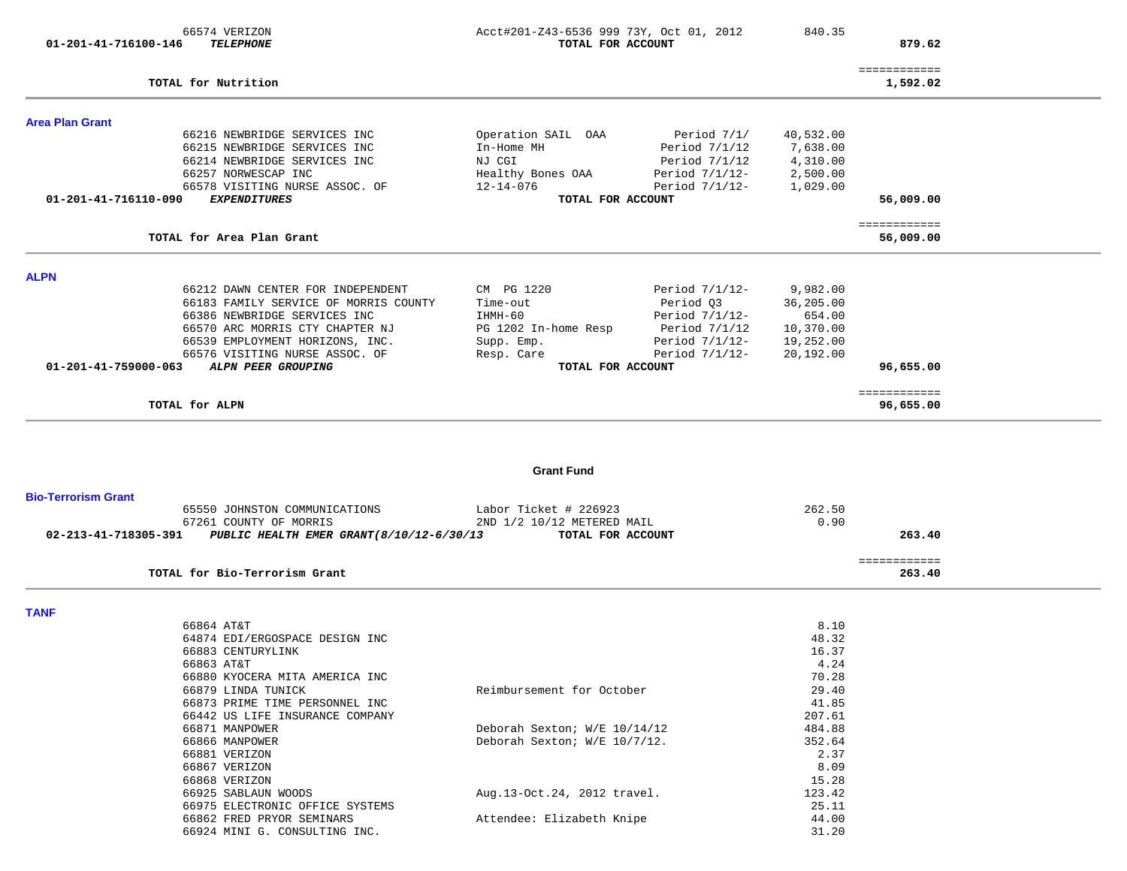| 66574 VERIZON<br>01-201-41-716100-146 | <b>TELEPHONE</b>                                                                                                                                                                                                                         | Acct#201-Z43-6536 999 73Y, Oct 01, 2012<br>TOTAL FOR ACCOUNT                                               |                                                                                                       | 840.35                                                                 | 879.62                    |  |
|---------------------------------------|------------------------------------------------------------------------------------------------------------------------------------------------------------------------------------------------------------------------------------------|------------------------------------------------------------------------------------------------------------|-------------------------------------------------------------------------------------------------------|------------------------------------------------------------------------|---------------------------|--|
| TOTAL for Nutrition                   |                                                                                                                                                                                                                                          |                                                                                                            |                                                                                                       |                                                                        | ============<br>1,592.02  |  |
| <b>Area Plan Grant</b>                |                                                                                                                                                                                                                                          |                                                                                                            |                                                                                                       |                                                                        |                           |  |
| 01-201-41-716110-090                  | 66216 NEWBRIDGE SERVICES INC<br>66215 NEWBRIDGE SERVICES INC<br>66214 NEWBRIDGE SERVICES INC<br>66257 NORWESCAP INC<br>66578 VISITING NURSE ASSOC. OF<br><b>EXPENDITURES</b>                                                             | Operation SAIL OAA<br>In-Home MH<br>NJ CGI<br>Healthy Bones OAA<br>$12 - 14 - 076$<br>TOTAL FOR ACCOUNT    | Period 7/1/<br>Period $7/1/12$<br>Period $7/1/12$<br>Period $7/1/12$ -<br>Period $7/1/12$ -           | 40,532.00<br>7,638.00<br>4,310.00<br>2,500.00<br>1,029.00              | 56,009.00                 |  |
|                                       | TOTAL for Area Plan Grant                                                                                                                                                                                                                |                                                                                                            |                                                                                                       |                                                                        | ============<br>56,009.00 |  |
| <b>ALPN</b>                           |                                                                                                                                                                                                                                          |                                                                                                            |                                                                                                       |                                                                        |                           |  |
| 01-201-41-759000-063                  | 66212 DAWN CENTER FOR INDEPENDENT<br>66183 FAMILY SERVICE OF MORRIS COUNTY<br>66386 NEWBRIDGE SERVICES INC<br>66570 ARC MORRIS CTY CHAPTER NJ<br>66539 EMPLOYMENT HORIZONS, INC.<br>66576 VISITING NURSE ASSOC. OF<br>ALPN PEER GROUPING | CM PG 1220<br>Time-out<br>IHMH-60<br>PG 1202 In-home Resp<br>Supp. Emp.<br>Resp. Care<br>TOTAL FOR ACCOUNT | Period $7/1/12$ -<br>Period Q3<br>Period 7/1/12-<br>Period 7/1/12<br>Period 7/1/12-<br>Period 7/1/12- | 9,982.00<br>36,205.00<br>654.00<br>10,370.00<br>19,252.00<br>20,192.00 | 96,655.00                 |  |
| TOTAL for ALPN                        |                                                                                                                                                                                                                                          |                                                                                                            |                                                                                                       |                                                                        | ============<br>96,655.00 |  |
|                                       |                                                                                                                                                                                                                                          | <b>Grant Fund</b>                                                                                          |                                                                                                       |                                                                        |                           |  |
| <b>Bio-Terrorism Grant</b>            |                                                                                                                                                                                                                                          |                                                                                                            |                                                                                                       |                                                                        |                           |  |
| 02-213-41-718305-391                  | 65550 JOHNSTON COMMUNICATIONS<br>67261 COUNTY OF MORRIS<br>PUBLIC HEALTH EMER GRANT (8/10/12-6/30/13                                                                                                                                     | Labor Ticket # 226923<br>2ND 1/2 10/12 METERED MAIL<br>TOTAL FOR ACCOUNT                                   |                                                                                                       | 262.50<br>0.90                                                         | 263.40                    |  |
|                                       | TOTAL for Bio-Terrorism Grant                                                                                                                                                                                                            |                                                                                                            |                                                                                                       |                                                                        | ============<br>263.40    |  |
| <b>TANF</b>                           |                                                                                                                                                                                                                                          |                                                                                                            |                                                                                                       |                                                                        |                           |  |
| 66864 AT&T<br>66863 AT&T              | 64874 EDI/ERGOSPACE DESIGN INC<br>66883 CENTURYLINK<br>66880 KYOCERA MITA AMERICA INC<br>66879 LINDA TUNICK<br>66873 PRIME TIME PERSONNEL INC<br>66442 US LIFE INSURANCE COMPANY                                                         | Reimbursement for October                                                                                  |                                                                                                       | 8.10<br>48.32<br>16.37<br>4.24<br>70.28<br>29.40<br>41.85<br>207.61    |                           |  |
| 66881 VERIZON<br>66867 VERIZON        | 66871 MANPOWER<br>66866 MANPOWER                                                                                                                                                                                                         | Deborah Sexton; W/E 10/14/12<br>Deborah Sexton; W/E 10/7/12.                                               |                                                                                                       | 484.88<br>352.64<br>2.37<br>8.09                                       |                           |  |

15.28

123.42

44.00

66868 VERIZON 66925 SABLAUN WOODS <br>66975 ELECTRONIC OFFICE SYSTEMS <br>25.11 25.11 66975 ELECTRONIC OFFICE SYSTEMS 66862 FRED PRYOR SEMINARS Attendee: Elizabeth Knipe 44.00 66924 MINI G. CONSULTING INC.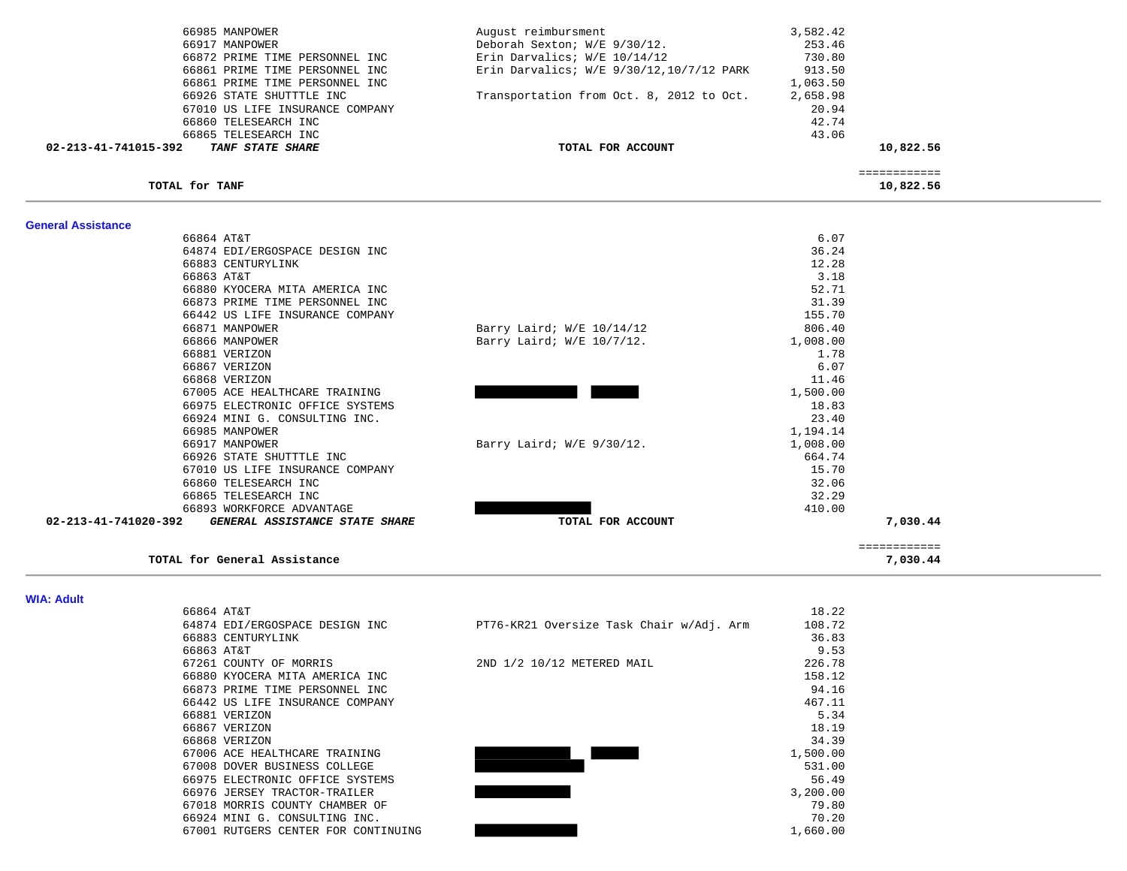| 66985 MANPOWER                                         | August reimbursment                      | 3,582.42     |  |
|--------------------------------------------------------|------------------------------------------|--------------|--|
| 66917 MANPOWER                                         | Deborah Sexton; W/E 9/30/12.             | 253.46       |  |
| 66872 PRIME TIME PERSONNEL INC                         | Erin Darvalics; W/E 10/14/12             | 730.80       |  |
| 66861 PRIME TIME PERSONNEL INC                         | Erin Darvalics; W/E 9/30/12,10/7/12 PARK | 913.50       |  |
| 66861 PRIME TIME PERSONNEL INC                         |                                          | 1,063.50     |  |
| 66926 STATE SHUTTTLE INC                               | Transportation from Oct. 8, 2012 to Oct. | 2,658.98     |  |
| 67010 US LIFE INSURANCE COMPANY                        |                                          | 20.94        |  |
| 66860 TELESEARCH INC                                   |                                          | 42.74        |  |
| 66865 TELESEARCH INC                                   |                                          | 43.06        |  |
| 02-213-41-741015-392<br>TANF STATE SHARE               | TOTAL FOR ACCOUNT                        | 10,822.56    |  |
|                                                        |                                          | ============ |  |
| TOTAL for TANF                                         |                                          | 10,822.56    |  |
|                                                        |                                          |              |  |
| <b>General Assistance</b><br>66864 AT&T                |                                          | 6.07         |  |
| 64874 EDI/ERGOSPACE DESIGN INC                         |                                          | 36.24        |  |
| 66883 CENTURYLINK                                      |                                          | 12.28        |  |
| 66863 AT&T                                             |                                          | 3.18         |  |
| 66880 KYOCERA MITA AMERICA INC                         |                                          | 52.71        |  |
| 66873 PRIME TIME PERSONNEL INC                         |                                          | 31.39        |  |
| 66442 US LIFE INSURANCE COMPANY                        |                                          | 155.70       |  |
| 66871 MANPOWER                                         | Barry Laird; $W/E$ 10/14/12              | 806.40       |  |
| 66866 MANPOWER                                         | Barry Laird; W/E 10/7/12.                | 1,008.00     |  |
| 66881 VERIZON                                          |                                          | 1.78         |  |
| 66867 VERIZON                                          |                                          | 6.07         |  |
| 66868 VERIZON                                          |                                          | 11.46        |  |
| 67005 ACE HEALTHCARE TRAINING                          |                                          | 1,500.00     |  |
| 66975 ELECTRONIC OFFICE SYSTEMS                        |                                          | 18.83        |  |
| 66924 MINI G. CONSULTING INC.                          |                                          | 23.40        |  |
| 66985 MANPOWER                                         |                                          | 1,194.14     |  |
| 66917 MANPOWER                                         | Barry Laird; $W/E$ 9/30/12.              | 1,008.00     |  |
| 66926 STATE SHUTTTLE INC                               |                                          | 664.74       |  |
| 67010 US LIFE INSURANCE COMPANY                        |                                          | 15.70        |  |
| 66860 TELESEARCH INC                                   |                                          | 32.06        |  |
| 66865 TELESEARCH INC                                   |                                          | 32.29        |  |
| 66893 WORKFORCE ADVANTAGE                              |                                          | 410.00       |  |
| 02-213-41-741020-392<br>GENERAL ASSISTANCE STATE SHARE | TOTAL FOR ACCOUNT                        | 7,030.44     |  |
|                                                        |                                          | ============ |  |
| TOTAL for General Assistance                           |                                          | 7,030.44     |  |

**WIA: Adult** 

| 66864 AT&T                          |                                          | 18.22    |
|-------------------------------------|------------------------------------------|----------|
| 64874 EDI/ERGOSPACE DESIGN INC      | PT76-KR21 Oversize Task Chair w/Adj. Arm | 108.72   |
| 66883 CENTURYLINK                   |                                          | 36.83    |
| 66863 AT&T                          |                                          | 9.53     |
| 67261 COUNTY OF MORRIS              | 2ND 1/2 10/12 METERED MAIL               | 226.78   |
| 66880 KYOCERA MITA AMERICA INC      |                                          | 158.12   |
| 66873 PRIME TIME PERSONNEL INC      |                                          | 94.16    |
| 66442 US LIFE INSURANCE COMPANY     |                                          | 467.11   |
| 66881 VERIZON                       |                                          | 5.34     |
| 66867 VERIZON                       |                                          | 18.19    |
| 66868 VERIZON                       |                                          | 34.39    |
| 67006 ACE HEALTHCARE TRAINING       |                                          | 1,500.00 |
| 67008 DOVER BUSINESS COLLEGE        |                                          | 531.00   |
| 66975 ELECTRONIC OFFICE SYSTEMS     |                                          | 56.49    |
| 66976 JERSEY TRACTOR-TRAILER        |                                          | 3,200.00 |
| 67018 MORRIS COUNTY CHAMBER OF      |                                          | 79.80    |
| 66924 MINI G. CONSULTING INC.       |                                          | 70.20    |
| 67001 RUTGERS CENTER FOR CONTINUING |                                          | 1,660.00 |
|                                     |                                          |          |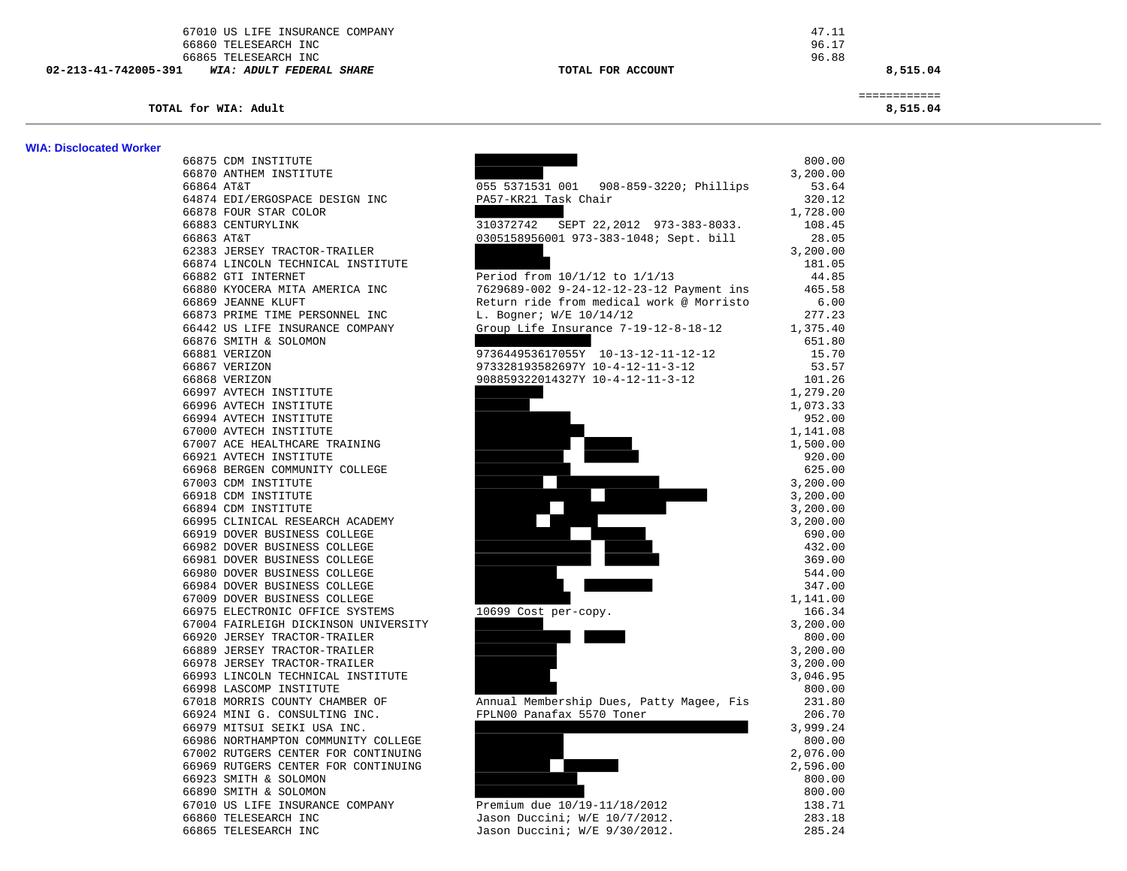67010 US LIFE INSURANCE COMPANY 47.11 66860 TELESEARCH INC 96.17 66865 TELESEARCH INC 96.88  **02-213-41-742005-391** *WIA: ADULT FEDERAL SHARE* **TOTAL FOR ACCOUNT 8,515.04**

 ============ **TOTAL for WIA: Adult 8,515.04**

**WIA: Disclocated Worker** 

| wia: Disclocated worker |                                                              |                                          |                    |
|-------------------------|--------------------------------------------------------------|------------------------------------------|--------------------|
|                         | 66875 CDM INSTITUTE                                          |                                          | 800.00             |
|                         | 66870 ANTHEM INSTITUTE                                       |                                          | 3,200.00           |
|                         | 66864 AT&T                                                   | 055 5371531 001 908-859-3220; Phillips   | 53.64              |
|                         | 64874 EDI/ERGOSPACE DESIGN INC                               | PA57-KR21 Task Chair                     | 320.12             |
|                         | 66878 FOUR STAR COLOR                                        |                                          | 1,728.00           |
|                         | 66883 CENTURYLINK                                            | 310372742 SEPT 22,2012 973-383-8033.     | 108.45             |
|                         | 66863 AT&T                                                   | 0305158956001 973-383-1048; Sept. bill   | 28.05              |
|                         | 62383 JERSEY TRACTOR-TRAILER                                 |                                          | 3,200.00           |
|                         | 66874 LINCOLN TECHNICAL INSTITUTE                            |                                          | 181.05             |
|                         | 66882 GTI INTERNET                                           | Period from 10/1/12 to 1/1/13            | 44.85              |
|                         | 66880 KYOCERA MITA AMERICA INC                               | 7629689-002 9-24-12-12-23-12 Payment ins | 465.58             |
|                         | 66869 JEANNE KLUFT                                           | Return ride from medical work @ Morristo | 6.00               |
|                         | 66873 PRIME TIME PERSONNEL INC                               | L. Bogner; W/E 10/14/12                  | 277.23             |
|                         | 66442 US LIFE INSURANCE COMPANY                              | Group Life Insurance 7-19-12-8-18-12     | 1,375.40           |
|                         | 66876 SMITH & SOLOMON                                        |                                          | 651.80             |
|                         | 66881 VERIZON                                                | 973644953617055Y 10-13-12-11-12-12       | 15.70              |
|                         | 66867 VERIZON                                                | 973328193582697Y 10-4-12-11-3-12         | 53.57              |
|                         | 66868 VERIZON                                                | 908859322014327Y 10-4-12-11-3-12         | 101.26             |
|                         | 66997 AVTECH INSTITUTE                                       |                                          | 1,279.20           |
|                         | 66996 AVTECH INSTITUTE                                       |                                          | 1,073.33           |
|                         | 66994 AVTECH INSTITUTE                                       |                                          | 952.00             |
|                         | 67000 AVTECH INSTITUTE                                       |                                          | 1,141.08           |
|                         | 67007 ACE HEALTHCARE TRAINING                                |                                          | 1,500.00           |
|                         | 66921 AVTECH INSTITUTE                                       |                                          | 920.00             |
|                         | 66968 BERGEN COMMUNITY COLLEGE                               |                                          | 625.00             |
|                         | 67003 CDM INSTITUTE                                          |                                          | 3,200.00           |
|                         | 66918 CDM INSTITUTE                                          |                                          | 3,200.00           |
|                         | 66894 CDM INSTITUTE                                          |                                          | 3,200.00           |
|                         | 66995 CLINICAL RESEARCH ACADEMY                              |                                          | 3,200.00           |
|                         | 66919 DOVER BUSINESS COLLEGE                                 |                                          | 690.00             |
|                         | 66982 DOVER BUSINESS COLLEGE                                 |                                          | 432.00             |
|                         | 66981 DOVER BUSINESS COLLEGE                                 |                                          | 369.00             |
|                         | 66980 DOVER BUSINESS COLLEGE                                 |                                          | 544.00             |
|                         | 66984 DOVER BUSINESS COLLEGE<br>67009 DOVER BUSINESS COLLEGE |                                          | 347.00<br>1,141.00 |
|                         | 66975 ELECTRONIC OFFICE SYSTEMS                              |                                          | 166.34             |
|                         | 67004 FAIRLEIGH DICKINSON UNIVERSITY                         | 10699 Cost per-copy.                     | 3,200.00           |
|                         | 66920 JERSEY TRACTOR-TRAILER                                 |                                          | 800.00             |
|                         | 66889 JERSEY TRACTOR-TRAILER                                 |                                          | 3,200.00           |
|                         | 66978 JERSEY TRACTOR-TRAILER                                 |                                          | 3,200.00           |
|                         | 66993 LINCOLN TECHNICAL INSTITUTE                            |                                          | 3,046.95           |
|                         | 66998 LASCOMP INSTITUTE                                      |                                          | 800.00             |
|                         | 67018 MORRIS COUNTY CHAMBER OF                               | Annual Membership Dues, Patty Magee, Fis | 231.80             |
|                         | 66924 MINI G. CONSULTING INC.                                | FPLN00 Panafax 5570 Toner                | 206.70             |
|                         | 66979 MITSUI SEIKI USA INC.                                  |                                          | 3,999.24           |
|                         | 66986 NORTHAMPTON COMMUNITY COLLEGE                          |                                          | 800.00             |
|                         | 67002 RUTGERS CENTER FOR CONTINUING                          |                                          | 2,076.00           |
|                         | 66969 RUTGERS CENTER FOR CONTINUING                          |                                          | 2,596.00           |
|                         | 66923 SMITH & SOLOMON                                        |                                          | 800.00             |
|                         | 66890 SMITH & SOLOMON                                        |                                          | 800.00             |
|                         | 67010 US LIFE INSURANCE COMPANY                              | Premium due 10/19-11/18/2012             | 138.71             |
|                         | 66860 TELESEARCH INC                                         | Jason Duccini; W/E 10/7/2012.            | 283.18             |
|                         | 66865 TELESEARCH INC                                         | Jason Duccini; W/E 9/30/2012.            | 285.24             |
|                         |                                                              |                                          |                    |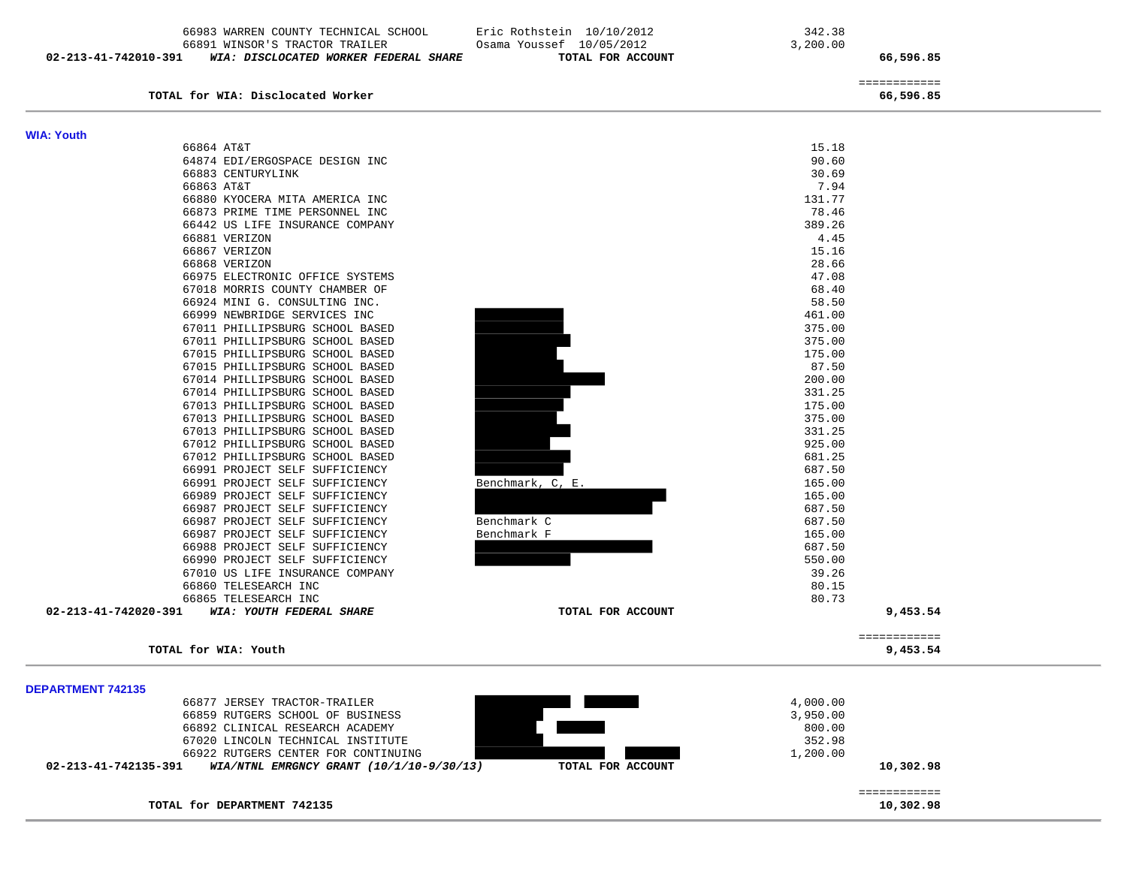|                          | 66983 WARREN COUNTY TECHNICAL SCHOOL<br>66891 WINSOR'S TRACTOR TRAILER | Eric Rothstein 10/10/2012<br>Osama Youssef 10/05/2012 | 342.38<br>3,200.00 |  |
|--------------------------|------------------------------------------------------------------------|-------------------------------------------------------|--------------------|--|
| 02-213-41-742010-391     | WIA: DISCLOCATED WORKER FEDERAL SHARE                                  | TOTAL FOR ACCOUNT                                     | 66,596.85          |  |
|                          |                                                                        |                                                       | ============       |  |
|                          | TOTAL for WIA: Disclocated Worker                                      |                                                       | 66,596.85          |  |
| <b>WIA: Youth</b>        |                                                                        |                                                       |                    |  |
|                          | 66864 AT&T                                                             |                                                       | 15.18              |  |
|                          | 64874 EDI/ERGOSPACE DESIGN INC                                         |                                                       | 90.60              |  |
|                          | 66883 CENTURYLINK                                                      |                                                       | 30.69              |  |
|                          | 66863 AT&T                                                             |                                                       | 7.94               |  |
|                          | 66880 KYOCERA MITA AMERICA INC                                         |                                                       | 131.77             |  |
|                          | 66873 PRIME TIME PERSONNEL INC                                         |                                                       | 78.46              |  |
|                          | 66442 US LIFE INSURANCE COMPANY                                        |                                                       | 389.26             |  |
|                          | 66881 VERIZON                                                          |                                                       | 4.45               |  |
|                          | 66867 VERIZON                                                          |                                                       | 15.16              |  |
|                          | 66868 VERIZON                                                          |                                                       | 28.66              |  |
|                          | 66975 ELECTRONIC OFFICE SYSTEMS                                        |                                                       | 47.08              |  |
|                          | 67018 MORRIS COUNTY CHAMBER OF                                         |                                                       | 68.40              |  |
|                          | 66924 MINI G. CONSULTING INC.                                          |                                                       | 58.50              |  |
|                          | 66999 NEWBRIDGE SERVICES INC                                           |                                                       | 461.00             |  |
|                          | 67011 PHILLIPSBURG SCHOOL BASED                                        |                                                       | 375.00             |  |
|                          | 67011 PHILLIPSBURG SCHOOL BASED                                        |                                                       | 375.00             |  |
|                          | 67015 PHILLIPSBURG SCHOOL BASED                                        |                                                       | 175.00             |  |
|                          | 67015 PHILLIPSBURG SCHOOL BASED                                        |                                                       | 87.50              |  |
|                          | 67014 PHILLIPSBURG SCHOOL BASED                                        |                                                       | 200.00             |  |
|                          | 67014 PHILLIPSBURG SCHOOL BASED                                        |                                                       | 331.25             |  |
|                          | 67013 PHILLIPSBURG SCHOOL BASED                                        |                                                       | 175.00             |  |
|                          | 67013 PHILLIPSBURG SCHOOL BASED                                        |                                                       | 375.00             |  |
|                          | 67013 PHILLIPSBURG SCHOOL BASED                                        |                                                       | 331.25             |  |
|                          | 67012 PHILLIPSBURG SCHOOL BASED                                        |                                                       | 925.00             |  |
|                          | 67012 PHILLIPSBURG SCHOOL BASED                                        |                                                       | 681.25             |  |
|                          | 66991 PROJECT SELF SUFFICIENCY<br>66991 PROJECT SELF SUFFICIENCY       | Benchmark, C, E.                                      | 687.50<br>165.00   |  |
|                          | 66989 PROJECT SELF SUFFICIENCY                                         |                                                       | 165.00             |  |
|                          | 66987 PROJECT SELF SUFFICIENCY                                         |                                                       | 687.50             |  |
|                          | 66987 PROJECT SELF SUFFICIENCY                                         | Benchmark C                                           | 687.50             |  |
|                          | 66987 PROJECT SELF SUFFICIENCY                                         | Benchmark F                                           | 165.00             |  |
|                          | 66988 PROJECT SELF SUFFICIENCY                                         |                                                       | 687.50             |  |
|                          | 66990 PROJECT SELF SUFFICIENCY                                         |                                                       | 550.00             |  |
|                          | 67010 US LIFE INSURANCE COMPANY                                        |                                                       | 39.26              |  |
|                          | 66860 TELESEARCH INC                                                   |                                                       | 80.15              |  |
|                          | 66865 TELESEARCH INC                                                   |                                                       | 80.73              |  |
|                          | 02-213-41-742020-391 WIA: YOUTH FEDERAL SHARE                          | TOTAL FOR ACCOUNT                                     | 9,453.54           |  |
|                          |                                                                        |                                                       | ============       |  |
|                          | TOTAL for WIA: Youth                                                   |                                                       | 9,453.54           |  |
|                          |                                                                        |                                                       |                    |  |
| <b>DEPARTMENT 742135</b> | 66877 JERSEY TRACTOR-TRAILER                                           |                                                       | 4,000.00           |  |
|                          | 66950 DIITORDO OCHOOI OR DIIOINECO                                     |                                                       | 2 AEA AA           |  |

| WIA/NTNL EMRGNCY GRANT $(10/1/10-9/30/13)$<br>02-213-41-742135-391 | TOTAL FOR ACCOUNT | 10,302.98 |
|--------------------------------------------------------------------|-------------------|-----------|
| 66922 RUTGERS CENTER FOR CONTINUING                                |                   | 1,200.00  |
| 67020 LINCOLN TECHNICAL INSTITUTE                                  |                   | 352.98    |
| 66892 CLINICAL RESEARCH ACADEMY                                    |                   | 800.00    |
| 66859 RUTGERS SCHOOL OF BUSINESS                                   |                   | 3,950.00  |
| 66877 JERSEY TRACTOR-TRAILER                                       |                   | 4,000.00  |
| ____________________________                                       |                   |           |

TOTAL for DEPARTMENT 742135

10,302.98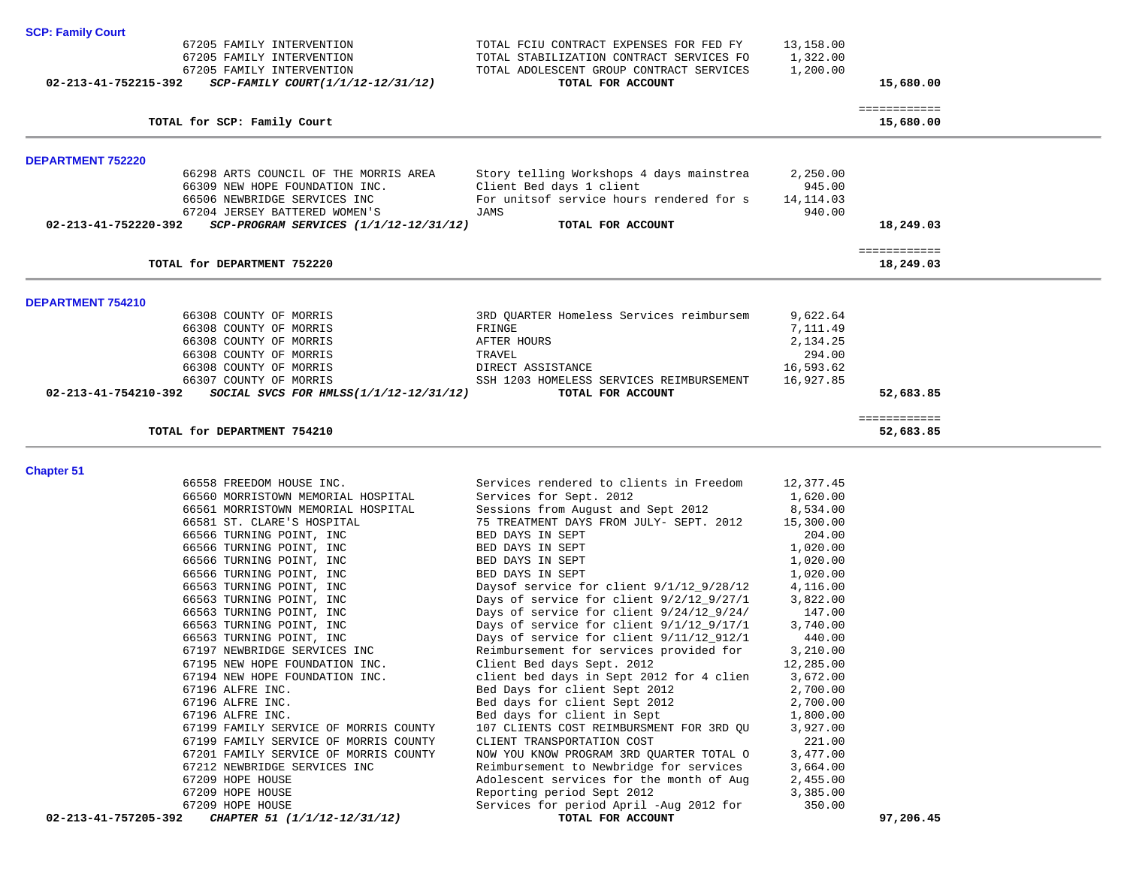| 67205 FAMILY INTERVENTION<br>67205 FAMILY INTERVENTION<br>67205 FAMILY INTERVENTION | TOTAL FCIU CONTRACT EXPENSES FOR FED FY<br>TOTAL STABILIZATION CONTRACT SERVICES FO<br>TOTAL ADOLESCENT GROUP CONTRACT SERVICES | 13,158.00<br>1,322.00<br>1,200.00 |                           |
|-------------------------------------------------------------------------------------|---------------------------------------------------------------------------------------------------------------------------------|-----------------------------------|---------------------------|
| 02-213-41-752215-392<br>SCP-FAMILY COURT(1/1/12-12/31/12)                           | TOTAL FOR ACCOUNT                                                                                                               |                                   | 15,680.00                 |
| TOTAL for SCP: Family Court                                                         |                                                                                                                                 |                                   | ============<br>15,680.00 |
| <b>DEPARTMENT 752220</b>                                                            |                                                                                                                                 |                                   |                           |
| 66298 ARTS COUNCIL OF THE MORRIS AREA                                               | Story telling Workshops 4 days mainstrea                                                                                        | 2,250.00                          |                           |
| 66309 NEW HOPE FOUNDATION INC.<br>66506 NEWBRIDGE SERVICES INC                      | Client Bed days 1 client<br>For unitsof service hours rendered for s                                                            | 945.00<br>14,114.03               |                           |
| 67204 JERSEY BATTERED WOMEN'S                                                       | JAMS                                                                                                                            | 940.00                            |                           |
| 02-213-41-752220-392<br>$SCP-PROGRAM$ SERVICES $(1/1/12-12/31/12)$                  | TOTAL FOR ACCOUNT                                                                                                               |                                   | 18,249.03                 |
| TOTAL for DEPARTMENT 752220                                                         |                                                                                                                                 |                                   | ============<br>18,249.03 |
| <b>DEPARTMENT 754210</b>                                                            |                                                                                                                                 |                                   |                           |
| 66308 COUNTY OF MORRIS                                                              | 3RD QUARTER Homeless Services reimbursem                                                                                        | 9,622.64                          |                           |
| 66308 COUNTY OF MORRIS                                                              | FRINGE                                                                                                                          | 7,111.49                          |                           |
| 66308 COUNTY OF MORRIS<br>66308 COUNTY OF MORRIS                                    | AFTER HOURS<br>TRAVEL                                                                                                           | 2,134.25<br>294.00                |                           |
| 66308 COUNTY OF MORRIS                                                              | DIRECT ASSISTANCE                                                                                                               | 16,593.62                         |                           |
| 66307 COUNTY OF MORRIS                                                              | SSH 1203 HOMELESS SERVICES REIMBURSEMENT                                                                                        | 16,927.85                         |                           |
| 02-213-41-754210-392<br>SOCIAL SVCS FOR HMLSS $(1/1/12-12/31/12)$                   | TOTAL FOR ACCOUNT                                                                                                               |                                   | 52,683.85                 |
| TOTAL for DEPARTMENT 754210                                                         |                                                                                                                                 |                                   | ============<br>52,683.85 |
|                                                                                     |                                                                                                                                 |                                   |                           |
| <b>Chapter 51</b>                                                                   |                                                                                                                                 |                                   |                           |
| 66558 FREEDOM HOUSE INC.                                                            | Services rendered to clients in Freedom                                                                                         | 12,377.45                         |                           |
| 66560 MORRISTOWN MEMORIAL HOSPITAL<br>66561 MORRISTOWN MEMORIAL HOSPITAL            | Services for Sept. 2012<br>Sessions from August and Sept 2012                                                                   | 1,620.00<br>8,534.00              |                           |
| 66581 ST. CLARE'S HOSPITAL                                                          | 75 TREATMENT DAYS FROM JULY- SEPT. 2012                                                                                         | 15,300.00                         |                           |
| 66566 TURNING POINT, INC                                                            | BED DAYS IN SEPT                                                                                                                | 204.00                            |                           |
| 66566 TURNING POINT, INC                                                            | BED DAYS IN SEPT                                                                                                                | 1,020.00                          |                           |
| 66566 TURNING POINT, INC                                                            | BED DAYS IN SEPT                                                                                                                | 1,020.00                          |                           |
| 66566 TURNING POINT, INC                                                            | BED DAYS IN SEPT                                                                                                                | 1,020.00                          |                           |
| 66563 TURNING POINT, INC                                                            | Daysof service for client 9/1/12_9/28/12                                                                                        | 4,116.00                          |                           |
| 66563 TURNING POINT, INC<br>66563 TURNING POINT, INC                                | Days of service for client 9/2/12_9/27/1<br>Days of service for client $9/24/12\_9/24/$                                         | 3,822.00<br>147.00                |                           |
| 66563 TURNING POINT, INC                                                            | Days of service for client 9/1/12_9/17/1                                                                                        | 3,740.00                          |                           |
| 66563 TURNING POINT, INC                                                            | Days of service for client 9/11/12_912/1                                                                                        | 440.00                            |                           |
| 67197 NEWBRIDGE SERVICES INC                                                        | Reimbursement for services provided for                                                                                         | 3,210.00                          |                           |
| 67195 NEW HOPE FOUNDATION INC.                                                      | Client Bed days Sept. 2012                                                                                                      | 12,285.00                         |                           |
| 67194 NEW HOPE FOUNDATION INC.                                                      | client bed days in Sept 2012 for 4 clien                                                                                        | 3,672.00                          |                           |
| 67196 ALFRE INC.                                                                    | Bed Days for client Sept 2012                                                                                                   | 2,700.00                          |                           |
| 67196 ALFRE INC.                                                                    | Bed days for client Sept 2012                                                                                                   | 2,700.00                          |                           |
| 67196 ALFRE INC.<br>67199 FAMILY SERVICE OF MORRIS COUNTY                           | Bed days for client in Sept<br>107 CLIENTS COST REIMBURSMENT FOR 3RD QU                                                         | 1,800.00<br>3,927.00              |                           |
| 67199 FAMILY SERVICE OF MORRIS COUNTY                                               | CLIENT TRANSPORTATION COST                                                                                                      | 221.00                            |                           |
| 67201 FAMILY SERVICE OF MORRIS COUNTY                                               | NOW YOU KNOW PROGRAM 3RD QUARTER TOTAL O                                                                                        | 3,477.00                          |                           |
| 67212 NEWBRIDGE SERVICES INC                                                        | Reimbursement to Newbridge for services                                                                                         | 3,664.00                          |                           |
| 67209 HOPE HOUSE                                                                    | Adolescent services for the month of Aug                                                                                        | 2,455.00                          |                           |
| 67209 HOPE HOUSE                                                                    | Reporting period Sept 2012                                                                                                      | 3,385.00                          |                           |
| 67209 HOPE HOUSE<br>02-213-41-757205-392<br>CHAPTER 51 (1/1/12-12/31/12)            | Services for period April -Aug 2012 for<br>TOTAL FOR ACCOUNT                                                                    | 350.00                            | 97,206.45                 |

**SCP: Family Court**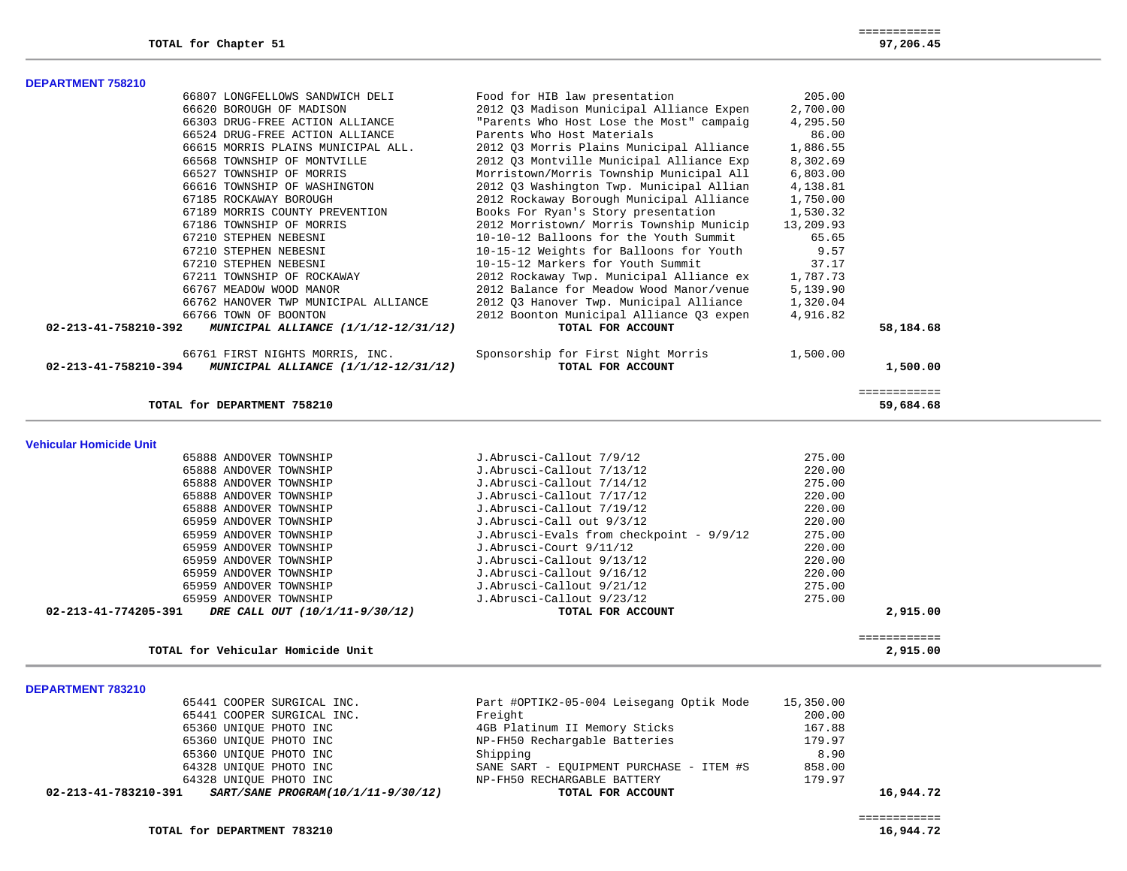| <b>DEPARTMENT 758210</b> |                                    |                                          |          |
|--------------------------|------------------------------------|------------------------------------------|----------|
|                          | 66807 LONGFELLOWS SANDWICH DELI    | Food for HIB law presentation            | 205.00   |
|                          | 66620 BOROUGH OF MADISON           | 2012 03 Madison Municipal Alliance Expen | 2,700.00 |
|                          | 66303 DRUG-FREE ACTION ALLIANCE    | "Parents Who Host Lose the Most" campaig | 4,295.50 |
|                          | 66524 DRUG-FREE ACTION ALLIANCE    | Parents Who Host Materials               | 86.00    |
|                          | 66615 MORRIS PLAINS MUNICIPAL ALL. | 2012 03 Morris Plains Municipal Alliance | 1,886.55 |
|                          | 66568 TOWNSHIP OF MONTVILLE        | 2012 03 Montville Municipal Alliance Exp | 8,302.69 |
|                          | 66527 TOWNSHIP OF MORRIS           | Morristown/Morris Township Municipal All | 6,803.00 |
|                          | 66616 TOWNSHIP OF WASHINGTON       | 2012 03 Washington Twp. Municipal Allian | 4,138.81 |
|                          | 67185 ROCKAWAY BOROUGH             | 2012 Rockaway Borough Municipal Alliance | 1,750.00 |
|                          |                                    |                                          |          |

| 02-213-41-758210-392<br>MUNICIPAL ALLIANCE (1/1/12-12/31/12) | TOTAL FOR ACCOUNT                        |           | 58,184.68 |
|--------------------------------------------------------------|------------------------------------------|-----------|-----------|
| 66766 TOWN OF BOONTON                                        | 2012 Boonton Municipal Alliance 03 expen | 4,916.82  |           |
| 66762 HANOVER TWP MUNICIPAL ALLIANCE                         | 2012 O3 Hanover Twp. Municipal Alliance  | 1,320.04  |           |
| 66767 MEADOW WOOD MANOR                                      | 2012 Balance for Meadow Wood Manor/venue | 5,139.90  |           |
| 67211 TOWNSHIP OF ROCKAWAY                                   | 2012 Rockaway Twp. Municipal Alliance ex | 1,787.73  |           |
| 67210 STEPHEN NEBESNI                                        | 10-15-12 Markers for Youth Summit        | 37.17     |           |
| 67210 STEPHEN NEBESNI                                        | 10-15-12 Weights for Balloons for Youth  | 9.57      |           |
| 67210 STEPHEN NEBESNI                                        | 10-10-12 Balloons for the Youth Summit   | 65.65     |           |
| 67186 TOWNSHIP OF MORRIS                                     | 2012 Morristown/ Morris Township Municip | 13,209.93 |           |
| 67189 MORRIS COUNTY PREVENTION                               | Books For Ryan's Story presentation      | 1,530.32  |           |
| 67185 ROCKAWAY BOROUGH                                       | 2012 Rockaway Borough Municipal Alliance | 1,750.00  |           |
| 66616 TOWNSHIP OF WASHINGTON                                 | 2012 03 Washington Twp. Municipal Allian | 4,138.81  |           |
| 66527 TOWNSHIP OF MORRIS                                     | Morristown/Morris Township Municipal All | 6,803.00  |           |
| 66568 TOWNSHIP OF MONTVILLE                                  | 2012 03 Montville Municipal Alliance Exp | 8,302.69  |           |
| 66615 MORRIS PLAINS MUNICIPAL ALL.                           | 2012 03 Morris Plains Municipal Alliance | 1,886.55  |           |
|                                                              |                                          |           |           |

66761 FIRST NIGHTS MORRIS, INC.<br> **EXECUTE:** Sponsorship for First Night Morris 1,500.00<br> **TOTAL FOR ACCOUNT 02-213-41-758210-394** *MUNICIPAL ALLIANCE (1/1/12-12/31/12)* **TOTAL FOR ACCOUNT 1,500.00**

TOTAL for DEPARTMENT 758210

**Vehicular Homicide Unit** 

65888 ANDOVER TOWNSHIP  $J.Abrusci-Callout 7/9/12$  275.00<br>65888 ANDOVER TOWNSHIP J.Abrusci-Callout 7/13/12 65888 ANDOVER TOWNSHIP J.Abrusci-Callout 7/13/12 220.00

| DRE CALL OUT (10/1/11-9/30/12)<br>02-213-41-774205-391 | TOTAL FOR ACCOUNT                        | 2,915,00 |
|--------------------------------------------------------|------------------------------------------|----------|
| 65959 ANDOVER TOWNSHIP                                 | J.Abrusci-Callout 9/23/12                | 275.00   |
| 65959 ANDOVER TOWNSHIP                                 | J.Abrusci-Callout 9/21/12                | 275.00   |
| 65959 ANDOVER TOWNSHIP                                 | J.Abrusci-Callout 9/16/12                | 220.00   |
| 65959 ANDOVER TOWNSHIP                                 | J.Abrusci-Callout 9/13/12                | 220.00   |
| 65959 ANDOVER TOWNSHIP                                 | J.Abrusci-Court 9/11/12                  | 220.00   |
| 65959 ANDOVER TOWNSHIP                                 | J.Abrusci-Evals from checkpoint - 9/9/12 | 275.00   |
| 65959 ANDOVER TOWNSHIP                                 | J.Abrusci-Call out 9/3/12                | 220.00   |
| 65888 ANDOVER TOWNSHIP                                 | J.Abrusci-Callout 7/19/12                | 220.00   |
| 65888 ANDOVER TOWNSHIP                                 | J.Abrusci-Callout 7/17/12                | 220.00   |
| 65888 ANDOVER TOWNSHIP                                 | J.Abrusci-Callout 7/14/12                | 275.00   |
| 65888 ANDOVER TOWNSHIP                                 | J.Abrusci-Callout 7/13/12                | 220.00   |

============

**TOTAL for Vehicular Homicide Unit 2,915.00**

|  | <b>DEPARTMENT 783210</b> |  |
|--|--------------------------|--|
|  |                          |  |

| SART/SANE PROGRAM(10/1/11-9/30/12)<br>02-213-41-783210-391 | TOTAL FOR ACCOUNT                        | 16,944.72 |
|------------------------------------------------------------|------------------------------------------|-----------|
| 64328 UNIOUE PHOTO INC                                     | NP-FH50 RECHARGABLE BATTERY              | 179.97    |
| 64328 UNIOUE PHOTO INC                                     | SANE SART - EQUIPMENT PURCHASE - ITEM #S | 858.00    |
| 65360 UNIOUE PHOTO INC                                     | Shipping                                 | 8.90      |
| 65360 UNIOUE PHOTO INC                                     | NP-FH50 Rechargable Batteries            | 179.97    |
| 65360 UNIOUE PHOTO INC                                     | 4GB Platinum II Memory Sticks            | 167.88    |
| 65441 COOPER SURGICAL INC.                                 | Freight                                  | 200.00    |
| 65441 COOPER SURGICAL INC.                                 | Part #OPTIK2-05-004 Leisegang Optik Mode | 15,350.00 |

============

59,684.68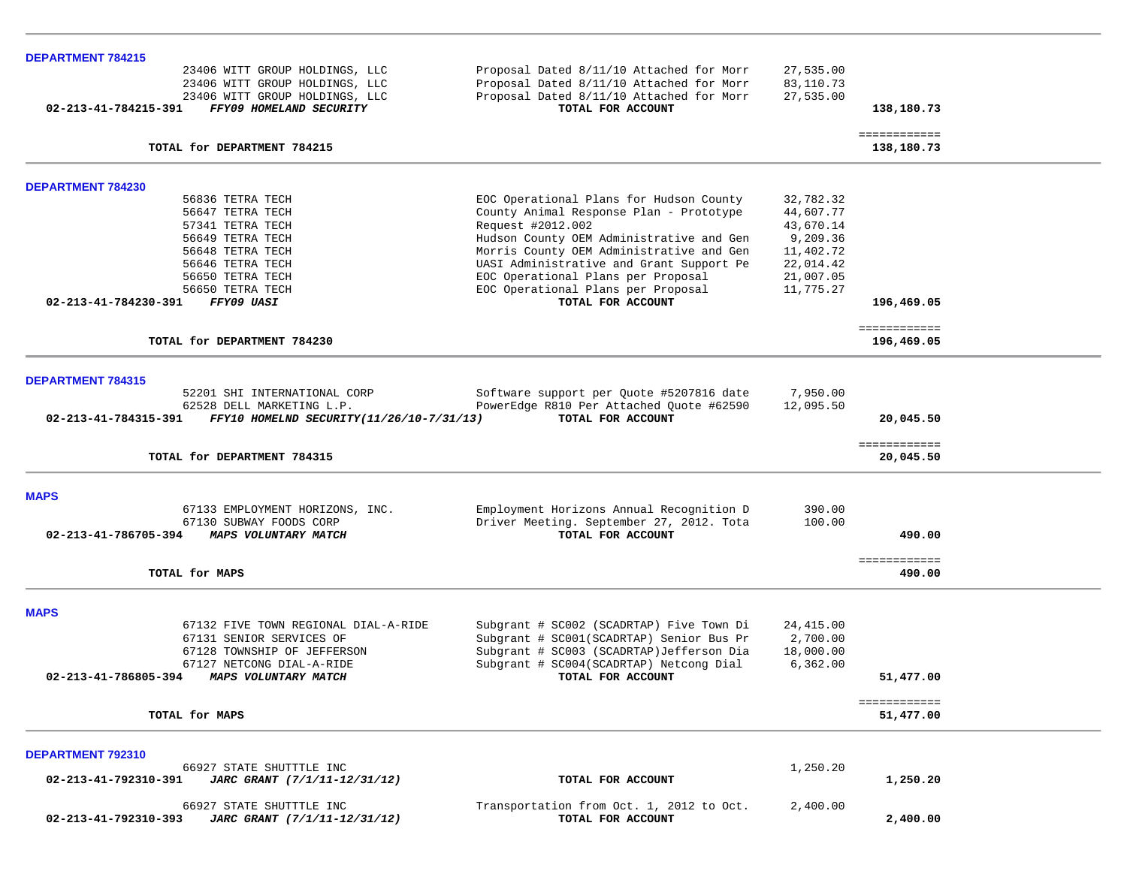| <b>DEPARTMENT 784215</b>                                                    |                                          |            |                            |  |
|-----------------------------------------------------------------------------|------------------------------------------|------------|----------------------------|--|
| 23406 WITT GROUP HOLDINGS, LLC                                              | Proposal Dated 8/11/10 Attached for Morr | 27,535.00  |                            |  |
| 23406 WITT GROUP HOLDINGS, LLC                                              | Proposal Dated 8/11/10 Attached for Morr | 83,110.73  |                            |  |
| 23406 WITT GROUP HOLDINGS, LLC                                              | Proposal Dated 8/11/10 Attached for Morr | 27,535.00  |                            |  |
| FFY09 HOMELAND SECURITY<br>02-213-41-784215-391                             | TOTAL FOR ACCOUNT                        |            | 138,180.73                 |  |
|                                                                             |                                          |            | ============               |  |
| TOTAL for DEPARTMENT 784215                                                 |                                          |            | 138,180.73                 |  |
|                                                                             |                                          |            |                            |  |
| <b>DEPARTMENT 784230</b>                                                    |                                          |            |                            |  |
| 56836 TETRA TECH                                                            | EOC Operational Plans for Hudson County  | 32,782.32  |                            |  |
| 56647 TETRA TECH                                                            | County Animal Response Plan - Prototype  | 44,607.77  |                            |  |
| 57341 TETRA TECH                                                            | Request #2012.002                        | 43,670.14  |                            |  |
| 56649 TETRA TECH                                                            | Hudson County OEM Administrative and Gen | 9,209.36   |                            |  |
| 56648 TETRA TECH                                                            | Morris County OEM Administrative and Gen | 11,402.72  |                            |  |
| 56646 TETRA TECH                                                            | UASI Administrative and Grant Support Pe | 22,014.42  |                            |  |
| 56650 TETRA TECH                                                            | EOC Operational Plans per Proposal       | 21,007.05  |                            |  |
| 56650 TETRA TECH                                                            | EOC Operational Plans per Proposal       | 11,775.27  |                            |  |
| 02-213-41-784230-391<br>FFY09 UASI                                          | TOTAL FOR ACCOUNT                        |            | 196,469.05                 |  |
|                                                                             |                                          |            |                            |  |
| TOTAL for DEPARTMENT 784230                                                 |                                          |            | ============<br>196,469.05 |  |
|                                                                             |                                          |            |                            |  |
| <b>DEPARTMENT 784315</b>                                                    |                                          |            |                            |  |
| 52201 SHI INTERNATIONAL CORP                                                | Software support per Quote #5207816 date | 7,950.00   |                            |  |
| 62528 DELL MARKETING L.P.                                                   | PowerEdge R810 Per Attached Ouote #62590 | 12,095.50  |                            |  |
| $02 - 213 - 41 - 784315 - 391$<br>FFY10 HOMELND SECURITY (11/26/10-7/31/13) | TOTAL FOR ACCOUNT                        |            |                            |  |
|                                                                             |                                          |            | 20,045.50                  |  |
| TOTAL for DEPARTMENT 784315                                                 |                                          |            | ============<br>20,045.50  |  |
|                                                                             |                                          |            |                            |  |
| <b>MAPS</b>                                                                 |                                          |            |                            |  |
| 67133 EMPLOYMENT HORIZONS, INC.                                             | Employment Horizons Annual Recognition D | 390.00     |                            |  |
|                                                                             |                                          |            |                            |  |
| 67130 SUBWAY FOODS CORP                                                     | Driver Meeting. September 27, 2012. Tota | 100.00     |                            |  |
| 02-213-41-786705-394<br>MAPS VOLUNTARY MATCH                                | TOTAL FOR ACCOUNT                        |            | 490.00                     |  |
|                                                                             |                                          |            | ============               |  |
| TOTAL for MAPS                                                              |                                          |            | 490.00                     |  |
|                                                                             |                                          |            |                            |  |
| <b>MAPS</b>                                                                 |                                          |            |                            |  |
| 67132 FIVE TOWN REGIONAL DIAL-A-RIDE                                        | Subgrant # SC002 (SCADRTAP) Five Town Di | 24, 415.00 |                            |  |
| 67131 SENIOR SERVICES OF                                                    | Subgrant # SC001(SCADRTAP) Senior Bus Pr | 2,700.00   |                            |  |
| 67128 TOWNSHIP OF JEFFERSON                                                 | Subgrant # SC003 (SCADRTAP)Jefferson Dia | 18,000.00  |                            |  |
| 67127 NETCONG DIAL-A-RIDE                                                   | Subgrant # SC004(SCADRTAP) Netcong Dial  | 6,362.00   |                            |  |
| 02-213-41-786805-394<br>MAPS VOLUNTARY MATCH                                | TOTAL FOR ACCOUNT                        |            | 51,477.00                  |  |
|                                                                             |                                          |            |                            |  |
|                                                                             |                                          |            | ============               |  |
| TOTAL for MAPS                                                              |                                          |            | 51,477.00                  |  |
|                                                                             |                                          |            |                            |  |
| DEPARTMENT 792310                                                           |                                          |            |                            |  |
| 66927 STATE SHUTTTLE INC                                                    |                                          | 1,250.20   |                            |  |
| JARC GRANT (7/1/11-12/31/12)<br>02-213-41-792310-391                        | TOTAL FOR ACCOUNT                        |            | 1,250.20                   |  |
| 66927 STATE SHUTTTLE INC                                                    | Transportation from Oct. 1, 2012 to Oct. | 2,400.00   |                            |  |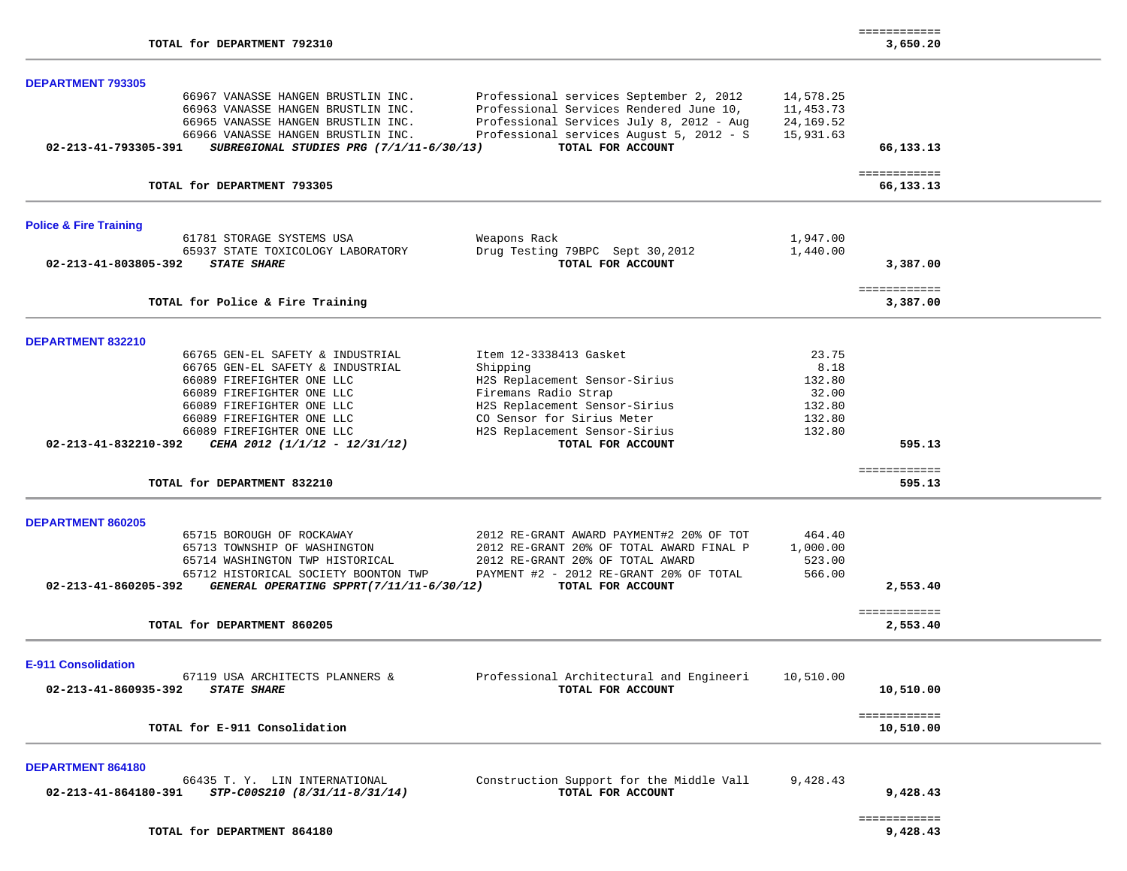|                                            |                                          |                                          |           | ============              |  |
|--------------------------------------------|------------------------------------------|------------------------------------------|-----------|---------------------------|--|
| TOTAL for DEPARTMENT 792310                |                                          |                                          |           | 3,650.20                  |  |
| <b>DEPARTMENT 793305</b>                   |                                          |                                          |           |                           |  |
|                                            | 66967 VANASSE HANGEN BRUSTLIN INC.       | Professional services September 2, 2012  | 14,578.25 |                           |  |
|                                            | 66963 VANASSE HANGEN BRUSTLIN INC.       | Professional Services Rendered June 10,  | 11,453.73 |                           |  |
|                                            | 66965 VANASSE HANGEN BRUSTLIN INC.       | Professional Services July 8, 2012 - Aug | 24,169.52 |                           |  |
|                                            | 66966 VANASSE HANGEN BRUSTLIN INC.       | Professional services August 5, 2012 - S | 15,931.63 |                           |  |
| 02-213-41-793305-391                       | SUBREGIONAL STUDIES PRG (7/1/11-6/30/13) | TOTAL FOR ACCOUNT                        |           | 66,133.13                 |  |
| TOTAL for DEPARTMENT 793305                |                                          |                                          |           | ============<br>66,133.13 |  |
|                                            |                                          |                                          |           |                           |  |
| <b>Police &amp; Fire Training</b>          |                                          |                                          |           |                           |  |
| 61781 STORAGE SYSTEMS USA                  |                                          | Weapons Rack                             | 1,947.00  |                           |  |
|                                            | 65937 STATE TOXICOLOGY LABORATORY        | Drug Testing 79BPC Sept 30,2012          | 1,440.00  |                           |  |
| 02-213-41-803805-392<br><b>STATE SHARE</b> |                                          | TOTAL FOR ACCOUNT                        |           | 3,387.00                  |  |
|                                            |                                          |                                          |           | ============              |  |
| TOTAL for Police & Fire Training           |                                          |                                          |           | 3,387.00                  |  |
| DEPARTMENT 832210                          |                                          |                                          |           |                           |  |
|                                            | 66765 GEN-EL SAFETY & INDUSTRIAL         | Item 12-3338413 Gasket                   | 23.75     |                           |  |
|                                            | 66765 GEN-EL SAFETY & INDUSTRIAL         | Shipping                                 | 8.18      |                           |  |
| 66089 FIREFIGHTER ONE LLC                  |                                          | H2S Replacement Sensor-Sirius            | 132.80    |                           |  |
| 66089 FIREFIGHTER ONE LLC                  |                                          | Firemans Radio Strap                     | 32.00     |                           |  |
| 66089 FIREFIGHTER ONE LLC                  |                                          | H2S Replacement Sensor-Sirius            | 132.80    |                           |  |
| 66089 FIREFIGHTER ONE LLC                  |                                          | CO Sensor for Sirius Meter               | 132.80    |                           |  |
| 66089 FIREFIGHTER ONE LLC                  |                                          | H2S Replacement Sensor-Sirius            | 132.80    |                           |  |
| 02-213-41-832210-392                       | CEHA 2012 (1/1/12 - 12/31/12)            | TOTAL FOR ACCOUNT                        |           | 595.13                    |  |
|                                            |                                          |                                          |           | ============              |  |
| TOTAL for DEPARTMENT 832210                |                                          |                                          |           | 595.13                    |  |
|                                            |                                          |                                          |           |                           |  |
| <b>DEPARTMENT 860205</b>                   |                                          |                                          |           |                           |  |
| 65715 BOROUGH OF ROCKAWAY                  |                                          | 2012 RE-GRANT AWARD PAYMENT#2 20% OF TOT | 464.40    |                           |  |
|                                            | 65713 TOWNSHIP OF WASHINGTON             | 2012 RE-GRANT 20% OF TOTAL AWARD FINAL P | 1,000.00  |                           |  |
|                                            | 65714 WASHINGTON TWP HISTORICAL          | 2012 RE-GRANT 20% OF TOTAL AWARD         | 523.00    |                           |  |
|                                            | 65712 HISTORICAL SOCIETY BOONTON TWP     | PAYMENT #2 - 2012 RE-GRANT 20% OF TOTAL  | 566.00    |                           |  |
| 02-213-41-860205-392                       | GENERAL OPERATING SPPRT(7/11/11-6/30/12) | TOTAL FOR ACCOUNT                        |           | 2,553.40                  |  |
| TOTAL for DEPARTMENT 860205                |                                          |                                          |           | ============<br>2,553.40  |  |
|                                            |                                          |                                          |           |                           |  |
| <b>E-911 Consolidation</b>                 |                                          |                                          |           |                           |  |
|                                            | 67119 USA ARCHITECTS PLANNERS &          | Professional Architectural and Engineeri | 10,510.00 |                           |  |
| 02-213-41-860935-392<br><b>STATE SHARE</b> |                                          | TOTAL FOR ACCOUNT                        |           | 10,510.00                 |  |
|                                            |                                          |                                          |           |                           |  |
| TOTAL for E-911 Consolidation              |                                          |                                          |           | ============              |  |
|                                            |                                          |                                          |           | 10,510.00                 |  |
| DEPARTMENT 864180                          |                                          |                                          |           |                           |  |
|                                            | 66435 T.Y. LIN INTERNATIONAL             | Construction Support for the Middle Vall | 9,428.43  |                           |  |
| 02-213-41-864180-391                       | STP-C00S210 (8/31/11-8/31/14)            | TOTAL FOR ACCOUNT                        |           | 9,428.43                  |  |

============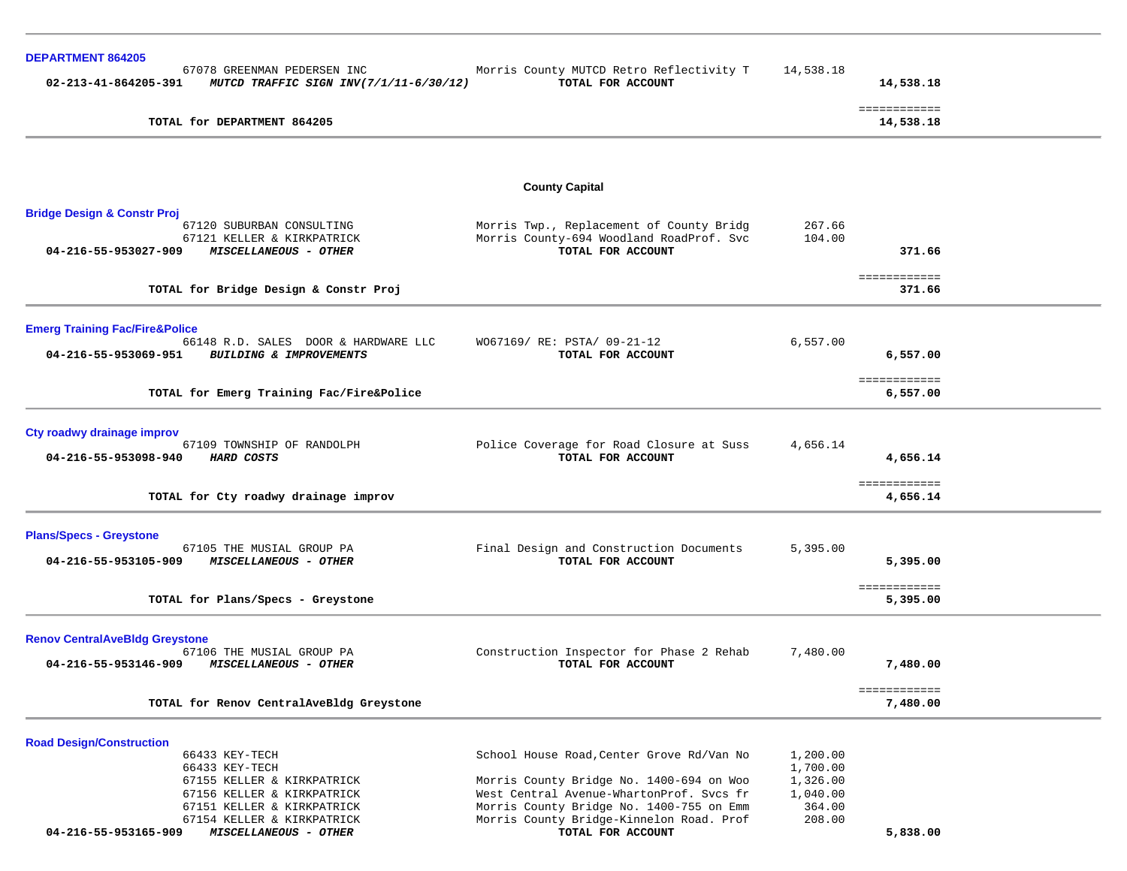| <b>DEPARTMENT 864205</b>                                                                      |                                                                                      |                      |                           |  |
|-----------------------------------------------------------------------------------------------|--------------------------------------------------------------------------------------|----------------------|---------------------------|--|
| 67078 GREENMAN PEDERSEN INC<br>02-213-41-864205-391<br>MUTCD TRAFFIC SIGN INV(7/1/11-6/30/12) | Morris County MUTCD Retro Reflectivity T<br>TOTAL FOR ACCOUNT                        | 14,538.18            | 14,538.18                 |  |
| TOTAL for DEPARTMENT 864205                                                                   |                                                                                      |                      | ============<br>14,538.18 |  |
|                                                                                               |                                                                                      |                      |                           |  |
|                                                                                               | <b>County Capital</b>                                                                |                      |                           |  |
| <b>Bridge Design &amp; Constr Proj</b>                                                        |                                                                                      |                      |                           |  |
| 67120 SUBURBAN CONSULTING                                                                     | Morris Twp., Replacement of County Bridg                                             | 267.66               |                           |  |
| 67121 KELLER & KIRKPATRICK<br>04-216-55-953027-909<br>MISCELLANEOUS - OTHER                   | Morris County-694 Woodland RoadProf. Svc<br>TOTAL FOR ACCOUNT                        | 104.00               | 371.66                    |  |
| TOTAL for Bridge Design & Constr Proj                                                         |                                                                                      |                      | ============<br>371.66    |  |
|                                                                                               |                                                                                      |                      |                           |  |
| <b>Emerg Training Fac/Fire&amp;Police</b>                                                     |                                                                                      |                      |                           |  |
| 66148 R.D. SALES DOOR & HARDWARE LLC<br>04-216-55-953069-951 BUILDING & IMPROVEMENTS          | W067169/ RE: PSTA/ 09-21-12                                                          | 6,557.00             |                           |  |
|                                                                                               | TOTAL FOR ACCOUNT                                                                    |                      | 6,557.00                  |  |
|                                                                                               |                                                                                      |                      | ============              |  |
| TOTAL for Emerg Training Fac/Fire&Police                                                      |                                                                                      |                      | 6,557.00                  |  |
| Cty roadwy drainage improv                                                                    |                                                                                      |                      |                           |  |
| 67109 TOWNSHIP OF RANDOLPH                                                                    | Police Coverage for Road Closure at Suss                                             | 4,656.14             |                           |  |
| 04-216-55-953098-940<br><b>HARD COSTS</b>                                                     | TOTAL FOR ACCOUNT                                                                    |                      | 4,656.14                  |  |
|                                                                                               |                                                                                      |                      | ============              |  |
| TOTAL for Cty roadwy drainage improv                                                          |                                                                                      |                      | 4,656.14                  |  |
| <b>Plans/Specs - Greystone</b>                                                                |                                                                                      |                      |                           |  |
| 67105 THE MUSIAL GROUP PA                                                                     | Final Design and Construction Documents                                              | 5,395.00             |                           |  |
| 04-216-55-953105-909<br>MISCELLANEOUS - OTHER                                                 | TOTAL FOR ACCOUNT                                                                    |                      | 5,395.00                  |  |
|                                                                                               |                                                                                      |                      | ============              |  |
| TOTAL for Plans/Specs - Greystone                                                             |                                                                                      |                      | 5,395.00                  |  |
|                                                                                               |                                                                                      |                      |                           |  |
| <b>Renov CentralAveBldg Greystone</b><br>67106 THE MUSIAL GROUP PA                            | Construction Inspector for Phase 2 Rehab                                             | 7,480.00             |                           |  |
| 04-216-55-953146-909<br><b>MISCELLANEOUS - OTHER</b>                                          | TOTAL FOR ACCOUNT                                                                    |                      | 7,480.00                  |  |
| TOTAL for Renov CentralAveBldg Greystone                                                      |                                                                                      |                      | ------------<br>7,480.00  |  |
|                                                                                               |                                                                                      |                      |                           |  |
| <b>Road Design/Construction</b>                                                               |                                                                                      |                      |                           |  |
| 66433 KEY-TECH<br>66433 KEY-TECH                                                              | School House Road, Center Grove Rd/Van No                                            | 1,200.00<br>1,700.00 |                           |  |
| 67155 KELLER & KIRKPATRICK                                                                    | Morris County Bridge No. 1400-694 on Woo                                             | 1,326.00             |                           |  |
| 67156 KELLER & KIRKPATRICK                                                                    | West Central Avenue-WhartonProf. Svcs fr                                             | 1,040.00             |                           |  |
| 67151 KELLER & KIRKPATRICK<br>67154 KELLER & KIRKPATRICK                                      | Morris County Bridge No. 1400-755 on Emm<br>Morris County Bridge-Kinnelon Road. Prof | 364.00<br>208.00     |                           |  |
| 04-216-55-953165-909<br>MISCELLANEOUS - OTHER                                                 | TOTAL FOR ACCOUNT                                                                    |                      | 5,838.00                  |  |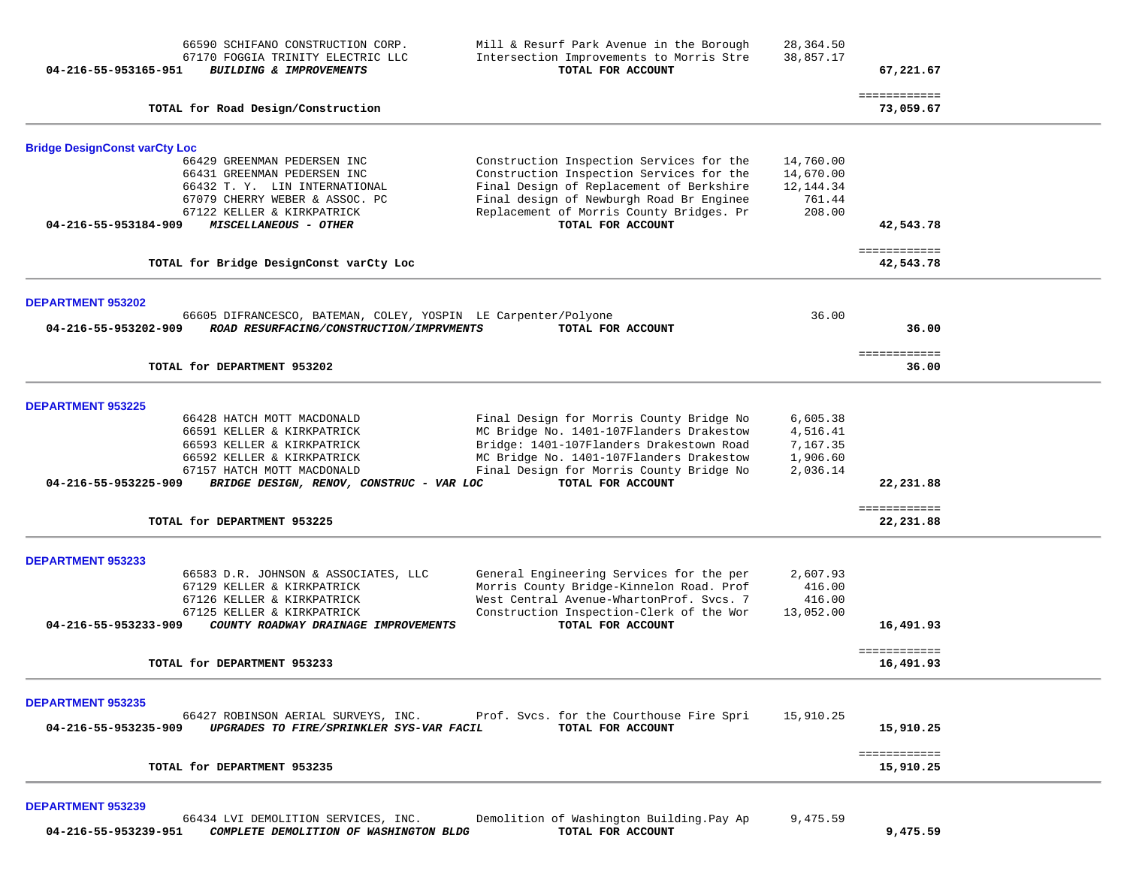| 04-216-55-953165-951                                         | 66590 SCHIFANO CONSTRUCTION CORP.<br>67170 FOGGIA TRINITY ELECTRIC LLC<br>BUILDING & IMPROVEMENTS                                                                                              | Mill & Resurf Park Avenue in the Borough<br>Intersection Improvements to Morris Stre<br>TOTAL FOR ACCOUNT                                                                                                                                     | 28,364.50<br>38,857.17                                   | 67,221.67                 |  |
|--------------------------------------------------------------|------------------------------------------------------------------------------------------------------------------------------------------------------------------------------------------------|-----------------------------------------------------------------------------------------------------------------------------------------------------------------------------------------------------------------------------------------------|----------------------------------------------------------|---------------------------|--|
|                                                              | TOTAL for Road Design/Construction                                                                                                                                                             |                                                                                                                                                                                                                                               |                                                          | ============<br>73,059.67 |  |
| <b>Bridge DesignConst varCty Loc</b><br>04-216-55-953184-909 | 66429 GREENMAN PEDERSEN INC<br>66431 GREENMAN PEDERSEN INC<br>66432 T.Y. LIN INTERNATIONAL<br>67079 CHERRY WEBER & ASSOC. PC<br>67122 KELLER & KIRKPATRICK<br>MISCELLANEOUS - OTHER            | Construction Inspection Services for the<br>Construction Inspection Services for the<br>Final Design of Replacement of Berkshire<br>Final design of Newburgh Road Br Enginee<br>Replacement of Morris County Bridges. Pr<br>TOTAL FOR ACCOUNT | 14,760.00<br>14,670.00<br>12, 144.34<br>761.44<br>208.00 | 42,543.78                 |  |
|                                                              | TOTAL for Bridge DesignConst varCty Loc                                                                                                                                                        |                                                                                                                                                                                                                                               |                                                          | ============<br>42,543.78 |  |
| <b>DEPARTMENT 953202</b><br>04-216-55-953202-909             | 66605 DIFRANCESCO, BATEMAN, COLEY, YOSPIN LE Carpenter/Polyone<br>ROAD RESURFACING/CONSTRUCTION/IMPRVMENTS                                                                                     | TOTAL FOR ACCOUNT                                                                                                                                                                                                                             | 36.00                                                    | 36.00                     |  |
|                                                              | TOTAL for DEPARTMENT 953202                                                                                                                                                                    |                                                                                                                                                                                                                                               |                                                          | ============<br>36.00     |  |
| <b>DEPARTMENT 953225</b><br>04-216-55-953225-909             | 66428 HATCH MOTT MACDONALD<br>66591 KELLER & KIRKPATRICK<br>66593 KELLER & KIRKPATRICK<br>66592 KELLER & KIRKPATRICK<br>67157 HATCH MOTT MACDONALD<br>BRIDGE DESIGN, RENOV, CONSTRUC - VAR LOC | Final Design for Morris County Bridge No<br>MC Bridge No. 1401-107Flanders Drakestow<br>Bridge: 1401-107Flanders Drakestown Road<br>MC Bridge No. 1401-107Flanders Drakestow<br>Final Design for Morris County Bridge No<br>TOTAL FOR ACCOUNT | 6,605.38<br>4,516.41<br>7,167.35<br>1,906.60<br>2,036.14 | 22,231.88<br>============ |  |
|                                                              | TOTAL for DEPARTMENT 953225                                                                                                                                                                    |                                                                                                                                                                                                                                               |                                                          | 22,231.88                 |  |
| <b>DEPARTMENT 953233</b><br>04-216-55-953233-909             | 66583 D.R. JOHNSON & ASSOCIATES, LLC<br>67129 KELLER & KIRKPATRICK<br>67126 KELLER & KIRKPATRICK<br>67125 KELLER & KIRKPATRICK<br>COUNTY ROADWAY DRAINAGE IMPROVEMENTS                         | General Engineering Services for the per<br>Morris County Bridge-Kinnelon Road. Prof<br>West Central Avenue-WhartonProf. Svcs. 7<br>Construction Inspection-Clerk of the Wor<br>TOTAL FOR ACCOUNT                                             | 2,607.93<br>416.00<br>416.00<br>13,052.00                | 16,491.93<br>============ |  |
|                                                              | TOTAL for DEPARTMENT 953233                                                                                                                                                                    |                                                                                                                                                                                                                                               |                                                          | 16,491.93                 |  |
| <b>DEPARTMENT 953235</b><br>04-216-55-953235-909             | 66427 ROBINSON AERIAL SURVEYS, INC.<br>UPGRADES TO FIRE/SPRINKLER SYS-VAR FACIL                                                                                                                | Prof. Svcs. for the Courthouse Fire Spri<br>TOTAL FOR ACCOUNT                                                                                                                                                                                 | 15,910.25                                                | 15,910.25                 |  |
|                                                              | TOTAL for DEPARTMENT 953235                                                                                                                                                                    |                                                                                                                                                                                                                                               |                                                          | ============<br>15,910.25 |  |
| <b>DEPARTMENT 953239</b>                                     |                                                                                                                                                                                                |                                                                                                                                                                                                                                               |                                                          |                           |  |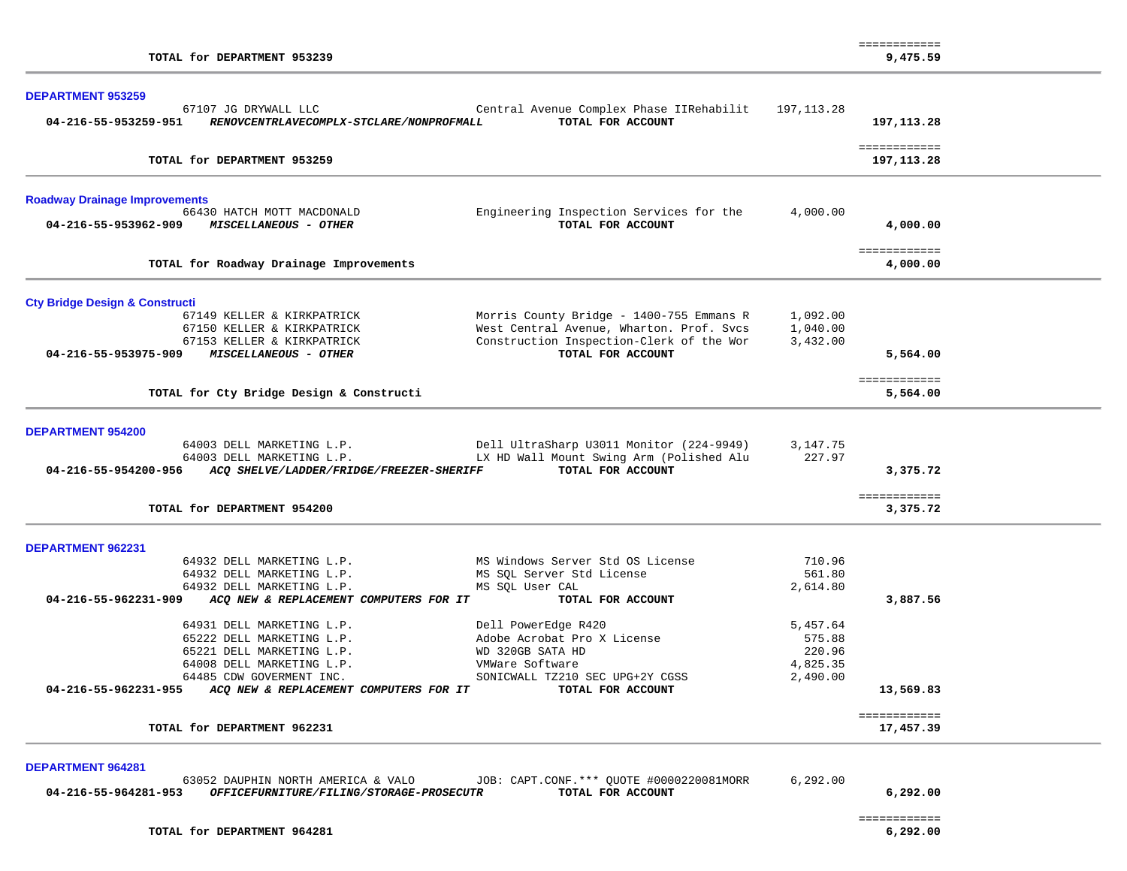| TOTAL for DEPARTMENT 953239                                              |                                          |                                                               |            | ============<br>9,475.59    |  |
|--------------------------------------------------------------------------|------------------------------------------|---------------------------------------------------------------|------------|-----------------------------|--|
| <b>DEPARTMENT 953259</b>                                                 |                                          |                                                               |            |                             |  |
| 67107 JG DRYWALL LLC                                                     |                                          | Central Avenue Complex Phase IIRehabilit                      | 197,113.28 |                             |  |
| 04-216-55-953259-951<br>RENOVCENTRLAVECOMPLX-STCLARE/NONPROFMALL         |                                          | 197,113.28                                                    |            |                             |  |
| TOTAL for DEPARTMENT 953259                                              |                                          |                                                               |            | ============<br>197, 113.28 |  |
| <b>Roadway Drainage Improvements</b>                                     |                                          |                                                               |            |                             |  |
| 66430 HATCH MOTT MACDONALD<br>04-216-55-953962-909 MISCELLANEOUS - OTHER |                                          | Engineering Inspection Services for the<br>TOTAL FOR ACCOUNT  | 4,000.00   | 4,000.00                    |  |
| TOTAL for Roadway Drainage Improvements                                  |                                          |                                                               |            | ============<br>4,000.00    |  |
| <b>Cty Bridge Design &amp; Constructi</b>                                |                                          |                                                               |            |                             |  |
| 67149 KELLER & KIRKPATRICK                                               |                                          | Morris County Bridge - 1400-755 Emmans R                      | 1,092.00   |                             |  |
| 67150 KELLER & KIRKPATRICK                                               |                                          | West Central Avenue, Wharton. Prof. Svcs                      | 1,040.00   |                             |  |
| 67153 KELLER & KIRKPATRICK                                               |                                          | Construction Inspection-Clerk of the Wor                      | 3,432.00   |                             |  |
| 04-216-55-953975-909<br>MISCELLANEOUS - OTHER                            |                                          | TOTAL FOR ACCOUNT                                             |            | 5,564.00                    |  |
| TOTAL for Cty Bridge Design & Constructi                                 |                                          |                                                               |            | ============<br>5,564.00    |  |
| <b>DEPARTMENT 954200</b>                                                 |                                          |                                                               |            |                             |  |
| 64003 DELL MARKETING L.P.                                                |                                          | Dell UltraSharp U3011 Monitor (224-9949)                      | 3,147.75   |                             |  |
| 64003 DELL MARKETING L.P.                                                |                                          | LX HD Wall Mount Swing Arm (Polished Alu                      | 227.97     |                             |  |
| 04-216-55-954200-956                                                     | ACQ SHELVE/LADDER/FRIDGE/FREEZER-SHERIFF | TOTAL FOR ACCOUNT                                             |            | 3,375.72                    |  |
| TOTAL for DEPARTMENT 954200                                              |                                          |                                                               |            | ============<br>3,375.72    |  |
| DEPARTMENT 962231                                                        |                                          |                                                               |            |                             |  |
| 64932 DELL MARKETING L.P.                                                |                                          | MS Windows Server Std OS License                              | 710.96     |                             |  |
| 64932 DELL MARKETING L.P.                                                |                                          | MS SQL Server Std License                                     | 561.80     |                             |  |
| 64932 DELL MARKETING L.P.<br>04-216-55-962231-909                        | ACQ NEW & REPLACEMENT COMPUTERS FOR IT   | MS SQL User CAL<br>TOTAL FOR ACCOUNT                          | 2,614.80   | 3,887.56                    |  |
| 64931 DELL MARKETING L.P.                                                |                                          | Dell PowerEdge R420                                           | 5,457.64   |                             |  |
| 65222 DELL MARKETING L.P.                                                |                                          | Adobe Acrobat Pro X License                                   | 575.88     |                             |  |
| 65221 DELL MARKETING L.P.                                                |                                          | WD 320GB SATA HD                                              | 220.96     |                             |  |
| 64008 DELL MARKETING L.P.                                                |                                          | VMWare Software                                               | 4,825.35   |                             |  |
| 64485 CDW GOVERMENT INC.                                                 |                                          | SONICWALL TZ210 SEC UPG+2Y CGSS                               | 2,490.00   |                             |  |
| 04-216-55-962231-955 ACQ NEW & REPLACEMENT COMPUTERS FOR IT              |                                          | TOTAL FOR ACCOUNT                                             |            | 13,569.83                   |  |
| TOTAL for DEPARTMENT 962231                                              |                                          |                                                               |            | ============<br>17,457.39   |  |
| <b>DEPARTMENT 964281</b>                                                 |                                          |                                                               |            |                             |  |
| 63052 DAUPHIN NORTH AMERICA & VALO<br>04-216-55-964281-953               | OFFICEFURNITURE/FILING/STORAGE-PROSECUTR | JOB: CAPT.CONF.*** QUOTE #0000220081MORR<br>TOTAL FOR ACCOUNT | 6,292.00   |                             |  |
|                                                                          |                                          |                                                               |            | 6,292.00                    |  |

============

 $6,292.00$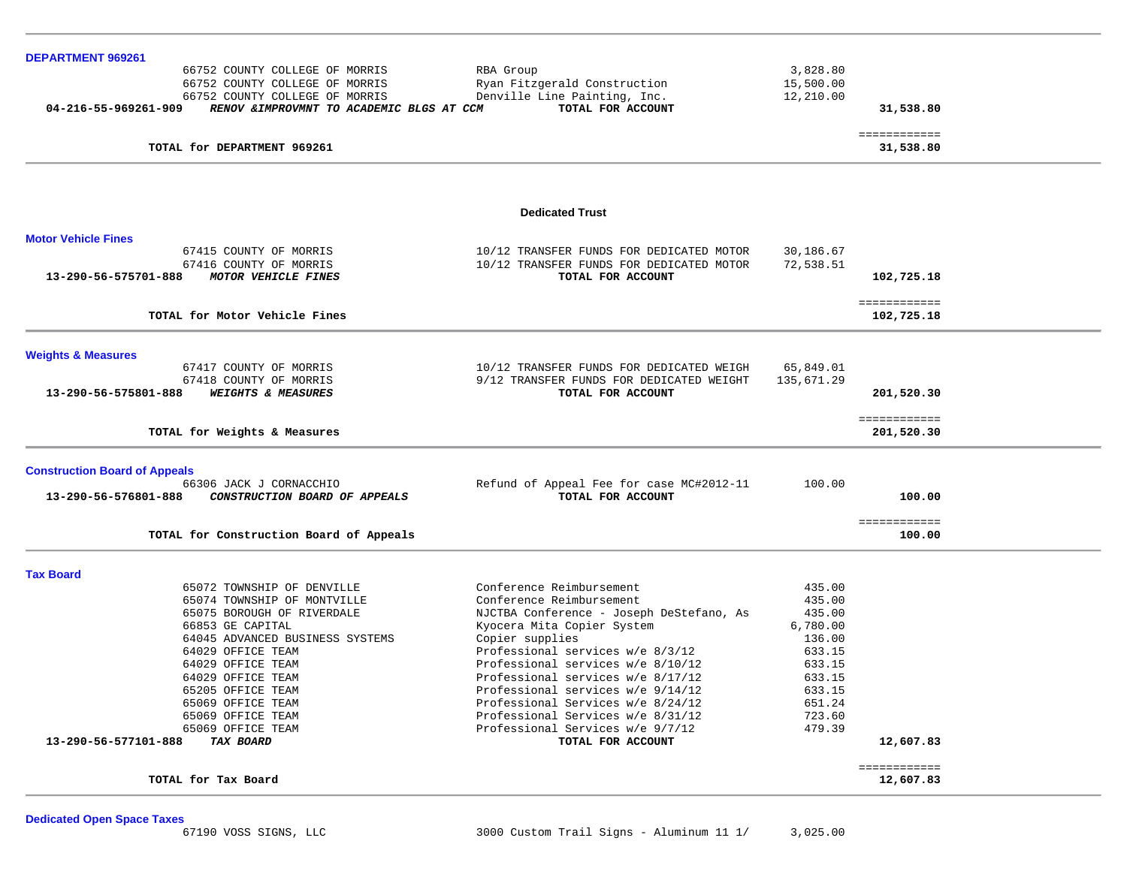| DEPARTMENT 969261                    |                                                         |                                          |            |              |  |
|--------------------------------------|---------------------------------------------------------|------------------------------------------|------------|--------------|--|
|                                      | 66752 COUNTY COLLEGE OF MORRIS                          | RBA Group                                | 3,828.80   |              |  |
|                                      | 66752 COUNTY COLLEGE OF MORRIS                          | Ryan Fitzgerald Construction             | 15,500.00  |              |  |
|                                      | 66752 COUNTY COLLEGE OF MORRIS                          | Denville Line Painting, Inc.             | 12,210.00  |              |  |
| 04-216-55-969261-909                 | RENOV & IMPROVMNT TO ACADEMIC BLGS AT CCM               | TOTAL FOR ACCOUNT                        |            | 31,538.80    |  |
|                                      |                                                         |                                          |            | ============ |  |
|                                      | TOTAL for DEPARTMENT 969261                             |                                          |            | 31,538.80    |  |
|                                      |                                                         |                                          |            |              |  |
|                                      |                                                         | <b>Dedicated Trust</b>                   |            |              |  |
| <b>Motor Vehicle Fines</b>           |                                                         |                                          |            |              |  |
|                                      | 67415 COUNTY OF MORRIS                                  | 10/12 TRANSFER FUNDS FOR DEDICATED MOTOR | 30,186.67  |              |  |
|                                      | 67416 COUNTY OF MORRIS                                  | 10/12 TRANSFER FUNDS FOR DEDICATED MOTOR | 72,538.51  |              |  |
| 13-290-56-575701-888                 | MOTOR VEHICLE FINES                                     | TOTAL FOR ACCOUNT                        |            | 102,725.18   |  |
|                                      |                                                         |                                          |            |              |  |
|                                      |                                                         |                                          |            | ============ |  |
|                                      | TOTAL for Motor Vehicle Fines                           |                                          |            | 102,725.18   |  |
|                                      |                                                         |                                          |            |              |  |
| <b>Weights &amp; Measures</b>        |                                                         |                                          |            |              |  |
|                                      | 67417 COUNTY OF MORRIS                                  | 10/12 TRANSFER FUNDS FOR DEDICATED WEIGH | 65,849.01  |              |  |
|                                      | 67418 COUNTY OF MORRIS<br><b>WEIGHTS &amp; MEASURES</b> | 9/12 TRANSFER FUNDS FOR DEDICATED WEIGHT | 135,671.29 |              |  |
| 13-290-56-575801-888                 |                                                         | TOTAL FOR ACCOUNT                        |            | 201,520.30   |  |
|                                      |                                                         |                                          |            | ============ |  |
|                                      | TOTAL for Weights & Measures                            |                                          |            | 201,520.30   |  |
|                                      |                                                         |                                          |            |              |  |
| <b>Construction Board of Appeals</b> |                                                         |                                          | 100.00     |              |  |
|                                      | 66306 JACK J CORNACCHIO                                 | Refund of Appeal Fee for case MC#2012-11 |            |              |  |
| 13-290-56-576801-888                 | CONSTRUCTION BOARD OF APPEALS                           | TOTAL FOR ACCOUNT                        |            | 100.00       |  |
|                                      |                                                         |                                          |            | ============ |  |
|                                      | TOTAL for Construction Board of Appeals                 |                                          |            | 100.00       |  |
| <b>Tax Board</b>                     |                                                         |                                          |            |              |  |
|                                      | 65072 TOWNSHIP OF DENVILLE                              | Conference Reimbursement                 | 435.00     |              |  |
|                                      | 65074 TOWNSHIP OF MONTVILLE                             | Conference Reimbursement                 | 435.00     |              |  |
|                                      | 65075 BOROUGH OF RIVERDALE                              | NJCTBA Conference - Joseph DeStefano, As | 435.00     |              |  |
|                                      | 66853 GE CAPITAL                                        | Kyocera Mita Copier System               | 6,780.00   |              |  |
|                                      | 64045 ADVANCED BUSINESS SYSTEMS                         | Copier supplies                          | 136.00     |              |  |
|                                      | 64029 OFFICE TEAM                                       | Professional services w/e 8/3/12         | 633.15     |              |  |
|                                      | 64029 OFFICE TEAM                                       | Professional services w/e 8/10/12        | 633.15     |              |  |
|                                      | 64029 OFFICE TEAM                                       | Professional services w/e 8/17/12        | 633.15     |              |  |
|                                      | 65205 OFFICE TEAM                                       | Professional services w/e 9/14/12        | 633.15     |              |  |
|                                      | 65069 OFFICE TEAM                                       | Professional Services w/e 8/24/12        | 651.24     |              |  |
|                                      | 65069 OFFICE TEAM                                       | Professional Services w/e 8/31/12        | 723.60     |              |  |
|                                      | 65069 OFFICE TEAM                                       | Professional Services w/e 9/7/12         | 479.39     |              |  |
| 13-290-56-577101-888                 | <b>TAX BOARD</b>                                        | TOTAL FOR ACCOUNT                        |            | 12,607.83    |  |
|                                      |                                                         |                                          |            | ============ |  |
|                                      | TOTAL for Tax Board                                     |                                          |            | 12,607.83    |  |
|                                      |                                                         |                                          |            |              |  |
|                                      |                                                         |                                          |            |              |  |